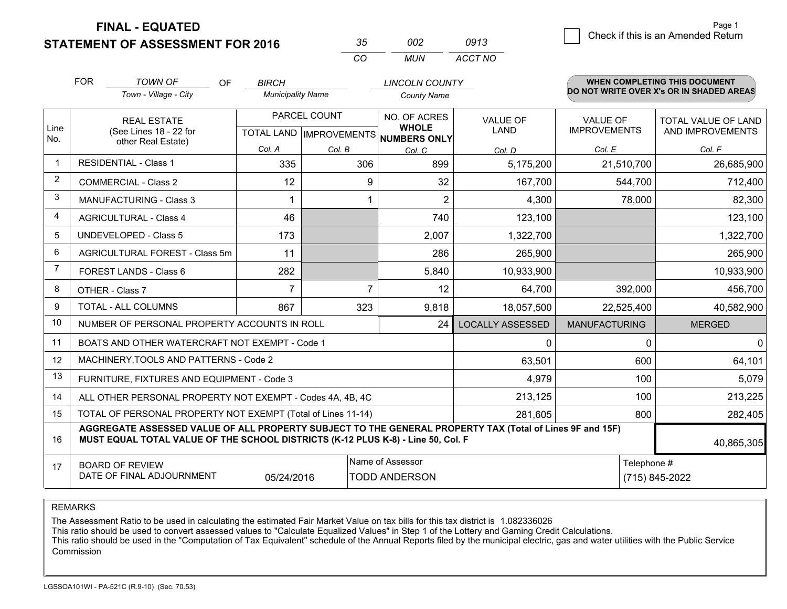**STATEMENT OF ASSESSMENT FOR 2016** 

| -35      | mo   | 0913    |
|----------|------|---------|
| $\cdots$ | MUN. | ACCT NO |

|                | <b>FOR</b> | <b>TOWN OF</b><br><b>OF</b>                                                                                                                                                                  | <b>BIRCH</b>             |                | <b>LINCOLN COUNTY</b>               |                         |                      | <b>WHEN COMPLETING THIS DOCUMENT</b><br>DO NOT WRITE OVER X's OR IN SHADED AREAS |
|----------------|------------|----------------------------------------------------------------------------------------------------------------------------------------------------------------------------------------------|--------------------------|----------------|-------------------------------------|-------------------------|----------------------|----------------------------------------------------------------------------------|
|                |            | Town - Village - City                                                                                                                                                                        | <b>Municipality Name</b> |                | <b>County Name</b>                  |                         |                      |                                                                                  |
| Line           |            | <b>REAL ESTATE</b>                                                                                                                                                                           |                          | PARCEL COUNT   | NO. OF ACRES<br><b>WHOLE</b>        | <b>VALUE OF</b>         | <b>VALUE OF</b>      | <b>TOTAL VALUE OF LAND</b>                                                       |
| No.            |            | (See Lines 18 - 22 for<br>other Real Estate)                                                                                                                                                 |                          |                | TOTAL LAND MPROVEMENTS NUMBERS ONLY | <b>LAND</b>             | <b>IMPROVEMENTS</b>  | AND IMPROVEMENTS                                                                 |
|                |            |                                                                                                                                                                                              | Col. A                   | Col. B         | Col. C                              | Col. D                  | Col. E               | Col. F                                                                           |
| $\mathbf{1}$   |            | <b>RESIDENTIAL - Class 1</b>                                                                                                                                                                 | 335                      | 306            | 899                                 | 5,175,200               | 21,510,700           | 26,685,900                                                                       |
| $\overline{2}$ |            | <b>COMMERCIAL - Class 2</b>                                                                                                                                                                  | 12                       | 9              | 32                                  | 167,700                 | 544,700              | 712,400                                                                          |
| 3              |            | <b>MANUFACTURING - Class 3</b>                                                                                                                                                               |                          |                | $\overline{2}$                      | 4,300                   | 78,000               | 82,300                                                                           |
| $\overline{4}$ |            | <b>AGRICULTURAL - Class 4</b>                                                                                                                                                                | 46                       |                | 740                                 | 123,100                 |                      | 123,100                                                                          |
| 5              |            | <b>UNDEVELOPED - Class 5</b>                                                                                                                                                                 | 173                      |                | 2,007                               | 1,322,700               |                      | 1,322,700                                                                        |
| 6              |            | AGRICULTURAL FOREST - Class 5m                                                                                                                                                               | 11                       |                | 286                                 | 265,900                 |                      | 265,900                                                                          |
| 7              |            | FOREST LANDS - Class 6                                                                                                                                                                       | 282                      |                | 5,840                               | 10,933,900              |                      | 10,933,900                                                                       |
| 8              |            | OTHER - Class 7                                                                                                                                                                              | $\overline{7}$           | $\overline{7}$ | 12                                  | 64,700                  | 392,000              | 456,700                                                                          |
| 9              |            | TOTAL - ALL COLUMNS                                                                                                                                                                          | 867                      | 323            | 9,818                               | 18,057,500              | 22,525,400           | 40,582,900                                                                       |
| 10             |            | NUMBER OF PERSONAL PROPERTY ACCOUNTS IN ROLL                                                                                                                                                 |                          |                | 24                                  | <b>LOCALLY ASSESSED</b> | <b>MANUFACTURING</b> | <b>MERGED</b>                                                                    |
| 11             |            | BOATS AND OTHER WATERCRAFT NOT EXEMPT - Code 1                                                                                                                                               |                          |                |                                     | 0                       | 0                    | $\mathbf 0$                                                                      |
| 12             |            | MACHINERY, TOOLS AND PATTERNS - Code 2                                                                                                                                                       |                          |                |                                     | 63,501                  | 600                  | 64,101                                                                           |
| 13             |            | FURNITURE, FIXTURES AND EQUIPMENT - Code 3                                                                                                                                                   |                          |                |                                     | 4,979                   | 100                  | 5,079                                                                            |
| 14             |            | ALL OTHER PERSONAL PROPERTY NOT EXEMPT - Codes 4A, 4B, 4C                                                                                                                                    |                          |                |                                     | 213,125                 | 100                  | 213,225                                                                          |
| 15             |            | TOTAL OF PERSONAL PROPERTY NOT EXEMPT (Total of Lines 11-14)                                                                                                                                 |                          |                |                                     | 281,605                 | 800                  | 282,405                                                                          |
| 16             |            | AGGREGATE ASSESSED VALUE OF ALL PROPERTY SUBJECT TO THE GENERAL PROPERTY TAX (Total of Lines 9F and 15F)<br>MUST EQUAL TOTAL VALUE OF THE SCHOOL DISTRICTS (K-12 PLUS K-8) - Line 50, Col. F |                          |                |                                     |                         |                      | 40,865,305                                                                       |
| 17             |            | <b>BOARD OF REVIEW</b>                                                                                                                                                                       |                          |                | Name of Assessor                    |                         | Telephone #          |                                                                                  |
|                |            | DATE OF FINAL ADJOURNMENT<br><b>TODD ANDERSON</b><br>(715) 845-2022<br>05/24/2016                                                                                                            |                          |                |                                     |                         |                      |                                                                                  |

REMARKS

The Assessment Ratio to be used in calculating the estimated Fair Market Value on tax bills for this tax district is 1.082336026

This ratio should be used to convert assessed values to "Calculate Equalized Values" in Step 1 of the Lottery and Gaming Credit Calculations.<br>This ratio should be used in the "Computation of Tax Equivalent" schedule of the Commission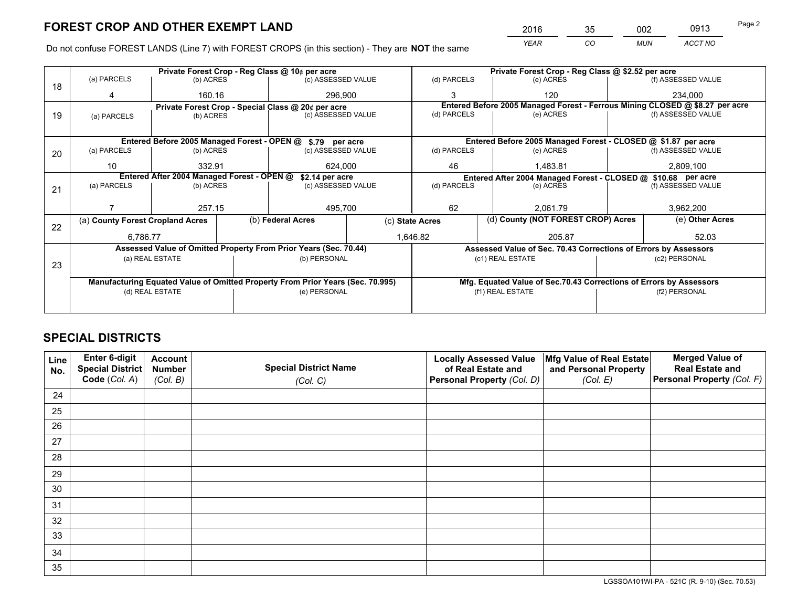*YEAR CO MUN ACCT NO* <sup>2016</sup> <sup>35</sup> <sup>002</sup> <sup>0913</sup>

Do not confuse FOREST LANDS (Line 7) with FOREST CROPS (in this section) - They are **NOT** the same

|    |                                                               |                                 |  | Private Forest Crop - Reg Class @ 10¢ per acre                                 |                 |                          | Private Forest Crop - Reg Class @ \$2.52 per acre               |                                    |                    |                                                                              |
|----|---------------------------------------------------------------|---------------------------------|--|--------------------------------------------------------------------------------|-----------------|--------------------------|-----------------------------------------------------------------|------------------------------------|--------------------|------------------------------------------------------------------------------|
| 18 | (a) PARCELS                                                   | (b) ACRES                       |  | (c) ASSESSED VALUE                                                             |                 | (d) PARCELS              | (e) ACRES                                                       |                                    |                    | (f) ASSESSED VALUE                                                           |
|    | 4                                                             | 160.16                          |  | 296.900                                                                        |                 | 3                        | 120                                                             |                                    |                    | 234.000                                                                      |
|    |                                                               |                                 |  | Private Forest Crop - Special Class @ 20¢ per acre                             |                 |                          |                                                                 |                                    |                    | Entered Before 2005 Managed Forest - Ferrous Mining CLOSED @ \$8.27 per acre |
| 19 | (a) PARCELS                                                   | (c) ASSESSED VALUE<br>(b) ACRES |  |                                                                                | (d) PARCELS     | (e) ACRES                |                                                                 |                                    | (f) ASSESSED VALUE |                                                                              |
|    |                                                               |                                 |  |                                                                                |                 |                          |                                                                 |                                    |                    |                                                                              |
|    |                                                               |                                 |  | Entered Before 2005 Managed Forest - OPEN @ \$.79 per acre                     |                 |                          | Entered Before 2005 Managed Forest - CLOSED @ \$1.87 per acre   |                                    |                    |                                                                              |
| 20 | (a) PARCELS                                                   | (b) ACRES                       |  | (c) ASSESSED VALUE                                                             |                 | (d) PARCELS              | (e) ACRES                                                       |                                    |                    | (f) ASSESSED VALUE                                                           |
|    | 10                                                            | 332.91                          |  |                                                                                | 624,000<br>46   |                          |                                                                 | 1,483.81                           |                    | 2,809,100                                                                    |
|    | Entered After 2004 Managed Forest - OPEN @<br>\$2.14 per acre |                                 |  |                                                                                |                 |                          | Entered After 2004 Managed Forest - CLOSED @ \$10.68 per acre   |                                    |                    |                                                                              |
| 21 | (a) PARCELS                                                   | (b) ACRES                       |  | (c) ASSESSED VALUE                                                             |                 | (d) PARCELS<br>(e) ACRES |                                                                 | (f) ASSESSED VALUE                 |                    |                                                                              |
|    |                                                               |                                 |  |                                                                                |                 |                          |                                                                 |                                    |                    |                                                                              |
|    |                                                               | 257.15                          |  | 495,700                                                                        |                 | 62<br>2.061.79           |                                                                 |                                    | 3,962,200          |                                                                              |
| 22 | (a) County Forest Cropland Acres                              |                                 |  | (b) Federal Acres                                                              | (c) State Acres |                          |                                                                 | (d) County (NOT FOREST CROP) Acres |                    | (e) Other Acres                                                              |
|    | 6,786.77                                                      |                                 |  |                                                                                |                 | 1,646.82                 | 205.87                                                          |                                    |                    | 52.03                                                                        |
|    |                                                               |                                 |  | Assessed Value of Omitted Property From Prior Years (Sec. 70.44)               |                 |                          | Assessed Value of Sec. 70.43 Corrections of Errors by Assessors |                                    |                    |                                                                              |
|    |                                                               | (a) REAL ESTATE                 |  | (b) PERSONAL                                                                   |                 |                          | (c1) REAL ESTATE                                                |                                    |                    | (c2) PERSONAL                                                                |
| 23 |                                                               |                                 |  |                                                                                |                 |                          |                                                                 |                                    |                    |                                                                              |
|    |                                                               |                                 |  | Manufacturing Equated Value of Omitted Property From Prior Years (Sec. 70.995) |                 |                          |                                                                 |                                    |                    | Mfg. Equated Value of Sec.70.43 Corrections of Errors by Assessors           |
|    |                                                               | (d) REAL ESTATE                 |  | (e) PERSONAL                                                                   |                 | (f1) REAL ESTATE         |                                                                 |                                    | (f2) PERSONAL      |                                                                              |
|    |                                                               |                                 |  |                                                                                |                 |                          |                                                                 |                                    |                    |                                                                              |

## **SPECIAL DISTRICTS**

| Line<br>No. | Enter 6-digit<br>Special District<br>Code (Col. A) | <b>Account</b><br><b>Number</b> | <b>Special District Name</b> | <b>Locally Assessed Value</b><br>of Real Estate and | Mfg Value of Real Estate<br>and Personal Property | <b>Merged Value of</b><br><b>Real Estate and</b><br>Personal Property (Col. F) |
|-------------|----------------------------------------------------|---------------------------------|------------------------------|-----------------------------------------------------|---------------------------------------------------|--------------------------------------------------------------------------------|
|             |                                                    | (Col. B)                        | (Col. C)                     | Personal Property (Col. D)                          | (Col. E)                                          |                                                                                |
| 24          |                                                    |                                 |                              |                                                     |                                                   |                                                                                |
| 25          |                                                    |                                 |                              |                                                     |                                                   |                                                                                |
| 26          |                                                    |                                 |                              |                                                     |                                                   |                                                                                |
| 27          |                                                    |                                 |                              |                                                     |                                                   |                                                                                |
| 28          |                                                    |                                 |                              |                                                     |                                                   |                                                                                |
| 29          |                                                    |                                 |                              |                                                     |                                                   |                                                                                |
| 30          |                                                    |                                 |                              |                                                     |                                                   |                                                                                |
| 31          |                                                    |                                 |                              |                                                     |                                                   |                                                                                |
| 32          |                                                    |                                 |                              |                                                     |                                                   |                                                                                |
| 33          |                                                    |                                 |                              |                                                     |                                                   |                                                                                |
| 34          |                                                    |                                 |                              |                                                     |                                                   |                                                                                |
| 35          |                                                    |                                 |                              |                                                     |                                                   |                                                                                |

LGSSOA101WI-PA - 521C (R. 9-10) (Sec. 70.53)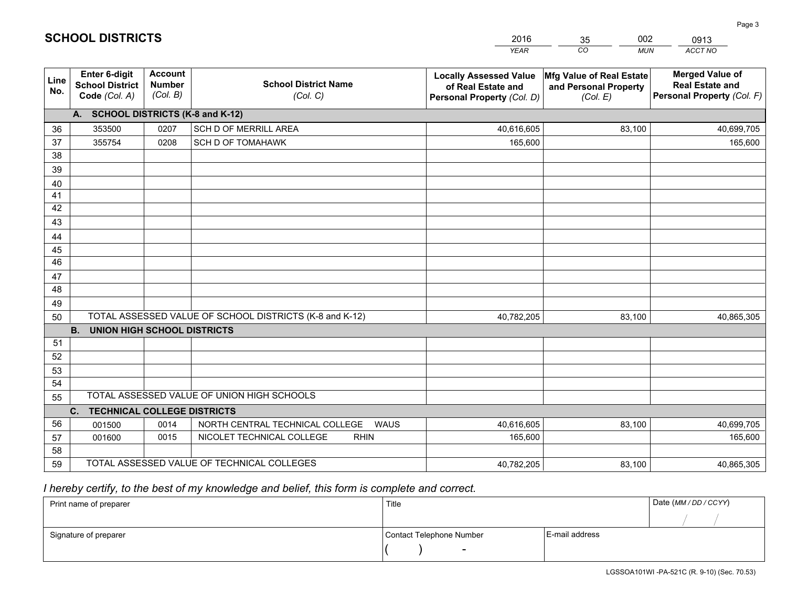|             |                                                          |                                             |                                                         | <b>YEAR</b>                                                                       | CO<br><b>MUN</b>                                              | ACCT NO                                                                        |
|-------------|----------------------------------------------------------|---------------------------------------------|---------------------------------------------------------|-----------------------------------------------------------------------------------|---------------------------------------------------------------|--------------------------------------------------------------------------------|
| Line<br>No. | Enter 6-digit<br><b>School District</b><br>Code (Col. A) | <b>Account</b><br><b>Number</b><br>(Col. B) | <b>School District Name</b><br>(Col. C)                 | <b>Locally Assessed Value</b><br>of Real Estate and<br>Personal Property (Col. D) | Mfg Value of Real Estate<br>and Personal Property<br>(Col. E) | <b>Merged Value of</b><br><b>Real Estate and</b><br>Personal Property (Col. F) |
|             | A. SCHOOL DISTRICTS (K-8 and K-12)                       |                                             |                                                         |                                                                                   |                                                               |                                                                                |
| 36          | 353500                                                   | 0207                                        | SCH D OF MERRILL AREA                                   | 40,616,605                                                                        | 83,100                                                        | 40,699,705                                                                     |
| 37          | 355754                                                   | 0208                                        | <b>SCH D OF TOMAHAWK</b>                                | 165,600                                                                           |                                                               | 165,600                                                                        |
| 38          |                                                          |                                             |                                                         |                                                                                   |                                                               |                                                                                |
| 39          |                                                          |                                             |                                                         |                                                                                   |                                                               |                                                                                |
| 40          |                                                          |                                             |                                                         |                                                                                   |                                                               |                                                                                |
| 41          |                                                          |                                             |                                                         |                                                                                   |                                                               |                                                                                |
| 42          |                                                          |                                             |                                                         |                                                                                   |                                                               |                                                                                |
| 43          |                                                          |                                             |                                                         |                                                                                   |                                                               |                                                                                |
| 44          |                                                          |                                             |                                                         |                                                                                   |                                                               |                                                                                |
| 45          |                                                          |                                             |                                                         |                                                                                   |                                                               |                                                                                |
| 46          |                                                          |                                             |                                                         |                                                                                   |                                                               |                                                                                |
| 47          |                                                          |                                             |                                                         |                                                                                   |                                                               |                                                                                |
| 48          |                                                          |                                             |                                                         |                                                                                   |                                                               |                                                                                |
| 49          |                                                          |                                             |                                                         |                                                                                   |                                                               |                                                                                |
| 50          |                                                          |                                             | TOTAL ASSESSED VALUE OF SCHOOL DISTRICTS (K-8 and K-12) | 40,782,205                                                                        | 83,100                                                        | 40,865,305                                                                     |
|             | <b>B.</b><br><b>UNION HIGH SCHOOL DISTRICTS</b>          |                                             |                                                         |                                                                                   |                                                               |                                                                                |
| 51          |                                                          |                                             |                                                         |                                                                                   |                                                               |                                                                                |
| 52          |                                                          |                                             |                                                         |                                                                                   |                                                               |                                                                                |
| 53          |                                                          |                                             |                                                         |                                                                                   |                                                               |                                                                                |
| 54          |                                                          |                                             |                                                         |                                                                                   |                                                               |                                                                                |
| 55          |                                                          |                                             | TOTAL ASSESSED VALUE OF UNION HIGH SCHOOLS              |                                                                                   |                                                               |                                                                                |
|             | C.<br><b>TECHNICAL COLLEGE DISTRICTS</b>                 |                                             |                                                         |                                                                                   |                                                               |                                                                                |
| 56          | 001500                                                   | 0014                                        | NORTH CENTRAL TECHNICAL COLLEGE<br><b>WAUS</b>          | 40,616,605                                                                        | 83,100                                                        | 40,699,705                                                                     |
| 57          | 001600                                                   | 0015                                        | NICOLET TECHNICAL COLLEGE<br><b>RHIN</b>                | 165,600                                                                           |                                                               | 165,600                                                                        |
| 58          |                                                          |                                             |                                                         |                                                                                   |                                                               |                                                                                |
| 59          |                                                          |                                             | TOTAL ASSESSED VALUE OF TECHNICAL COLLEGES              | 40,782,205                                                                        | 83,100                                                        | 40,865,305                                                                     |

35

002

 *I hereby certify, to the best of my knowledge and belief, this form is complete and correct.*

**SCHOOL DISTRICTS**

| Print name of preparer | Title                    |                | Date (MM/DD/CCYY) |
|------------------------|--------------------------|----------------|-------------------|
|                        |                          |                |                   |
| Signature of preparer  | Contact Telephone Number | E-mail address |                   |
|                        | $\overline{\phantom{a}}$ |                |                   |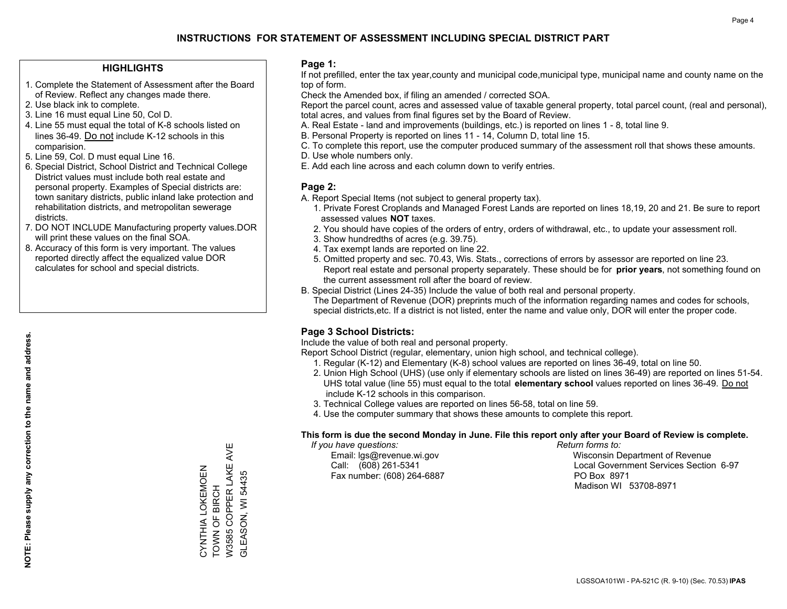#### **HIGHLIGHTS**

- 1. Complete the Statement of Assessment after the Board of Review. Reflect any changes made there.
- 2. Use black ink to complete.
- 3. Line 16 must equal Line 50, Col D.
- 4. Line 55 must equal the total of K-8 schools listed on lines 36-49. Do not include K-12 schools in this comparision.
- 5. Line 59, Col. D must equal Line 16.
- 6. Special District, School District and Technical College District values must include both real estate and personal property. Examples of Special districts are: town sanitary districts, public inland lake protection and rehabilitation districts, and metropolitan sewerage districts.
- 7. DO NOT INCLUDE Manufacturing property values.DOR will print these values on the final SOA.
- 8. Accuracy of this form is very important. The values reported directly affect the equalized value DOR calculates for school and special districts.

#### **Page 1:**

 If not prefilled, enter the tax year,county and municipal code,municipal type, municipal name and county name on the top of form.

Check the Amended box, if filing an amended / corrected SOA.

 Report the parcel count, acres and assessed value of taxable general property, total parcel count, (real and personal), total acres, and values from final figures set by the Board of Review.

- A. Real Estate land and improvements (buildings, etc.) is reported on lines 1 8, total line 9.
- B. Personal Property is reported on lines 11 14, Column D, total line 15.
- C. To complete this report, use the computer produced summary of the assessment roll that shows these amounts.
- D. Use whole numbers only.
- E. Add each line across and each column down to verify entries.

#### **Page 2:**

- A. Report Special Items (not subject to general property tax).
- 1. Private Forest Croplands and Managed Forest Lands are reported on lines 18,19, 20 and 21. Be sure to report assessed values **NOT** taxes.
- 2. You should have copies of the orders of entry, orders of withdrawal, etc., to update your assessment roll.
	- 3. Show hundredths of acres (e.g. 39.75).
- 4. Tax exempt lands are reported on line 22.
- 5. Omitted property and sec. 70.43, Wis. Stats., corrections of errors by assessor are reported on line 23. Report real estate and personal property separately. These should be for **prior years**, not something found on the current assessment roll after the board of review.
- B. Special District (Lines 24-35) Include the value of both real and personal property.

 The Department of Revenue (DOR) preprints much of the information regarding names and codes for schools, special districts,etc. If a district is not listed, enter the name and value only, DOR will enter the proper code.

### **Page 3 School Districts:**

Include the value of both real and personal property.

Report School District (regular, elementary, union high school, and technical college).

- 1. Regular (K-12) and Elementary (K-8) school values are reported on lines 36-49, total on line 50.
- 2. Union High School (UHS) (use only if elementary schools are listed on lines 36-49) are reported on lines 51-54. UHS total value (line 55) must equal to the total **elementary school** values reported on lines 36-49. Do notinclude K-12 schools in this comparison.
- 3. Technical College values are reported on lines 56-58, total on line 59.
- 4. Use the computer summary that shows these amounts to complete this report.

#### **This form is due the second Monday in June. File this report only after your Board of Review is complete.**

 *If you have questions: Return forms to:*

Fax number: (608) 264-6887 PO Box 8971

 Email: lgs@revenue.wi.gov Wisconsin Department of Revenue Call: (608) 261-5341 Local Government Services Section 6-97Madison WI 53708-8971

**NOTE: Please supply any correction to the name and address.**

NOTE: Please supply any correction to the name and address.

W3585 COPPER LAKE AVE W3585 COPPER LAKE AVE CYNTHIA LOKEMOEN<br>TOWN OF BIRCH CYNTHIA LOKEMOEN GLEASON, WI 54435 GLEASON, WI 54435 TOWN OF BIRCH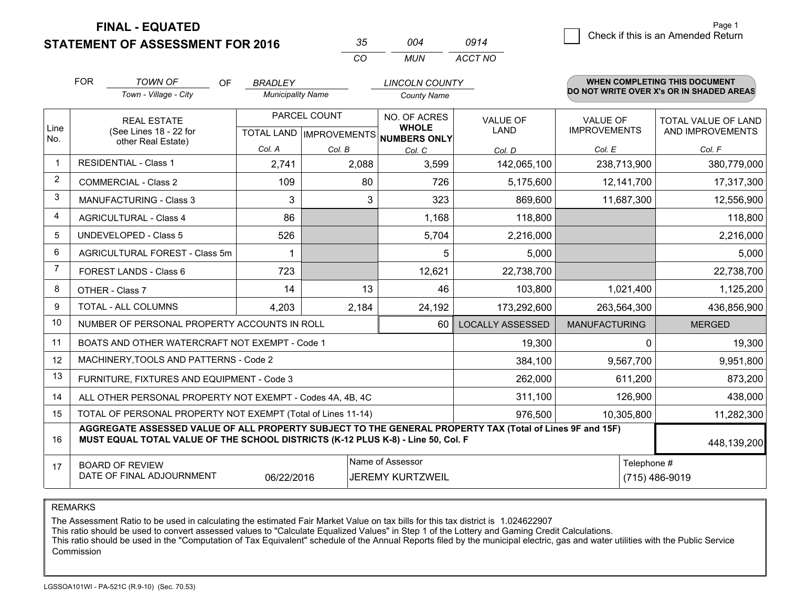**STATEMENT OF ASSESSMENT FOR 2016** 

| 35  | 004 | 0914    |
|-----|-----|---------|
| CO. | MUN | ACCT NO |

|             | <b>FOR</b>                                                                           | <b>TOWN OF</b><br><b>OF</b>                                                                                                                                                                  | <b>BRADLEY</b>           |                           | <b>LINCOLN COUNTY</b>               |                         |                      | <b>WHEN COMPLETING THIS DOCUMENT</b><br>DO NOT WRITE OVER X's OR IN SHADED AREAS |
|-------------|--------------------------------------------------------------------------------------|----------------------------------------------------------------------------------------------------------------------------------------------------------------------------------------------|--------------------------|---------------------------|-------------------------------------|-------------------------|----------------------|----------------------------------------------------------------------------------|
|             |                                                                                      | Town - Village - City                                                                                                                                                                        | <b>Municipality Name</b> |                           | <b>County Name</b>                  |                         |                      |                                                                                  |
|             |                                                                                      | PARCEL COUNT<br><b>REAL ESTATE</b>                                                                                                                                                           |                          |                           | NO. OF ACRES                        | <b>VALUE OF</b>         | <b>VALUE OF</b>      | TOTAL VALUE OF LAND                                                              |
| Line<br>No. |                                                                                      | (See Lines 18 - 22 for<br>other Real Estate)                                                                                                                                                 |                          | TOTAL LAND   IMPROVEMENTS | <b>WHOLE</b><br><b>NUMBERS ONLY</b> | LAND                    | <b>IMPROVEMENTS</b>  | AND IMPROVEMENTS                                                                 |
|             |                                                                                      |                                                                                                                                                                                              | Col. A                   | Col. B                    | Col. C                              | Col. D                  | Col. E               | Col. F                                                                           |
|             |                                                                                      | <b>RESIDENTIAL - Class 1</b>                                                                                                                                                                 | 2,741                    | 2,088                     | 3,599                               | 142,065,100             | 238,713,900          | 380,779,000                                                                      |
| 2           |                                                                                      | <b>COMMERCIAL - Class 2</b>                                                                                                                                                                  | 109                      | 80                        | 726                                 | 5,175,600               | 12,141,700           | 17,317,300                                                                       |
| 3           |                                                                                      | <b>MANUFACTURING - Class 3</b>                                                                                                                                                               | 3                        | 3                         | 323                                 | 869,600                 | 11,687,300           | 12,556,900                                                                       |
| 4           |                                                                                      | <b>AGRICULTURAL - Class 4</b>                                                                                                                                                                | 86                       |                           | 1,168                               | 118,800                 |                      | 118,800                                                                          |
| 5           |                                                                                      | UNDEVELOPED - Class 5                                                                                                                                                                        | 526                      |                           | 5,704                               | 2,216,000               |                      | 2,216,000                                                                        |
| 6           | AGRICULTURAL FOREST - Class 5m                                                       |                                                                                                                                                                                              | -1                       |                           | 5                                   | 5,000                   |                      | 5,000                                                                            |
| 7           |                                                                                      | FOREST LANDS - Class 6                                                                                                                                                                       | 723                      |                           | 12,621                              | 22,738,700              |                      | 22,738,700                                                                       |
| 8           |                                                                                      | OTHER - Class 7                                                                                                                                                                              | 14                       | 13                        | 46                                  | 103,800                 | 1,021,400            | 1,125,200                                                                        |
| 9           |                                                                                      | TOTAL - ALL COLUMNS                                                                                                                                                                          | 4,203                    | 2,184                     | 24,192                              | 173,292,600             | 263,564,300          | 436,856,900                                                                      |
| 10          |                                                                                      | NUMBER OF PERSONAL PROPERTY ACCOUNTS IN ROLL                                                                                                                                                 |                          |                           | 60                                  | <b>LOCALLY ASSESSED</b> | <b>MANUFACTURING</b> | <b>MERGED</b>                                                                    |
| 11          |                                                                                      | BOATS AND OTHER WATERCRAFT NOT EXEMPT - Code 1                                                                                                                                               |                          |                           |                                     | 19,300                  | 0                    | 19,300                                                                           |
| 12          |                                                                                      | MACHINERY, TOOLS AND PATTERNS - Code 2                                                                                                                                                       |                          |                           |                                     | 384,100                 | 9,567,700            | 9,951,800                                                                        |
| 13          |                                                                                      | FURNITURE, FIXTURES AND EQUIPMENT - Code 3                                                                                                                                                   |                          |                           |                                     | 262,000                 | 611,200              | 873,200                                                                          |
| 14          |                                                                                      | ALL OTHER PERSONAL PROPERTY NOT EXEMPT - Codes 4A, 4B, 4C                                                                                                                                    |                          |                           |                                     | 311,100                 | 126,900              | 438,000                                                                          |
| 15          |                                                                                      | TOTAL OF PERSONAL PROPERTY NOT EXEMPT (Total of Lines 11-14)                                                                                                                                 |                          |                           |                                     | 976,500                 | 10,305,800           | 11,282,300                                                                       |
| 16          |                                                                                      | AGGREGATE ASSESSED VALUE OF ALL PROPERTY SUBJECT TO THE GENERAL PROPERTY TAX (Total of Lines 9F and 15F)<br>MUST EQUAL TOTAL VALUE OF THE SCHOOL DISTRICTS (K-12 PLUS K-8) - Line 50, Col. F |                          |                           |                                     |                         |                      | 448,139,200                                                                      |
| 17          |                                                                                      | <b>BOARD OF REVIEW</b>                                                                                                                                                                       |                          |                           | Name of Assessor                    |                         | Telephone #          |                                                                                  |
|             | DATE OF FINAL ADJOURNMENT<br><b>JEREMY KURTZWEIL</b><br>(715) 486-9019<br>06/22/2016 |                                                                                                                                                                                              |                          |                           |                                     |                         |                      |                                                                                  |

REMARKS

The Assessment Ratio to be used in calculating the estimated Fair Market Value on tax bills for this tax district is 1.024622907

This ratio should be used to convert assessed values to "Calculate Equalized Values" in Step 1 of the Lottery and Gaming Credit Calculations.<br>This ratio should be used in the "Computation of Tax Equivalent" schedule of the Commission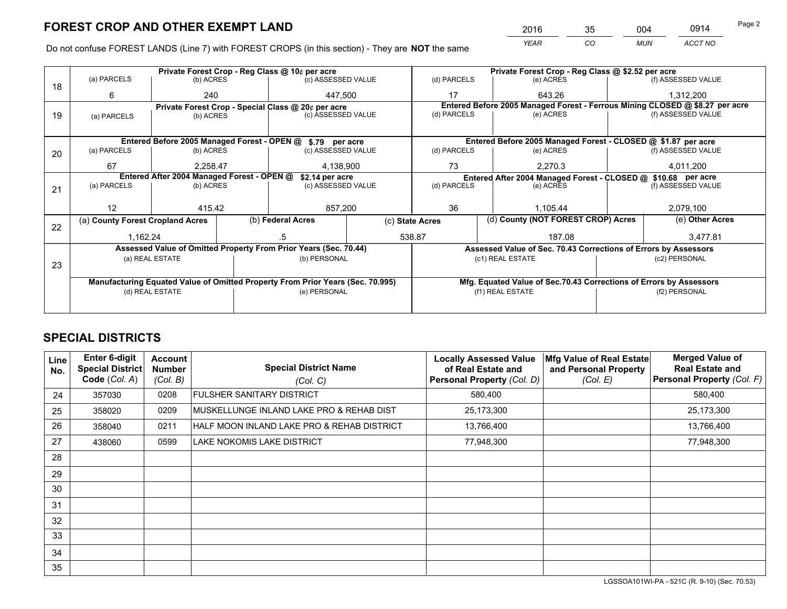*YEAR CO MUN ACCT NO* <sup>2016</sup> <sup>35</sup> <sup>004</sup> <sup>0914</sup>

Do not confuse FOREST LANDS (Line 7) with FOREST CROPS (in this section) - They are **NOT** the same

|    |                                                               |                                             | Private Forest Crop - Reg Class @ 10¢ per acre |                                                                                |  | Private Forest Crop - Reg Class @ \$2.52 per acre             |                                    |                                                                    |               |                                                                              |  |
|----|---------------------------------------------------------------|---------------------------------------------|------------------------------------------------|--------------------------------------------------------------------------------|--|---------------------------------------------------------------|------------------------------------|--------------------------------------------------------------------|---------------|------------------------------------------------------------------------------|--|
| 18 | (a) PARCELS                                                   | (b) ACRES                                   |                                                | (c) ASSESSED VALUE                                                             |  | (d) PARCELS                                                   |                                    | (e) ACRES                                                          |               | (f) ASSESSED VALUE                                                           |  |
|    | 6                                                             | 240                                         |                                                | 447.500                                                                        |  | 17                                                            |                                    | 643.26                                                             |               | 1,312,200                                                                    |  |
|    |                                                               |                                             |                                                | Private Forest Crop - Special Class @ 20¢ per acre                             |  |                                                               |                                    |                                                                    |               | Entered Before 2005 Managed Forest - Ferrous Mining CLOSED @ \$8.27 per acre |  |
| 19 | (a) PARCELS                                                   | (c) ASSESSED VALUE<br>(b) ACRES             |                                                | (d) PARCELS                                                                    |  | (e) ACRES                                                     |                                    | (f) ASSESSED VALUE                                                 |               |                                                                              |  |
|    |                                                               |                                             |                                                |                                                                                |  |                                                               |                                    |                                                                    |               |                                                                              |  |
|    |                                                               | Entered Before 2005 Managed Forest - OPEN @ |                                                | \$.79 per acre                                                                 |  |                                                               |                                    | Entered Before 2005 Managed Forest - CLOSED @ \$1.87 per acre      |               |                                                                              |  |
| 20 | (a) PARCELS                                                   | (b) ACRES                                   |                                                | (c) ASSESSED VALUE                                                             |  | (d) PARCELS                                                   |                                    | (e) ACRES                                                          |               | (f) ASSESSED VALUE                                                           |  |
|    | 67                                                            | 2,258.47                                    |                                                | 4,138,900                                                                      |  | 73                                                            | 2,270.3                            |                                                                    | 4,011,200     |                                                                              |  |
|    | Entered After 2004 Managed Forest - OPEN @<br>\$2.14 per acre |                                             |                                                |                                                                                |  | Entered After 2004 Managed Forest - CLOSED @ \$10.68 per acre |                                    |                                                                    |               |                                                                              |  |
| 21 | (a) PARCELS                                                   | (b) ACRES                                   |                                                | (c) ASSESSED VALUE                                                             |  | (d) PARCELS                                                   |                                    | (e) ACRES                                                          |               | (f) ASSESSED VALUE                                                           |  |
|    |                                                               |                                             |                                                |                                                                                |  |                                                               |                                    |                                                                    |               |                                                                              |  |
|    | 12                                                            | 415.42                                      |                                                | 857,200                                                                        |  | 36                                                            | 1,105.44                           |                                                                    | 2,079,100     |                                                                              |  |
|    | (a) County Forest Cropland Acres                              |                                             |                                                | (b) Federal Acres<br>(c) State Acres                                           |  |                                                               | (d) County (NOT FOREST CROP) Acres |                                                                    |               | (e) Other Acres                                                              |  |
| 22 | 1,162.24                                                      |                                             |                                                |                                                                                |  | 538.87                                                        |                                    | 187.08                                                             |               | 3,477.81                                                                     |  |
|    |                                                               |                                             |                                                | Assessed Value of Omitted Property From Prior Years (Sec. 70.44)               |  |                                                               |                                    | Assessed Value of Sec. 70.43 Corrections of Errors by Assessors    |               |                                                                              |  |
|    |                                                               | (a) REAL ESTATE                             |                                                | (b) PERSONAL                                                                   |  |                                                               |                                    | (c1) REAL ESTATE                                                   |               | (c2) PERSONAL                                                                |  |
| 23 |                                                               |                                             |                                                |                                                                                |  |                                                               |                                    |                                                                    |               |                                                                              |  |
|    |                                                               |                                             |                                                | Manufacturing Equated Value of Omitted Property From Prior Years (Sec. 70.995) |  |                                                               |                                    | Mfg. Equated Value of Sec.70.43 Corrections of Errors by Assessors |               |                                                                              |  |
|    | (d) REAL ESTATE                                               |                                             | (e) PERSONAL                                   |                                                                                |  |                                                               | (f1) REAL ESTATE                   |                                                                    | (f2) PERSONAL |                                                                              |  |
|    |                                                               |                                             |                                                |                                                                                |  |                                                               |                                    |                                                                    |               |                                                                              |  |

## **SPECIAL DISTRICTS**

| Line<br>No. | <b>Enter 6-digit</b><br><b>Special District</b><br>Code (Col. A) | <b>Account</b><br><b>Number</b><br>(Col. B) | <b>Special District Name</b><br>(Col. C)   | <b>Locally Assessed Value</b><br>of Real Estate and<br>Personal Property (Col. D) | Mfg Value of Real Estate<br>and Personal Property<br>(Col. E) | <b>Merged Value of</b><br><b>Real Estate and</b><br>Personal Property (Col. F) |
|-------------|------------------------------------------------------------------|---------------------------------------------|--------------------------------------------|-----------------------------------------------------------------------------------|---------------------------------------------------------------|--------------------------------------------------------------------------------|
| 24          | 357030                                                           | 0208                                        | <b>FULSHER SANITARY DISTRICT</b>           | 580,400                                                                           |                                                               | 580,400                                                                        |
| 25          | 358020                                                           | 0209                                        | MUSKELLUNGE INLAND LAKE PRO & REHAB DIST   | 25,173,300                                                                        |                                                               | 25,173,300                                                                     |
| 26          | 358040                                                           | 0211                                        | HALF MOON INLAND LAKE PRO & REHAB DISTRICT | 13,766,400                                                                        |                                                               | 13,766,400                                                                     |
| 27          | 438060                                                           | 0599                                        | LAKE NOKOMIS LAKE DISTRICT                 | 77,948,300                                                                        |                                                               | 77,948,300                                                                     |
| 28          |                                                                  |                                             |                                            |                                                                                   |                                                               |                                                                                |
| 29          |                                                                  |                                             |                                            |                                                                                   |                                                               |                                                                                |
| 30          |                                                                  |                                             |                                            |                                                                                   |                                                               |                                                                                |
| 31          |                                                                  |                                             |                                            |                                                                                   |                                                               |                                                                                |
| 32          |                                                                  |                                             |                                            |                                                                                   |                                                               |                                                                                |
| 33          |                                                                  |                                             |                                            |                                                                                   |                                                               |                                                                                |
| 34          |                                                                  |                                             |                                            |                                                                                   |                                                               |                                                                                |
| 35          |                                                                  |                                             |                                            |                                                                                   |                                                               |                                                                                |

LGSSOA101WI-PA - 521C (R. 9-10) (Sec. 70.53)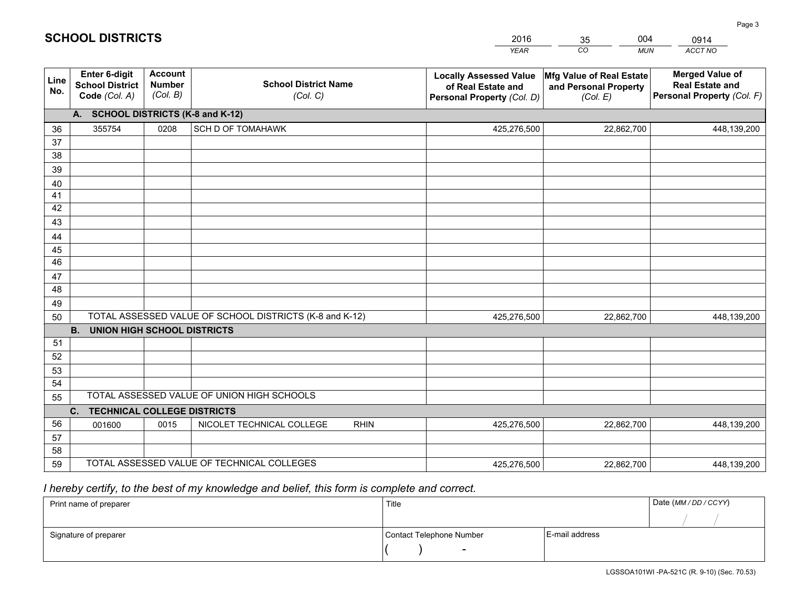|             |                                                                 |                                             |                                                         | <b>YEAR</b>                                                                       | CO<br><b>MUN</b>                                              | ACCT NO                                                                        |
|-------------|-----------------------------------------------------------------|---------------------------------------------|---------------------------------------------------------|-----------------------------------------------------------------------------------|---------------------------------------------------------------|--------------------------------------------------------------------------------|
| Line<br>No. | <b>Enter 6-digit</b><br><b>School District</b><br>Code (Col. A) | <b>Account</b><br><b>Number</b><br>(Col. B) | <b>School District Name</b><br>(Col. C)                 | <b>Locally Assessed Value</b><br>of Real Estate and<br>Personal Property (Col. D) | Mfg Value of Real Estate<br>and Personal Property<br>(Col. E) | <b>Merged Value of</b><br><b>Real Estate and</b><br>Personal Property (Col. F) |
|             | A. SCHOOL DISTRICTS (K-8 and K-12)                              |                                             |                                                         |                                                                                   |                                                               |                                                                                |
| 36          | 355754                                                          | 0208                                        | SCH D OF TOMAHAWK                                       | 425,276,500                                                                       | 22,862,700                                                    | 448,139,200                                                                    |
| 37          |                                                                 |                                             |                                                         |                                                                                   |                                                               |                                                                                |
| 38          |                                                                 |                                             |                                                         |                                                                                   |                                                               |                                                                                |
| 39          |                                                                 |                                             |                                                         |                                                                                   |                                                               |                                                                                |
| 40          |                                                                 |                                             |                                                         |                                                                                   |                                                               |                                                                                |
| 41<br>42    |                                                                 |                                             |                                                         |                                                                                   |                                                               |                                                                                |
| 43          |                                                                 |                                             |                                                         |                                                                                   |                                                               |                                                                                |
|             |                                                                 |                                             |                                                         |                                                                                   |                                                               |                                                                                |
| 44<br>45    |                                                                 |                                             |                                                         |                                                                                   |                                                               |                                                                                |
| 46          |                                                                 |                                             |                                                         |                                                                                   |                                                               |                                                                                |
| 47          |                                                                 |                                             |                                                         |                                                                                   |                                                               |                                                                                |
| 48          |                                                                 |                                             |                                                         |                                                                                   |                                                               |                                                                                |
| 49          |                                                                 |                                             |                                                         |                                                                                   |                                                               |                                                                                |
| 50          |                                                                 |                                             | TOTAL ASSESSED VALUE OF SCHOOL DISTRICTS (K-8 and K-12) | 425,276,500                                                                       | 22,862,700                                                    | 448,139,200                                                                    |
|             | <b>B.</b><br>UNION HIGH SCHOOL DISTRICTS                        |                                             |                                                         |                                                                                   |                                                               |                                                                                |
| 51          |                                                                 |                                             |                                                         |                                                                                   |                                                               |                                                                                |
| 52          |                                                                 |                                             |                                                         |                                                                                   |                                                               |                                                                                |
| 53          |                                                                 |                                             |                                                         |                                                                                   |                                                               |                                                                                |
| 54          |                                                                 |                                             |                                                         |                                                                                   |                                                               |                                                                                |
| 55          |                                                                 |                                             | TOTAL ASSESSED VALUE OF UNION HIGH SCHOOLS              |                                                                                   |                                                               |                                                                                |
|             | C.<br><b>TECHNICAL COLLEGE DISTRICTS</b>                        |                                             |                                                         |                                                                                   |                                                               |                                                                                |
| 56          | 001600                                                          | 0015                                        | NICOLET TECHNICAL COLLEGE<br><b>RHIN</b>                | 425,276,500                                                                       | 22,862,700                                                    | 448,139,200                                                                    |
| 57<br>58    |                                                                 |                                             |                                                         |                                                                                   |                                                               |                                                                                |
| 59          |                                                                 |                                             | TOTAL ASSESSED VALUE OF TECHNICAL COLLEGES              | 425,276,500                                                                       | 22,862,700                                                    | 448,139,200                                                                    |
|             |                                                                 |                                             |                                                         |                                                                                   |                                                               |                                                                                |

35

004

 *I hereby certify, to the best of my knowledge and belief, this form is complete and correct.*

**SCHOOL DISTRICTS**

| Print name of preparer | Title                    |                | Date (MM / DD / CCYY) |
|------------------------|--------------------------|----------------|-----------------------|
|                        |                          |                |                       |
| Signature of preparer  | Contact Telephone Number | E-mail address |                       |
|                        | $\sim$                   |                |                       |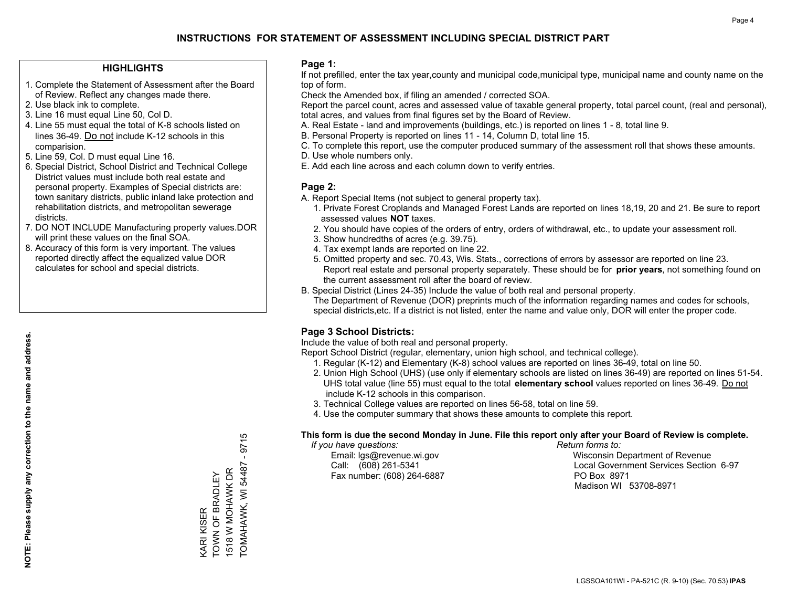#### **HIGHLIGHTS**

- 1. Complete the Statement of Assessment after the Board of Review. Reflect any changes made there.
- 2. Use black ink to complete.
- 3. Line 16 must equal Line 50, Col D.
- 4. Line 55 must equal the total of K-8 schools listed on lines 36-49. Do not include K-12 schools in this comparision.
- 5. Line 59, Col. D must equal Line 16.
- 6. Special District, School District and Technical College District values must include both real estate and personal property. Examples of Special districts are: town sanitary districts, public inland lake protection and rehabilitation districts, and metropolitan sewerage districts.
- 7. DO NOT INCLUDE Manufacturing property values.DOR will print these values on the final SOA.

KARI KISER

TOWN OF BRADLEY 1518 W MOHAWK DR TOMAHAWK, WI 54487 - 9715

TOMAHAWK, WI 54487 1518 W MOHAWK DR KARI KISER<br>TOWN OF BRADLEY

Ю  $971$  $\mathbf{I}$ 

 8. Accuracy of this form is very important. The values reported directly affect the equalized value DOR calculates for school and special districts.

#### **Page 1:**

 If not prefilled, enter the tax year,county and municipal code,municipal type, municipal name and county name on the top of form.

Check the Amended box, if filing an amended / corrected SOA.

 Report the parcel count, acres and assessed value of taxable general property, total parcel count, (real and personal), total acres, and values from final figures set by the Board of Review.

- A. Real Estate land and improvements (buildings, etc.) is reported on lines 1 8, total line 9.
- B. Personal Property is reported on lines 11 14, Column D, total line 15.
- C. To complete this report, use the computer produced summary of the assessment roll that shows these amounts.
- D. Use whole numbers only.
- E. Add each line across and each column down to verify entries.

#### **Page 2:**

- A. Report Special Items (not subject to general property tax).
- 1. Private Forest Croplands and Managed Forest Lands are reported on lines 18,19, 20 and 21. Be sure to report assessed values **NOT** taxes.
- 2. You should have copies of the orders of entry, orders of withdrawal, etc., to update your assessment roll.
	- 3. Show hundredths of acres (e.g. 39.75).
- 4. Tax exempt lands are reported on line 22.
- 5. Omitted property and sec. 70.43, Wis. Stats., corrections of errors by assessor are reported on line 23. Report real estate and personal property separately. These should be for **prior years**, not something found on the current assessment roll after the board of review.
- B. Special District (Lines 24-35) Include the value of both real and personal property.

 The Department of Revenue (DOR) preprints much of the information regarding names and codes for schools, special districts,etc. If a district is not listed, enter the name and value only, DOR will enter the proper code.

### **Page 3 School Districts:**

Include the value of both real and personal property.

Report School District (regular, elementary, union high school, and technical college).

- 1. Regular (K-12) and Elementary (K-8) school values are reported on lines 36-49, total on line 50.
- 2. Union High School (UHS) (use only if elementary schools are listed on lines 36-49) are reported on lines 51-54. UHS total value (line 55) must equal to the total **elementary school** values reported on lines 36-49. Do notinclude K-12 schools in this comparison.
- 3. Technical College values are reported on lines 56-58, total on line 59.
- 4. Use the computer summary that shows these amounts to complete this report.

#### **This form is due the second Monday in June. File this report only after your Board of Review is complete.**

 *If you have questions: Return forms to:*

Fax number: (608) 264-6887 PO Box 8971

 Email: lgs@revenue.wi.gov Wisconsin Department of Revenue Call: (608) 261-5341 Local Government Services Section 6-97Madison WI 53708-8971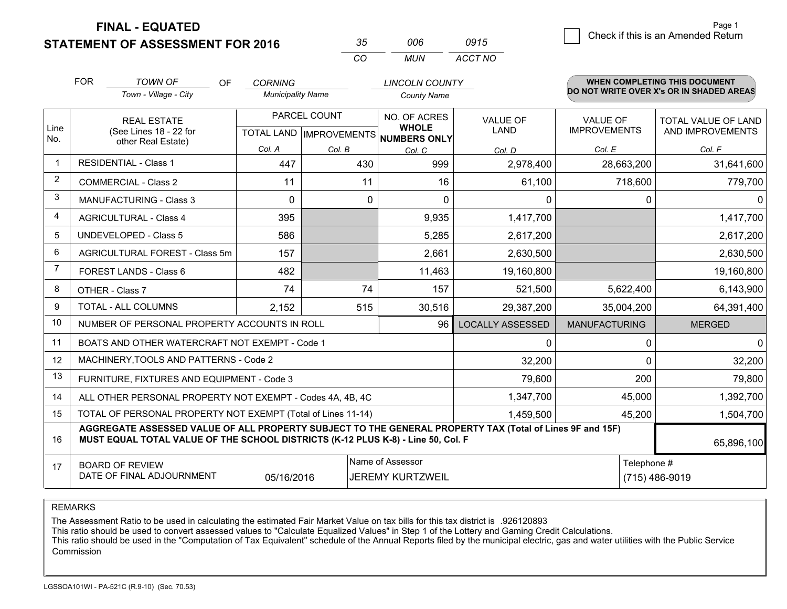**STATEMENT OF ASSESSMENT FOR 2016** 

| $\sim$ | nnr  | 0915    |
|--------|------|---------|
| Γn.    | MUN. | ACCT NO |

|                | <b>FOR</b><br><b>TOWN OF</b><br><b>OF</b><br>Town - Village - City                                                                                                                                         | <b>CORNING</b><br><b>Municipality Name</b> |              | <b>LINCOLN COUNTY</b><br><b>County Name</b>                         |                                |                                        | <b>WHEN COMPLETING THIS DOCUMENT</b><br>DO NOT WRITE OVER X's OR IN SHADED AREAS |
|----------------|------------------------------------------------------------------------------------------------------------------------------------------------------------------------------------------------------------|--------------------------------------------|--------------|---------------------------------------------------------------------|--------------------------------|----------------------------------------|----------------------------------------------------------------------------------|
| Line<br>No.    | <b>REAL ESTATE</b><br>(See Lines 18 - 22 for<br>other Real Estate)                                                                                                                                         |                                            | PARCEL COUNT | NO. OF ACRES<br><b>WHOLE</b><br>TOTAL LAND MPROVEMENTS NUMBERS ONLY | <b>VALUE OF</b><br><b>LAND</b> | <b>VALUE OF</b><br><b>IMPROVEMENTS</b> | TOTAL VALUE OF LAND<br>AND IMPROVEMENTS                                          |
|                |                                                                                                                                                                                                            | Col. A                                     | Col. B       | Col. C                                                              | Col. D                         | Col. E                                 | Col. F                                                                           |
|                | <b>RESIDENTIAL - Class 1</b>                                                                                                                                                                               | 447                                        | 430          | 999                                                                 | 2,978,400                      | 28,663,200                             | 31,641,600                                                                       |
| 2              | <b>COMMERCIAL - Class 2</b>                                                                                                                                                                                | 11                                         | 11           | 16                                                                  | 61,100                         | 718,600                                | 779,700                                                                          |
| 3              | <b>MANUFACTURING - Class 3</b>                                                                                                                                                                             | $\Omega$                                   | 0            | $\Omega$                                                            | 0                              | 0                                      | $\mathbf{0}$                                                                     |
| 4              | <b>AGRICULTURAL - Class 4</b>                                                                                                                                                                              | 395                                        |              | 9,935                                                               | 1,417,700                      |                                        | 1,417,700                                                                        |
| 5              | <b>UNDEVELOPED - Class 5</b>                                                                                                                                                                               | 586                                        |              | 5,285                                                               | 2,617,200                      |                                        | 2,617,200                                                                        |
| 6              | AGRICULTURAL FOREST - Class 5m                                                                                                                                                                             | 157                                        |              | 2,661                                                               | 2,630,500                      |                                        | 2,630,500                                                                        |
| $\overline{7}$ | FOREST LANDS - Class 6                                                                                                                                                                                     | 482                                        |              | 11,463                                                              | 19,160,800                     |                                        | 19,160,800                                                                       |
| 8              | OTHER - Class 7                                                                                                                                                                                            | 74                                         | 74           | 157                                                                 | 521,500                        | 5,622,400                              | 6,143,900                                                                        |
| 9              | TOTAL - ALL COLUMNS                                                                                                                                                                                        | 2,152                                      | 515          | 30,516                                                              | 29,387,200                     | 35,004,200                             | 64,391,400                                                                       |
| 10             | NUMBER OF PERSONAL PROPERTY ACCOUNTS IN ROLL                                                                                                                                                               |                                            |              | 96                                                                  | <b>LOCALLY ASSESSED</b>        | <b>MANUFACTURING</b>                   | <b>MERGED</b>                                                                    |
| 11             | BOATS AND OTHER WATERCRAFT NOT EXEMPT - Code 1                                                                                                                                                             |                                            |              |                                                                     | 0                              | 0                                      | $\mathbf{0}$                                                                     |
| 12             | MACHINERY, TOOLS AND PATTERNS - Code 2                                                                                                                                                                     |                                            |              |                                                                     | 32,200                         | $\Omega$                               | 32,200                                                                           |
| 13             | FURNITURE, FIXTURES AND EQUIPMENT - Code 3                                                                                                                                                                 |                                            |              |                                                                     | 79,600                         | 200                                    | 79,800                                                                           |
| 14             | ALL OTHER PERSONAL PROPERTY NOT EXEMPT - Codes 4A, 4B, 4C                                                                                                                                                  |                                            |              |                                                                     | 1,347,700                      | 45,000                                 | 1,392,700                                                                        |
| 15             | TOTAL OF PERSONAL PROPERTY NOT EXEMPT (Total of Lines 11-14)                                                                                                                                               |                                            |              |                                                                     | 1,459,500                      | 45,200                                 | 1,504,700                                                                        |
| 16             | AGGREGATE ASSESSED VALUE OF ALL PROPERTY SUBJECT TO THE GENERAL PROPERTY TAX (Total of Lines 9F and 15F)<br>MUST EQUAL TOTAL VALUE OF THE SCHOOL DISTRICTS (K-12 PLUS K-8) - Line 50, Col. F<br>65,896,100 |                                            |              |                                                                     |                                |                                        |                                                                                  |
| 17             | <b>BOARD OF REVIEW</b><br>DATE OF FINAL ADJOURNMENT                                                                                                                                                        | 05/16/2016                                 |              | Name of Assessor<br><b>JEREMY KURTZWEIL</b>                         |                                | Telephone #                            | (715) 486-9019                                                                   |

REMARKS

The Assessment Ratio to be used in calculating the estimated Fair Market Value on tax bills for this tax district is .926120893

This ratio should be used to convert assessed values to "Calculate Equalized Values" in Step 1 of the Lottery and Gaming Credit Calculations.<br>This ratio should be used in the "Computation of Tax Equivalent" schedule of the Commission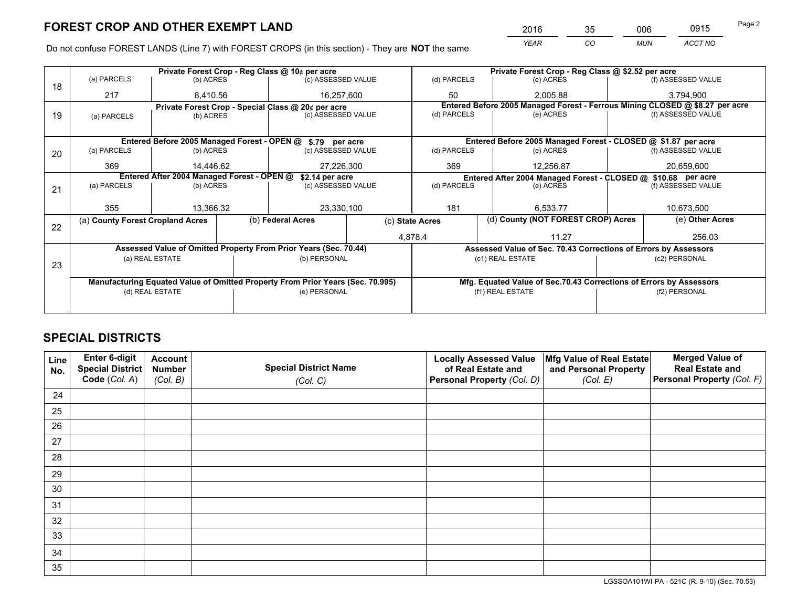*YEAR CO MUN ACCT NO* <sup>2016</sup> <sup>35</sup> <sup>006</sup> <sup>0915</sup>

Do not confuse FOREST LANDS (Line 7) with FOREST CROPS (in this section) - They are **NOT** the same

|    |                                                                                |                                             |                                                    | Private Forest Crop - Reg Class @ 10¢ per acre                   |         | Private Forest Crop - Reg Class @ \$2.52 per acre |                                                               |                                                                    |  |                                                                              |  |
|----|--------------------------------------------------------------------------------|---------------------------------------------|----------------------------------------------------|------------------------------------------------------------------|---------|---------------------------------------------------|---------------------------------------------------------------|--------------------------------------------------------------------|--|------------------------------------------------------------------------------|--|
| 18 | (a) PARCELS                                                                    | (b) ACRES                                   |                                                    | (c) ASSESSED VALUE                                               |         | (d) PARCELS                                       |                                                               | (e) ACRES                                                          |  | (f) ASSESSED VALUE                                                           |  |
|    | 217                                                                            | 8.410.56                                    |                                                    | 16,257,600                                                       |         | 50                                                |                                                               | 2.005.88                                                           |  | 3,794,900                                                                    |  |
|    |                                                                                |                                             | Private Forest Crop - Special Class @ 20¢ per acre |                                                                  |         |                                                   |                                                               |                                                                    |  | Entered Before 2005 Managed Forest - Ferrous Mining CLOSED @ \$8.27 per acre |  |
| 19 | (a) PARCELS                                                                    | (b) ACRES                                   |                                                    | (c) ASSESSED VALUE                                               |         | (d) PARCELS                                       |                                                               | (e) ACRES                                                          |  | (f) ASSESSED VALUE                                                           |  |
|    |                                                                                |                                             |                                                    |                                                                  |         |                                                   |                                                               |                                                                    |  |                                                                              |  |
|    |                                                                                | Entered Before 2005 Managed Forest - OPEN @ |                                                    | \$.79 per acre                                                   |         |                                                   |                                                               | Entered Before 2005 Managed Forest - CLOSED @ \$1.87 per acre      |  |                                                                              |  |
| 20 | (a) PARCELS                                                                    | (b) ACRES                                   |                                                    | (c) ASSESSED VALUE                                               |         | (d) PARCELS                                       |                                                               | (e) ACRES                                                          |  | (f) ASSESSED VALUE                                                           |  |
|    | 369                                                                            | 14.446.62                                   |                                                    | 27,226,300                                                       |         | 369                                               |                                                               | 12,256.87                                                          |  | 20,659,600                                                                   |  |
|    | Entered After 2004 Managed Forest - OPEN @<br>\$2.14 per acre                  |                                             |                                                    |                                                                  |         |                                                   | Entered After 2004 Managed Forest - CLOSED @ \$10.68 per acre |                                                                    |  |                                                                              |  |
| 21 | (a) PARCELS                                                                    | (b) ACRES                                   |                                                    | (c) ASSESSED VALUE                                               |         | (d) PARCELS                                       |                                                               | (e) ACRES                                                          |  | (f) ASSESSED VALUE                                                           |  |
|    |                                                                                |                                             |                                                    |                                                                  |         |                                                   |                                                               |                                                                    |  |                                                                              |  |
|    | 355                                                                            | 13.366.32                                   |                                                    | 23,330,100                                                       |         | 181                                               | 6,533.77                                                      |                                                                    |  | 10,673,500                                                                   |  |
|    | (a) County Forest Cropland Acres                                               |                                             |                                                    | (b) Federal Acres                                                |         | (c) State Acres                                   |                                                               | (d) County (NOT FOREST CROP) Acres                                 |  | (e) Other Acres                                                              |  |
| 22 |                                                                                |                                             |                                                    |                                                                  | 4,878.4 |                                                   |                                                               | 11.27                                                              |  | 256.03                                                                       |  |
|    |                                                                                |                                             |                                                    | Assessed Value of Omitted Property From Prior Years (Sec. 70.44) |         |                                                   |                                                               | Assessed Value of Sec. 70.43 Corrections of Errors by Assessors    |  |                                                                              |  |
|    | (a) REAL ESTATE                                                                |                                             |                                                    | (b) PERSONAL                                                     |         |                                                   | (c1) REAL ESTATE                                              |                                                                    |  | (c2) PERSONAL                                                                |  |
| 23 |                                                                                |                                             |                                                    |                                                                  |         |                                                   |                                                               |                                                                    |  |                                                                              |  |
|    | Manufacturing Equated Value of Omitted Property From Prior Years (Sec. 70.995) |                                             |                                                    |                                                                  |         |                                                   |                                                               | Mfg. Equated Value of Sec.70.43 Corrections of Errors by Assessors |  |                                                                              |  |
|    | (d) REAL ESTATE                                                                |                                             |                                                    | (e) PERSONAL                                                     |         | (f1) REAL ESTATE                                  |                                                               | (f2) PERSONAL                                                      |  |                                                                              |  |
|    |                                                                                |                                             |                                                    |                                                                  |         |                                                   |                                                               |                                                                    |  |                                                                              |  |

## **SPECIAL DISTRICTS**

| Line<br>No. | Enter 6-digit<br>Special District<br>Code (Col. A) | <b>Account</b><br><b>Number</b><br>(Col. B) | <b>Special District Name</b><br>(Col. C) | <b>Locally Assessed Value</b><br>of Real Estate and<br>Personal Property (Col. D) | Mfg Value of Real Estate<br>and Personal Property<br>(Col. E) | <b>Merged Value of</b><br><b>Real Estate and</b><br>Personal Property (Col. F) |
|-------------|----------------------------------------------------|---------------------------------------------|------------------------------------------|-----------------------------------------------------------------------------------|---------------------------------------------------------------|--------------------------------------------------------------------------------|
|             |                                                    |                                             |                                          |                                                                                   |                                                               |                                                                                |
| 24          |                                                    |                                             |                                          |                                                                                   |                                                               |                                                                                |
| 25          |                                                    |                                             |                                          |                                                                                   |                                                               |                                                                                |
| 26          |                                                    |                                             |                                          |                                                                                   |                                                               |                                                                                |
| 27          |                                                    |                                             |                                          |                                                                                   |                                                               |                                                                                |
| 28          |                                                    |                                             |                                          |                                                                                   |                                                               |                                                                                |
| 29          |                                                    |                                             |                                          |                                                                                   |                                                               |                                                                                |
| 30          |                                                    |                                             |                                          |                                                                                   |                                                               |                                                                                |
| 31          |                                                    |                                             |                                          |                                                                                   |                                                               |                                                                                |
| 32          |                                                    |                                             |                                          |                                                                                   |                                                               |                                                                                |
| 33          |                                                    |                                             |                                          |                                                                                   |                                                               |                                                                                |
| 34          |                                                    |                                             |                                          |                                                                                   |                                                               |                                                                                |
| 35          |                                                    |                                             |                                          |                                                                                   |                                                               |                                                                                |

LGSSOA101WI-PA - 521C (R. 9-10) (Sec. 70.53)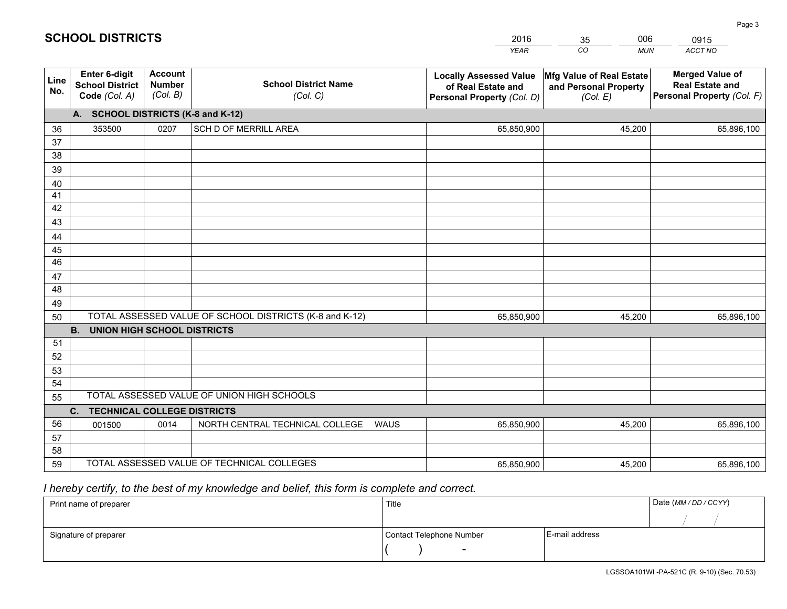|             |                                                                 |                                             |                                                         | <b>YEAR</b>                                                                       | CO<br><b>MUN</b>                                              | ACCT NO                                                                        |
|-------------|-----------------------------------------------------------------|---------------------------------------------|---------------------------------------------------------|-----------------------------------------------------------------------------------|---------------------------------------------------------------|--------------------------------------------------------------------------------|
| Line<br>No. | <b>Enter 6-digit</b><br><b>School District</b><br>Code (Col. A) | <b>Account</b><br><b>Number</b><br>(Col. B) | <b>School District Name</b><br>(Col. C)                 | <b>Locally Assessed Value</b><br>of Real Estate and<br>Personal Property (Col. D) | Mfg Value of Real Estate<br>and Personal Property<br>(Col. E) | <b>Merged Value of</b><br><b>Real Estate and</b><br>Personal Property (Col. F) |
|             | A. SCHOOL DISTRICTS (K-8 and K-12)                              |                                             |                                                         |                                                                                   |                                                               |                                                                                |
| 36          | 353500                                                          | 0207                                        | SCH D OF MERRILL AREA                                   | 65,850,900                                                                        | 45,200                                                        | 65,896,100                                                                     |
| 37          |                                                                 |                                             |                                                         |                                                                                   |                                                               |                                                                                |
| 38          |                                                                 |                                             |                                                         |                                                                                   |                                                               |                                                                                |
| 39          |                                                                 |                                             |                                                         |                                                                                   |                                                               |                                                                                |
| 40          |                                                                 |                                             |                                                         |                                                                                   |                                                               |                                                                                |
| 41          |                                                                 |                                             |                                                         |                                                                                   |                                                               |                                                                                |
| 42          |                                                                 |                                             |                                                         |                                                                                   |                                                               |                                                                                |
| 43          |                                                                 |                                             |                                                         |                                                                                   |                                                               |                                                                                |
| 44          |                                                                 |                                             |                                                         |                                                                                   |                                                               |                                                                                |
| 45<br>46    |                                                                 |                                             |                                                         |                                                                                   |                                                               |                                                                                |
| 47          |                                                                 |                                             |                                                         |                                                                                   |                                                               |                                                                                |
| 48          |                                                                 |                                             |                                                         |                                                                                   |                                                               |                                                                                |
| 49          |                                                                 |                                             |                                                         |                                                                                   |                                                               |                                                                                |
| 50          |                                                                 |                                             | TOTAL ASSESSED VALUE OF SCHOOL DISTRICTS (K-8 and K-12) | 65,850,900                                                                        | 45,200                                                        | 65,896,100                                                                     |
|             | <b>B.</b><br><b>UNION HIGH SCHOOL DISTRICTS</b>                 |                                             |                                                         |                                                                                   |                                                               |                                                                                |
| 51          |                                                                 |                                             |                                                         |                                                                                   |                                                               |                                                                                |
| 52          |                                                                 |                                             |                                                         |                                                                                   |                                                               |                                                                                |
| 53          |                                                                 |                                             |                                                         |                                                                                   |                                                               |                                                                                |
| 54          |                                                                 |                                             |                                                         |                                                                                   |                                                               |                                                                                |
| 55          |                                                                 |                                             | TOTAL ASSESSED VALUE OF UNION HIGH SCHOOLS              |                                                                                   |                                                               |                                                                                |
|             | C.<br><b>TECHNICAL COLLEGE DISTRICTS</b>                        |                                             |                                                         |                                                                                   |                                                               |                                                                                |
| 56          | 001500                                                          | 0014                                        | NORTH CENTRAL TECHNICAL COLLEGE<br><b>WAUS</b>          | 65,850,900                                                                        | 45,200                                                        | 65,896,100                                                                     |
| 57          |                                                                 |                                             |                                                         |                                                                                   |                                                               |                                                                                |
| 58          |                                                                 |                                             |                                                         |                                                                                   |                                                               |                                                                                |
| 59          |                                                                 |                                             | TOTAL ASSESSED VALUE OF TECHNICAL COLLEGES              | 65,850,900                                                                        | 45,200                                                        | 65,896,100                                                                     |

35

006

## *I hereby certify, to the best of my knowledge and belief, this form is complete and correct.*

**SCHOOL DISTRICTS**

| Print name of preparer | Title                    |                | Date (MM / DD / CCYY) |
|------------------------|--------------------------|----------------|-----------------------|
|                        |                          |                |                       |
| Signature of preparer  | Contact Telephone Number | E-mail address |                       |
|                        | $\overline{\phantom{0}}$ |                |                       |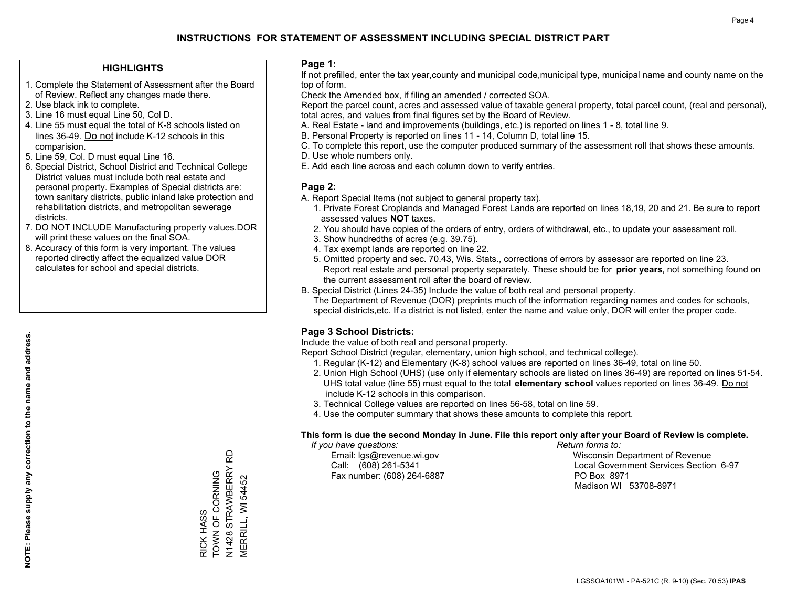#### **HIGHLIGHTS**

- 1. Complete the Statement of Assessment after the Board of Review. Reflect any changes made there.
- 2. Use black ink to complete.
- 3. Line 16 must equal Line 50, Col D.
- 4. Line 55 must equal the total of K-8 schools listed on lines 36-49. Do not include K-12 schools in this comparision.
- 5. Line 59, Col. D must equal Line 16.
- 6. Special District, School District and Technical College District values must include both real estate and personal property. Examples of Special districts are: town sanitary districts, public inland lake protection and rehabilitation districts, and metropolitan sewerage districts.
- 7. DO NOT INCLUDE Manufacturing property values.DOR will print these values on the final SOA.
- 8. Accuracy of this form is very important. The values reported directly affect the equalized value DOR calculates for school and special districts.

#### **Page 1:**

 If not prefilled, enter the tax year,county and municipal code,municipal type, municipal name and county name on the top of form.

Check the Amended box, if filing an amended / corrected SOA.

 Report the parcel count, acres and assessed value of taxable general property, total parcel count, (real and personal), total acres, and values from final figures set by the Board of Review.

- A. Real Estate land and improvements (buildings, etc.) is reported on lines 1 8, total line 9.
- B. Personal Property is reported on lines 11 14, Column D, total line 15.
- C. To complete this report, use the computer produced summary of the assessment roll that shows these amounts.
- D. Use whole numbers only.
- E. Add each line across and each column down to verify entries.

#### **Page 2:**

- A. Report Special Items (not subject to general property tax).
- 1. Private Forest Croplands and Managed Forest Lands are reported on lines 18,19, 20 and 21. Be sure to report assessed values **NOT** taxes.
- 2. You should have copies of the orders of entry, orders of withdrawal, etc., to update your assessment roll.
	- 3. Show hundredths of acres (e.g. 39.75).
- 4. Tax exempt lands are reported on line 22.
- 5. Omitted property and sec. 70.43, Wis. Stats., corrections of errors by assessor are reported on line 23. Report real estate and personal property separately. These should be for **prior years**, not something found on the current assessment roll after the board of review.
- B. Special District (Lines 24-35) Include the value of both real and personal property.

 The Department of Revenue (DOR) preprints much of the information regarding names and codes for schools, special districts,etc. If a district is not listed, enter the name and value only, DOR will enter the proper code.

### **Page 3 School Districts:**

Include the value of both real and personal property.

Report School District (regular, elementary, union high school, and technical college).

- 1. Regular (K-12) and Elementary (K-8) school values are reported on lines 36-49, total on line 50.
- 2. Union High School (UHS) (use only if elementary schools are listed on lines 36-49) are reported on lines 51-54. UHS total value (line 55) must equal to the total **elementary school** values reported on lines 36-49. Do notinclude K-12 schools in this comparison.
- 3. Technical College values are reported on lines 56-58, total on line 59.
- 4. Use the computer summary that shows these amounts to complete this report.

#### **This form is due the second Monday in June. File this report only after your Board of Review is complete.**

 *If you have questions: Return forms to:*

Fax number: (608) 264-6887 PO Box 8971

 Email: lgs@revenue.wi.gov Wisconsin Department of Revenue Call: (608) 261-5341 Local Government Services Section 6-97Madison WI 53708-8971

N1428 STRAWBERRY RD<br>MERRILL, WI 54452 N1428 STRAWBERRY RD RICK HASS<br>TOWN OF CORNING TOWN OF CORNING RICK HASS

MERRILL, WI 54452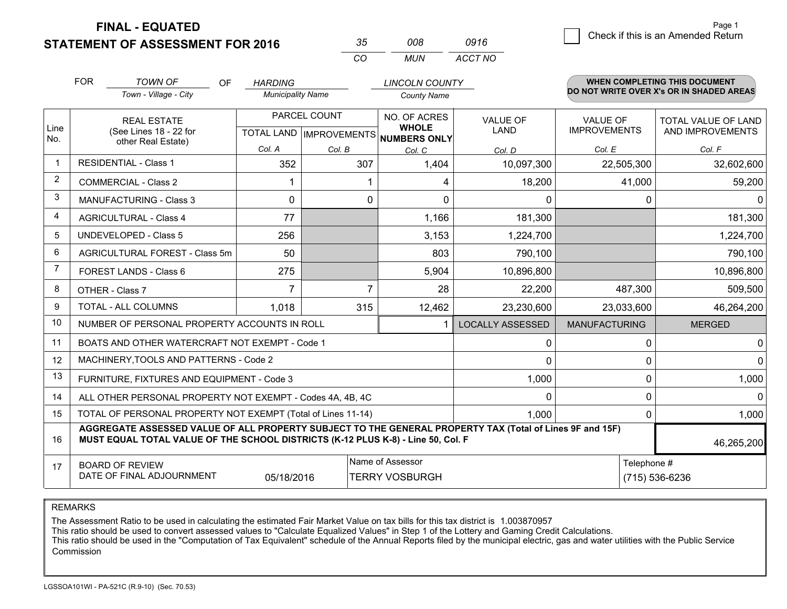**STATEMENT OF ASSESSMENT FOR 2016 FINAL - EQUATED**

FOREST LANDS - Class 6

TOTAL - ALL COLUMNS

OTHER - Class 7

6 **Check if this is an Amended Return** Page 1

MANUFACTURING MERGED

Telephone #

(715) 536-6236

46,265,200

0 0  $0$  0  $0 | 1,000$ 

0 0  $0 | 1,000$ 

| <b>STATEMENT OF ASSESSMENT FOR 2016</b> |                                                                    |                                         |    |                                            |                                     | 008<br><b>MUN</b>                                   | 0916<br>ACCT NO         |                                        |                                                                           |
|-----------------------------------------|--------------------------------------------------------------------|-----------------------------------------|----|--------------------------------------------|-------------------------------------|-----------------------------------------------------|-------------------------|----------------------------------------|---------------------------------------------------------------------------|
|                                         | <b>FOR</b>                                                         | <b>TOWN OF</b><br>Town - Village - City | OF | <b>HARDING</b><br><b>Municipality Name</b> |                                     | <b>LINCOLN COUNTY</b><br><b>County Name</b>         |                         |                                        | WHEN COMPLETING THIS DOCUMENT<br>DO NOT WRITE OVER X's OR IN SHADED AREAS |
| Line<br>No.                             | <b>REAL ESTATE</b><br>(See Lines 18 - 22 for<br>other Real Estate) |                                         |    | <b>TOTAL LAND</b>                          | PARCEL COUNT<br><b>IMPROVEMENTS</b> | NO. OF ACRES<br><b>WHOLE</b><br><b>NUMBERS ONLY</b> | <b>VALUE OF</b><br>LAND | <b>VALUE OF</b><br><b>IMPROVEMENTS</b> | <b>TOTAL VALUE OF LAND</b><br>AND IMPROVEMENTS                            |
|                                         |                                                                    |                                         |    | Col. A                                     | Col. B                              | Col. C                                              | Col. D                  | Col. E                                 | Col. F                                                                    |
|                                         |                                                                    | <b>RESIDENTIAL - Class 1</b>            |    | 352                                        | 307                                 | 1,404                                               | 10,097,300              | 22,505,300                             | 32,602,600                                                                |
| 2                                       |                                                                    | COMMERCIAL - Class 2                    |    |                                            |                                     |                                                     | 18,200                  | 41,000                                 | 59,200                                                                    |
| 3                                       |                                                                    | <b>MANUFACTURING - Class 3</b>          |    |                                            |                                     |                                                     |                         |                                        | 0                                                                         |
| 4                                       |                                                                    | <b>AGRICULTURAL - Class 4</b>           |    | 77                                         |                                     | 1,166                                               | 181,300                 |                                        | 181,300                                                                   |
| 5                                       |                                                                    | UNDEVELOPED - Class 5                   |    | 256                                        |                                     | 3,153                                               | 1,224,700               |                                        | 1,224,700                                                                 |
| 6                                       |                                                                    | AGRICULTURAL FOREST - Class 5m          |    | 50                                         |                                     | 803                                                 | 790,100                 |                                        | 790,100                                                                   |
|                                         |                                                                    |                                         |    |                                            |                                     |                                                     |                         |                                        |                                                                           |

*0916*

LOCALLY ASSESSED

1

275 5,904 5,904 10,896,800 10,896,800 <u>7 7 28 22,200 487,300 509,500</u>

1,018 <sup>315</sup> 23,230,600 23,033,600 12,462 46,264,200

 0 $\Omega$ 

 $\Omega$ 

1,000

1,000

REMARKS

7

> 1415

> 16

17

The Assessment Ratio to be used in calculating the estimated Fair Market Value on tax bills for this tax district is 1.003870957

05/18/2016

**MUST EQUAL TOTAL VALUE OF THE SCHOOL DISTRICTS (K-12 PLUS K-8) - Line 50, Col. F**

TOTAL OF PERSONAL PROPERTY NOT EXEMPT (Total of Lines 11-14)

ALL OTHER PERSONAL PROPERTY NOT EXEMPT - Codes 4A, 4B, 4C

NUMBER OF PERSONAL PROPERTY ACCOUNTS IN ROLLBOATS AND OTHER WATERCRAFT NOT EXEMPT - Code 1

MACHINERY,TOOLS AND PATTERNS - Code 2

FURNITURE, FIXTURES AND EQUIPMENT - Code 3

This ratio should be used to convert assessed values to "Calculate Equalized Values" in Step 1 of the Lottery and Gaming Credit Calculations.

**AGGREGATE ASSESSED VALUE OF ALL PROPERTY SUBJECT TO THE GENERAL PROPERTY TAX (Total of Lines 9F and 15F)**

 This ratio should be used in the "Computation of Tax Equivalent" schedule of the Annual Reports filed by the municipal electric, gas and water utilities with the Public Service Commission

Name of Assessor

TERRY VOSBURGH

BOARD OF REVIEW

DATE OF FINAL ADJOURNMENT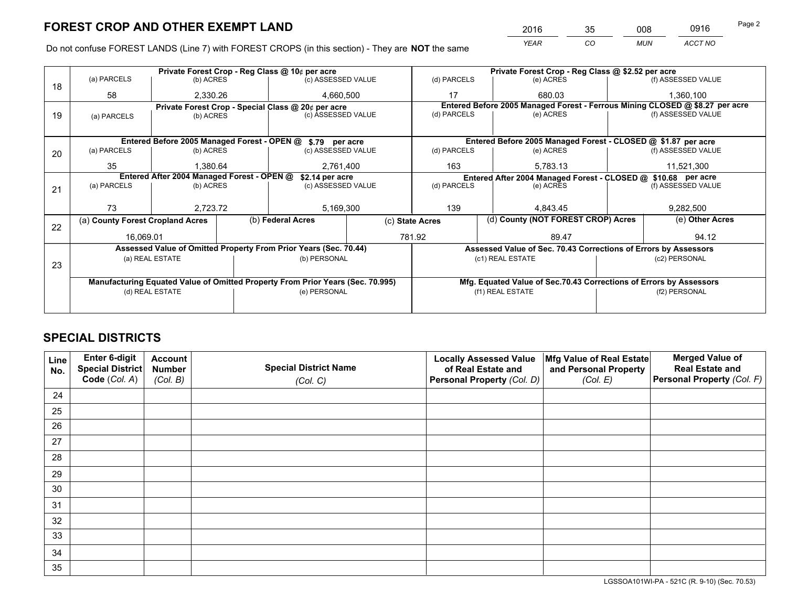*YEAR CO MUN ACCT NO* <sup>2016</sup> <sup>35</sup> <sup>008</sup> <sup>0916</sup>

Do not confuse FOREST LANDS (Line 7) with FOREST CROPS (in this section) - They are **NOT** the same

|    |                                                               |                                             |  | Private Forest Crop - Reg Class @ 10¢ per acre                                 |                 | Private Forest Crop - Reg Class @ \$2.52 per acre             |                                                                    |  |                                                                              |  |
|----|---------------------------------------------------------------|---------------------------------------------|--|--------------------------------------------------------------------------------|-----------------|---------------------------------------------------------------|--------------------------------------------------------------------|--|------------------------------------------------------------------------------|--|
| 18 | (a) PARCELS                                                   | (b) ACRES                                   |  | (c) ASSESSED VALUE                                                             |                 | (d) PARCELS                                                   | (e) ACRES                                                          |  | (f) ASSESSED VALUE                                                           |  |
|    | 58                                                            | 2,330.26                                    |  | 4,660,500                                                                      |                 | 17                                                            | 680.03                                                             |  | 1,360,100                                                                    |  |
|    |                                                               |                                             |  | Private Forest Crop - Special Class @ 20¢ per acre                             |                 |                                                               |                                                                    |  | Entered Before 2005 Managed Forest - Ferrous Mining CLOSED @ \$8.27 per acre |  |
| 19 | (a) PARCELS                                                   | (b) ACRES                                   |  | (c) ASSESSED VALUE                                                             |                 | (d) PARCELS                                                   | (e) ACRES                                                          |  | (f) ASSESSED VALUE                                                           |  |
|    |                                                               |                                             |  |                                                                                |                 |                                                               |                                                                    |  |                                                                              |  |
|    |                                                               | Entered Before 2005 Managed Forest - OPEN @ |  | \$.79 per acre                                                                 |                 |                                                               | Entered Before 2005 Managed Forest - CLOSED @ \$1.87 per acre      |  |                                                                              |  |
| 20 | (a) PARCELS                                                   | (b) ACRES                                   |  | (c) ASSESSED VALUE                                                             |                 | (d) PARCELS                                                   | (e) ACRES                                                          |  | (f) ASSESSED VALUE                                                           |  |
|    | 35                                                            | 1.380.64                                    |  | 2.761.400                                                                      |                 | 163                                                           | 5.783.13                                                           |  | 11,521,300                                                                   |  |
|    | Entered After 2004 Managed Forest - OPEN @<br>\$2.14 per acre |                                             |  |                                                                                |                 | Entered After 2004 Managed Forest - CLOSED @ \$10.68 per acre |                                                                    |  |                                                                              |  |
| 21 | (a) PARCELS                                                   | (b) ACRES                                   |  | (c) ASSESSED VALUE                                                             |                 | (d) PARCELS                                                   | (e) ACRES                                                          |  | (f) ASSESSED VALUE                                                           |  |
|    |                                                               |                                             |  |                                                                                |                 |                                                               |                                                                    |  |                                                                              |  |
|    | 73                                                            | 2.723.72                                    |  | 5,169,300                                                                      |                 | 139                                                           | 4.843.45                                                           |  | 9,282,500                                                                    |  |
| 22 | (a) County Forest Cropland Acres                              |                                             |  | (b) Federal Acres                                                              | (c) State Acres |                                                               | (d) County (NOT FOREST CROP) Acres                                 |  | (e) Other Acres                                                              |  |
|    | 16,069.01                                                     |                                             |  |                                                                                |                 | 781.92                                                        | 89.47                                                              |  | 94.12                                                                        |  |
|    |                                                               |                                             |  | Assessed Value of Omitted Property From Prior Years (Sec. 70.44)               |                 |                                                               | Assessed Value of Sec. 70.43 Corrections of Errors by Assessors    |  |                                                                              |  |
|    |                                                               | (a) REAL ESTATE                             |  | (b) PERSONAL                                                                   |                 |                                                               | (c1) REAL ESTATE                                                   |  | (c2) PERSONAL                                                                |  |
| 23 |                                                               |                                             |  |                                                                                |                 |                                                               |                                                                    |  |                                                                              |  |
|    |                                                               |                                             |  | Manufacturing Equated Value of Omitted Property From Prior Years (Sec. 70.995) |                 |                                                               | Mfg. Equated Value of Sec.70.43 Corrections of Errors by Assessors |  |                                                                              |  |
|    | (d) REAL ESTATE                                               |                                             |  | (e) PERSONAL                                                                   |                 | (f1) REAL ESTATE                                              |                                                                    |  | (f2) PERSONAL                                                                |  |
|    |                                                               |                                             |  |                                                                                |                 |                                                               |                                                                    |  |                                                                              |  |

## **SPECIAL DISTRICTS**

| Line<br>No. | Enter 6-digit<br>Special District | <b>Account</b><br><b>Number</b> | <b>Special District Name</b> | <b>Locally Assessed Value</b><br>of Real Estate and | Mfg Value of Real Estate<br>and Personal Property | <b>Merged Value of</b><br><b>Real Estate and</b> |
|-------------|-----------------------------------|---------------------------------|------------------------------|-----------------------------------------------------|---------------------------------------------------|--------------------------------------------------|
|             | Code (Col. A)                     | (Col. B)                        | (Col. C)                     | Personal Property (Col. D)                          | (Col. E)                                          | <b>Personal Property (Col. F)</b>                |
| 24          |                                   |                                 |                              |                                                     |                                                   |                                                  |
| 25          |                                   |                                 |                              |                                                     |                                                   |                                                  |
| 26          |                                   |                                 |                              |                                                     |                                                   |                                                  |
| 27          |                                   |                                 |                              |                                                     |                                                   |                                                  |
| 28          |                                   |                                 |                              |                                                     |                                                   |                                                  |
| 29          |                                   |                                 |                              |                                                     |                                                   |                                                  |
| 30          |                                   |                                 |                              |                                                     |                                                   |                                                  |
| 31          |                                   |                                 |                              |                                                     |                                                   |                                                  |
| 32          |                                   |                                 |                              |                                                     |                                                   |                                                  |
| 33          |                                   |                                 |                              |                                                     |                                                   |                                                  |
| 34          |                                   |                                 |                              |                                                     |                                                   |                                                  |
| 35          |                                   |                                 |                              |                                                     |                                                   |                                                  |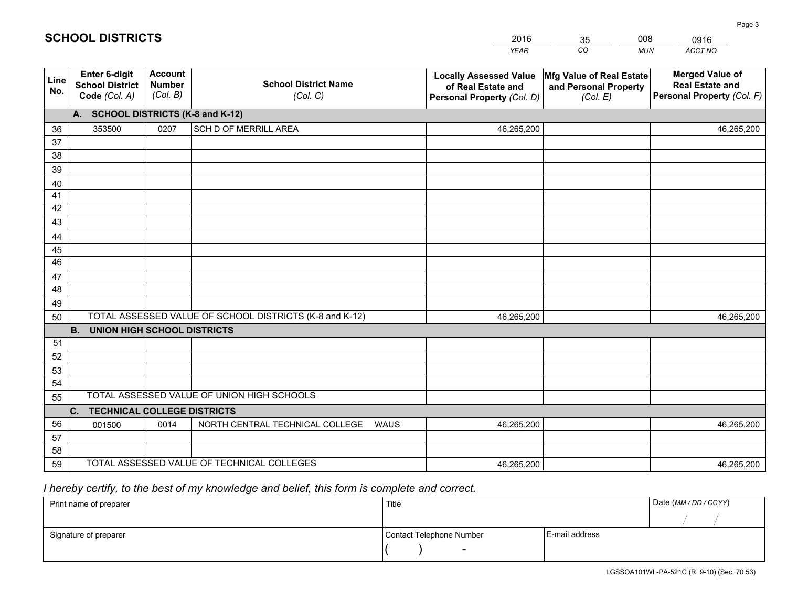|             |                                                          |                                             |                                                         | <b>YEAR</b>                                                                       | CO<br><b>MUN</b>                                              | ACCT NO                                                                        |
|-------------|----------------------------------------------------------|---------------------------------------------|---------------------------------------------------------|-----------------------------------------------------------------------------------|---------------------------------------------------------------|--------------------------------------------------------------------------------|
| Line<br>No. | Enter 6-digit<br><b>School District</b><br>Code (Col. A) | <b>Account</b><br><b>Number</b><br>(Col. B) | <b>School District Name</b><br>(Col. C)                 | <b>Locally Assessed Value</b><br>of Real Estate and<br>Personal Property (Col. D) | Mfg Value of Real Estate<br>and Personal Property<br>(Col. E) | <b>Merged Value of</b><br><b>Real Estate and</b><br>Personal Property (Col. F) |
|             | A. SCHOOL DISTRICTS (K-8 and K-12)                       |                                             |                                                         |                                                                                   |                                                               |                                                                                |
| 36          | 353500                                                   | 0207                                        | SCH D OF MERRILL AREA                                   | 46,265,200                                                                        |                                                               | 46,265,200                                                                     |
| 37          |                                                          |                                             |                                                         |                                                                                   |                                                               |                                                                                |
| 38          |                                                          |                                             |                                                         |                                                                                   |                                                               |                                                                                |
| 39          |                                                          |                                             |                                                         |                                                                                   |                                                               |                                                                                |
| 40          |                                                          |                                             |                                                         |                                                                                   |                                                               |                                                                                |
| 41          |                                                          |                                             |                                                         |                                                                                   |                                                               |                                                                                |
| 42          |                                                          |                                             |                                                         |                                                                                   |                                                               |                                                                                |
| 43          |                                                          |                                             |                                                         |                                                                                   |                                                               |                                                                                |
| 44          |                                                          |                                             |                                                         |                                                                                   |                                                               |                                                                                |
| 45<br>46    |                                                          |                                             |                                                         |                                                                                   |                                                               |                                                                                |
|             |                                                          |                                             |                                                         |                                                                                   |                                                               |                                                                                |
| 47<br>48    |                                                          |                                             |                                                         |                                                                                   |                                                               |                                                                                |
| 49          |                                                          |                                             |                                                         |                                                                                   |                                                               |                                                                                |
| 50          |                                                          |                                             | TOTAL ASSESSED VALUE OF SCHOOL DISTRICTS (K-8 and K-12) | 46,265,200                                                                        |                                                               | 46,265,200                                                                     |
|             | <b>B.</b><br><b>UNION HIGH SCHOOL DISTRICTS</b>          |                                             |                                                         |                                                                                   |                                                               |                                                                                |
| 51          |                                                          |                                             |                                                         |                                                                                   |                                                               |                                                                                |
| 52          |                                                          |                                             |                                                         |                                                                                   |                                                               |                                                                                |
| 53          |                                                          |                                             |                                                         |                                                                                   |                                                               |                                                                                |
| 54          |                                                          |                                             |                                                         |                                                                                   |                                                               |                                                                                |
| 55          |                                                          |                                             | TOTAL ASSESSED VALUE OF UNION HIGH SCHOOLS              |                                                                                   |                                                               |                                                                                |
|             | <b>TECHNICAL COLLEGE DISTRICTS</b><br>C.                 |                                             |                                                         |                                                                                   |                                                               |                                                                                |
| 56          | 001500                                                   | 0014                                        | NORTH CENTRAL TECHNICAL COLLEGE<br><b>WAUS</b>          | 46,265,200                                                                        |                                                               | 46,265,200                                                                     |
| 57          |                                                          |                                             |                                                         |                                                                                   |                                                               |                                                                                |
| 58          |                                                          |                                             |                                                         |                                                                                   |                                                               |                                                                                |
| 59          |                                                          |                                             | TOTAL ASSESSED VALUE OF TECHNICAL COLLEGES              | 46,265,200                                                                        |                                                               | 46,265,200                                                                     |

35

008

## *I hereby certify, to the best of my knowledge and belief, this form is complete and correct.*

**SCHOOL DISTRICTS**

| Print name of preparer | Title                    |                | Date (MM / DD / CCYY) |
|------------------------|--------------------------|----------------|-----------------------|
|                        |                          |                |                       |
| Signature of preparer  | Contact Telephone Number | E-mail address |                       |
|                        | $\overline{\phantom{0}}$ |                |                       |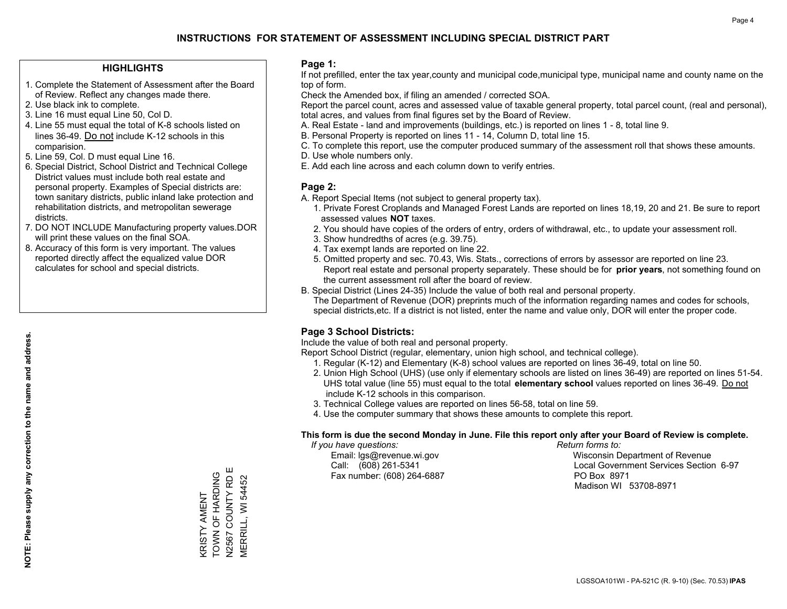#### **HIGHLIGHTS**

- 1. Complete the Statement of Assessment after the Board of Review. Reflect any changes made there.
- 2. Use black ink to complete.
- 3. Line 16 must equal Line 50, Col D.
- 4. Line 55 must equal the total of K-8 schools listed on lines 36-49. Do not include K-12 schools in this comparision.
- 5. Line 59, Col. D must equal Line 16.
- 6. Special District, School District and Technical College District values must include both real estate and personal property. Examples of Special districts are: town sanitary districts, public inland lake protection and rehabilitation districts, and metropolitan sewerage districts.
- 7. DO NOT INCLUDE Manufacturing property values.DOR will print these values on the final SOA.

KRISTY AMENT TOWN OF HARDING N2567 COUNTY RD E MERRILL, WI 54452

V2567 COUNTY RD E KRISTY AMENT<br>TOWN OF HARDING

**MERRILL, WI 54452** 

 8. Accuracy of this form is very important. The values reported directly affect the equalized value DOR calculates for school and special districts.

#### **Page 1:**

 If not prefilled, enter the tax year,county and municipal code,municipal type, municipal name and county name on the top of form.

Check the Amended box, if filing an amended / corrected SOA.

 Report the parcel count, acres and assessed value of taxable general property, total parcel count, (real and personal), total acres, and values from final figures set by the Board of Review.

- A. Real Estate land and improvements (buildings, etc.) is reported on lines 1 8, total line 9.
- B. Personal Property is reported on lines 11 14, Column D, total line 15.
- C. To complete this report, use the computer produced summary of the assessment roll that shows these amounts.
- D. Use whole numbers only.
- E. Add each line across and each column down to verify entries.

#### **Page 2:**

- A. Report Special Items (not subject to general property tax).
- 1. Private Forest Croplands and Managed Forest Lands are reported on lines 18,19, 20 and 21. Be sure to report assessed values **NOT** taxes.
- 2. You should have copies of the orders of entry, orders of withdrawal, etc., to update your assessment roll.
	- 3. Show hundredths of acres (e.g. 39.75).
- 4. Tax exempt lands are reported on line 22.
- 5. Omitted property and sec. 70.43, Wis. Stats., corrections of errors by assessor are reported on line 23. Report real estate and personal property separately. These should be for **prior years**, not something found on the current assessment roll after the board of review.
- B. Special District (Lines 24-35) Include the value of both real and personal property.

 The Department of Revenue (DOR) preprints much of the information regarding names and codes for schools, special districts,etc. If a district is not listed, enter the name and value only, DOR will enter the proper code.

### **Page 3 School Districts:**

Include the value of both real and personal property.

Report School District (regular, elementary, union high school, and technical college).

- 1. Regular (K-12) and Elementary (K-8) school values are reported on lines 36-49, total on line 50.
- 2. Union High School (UHS) (use only if elementary schools are listed on lines 36-49) are reported on lines 51-54. UHS total value (line 55) must equal to the total **elementary school** values reported on lines 36-49. Do notinclude K-12 schools in this comparison.
- 3. Technical College values are reported on lines 56-58, total on line 59.
- 4. Use the computer summary that shows these amounts to complete this report.

#### **This form is due the second Monday in June. File this report only after your Board of Review is complete.**

 *If you have questions: Return forms to:*

Fax number: (608) 264-6887 PO Box 8971

 Email: lgs@revenue.wi.gov Wisconsin Department of Revenue Call: (608) 261-5341 Local Government Services Section 6-97Madison WI 53708-8971

LGSSOA101WI - PA-521C (R. 9-10) (Sec. 70.53) **IPAS**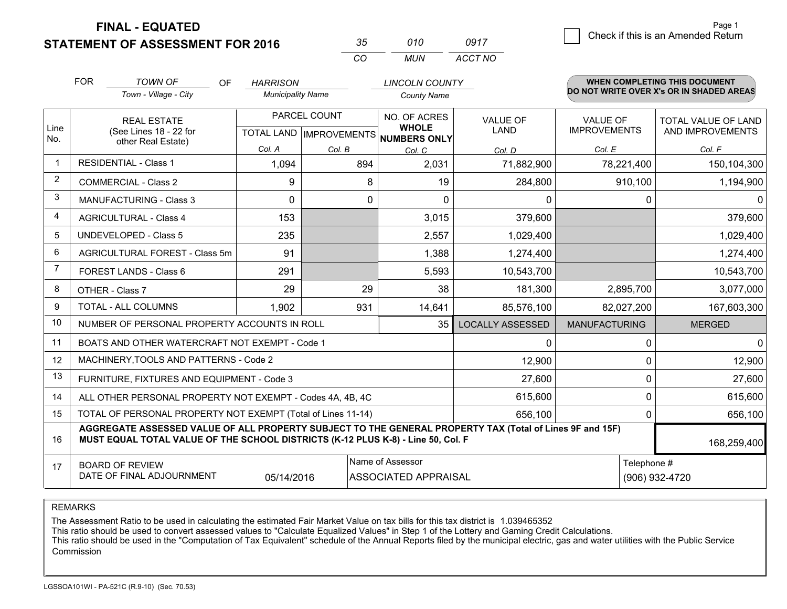**STATEMENT OF ASSESSMENT FOR 2016** 

| マヘ       | 010  | 0917    |
|----------|------|---------|
| $\cdots$ | MUN. | ACCT NO |

|                | <b>FOR</b>                                                                                                                                                                                   | <b>TOWN OF</b><br>OF                                         | <b>HARRISON</b>          |                                           | <b>LINCOLN COUNTY</b>                               |                         |                                        | <b>WHEN COMPLETING THIS DOCUMENT</b>     |
|----------------|----------------------------------------------------------------------------------------------------------------------------------------------------------------------------------------------|--------------------------------------------------------------|--------------------------|-------------------------------------------|-----------------------------------------------------|-------------------------|----------------------------------------|------------------------------------------|
|                |                                                                                                                                                                                              | Town - Village - City                                        | <b>Municipality Name</b> |                                           | <b>County Name</b>                                  |                         |                                        | DO NOT WRITE OVER X's OR IN SHADED AREAS |
| Line<br>No.    |                                                                                                                                                                                              | <b>REAL ESTATE</b><br>(See Lines 18 - 22 for                 |                          | PARCEL COUNT<br>TOTAL LAND   IMPROVEMENTS | NO. OF ACRES<br><b>WHOLE</b><br><b>NUMBERS ONLY</b> | VALUE OF<br><b>LAND</b> | <b>VALUE OF</b><br><b>IMPROVEMENTS</b> | TOTAL VALUE OF LAND<br>AND IMPROVEMENTS  |
|                |                                                                                                                                                                                              | other Real Estate)                                           | Col. A                   | Col. B                                    | Col. C                                              | Col. D                  | Col. E                                 | Col. F                                   |
| $\mathbf 1$    |                                                                                                                                                                                              | <b>RESIDENTIAL - Class 1</b>                                 | 1,094                    | 894                                       | 2,031                                               | 71,882,900              | 78,221,400                             | 150,104,300                              |
| 2              |                                                                                                                                                                                              | <b>COMMERCIAL - Class 2</b>                                  | 9                        | 8                                         | 19                                                  | 284,800                 | 910,100                                | 1,194,900                                |
| 3              |                                                                                                                                                                                              | MANUFACTURING - Class 3                                      | 0                        | 0                                         | $\Omega$                                            | 0                       | 0                                      | $\mathbf{0}$                             |
| 4              |                                                                                                                                                                                              | <b>AGRICULTURAL - Class 4</b>                                | 153                      |                                           | 3,015                                               | 379,600                 |                                        | 379,600                                  |
| 5              |                                                                                                                                                                                              | <b>UNDEVELOPED - Class 5</b>                                 | 235                      |                                           | 2,557                                               | 1,029,400               |                                        | 1,029,400                                |
| 6              |                                                                                                                                                                                              | AGRICULTURAL FOREST - Class 5m                               | 91                       |                                           | 1,388                                               | 1,274,400               |                                        | 1,274,400                                |
| $\overline{7}$ |                                                                                                                                                                                              | FOREST LANDS - Class 6                                       | 291                      |                                           | 5,593                                               | 10,543,700              |                                        | 10,543,700                               |
| 8              |                                                                                                                                                                                              | OTHER - Class 7                                              | 29                       | 29                                        | 38                                                  | 181,300                 | 2,895,700                              | 3,077,000                                |
| 9              |                                                                                                                                                                                              | TOTAL - ALL COLUMNS                                          | 1,902                    | 931                                       | 14,641                                              | 85,576,100              | 82,027,200                             | 167,603,300                              |
| 10             |                                                                                                                                                                                              | NUMBER OF PERSONAL PROPERTY ACCOUNTS IN ROLL                 |                          |                                           | 35                                                  | <b>LOCALLY ASSESSED</b> | <b>MANUFACTURING</b>                   | <b>MERGED</b>                            |
| 11             |                                                                                                                                                                                              | BOATS AND OTHER WATERCRAFT NOT EXEMPT - Code 1               |                          |                                           |                                                     | 0                       | $\Omega$                               | $\mathbf{0}$                             |
| 12             |                                                                                                                                                                                              | MACHINERY, TOOLS AND PATTERNS - Code 2                       |                          |                                           |                                                     | 12,900                  | $\Omega$                               | 12,900                                   |
| 13             |                                                                                                                                                                                              | FURNITURE, FIXTURES AND EQUIPMENT - Code 3                   |                          |                                           |                                                     | 27,600                  | 0                                      | 27,600                                   |
| 14             |                                                                                                                                                                                              | ALL OTHER PERSONAL PROPERTY NOT EXEMPT - Codes 4A, 4B, 4C    |                          |                                           |                                                     | 615,600                 | 0                                      | 615,600                                  |
| 15             |                                                                                                                                                                                              | TOTAL OF PERSONAL PROPERTY NOT EXEMPT (Total of Lines 11-14) |                          |                                           | 656,100                                             | 0                       | 656,100                                |                                          |
| 16             | AGGREGATE ASSESSED VALUE OF ALL PROPERTY SUBJECT TO THE GENERAL PROPERTY TAX (Total of Lines 9F and 15F)<br>MUST EQUAL TOTAL VALUE OF THE SCHOOL DISTRICTS (K-12 PLUS K-8) - Line 50, Col. F |                                                              |                          |                                           |                                                     |                         |                                        | 168,259,400                              |
| 17             | Name of Assessor<br>Telephone #<br><b>BOARD OF REVIEW</b><br>DATE OF FINAL ADJOURNMENT<br>05/14/2016<br><b>ASSOCIATED APPRAISAL</b>                                                          |                                                              |                          |                                           |                                                     | (906) 932-4720          |                                        |                                          |

REMARKS

The Assessment Ratio to be used in calculating the estimated Fair Market Value on tax bills for this tax district is 1.039465352<br>This ratio should be used to convert assessed values to "Calculate Equalized Values" in Step Commission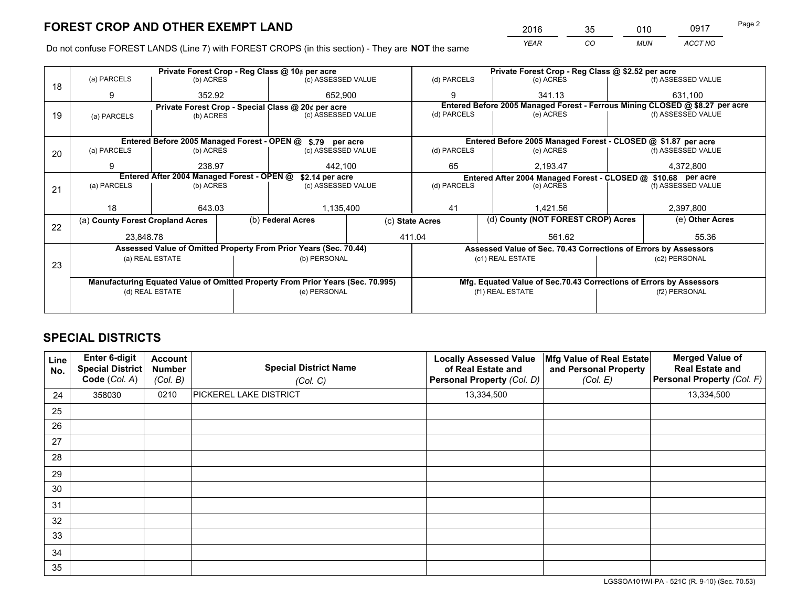*YEAR CO MUN ACCT NO* <sup>2016</sup> <sup>35</sup> <sup>010</sup> <sup>0917</sup> Page 2

Do not confuse FOREST LANDS (Line 7) with FOREST CROPS (in this section) - They are **NOT** the same

|    |                                                               |                 |  | Private Forest Crop - Reg Class @ 10¢ per acre                                 |  | Private Forest Crop - Reg Class @ \$2.52 per acre |                                                               |                                                                    |           |                                                                              |
|----|---------------------------------------------------------------|-----------------|--|--------------------------------------------------------------------------------|--|---------------------------------------------------|---------------------------------------------------------------|--------------------------------------------------------------------|-----------|------------------------------------------------------------------------------|
| 18 | (a) PARCELS                                                   | (b) ACRES       |  | (c) ASSESSED VALUE                                                             |  | (d) PARCELS                                       |                                                               | (e) ACRES                                                          |           | (f) ASSESSED VALUE                                                           |
|    | 9                                                             | 352.92          |  | 652,900                                                                        |  | 9                                                 |                                                               | 341.13                                                             |           | 631,100                                                                      |
|    |                                                               |                 |  | Private Forest Crop - Special Class @ 20¢ per acre                             |  |                                                   |                                                               |                                                                    |           | Entered Before 2005 Managed Forest - Ferrous Mining CLOSED @ \$8.27 per acre |
| 19 | (a) PARCELS                                                   | (b) ACRES       |  | (c) ASSESSED VALUE                                                             |  | (d) PARCELS                                       |                                                               | (e) ACRES                                                          |           | (f) ASSESSED VALUE                                                           |
|    |                                                               |                 |  |                                                                                |  |                                                   |                                                               |                                                                    |           |                                                                              |
|    | Entered Before 2005 Managed Forest - OPEN @<br>\$.79 per acre |                 |  |                                                                                |  |                                                   | Entered Before 2005 Managed Forest - CLOSED @ \$1.87 per acre |                                                                    |           |                                                                              |
| 20 | (a) PARCELS                                                   | (b) ACRES       |  | (c) ASSESSED VALUE                                                             |  | (d) PARCELS                                       |                                                               | (e) ACRES                                                          |           | (f) ASSESSED VALUE                                                           |
|    | 9                                                             | 238.97          |  | 442.100                                                                        |  | 65<br>2.193.47                                    |                                                               |                                                                    | 4,372,800 |                                                                              |
|    | Entered After 2004 Managed Forest - OPEN @<br>\$2.14 per acre |                 |  |                                                                                |  |                                                   |                                                               | Entered After 2004 Managed Forest - CLOSED @ \$10.68 per acre      |           |                                                                              |
| 21 | (a) PARCELS                                                   | (b) ACRES       |  | (c) ASSESSED VALUE                                                             |  | (d) PARCELS<br>(e) ACRES                          |                                                               | (f) ASSESSED VALUE                                                 |           |                                                                              |
|    |                                                               |                 |  |                                                                                |  |                                                   |                                                               |                                                                    |           |                                                                              |
|    | 18                                                            | 643.03          |  | 1,135,400                                                                      |  | 41                                                |                                                               | 1.421.56                                                           |           | 2,397,800                                                                    |
| 22 | (a) County Forest Cropland Acres                              |                 |  | (b) Federal Acres                                                              |  | (c) State Acres                                   |                                                               | (d) County (NOT FOREST CROP) Acres<br>(e) Other Acres              |           |                                                                              |
|    | 23,848.78                                                     |                 |  |                                                                                |  | 411.04<br>561.62                                  |                                                               |                                                                    | 55.36     |                                                                              |
|    |                                                               |                 |  | Assessed Value of Omitted Property From Prior Years (Sec. 70.44)               |  |                                                   |                                                               | Assessed Value of Sec. 70.43 Corrections of Errors by Assessors    |           |                                                                              |
|    |                                                               | (a) REAL ESTATE |  | (b) PERSONAL                                                                   |  |                                                   |                                                               | (c1) REAL ESTATE                                                   |           | (c2) PERSONAL                                                                |
| 23 |                                                               |                 |  |                                                                                |  |                                                   |                                                               |                                                                    |           |                                                                              |
|    |                                                               |                 |  | Manufacturing Equated Value of Omitted Property From Prior Years (Sec. 70.995) |  |                                                   |                                                               | Mfg. Equated Value of Sec.70.43 Corrections of Errors by Assessors |           |                                                                              |
|    | (d) REAL ESTATE                                               |                 |  | (e) PERSONAL                                                                   |  | (f1) REAL ESTATE                                  |                                                               | (f2) PERSONAL                                                      |           |                                                                              |
|    |                                                               |                 |  |                                                                                |  |                                                   |                                                               |                                                                    |           |                                                                              |

## **SPECIAL DISTRICTS**

| Line<br>No. | Enter 6-digit<br>Special District<br>Code (Col. A) | <b>Account</b><br><b>Number</b><br>(Col. B) | <b>Special District Name</b><br>(Col. C) | <b>Locally Assessed Value</b><br>of Real Estate and<br>Personal Property (Col. D) | Mfg Value of Real Estate<br>and Personal Property<br>(Col. E) | <b>Merged Value of</b><br><b>Real Estate and</b><br>Personal Property (Col. F) |
|-------------|----------------------------------------------------|---------------------------------------------|------------------------------------------|-----------------------------------------------------------------------------------|---------------------------------------------------------------|--------------------------------------------------------------------------------|
| 24          | 358030                                             | 0210                                        | <b>PICKEREL LAKE DISTRICT</b>            | 13,334,500                                                                        |                                                               | 13,334,500                                                                     |
| 25          |                                                    |                                             |                                          |                                                                                   |                                                               |                                                                                |
| 26          |                                                    |                                             |                                          |                                                                                   |                                                               |                                                                                |
| 27          |                                                    |                                             |                                          |                                                                                   |                                                               |                                                                                |
| 28          |                                                    |                                             |                                          |                                                                                   |                                                               |                                                                                |
| 29          |                                                    |                                             |                                          |                                                                                   |                                                               |                                                                                |
| 30          |                                                    |                                             |                                          |                                                                                   |                                                               |                                                                                |
| 31          |                                                    |                                             |                                          |                                                                                   |                                                               |                                                                                |
| 32          |                                                    |                                             |                                          |                                                                                   |                                                               |                                                                                |
| 33          |                                                    |                                             |                                          |                                                                                   |                                                               |                                                                                |
| 34          |                                                    |                                             |                                          |                                                                                   |                                                               |                                                                                |
| 35          |                                                    |                                             |                                          |                                                                                   |                                                               |                                                                                |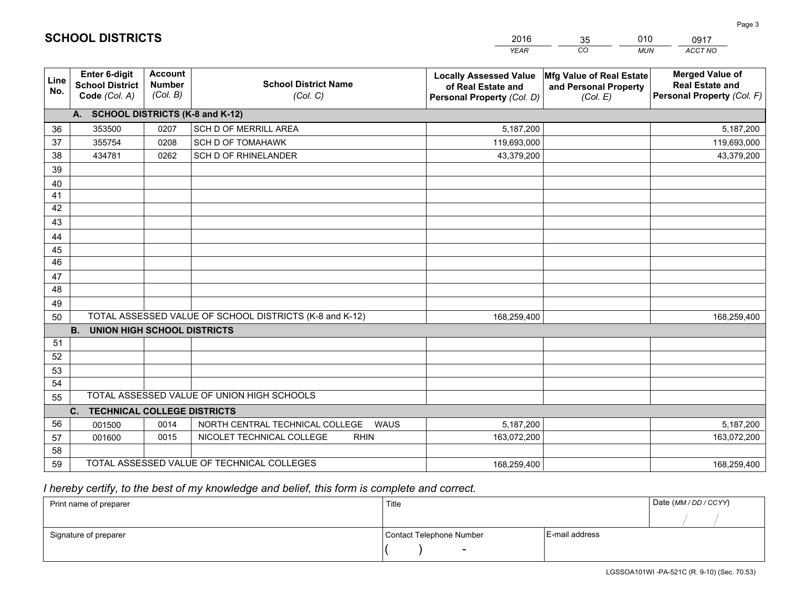|             |                                                                 |                                             |                                                         | <b>YEAR</b>                                                                       | CO<br><b>MUN</b>                                              | ACCT NO                                                                        |
|-------------|-----------------------------------------------------------------|---------------------------------------------|---------------------------------------------------------|-----------------------------------------------------------------------------------|---------------------------------------------------------------|--------------------------------------------------------------------------------|
| Line<br>No. | <b>Enter 6-digit</b><br><b>School District</b><br>Code (Col. A) | <b>Account</b><br><b>Number</b><br>(Col. B) | <b>School District Name</b><br>(Col. C)                 | <b>Locally Assessed Value</b><br>of Real Estate and<br>Personal Property (Col. D) | Mfg Value of Real Estate<br>and Personal Property<br>(Col. E) | <b>Merged Value of</b><br><b>Real Estate and</b><br>Personal Property (Col. F) |
|             | A. SCHOOL DISTRICTS (K-8 and K-12)                              |                                             |                                                         |                                                                                   |                                                               |                                                                                |
| 36          | 353500                                                          | 0207                                        | SCH D OF MERRILL AREA                                   | 5,187,200                                                                         |                                                               | 5,187,200                                                                      |
| 37          | 355754                                                          | 0208                                        | <b>SCH D OF TOMAHAWK</b>                                | 119,693,000                                                                       |                                                               | 119,693,000                                                                    |
| 38          | 434781                                                          | 0262                                        | SCH D OF RHINELANDER                                    | 43,379,200                                                                        |                                                               | 43,379,200                                                                     |
| 39          |                                                                 |                                             |                                                         |                                                                                   |                                                               |                                                                                |
| 40          |                                                                 |                                             |                                                         |                                                                                   |                                                               |                                                                                |
| 41          |                                                                 |                                             |                                                         |                                                                                   |                                                               |                                                                                |
| 42          |                                                                 |                                             |                                                         |                                                                                   |                                                               |                                                                                |
| 43          |                                                                 |                                             |                                                         |                                                                                   |                                                               |                                                                                |
| 44          |                                                                 |                                             |                                                         |                                                                                   |                                                               |                                                                                |
| 45          |                                                                 |                                             |                                                         |                                                                                   |                                                               |                                                                                |
| 46          |                                                                 |                                             |                                                         |                                                                                   |                                                               |                                                                                |
| 47          |                                                                 |                                             |                                                         |                                                                                   |                                                               |                                                                                |
| 48          |                                                                 |                                             |                                                         |                                                                                   |                                                               |                                                                                |
| 49          |                                                                 |                                             |                                                         |                                                                                   |                                                               |                                                                                |
| 50          |                                                                 |                                             | TOTAL ASSESSED VALUE OF SCHOOL DISTRICTS (K-8 and K-12) | 168,259,400                                                                       |                                                               | 168,259,400                                                                    |
|             | <b>B.</b><br><b>UNION HIGH SCHOOL DISTRICTS</b>                 |                                             |                                                         |                                                                                   |                                                               |                                                                                |
| 51          |                                                                 |                                             |                                                         |                                                                                   |                                                               |                                                                                |
| 52          |                                                                 |                                             |                                                         |                                                                                   |                                                               |                                                                                |
| 53          |                                                                 |                                             |                                                         |                                                                                   |                                                               |                                                                                |
| 54          |                                                                 |                                             |                                                         |                                                                                   |                                                               |                                                                                |
| 55          |                                                                 |                                             | TOTAL ASSESSED VALUE OF UNION HIGH SCHOOLS              |                                                                                   |                                                               |                                                                                |
|             | <b>TECHNICAL COLLEGE DISTRICTS</b><br>C <sub>1</sub>            |                                             |                                                         |                                                                                   |                                                               |                                                                                |
| 56          | 001500                                                          | 0014                                        | NORTH CENTRAL TECHNICAL COLLEGE<br><b>WAUS</b>          | 5,187,200                                                                         |                                                               | 5,187,200                                                                      |
| 57          | 001600                                                          | 0015                                        | NICOLET TECHNICAL COLLEGE<br><b>RHIN</b>                | 163,072,200                                                                       |                                                               | 163,072,200                                                                    |
| 58          |                                                                 |                                             |                                                         |                                                                                   |                                                               |                                                                                |
| 59          |                                                                 |                                             | TOTAL ASSESSED VALUE OF TECHNICAL COLLEGES              | 168,259,400                                                                       |                                                               | 168,259,400                                                                    |

35

010

## *I hereby certify, to the best of my knowledge and belief, this form is complete and correct.*

**SCHOOL DISTRICTS**

| Print name of preparer | Title                    |                | Date (MM / DD / CCYY) |
|------------------------|--------------------------|----------------|-----------------------|
|                        |                          |                |                       |
| Signature of preparer  | Contact Telephone Number | E-mail address |                       |
|                        | $\overline{\phantom{0}}$ |                |                       |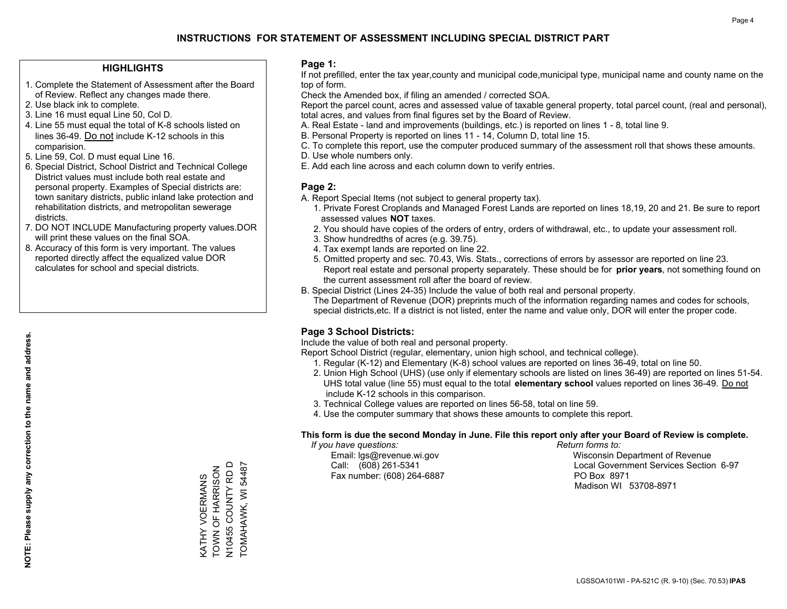#### **HIGHLIGHTS**

- 1. Complete the Statement of Assessment after the Board of Review. Reflect any changes made there.
- 2. Use black ink to complete.
- 3. Line 16 must equal Line 50, Col D.
- 4. Line 55 must equal the total of K-8 schools listed on lines 36-49. Do not include K-12 schools in this comparision.
- 5. Line 59, Col. D must equal Line 16.
- 6. Special District, School District and Technical College District values must include both real estate and personal property. Examples of Special districts are: town sanitary districts, public inland lake protection and rehabilitation districts, and metropolitan sewerage districts.
- 7. DO NOT INCLUDE Manufacturing property values.DOR will print these values on the final SOA.
- 8. Accuracy of this form is very important. The values reported directly affect the equalized value DOR calculates for school and special districts.

#### **Page 1:**

 If not prefilled, enter the tax year,county and municipal code,municipal type, municipal name and county name on the top of form.

Check the Amended box, if filing an amended / corrected SOA.

 Report the parcel count, acres and assessed value of taxable general property, total parcel count, (real and personal), total acres, and values from final figures set by the Board of Review.

- A. Real Estate land and improvements (buildings, etc.) is reported on lines 1 8, total line 9.
- B. Personal Property is reported on lines 11 14, Column D, total line 15.
- C. To complete this report, use the computer produced summary of the assessment roll that shows these amounts.
- D. Use whole numbers only.
- E. Add each line across and each column down to verify entries.

#### **Page 2:**

- A. Report Special Items (not subject to general property tax).
- 1. Private Forest Croplands and Managed Forest Lands are reported on lines 18,19, 20 and 21. Be sure to report assessed values **NOT** taxes.
- 2. You should have copies of the orders of entry, orders of withdrawal, etc., to update your assessment roll.
	- 3. Show hundredths of acres (e.g. 39.75).
- 4. Tax exempt lands are reported on line 22.
- 5. Omitted property and sec. 70.43, Wis. Stats., corrections of errors by assessor are reported on line 23. Report real estate and personal property separately. These should be for **prior years**, not something found on the current assessment roll after the board of review.
- B. Special District (Lines 24-35) Include the value of both real and personal property.

 The Department of Revenue (DOR) preprints much of the information regarding names and codes for schools, special districts,etc. If a district is not listed, enter the name and value only, DOR will enter the proper code.

### **Page 3 School Districts:**

Include the value of both real and personal property.

Report School District (regular, elementary, union high school, and technical college).

- 1. Regular (K-12) and Elementary (K-8) school values are reported on lines 36-49, total on line 50.
- 2. Union High School (UHS) (use only if elementary schools are listed on lines 36-49) are reported on lines 51-54. UHS total value (line 55) must equal to the total **elementary school** values reported on lines 36-49. Do notinclude K-12 schools in this comparison.
- 3. Technical College values are reported on lines 56-58, total on line 59.
- 4. Use the computer summary that shows these amounts to complete this report.

#### **This form is due the second Monday in June. File this report only after your Board of Review is complete.**

 *If you have questions: Return forms to:*

Fax number: (608) 264-6887 PO Box 8971

 Email: lgs@revenue.wi.gov Wisconsin Department of Revenue Call: (608) 261-5341 Local Government Services Section 6-97Madison WI 53708-8971

V10455 COUNTY RD D N10455 COUNTY RD D TOMAHAWK, WI 54487 TOMAHAWK, WI 54487 KATHY VOERMANS<br>TOWN OF HARRISON TOWN OF HARRISON KATHY VOERMANS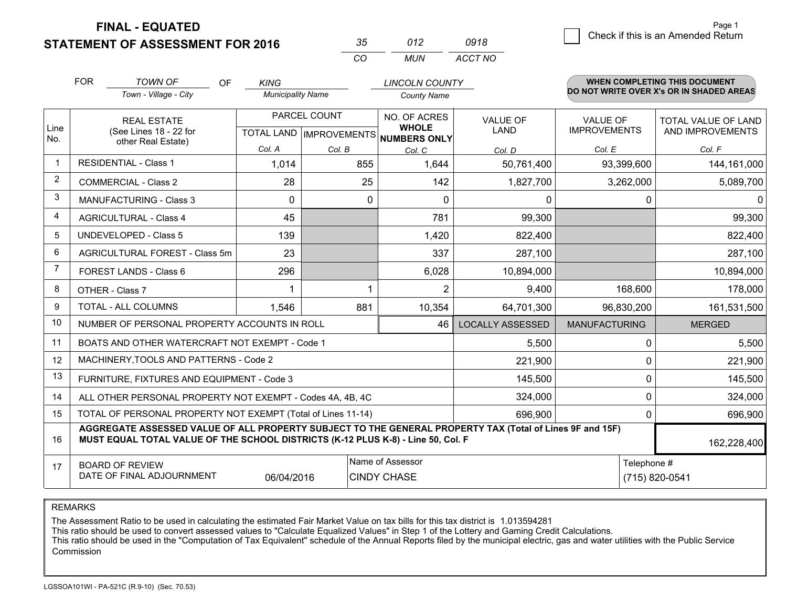**STATEMENT OF ASSESSMENT FOR 2016** 

| マヘ         | n12  | 0918    |
|------------|------|---------|
| $\sqrt{2}$ | MUN. | ACCT NO |

|                | <b>FOR</b>                                                                                                                                                                                   | <b>TOWN OF</b><br><b>OF</b>                                  | <b>KING</b>              |                           | <b>LINCOLN COUNTY</b>               |                         |                      | <b>WHEN COMPLETING THIS DOCUMENT</b>     |  |
|----------------|----------------------------------------------------------------------------------------------------------------------------------------------------------------------------------------------|--------------------------------------------------------------|--------------------------|---------------------------|-------------------------------------|-------------------------|----------------------|------------------------------------------|--|
|                |                                                                                                                                                                                              | Town - Village - City                                        | <b>Municipality Name</b> |                           | <b>County Name</b>                  |                         |                      | DO NOT WRITE OVER X's OR IN SHADED AREAS |  |
|                |                                                                                                                                                                                              | <b>REAL ESTATE</b>                                           |                          | PARCEL COUNT              | NO. OF ACRES                        | <b>VALUE OF</b>         | <b>VALUE OF</b>      | TOTAL VALUE OF LAND                      |  |
| Line<br>No.    |                                                                                                                                                                                              | (See Lines 18 - 22 for<br>other Real Estate)                 |                          | TOTAL LAND   IMPROVEMENTS | <b>WHOLE</b><br><b>NUMBERS ONLY</b> | LAND                    | <b>IMPROVEMENTS</b>  | AND IMPROVEMENTS                         |  |
|                |                                                                                                                                                                                              |                                                              | Col. A                   | Col. B                    | Col. C                              | Col. D                  | Col. E               | Col. F                                   |  |
| $\mathbf 1$    |                                                                                                                                                                                              | <b>RESIDENTIAL - Class 1</b>                                 | 1,014                    | 855                       | 1,644                               | 50,761,400              | 93,399,600           | 144,161,000                              |  |
| $\overline{2}$ |                                                                                                                                                                                              | <b>COMMERCIAL - Class 2</b>                                  | 28                       | 25                        | 142                                 | 1,827,700               | 3,262,000            | 5,089,700                                |  |
| 3              |                                                                                                                                                                                              | <b>MANUFACTURING - Class 3</b>                               | $\Omega$                 | 0                         | 0                                   | 0                       | 0                    | 0                                        |  |
| 4              |                                                                                                                                                                                              | <b>AGRICULTURAL - Class 4</b>                                | 45                       |                           | 781                                 | 99,300                  |                      | 99,300                                   |  |
| 5              |                                                                                                                                                                                              | <b>UNDEVELOPED - Class 5</b>                                 | 139                      |                           | 1,420                               | 822,400                 |                      | 822,400                                  |  |
| 6              |                                                                                                                                                                                              | AGRICULTURAL FOREST - Class 5m                               | 23                       |                           | 337                                 | 287,100                 |                      | 287,100                                  |  |
| $\overline{7}$ |                                                                                                                                                                                              | FOREST LANDS - Class 6                                       | 296                      |                           | 6,028                               | 10,894,000              |                      | 10,894,000                               |  |
| 8              |                                                                                                                                                                                              | OTHER - Class 7                                              |                          |                           | $\overline{2}$                      | 9,400                   | 168,600              | 178,000                                  |  |
| 9              |                                                                                                                                                                                              | TOTAL - ALL COLUMNS                                          | 1,546                    | 881                       | 10,354                              | 64,701,300              | 96,830,200           | 161,531,500                              |  |
| 10             |                                                                                                                                                                                              | NUMBER OF PERSONAL PROPERTY ACCOUNTS IN ROLL                 |                          |                           | 46                                  | <b>LOCALLY ASSESSED</b> | <b>MANUFACTURING</b> | <b>MERGED</b>                            |  |
| 11             |                                                                                                                                                                                              | BOATS AND OTHER WATERCRAFT NOT EXEMPT - Code 1               |                          |                           |                                     | 5,500                   | 0                    | 5,500                                    |  |
| 12             |                                                                                                                                                                                              | MACHINERY, TOOLS AND PATTERNS - Code 2                       |                          |                           |                                     | 221,900                 | 0                    | 221,900                                  |  |
| 13             |                                                                                                                                                                                              | FURNITURE, FIXTURES AND EQUIPMENT - Code 3                   |                          |                           |                                     | 145,500                 | 0                    | 145,500                                  |  |
| 14             |                                                                                                                                                                                              | ALL OTHER PERSONAL PROPERTY NOT EXEMPT - Codes 4A, 4B, 4C    |                          |                           |                                     | 324,000                 | 0                    | 324,000                                  |  |
| 15             |                                                                                                                                                                                              | TOTAL OF PERSONAL PROPERTY NOT EXEMPT (Total of Lines 11-14) |                          |                           |                                     | 696,900                 | 0                    | 696,900                                  |  |
| 16             | AGGREGATE ASSESSED VALUE OF ALL PROPERTY SUBJECT TO THE GENERAL PROPERTY TAX (Total of Lines 9F and 15F)<br>MUST EQUAL TOTAL VALUE OF THE SCHOOL DISTRICTS (K-12 PLUS K-8) - Line 50, Col. F |                                                              |                          |                           |                                     |                         |                      | 162,228,400                              |  |
| 17             |                                                                                                                                                                                              | <b>BOARD OF REVIEW</b>                                       |                          |                           | Name of Assessor                    |                         | Telephone #          |                                          |  |
|                |                                                                                                                                                                                              | DATE OF FINAL ADJOURNMENT                                    | 06/04/2016               |                           | <b>CINDY CHASE</b>                  |                         |                      | (715) 820-0541                           |  |

REMARKS

The Assessment Ratio to be used in calculating the estimated Fair Market Value on tax bills for this tax district is 1.013594281

This ratio should be used to convert assessed values to "Calculate Equalized Values" in Step 1 of the Lottery and Gaming Credit Calculations.<br>This ratio should be used in the "Computation of Tax Equivalent" schedule of the Commission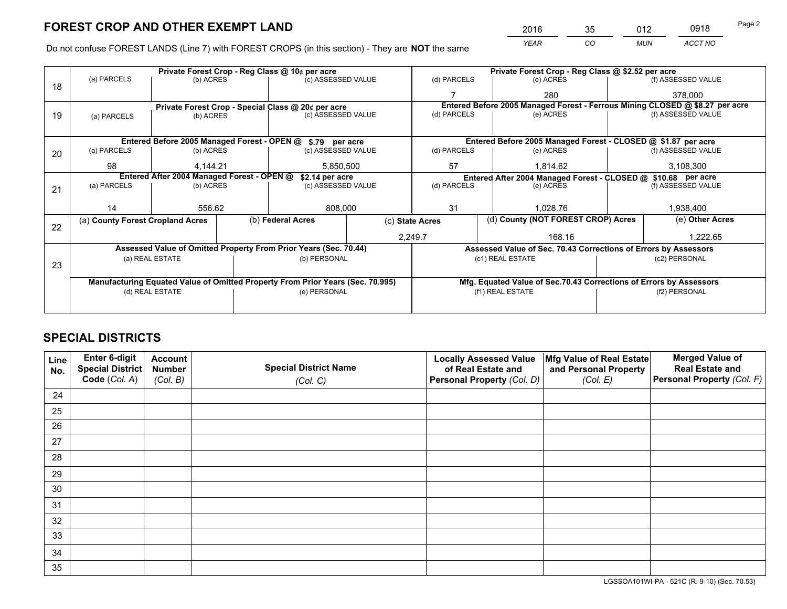*YEAR CO MUN ACCT NO* <sup>2016</sup> <sup>35</sup> <sup>012</sup> <sup>0918</sup> Page 2

Do not confuse FOREST LANDS (Line 7) with FOREST CROPS (in this section) - They are **NOT** the same

|    |                                                               |                 |  | Private Forest Crop - Reg Class @ 10¢ per acre                                 |                                                               | Private Forest Crop - Reg Class @ \$2.52 per acre                  |                                                                              |  |                    |  |
|----|---------------------------------------------------------------|-----------------|--|--------------------------------------------------------------------------------|---------------------------------------------------------------|--------------------------------------------------------------------|------------------------------------------------------------------------------|--|--------------------|--|
| 18 | (a) PARCELS                                                   | (b) ACRES       |  | (c) ASSESSED VALUE                                                             |                                                               | (d) PARCELS                                                        | (e) ACRES                                                                    |  | (f) ASSESSED VALUE |  |
|    |                                                               |                 |  |                                                                                |                                                               |                                                                    | 280                                                                          |  | 378,000            |  |
|    |                                                               |                 |  | Private Forest Crop - Special Class @ 20¢ per acre                             |                                                               |                                                                    | Entered Before 2005 Managed Forest - Ferrous Mining CLOSED @ \$8.27 per acre |  |                    |  |
| 19 | (a) PARCELS                                                   | (b) ACRES       |  | (c) ASSESSED VALUE                                                             |                                                               | (d) PARCELS                                                        | (e) ACRES                                                                    |  | (f) ASSESSED VALUE |  |
|    |                                                               |                 |  |                                                                                |                                                               |                                                                    |                                                                              |  |                    |  |
|    |                                                               |                 |  | Entered Before 2005 Managed Forest - OPEN @ \$.79 per acre                     |                                                               |                                                                    | Entered Before 2005 Managed Forest - CLOSED @ \$1.87 per acre                |  |                    |  |
| 20 | (a) PARCELS                                                   | (b) ACRES       |  | (c) ASSESSED VALUE                                                             |                                                               | (d) PARCELS                                                        | (e) ACRES                                                                    |  | (f) ASSESSED VALUE |  |
|    | 98                                                            | 4,144.21        |  | 5,850,500                                                                      |                                                               | 57                                                                 | 1.814.62                                                                     |  | 3,108,300          |  |
|    | Entered After 2004 Managed Forest - OPEN @<br>\$2.14 per acre |                 |  |                                                                                | Entered After 2004 Managed Forest - CLOSED @ \$10.68 per acre |                                                                    |                                                                              |  |                    |  |
| 21 | (a) PARCELS                                                   | (b) ACRES       |  | (c) ASSESSED VALUE                                                             |                                                               | (d) PARCELS<br>(e) ACRES                                           |                                                                              |  | (f) ASSESSED VALUE |  |
|    |                                                               |                 |  |                                                                                |                                                               |                                                                    |                                                                              |  |                    |  |
|    | 14                                                            | 556.62          |  | 808,000                                                                        |                                                               | 31                                                                 | 1,028.76                                                                     |  | 1,938,400          |  |
|    | (a) County Forest Cropland Acres                              |                 |  | (b) Federal Acres                                                              | (c) State Acres                                               |                                                                    | (d) County (NOT FOREST CROP) Acres                                           |  | (e) Other Acres    |  |
| 22 |                                                               |                 |  |                                                                                |                                                               | 2,249.7<br>168.16                                                  |                                                                              |  | 1,222.65           |  |
|    |                                                               |                 |  | Assessed Value of Omitted Property From Prior Years (Sec. 70.44)               |                                                               |                                                                    | Assessed Value of Sec. 70.43 Corrections of Errors by Assessors              |  |                    |  |
|    |                                                               | (a) REAL ESTATE |  | (b) PERSONAL                                                                   |                                                               |                                                                    | (c1) REAL ESTATE                                                             |  | (c2) PERSONAL      |  |
| 23 |                                                               |                 |  |                                                                                |                                                               |                                                                    |                                                                              |  |                    |  |
|    |                                                               |                 |  | Manufacturing Equated Value of Omitted Property From Prior Years (Sec. 70.995) |                                                               | Mfg. Equated Value of Sec.70.43 Corrections of Errors by Assessors |                                                                              |  |                    |  |
|    | (d) REAL ESTATE                                               |                 |  | (e) PERSONAL                                                                   |                                                               | (f1) REAL ESTATE                                                   |                                                                              |  | (f2) PERSONAL      |  |
|    |                                                               |                 |  |                                                                                |                                                               |                                                                    |                                                                              |  |                    |  |

## **SPECIAL DISTRICTS**

| Line<br>No. | Enter 6-digit<br>Special District<br>Code (Col. A) | <b>Account</b><br><b>Number</b><br>(Col. B) | <b>Special District Name</b><br>(Col. C) | <b>Locally Assessed Value</b><br>of Real Estate and<br>Personal Property (Col. D) | Mfg Value of Real Estate<br>and Personal Property<br>(Col. E) | <b>Merged Value of</b><br><b>Real Estate and</b><br>Personal Property (Col. F) |
|-------------|----------------------------------------------------|---------------------------------------------|------------------------------------------|-----------------------------------------------------------------------------------|---------------------------------------------------------------|--------------------------------------------------------------------------------|
| 24          |                                                    |                                             |                                          |                                                                                   |                                                               |                                                                                |
| 25          |                                                    |                                             |                                          |                                                                                   |                                                               |                                                                                |
| 26          |                                                    |                                             |                                          |                                                                                   |                                                               |                                                                                |
| 27          |                                                    |                                             |                                          |                                                                                   |                                                               |                                                                                |
| 28          |                                                    |                                             |                                          |                                                                                   |                                                               |                                                                                |
| 29          |                                                    |                                             |                                          |                                                                                   |                                                               |                                                                                |
| 30          |                                                    |                                             |                                          |                                                                                   |                                                               |                                                                                |
| 31          |                                                    |                                             |                                          |                                                                                   |                                                               |                                                                                |
| 32          |                                                    |                                             |                                          |                                                                                   |                                                               |                                                                                |
| 33          |                                                    |                                             |                                          |                                                                                   |                                                               |                                                                                |
| 34          |                                                    |                                             |                                          |                                                                                   |                                                               |                                                                                |
| 35          |                                                    |                                             |                                          |                                                                                   |                                                               |                                                                                |

LGSSOA101WI-PA - 521C (R. 9-10) (Sec. 70.53)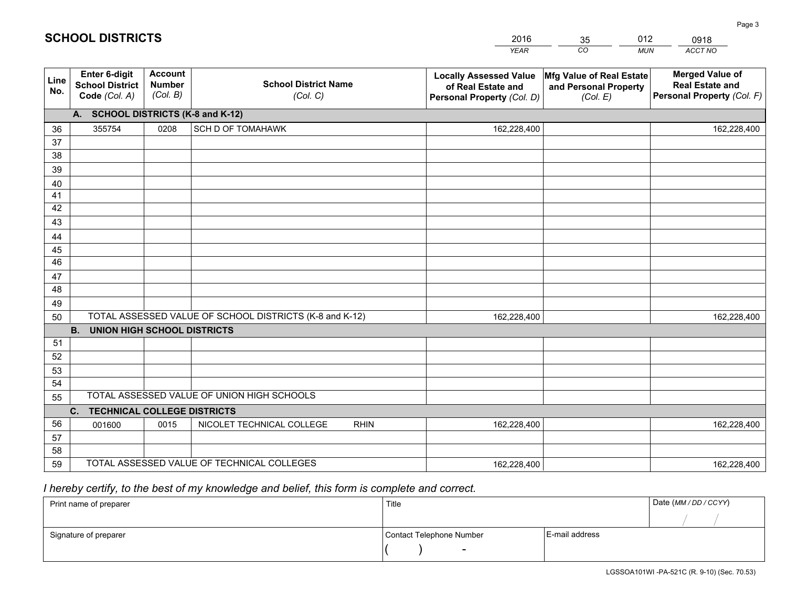|             |                                                          |                                             |                                                         | <b>YEAR</b>                                                                       | CO<br><b>MUN</b>                                              | ACCT NO                                                                        |
|-------------|----------------------------------------------------------|---------------------------------------------|---------------------------------------------------------|-----------------------------------------------------------------------------------|---------------------------------------------------------------|--------------------------------------------------------------------------------|
| Line<br>No. | Enter 6-digit<br><b>School District</b><br>Code (Col. A) | <b>Account</b><br><b>Number</b><br>(Col. B) | <b>School District Name</b><br>(Col. C)                 | <b>Locally Assessed Value</b><br>of Real Estate and<br>Personal Property (Col. D) | Mfg Value of Real Estate<br>and Personal Property<br>(Col. E) | <b>Merged Value of</b><br><b>Real Estate and</b><br>Personal Property (Col. F) |
|             | A. SCHOOL DISTRICTS (K-8 and K-12)                       |                                             |                                                         |                                                                                   |                                                               |                                                                                |
| 36          | 355754                                                   | 0208                                        | SCH D OF TOMAHAWK                                       | 162,228,400                                                                       |                                                               | 162,228,400                                                                    |
| 37          |                                                          |                                             |                                                         |                                                                                   |                                                               |                                                                                |
| 38          |                                                          |                                             |                                                         |                                                                                   |                                                               |                                                                                |
| 39          |                                                          |                                             |                                                         |                                                                                   |                                                               |                                                                                |
| 40          |                                                          |                                             |                                                         |                                                                                   |                                                               |                                                                                |
| 41          |                                                          |                                             |                                                         |                                                                                   |                                                               |                                                                                |
| 42          |                                                          |                                             |                                                         |                                                                                   |                                                               |                                                                                |
| 43          |                                                          |                                             |                                                         |                                                                                   |                                                               |                                                                                |
| 44          |                                                          |                                             |                                                         |                                                                                   |                                                               |                                                                                |
| 45<br>46    |                                                          |                                             |                                                         |                                                                                   |                                                               |                                                                                |
|             |                                                          |                                             |                                                         |                                                                                   |                                                               |                                                                                |
| 47<br>48    |                                                          |                                             |                                                         |                                                                                   |                                                               |                                                                                |
| 49          |                                                          |                                             |                                                         |                                                                                   |                                                               |                                                                                |
| 50          |                                                          |                                             | TOTAL ASSESSED VALUE OF SCHOOL DISTRICTS (K-8 and K-12) | 162,228,400                                                                       |                                                               | 162,228,400                                                                    |
|             | <b>B.</b><br><b>UNION HIGH SCHOOL DISTRICTS</b>          |                                             |                                                         |                                                                                   |                                                               |                                                                                |
| 51          |                                                          |                                             |                                                         |                                                                                   |                                                               |                                                                                |
| 52          |                                                          |                                             |                                                         |                                                                                   |                                                               |                                                                                |
| 53          |                                                          |                                             |                                                         |                                                                                   |                                                               |                                                                                |
| 54          |                                                          |                                             |                                                         |                                                                                   |                                                               |                                                                                |
| 55          |                                                          |                                             | TOTAL ASSESSED VALUE OF UNION HIGH SCHOOLS              |                                                                                   |                                                               |                                                                                |
|             | C.<br><b>TECHNICAL COLLEGE DISTRICTS</b>                 |                                             |                                                         |                                                                                   |                                                               |                                                                                |
| 56          | 001600                                                   | 0015                                        | NICOLET TECHNICAL COLLEGE<br><b>RHIN</b>                | 162,228,400                                                                       |                                                               | 162,228,400                                                                    |
| 57          |                                                          |                                             |                                                         |                                                                                   |                                                               |                                                                                |
| 58          |                                                          |                                             |                                                         |                                                                                   |                                                               |                                                                                |
| 59          |                                                          |                                             | TOTAL ASSESSED VALUE OF TECHNICAL COLLEGES              | 162,228,400                                                                       |                                                               | 162,228,400                                                                    |

35

012

## *I hereby certify, to the best of my knowledge and belief, this form is complete and correct.*

**SCHOOL DISTRICTS**

| Print name of preparer | Title                    |                | Date (MM / DD / CCYY) |
|------------------------|--------------------------|----------------|-----------------------|
|                        |                          |                |                       |
| Signature of preparer  | Contact Telephone Number | E-mail address |                       |
|                        | $\sim$                   |                |                       |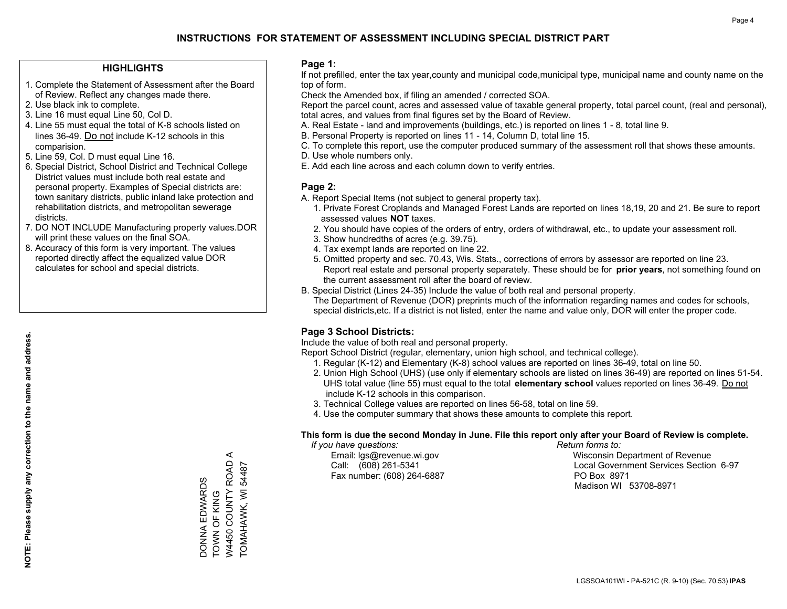#### **HIGHLIGHTS**

- 1. Complete the Statement of Assessment after the Board of Review. Reflect any changes made there.
- 2. Use black ink to complete.
- 3. Line 16 must equal Line 50, Col D.
- 4. Line 55 must equal the total of K-8 schools listed on lines 36-49. Do not include K-12 schools in this comparision.
- 5. Line 59, Col. D must equal Line 16.
- 6. Special District, School District and Technical College District values must include both real estate and personal property. Examples of Special districts are: town sanitary districts, public inland lake protection and rehabilitation districts, and metropolitan sewerage districts.
- 7. DO NOT INCLUDE Manufacturing property values.DOR will print these values on the final SOA.
- 8. Accuracy of this form is very important. The values reported directly affect the equalized value DOR calculates for school and special districts.

#### **Page 1:**

 If not prefilled, enter the tax year,county and municipal code,municipal type, municipal name and county name on the top of form.

Check the Amended box, if filing an amended / corrected SOA.

 Report the parcel count, acres and assessed value of taxable general property, total parcel count, (real and personal), total acres, and values from final figures set by the Board of Review.

- A. Real Estate land and improvements (buildings, etc.) is reported on lines 1 8, total line 9.
- B. Personal Property is reported on lines 11 14, Column D, total line 15.
- C. To complete this report, use the computer produced summary of the assessment roll that shows these amounts.
- D. Use whole numbers only.
- E. Add each line across and each column down to verify entries.

#### **Page 2:**

- A. Report Special Items (not subject to general property tax).
- 1. Private Forest Croplands and Managed Forest Lands are reported on lines 18,19, 20 and 21. Be sure to report assessed values **NOT** taxes.
- 2. You should have copies of the orders of entry, orders of withdrawal, etc., to update your assessment roll.
	- 3. Show hundredths of acres (e.g. 39.75).
- 4. Tax exempt lands are reported on line 22.
- 5. Omitted property and sec. 70.43, Wis. Stats., corrections of errors by assessor are reported on line 23. Report real estate and personal property separately. These should be for **prior years**, not something found on the current assessment roll after the board of review.
- B. Special District (Lines 24-35) Include the value of both real and personal property.
- The Department of Revenue (DOR) preprints much of the information regarding names and codes for schools, special districts,etc. If a district is not listed, enter the name and value only, DOR will enter the proper code.

### **Page 3 School Districts:**

Include the value of both real and personal property.

Report School District (regular, elementary, union high school, and technical college).

- 1. Regular (K-12) and Elementary (K-8) school values are reported on lines 36-49, total on line 50.
- 2. Union High School (UHS) (use only if elementary schools are listed on lines 36-49) are reported on lines 51-54. UHS total value (line 55) must equal to the total **elementary school** values reported on lines 36-49. Do notinclude K-12 schools in this comparison.
- 3. Technical College values are reported on lines 56-58, total on line 59.
- 4. Use the computer summary that shows these amounts to complete this report.

#### **This form is due the second Monday in June. File this report only after your Board of Review is complete.**

 *If you have questions: Return forms to:*

Fax number: (608) 264-6887 PO Box 8971

 Email: lgs@revenue.wi.gov Wisconsin Department of Revenue Call: (608) 261-5341 Local Government Services Section 6-97Madison WI 53708-8971

 $\prec$ W4450 COUNTY ROAD A W4450 COUNTY ROAD TOMAHAWK, WI 54487 **DONNA EDWARDS** DONNA EDWARDS TOWN OF KING TOWN OF KING

TOMAHAWK, WI 54487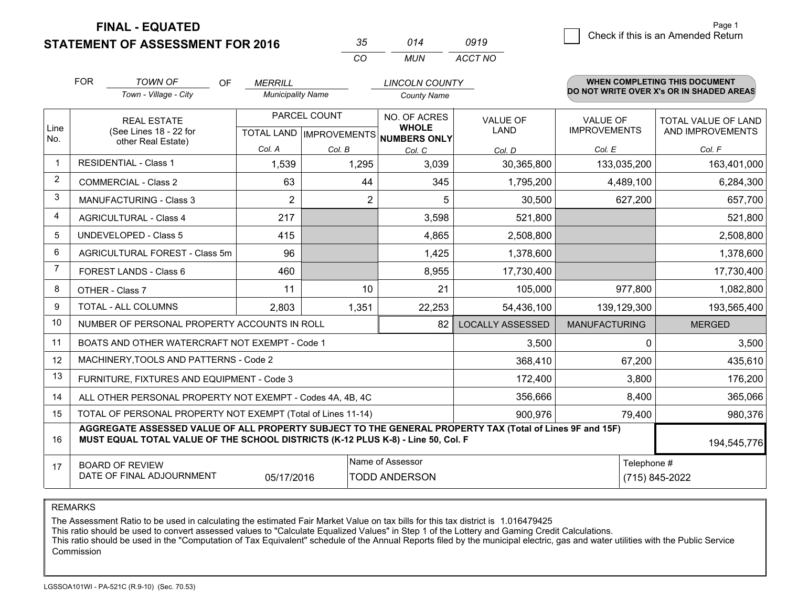**STATEMENT OF ASSESSMENT FOR 2016** 

| マー       | 014  | 0919    |
|----------|------|---------|
| $\cdots$ | MUN. | ACCT NO |

|             | <b>FOR</b>                                                                                                                                                                                   | <b>TOWN OF</b><br><b>OF</b>                                  | <b>MERRILL</b>           |                           | <b>LINCOLN COUNTY</b>        |                         |                      | <b>WHEN COMPLETING THIS DOCUMENT</b>     |
|-------------|----------------------------------------------------------------------------------------------------------------------------------------------------------------------------------------------|--------------------------------------------------------------|--------------------------|---------------------------|------------------------------|-------------------------|----------------------|------------------------------------------|
|             |                                                                                                                                                                                              | Town - Village - City                                        | <b>Municipality Name</b> |                           | <b>County Name</b>           |                         |                      | DO NOT WRITE OVER X's OR IN SHADED AREAS |
|             |                                                                                                                                                                                              | <b>REAL ESTATE</b>                                           |                          | PARCEL COUNT              | NO. OF ACRES                 | <b>VALUE OF</b>         | <b>VALUE OF</b>      | TOTAL VALUE OF LAND                      |
| Line<br>No. |                                                                                                                                                                                              | (See Lines 18 - 22 for<br>other Real Estate)                 |                          | TOTAL LAND   IMPROVEMENTS | <b>WHOLE</b><br>NUMBERS ONLY | <b>LAND</b>             | <b>IMPROVEMENTS</b>  | AND IMPROVEMENTS                         |
|             |                                                                                                                                                                                              |                                                              | Col. A                   | Col. B                    | Col. C                       | Col. D                  | Col. E               | Col. F                                   |
| $\mathbf 1$ |                                                                                                                                                                                              | <b>RESIDENTIAL - Class 1</b>                                 | 1,539                    | 1,295                     | 3.039                        | 30,365,800              | 133,035,200          | 163,401,000                              |
| 2           |                                                                                                                                                                                              | <b>COMMERCIAL - Class 2</b>                                  | 63                       | 44                        | 345                          | 1,795,200               | 4,489,100            | 6,284,300                                |
| 3           |                                                                                                                                                                                              | <b>MANUFACTURING - Class 3</b>                               | $\overline{2}$           | 2                         | 5                            | 30,500                  | 627,200              | 657,700                                  |
| 4           |                                                                                                                                                                                              | <b>AGRICULTURAL - Class 4</b>                                | 217                      |                           | 3,598                        | 521,800                 |                      | 521,800                                  |
| 5           |                                                                                                                                                                                              | UNDEVELOPED - Class 5                                        | 415                      |                           | 4,865                        | 2,508,800               |                      | 2,508,800                                |
| 6           |                                                                                                                                                                                              | AGRICULTURAL FOREST - Class 5m                               | 96                       |                           | 1,425                        | 1,378,600               |                      | 1,378,600                                |
| 7           |                                                                                                                                                                                              | FOREST LANDS - Class 6                                       | 460                      |                           | 8,955                        | 17,730,400              |                      | 17,730,400                               |
| 8           |                                                                                                                                                                                              | OTHER - Class 7                                              | 11                       | 10                        | 21                           | 105,000                 | 977,800              | 1,082,800                                |
| 9           |                                                                                                                                                                                              | TOTAL - ALL COLUMNS                                          | 2,803                    | 1,351                     | 22,253                       | 54,436,100              | 139,129,300          | 193,565,400                              |
| 10          |                                                                                                                                                                                              | NUMBER OF PERSONAL PROPERTY ACCOUNTS IN ROLL                 |                          |                           | 82                           | <b>LOCALLY ASSESSED</b> | <b>MANUFACTURING</b> | <b>MERGED</b>                            |
| 11          |                                                                                                                                                                                              | BOATS AND OTHER WATERCRAFT NOT EXEMPT - Code 1               |                          |                           |                              | 3,500                   | $\mathbf 0$          | 3,500                                    |
| 12          |                                                                                                                                                                                              | MACHINERY, TOOLS AND PATTERNS - Code 2                       |                          |                           |                              | 368,410                 | 67,200               | 435,610                                  |
| 13          |                                                                                                                                                                                              | FURNITURE, FIXTURES AND EQUIPMENT - Code 3                   |                          |                           |                              | 172,400                 | 3,800                | 176,200                                  |
| 14          |                                                                                                                                                                                              | ALL OTHER PERSONAL PROPERTY NOT EXEMPT - Codes 4A, 4B, 4C    |                          |                           | 356,666                      | 8,400                   | 365,066              |                                          |
| 15          |                                                                                                                                                                                              | TOTAL OF PERSONAL PROPERTY NOT EXEMPT (Total of Lines 11-14) |                          |                           | 900,976                      | 79,400                  | 980,376              |                                          |
| 16          | AGGREGATE ASSESSED VALUE OF ALL PROPERTY SUBJECT TO THE GENERAL PROPERTY TAX (Total of Lines 9F and 15F)<br>MUST EQUAL TOTAL VALUE OF THE SCHOOL DISTRICTS (K-12 PLUS K-8) - Line 50, Col. F |                                                              |                          |                           |                              |                         |                      | 194,545,776                              |
| 17          |                                                                                                                                                                                              | <b>BOARD OF REVIEW</b>                                       |                          |                           | Name of Assessor             |                         | Telephone #          |                                          |
|             |                                                                                                                                                                                              | DATE OF FINAL ADJOURNMENT                                    | 05/17/2016               |                           | <b>TODD ANDERSON</b>         |                         |                      | (715) 845-2022                           |

REMARKS

The Assessment Ratio to be used in calculating the estimated Fair Market Value on tax bills for this tax district is 1.016479425

This ratio should be used to convert assessed values to "Calculate Equalized Values" in Step 1 of the Lottery and Gaming Credit Calculations.<br>This ratio should be used in the "Computation of Tax Equivalent" schedule of the Commission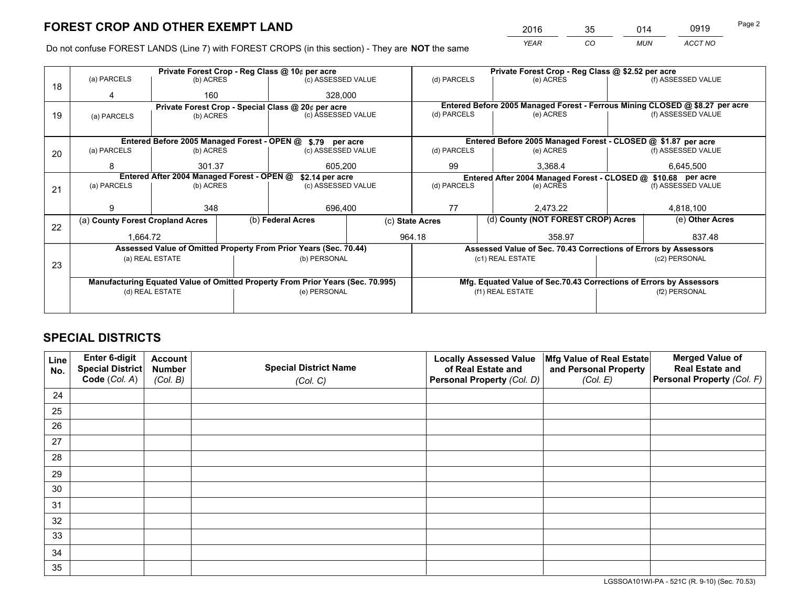*YEAR CO MUN ACCT NO* <sup>2016</sup> <sup>35</sup> <sup>014</sup> <sup>0919</sup>

Do not confuse FOREST LANDS (Line 7) with FOREST CROPS (in this section) - They are **NOT** the same

| Private Forest Crop - Reg Class @ \$2.52 per acre                            |  |  |  |
|------------------------------------------------------------------------------|--|--|--|
| (f) ASSESSED VALUE                                                           |  |  |  |
|                                                                              |  |  |  |
| Entered Before 2005 Managed Forest - Ferrous Mining CLOSED @ \$8.27 per acre |  |  |  |
| (f) ASSESSED VALUE                                                           |  |  |  |
|                                                                              |  |  |  |
| Entered Before 2005 Managed Forest - CLOSED @ \$1.87 per acre                |  |  |  |
| (f) ASSESSED VALUE                                                           |  |  |  |
| 6,645,500                                                                    |  |  |  |
| Entered After 2004 Managed Forest - CLOSED @ \$10.68 per acre<br>(d) PARCELS |  |  |  |
| (f) ASSESSED VALUE                                                           |  |  |  |
|                                                                              |  |  |  |
| 4,818,100                                                                    |  |  |  |
| (e) Other Acres                                                              |  |  |  |
| 837.48                                                                       |  |  |  |
| Assessed Value of Sec. 70.43 Corrections of Errors by Assessors              |  |  |  |
| (c2) PERSONAL                                                                |  |  |  |
|                                                                              |  |  |  |
| Mfg. Equated Value of Sec.70.43 Corrections of Errors by Assessors           |  |  |  |
| (f2) PERSONAL                                                                |  |  |  |
|                                                                              |  |  |  |
|                                                                              |  |  |  |

## **SPECIAL DISTRICTS**

| Line<br>No. | Enter 6-digit<br><b>Special District</b> | <b>Account</b><br><b>Number</b> | <b>Special District Name</b> | <b>Locally Assessed Value</b><br>of Real Estate and | Mfg Value of Real Estate<br>and Personal Property | <b>Merged Value of</b><br><b>Real Estate and</b> |
|-------------|------------------------------------------|---------------------------------|------------------------------|-----------------------------------------------------|---------------------------------------------------|--------------------------------------------------|
|             | Code (Col. A)                            | (Col. B)                        | (Col. C)                     | Personal Property (Col. D)                          | (Col. E)                                          | Personal Property (Col. F)                       |
| 24          |                                          |                                 |                              |                                                     |                                                   |                                                  |
| 25          |                                          |                                 |                              |                                                     |                                                   |                                                  |
| 26          |                                          |                                 |                              |                                                     |                                                   |                                                  |
| 27          |                                          |                                 |                              |                                                     |                                                   |                                                  |
| 28          |                                          |                                 |                              |                                                     |                                                   |                                                  |
| 29          |                                          |                                 |                              |                                                     |                                                   |                                                  |
| 30          |                                          |                                 |                              |                                                     |                                                   |                                                  |
| 31          |                                          |                                 |                              |                                                     |                                                   |                                                  |
| 32          |                                          |                                 |                              |                                                     |                                                   |                                                  |
| 33          |                                          |                                 |                              |                                                     |                                                   |                                                  |
| 34          |                                          |                                 |                              |                                                     |                                                   |                                                  |
| 35          |                                          |                                 |                              |                                                     |                                                   |                                                  |

LGSSOA101WI-PA - 521C (R. 9-10) (Sec. 70.53)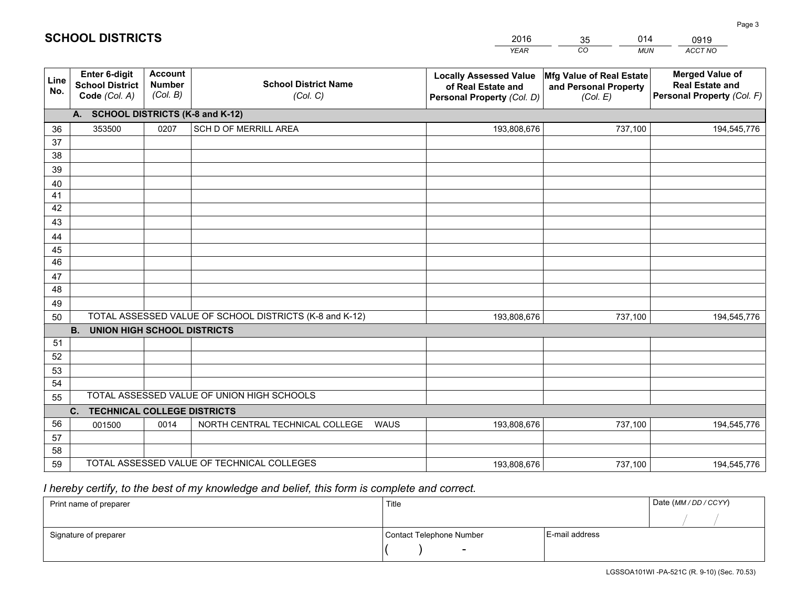|             |                                                                 |                                             |                                                         | <b>YEAR</b>                                                                       | CO<br><b>MUN</b>                                              | ACCT NO                                                                        |
|-------------|-----------------------------------------------------------------|---------------------------------------------|---------------------------------------------------------|-----------------------------------------------------------------------------------|---------------------------------------------------------------|--------------------------------------------------------------------------------|
| Line<br>No. | <b>Enter 6-digit</b><br><b>School District</b><br>Code (Col. A) | <b>Account</b><br><b>Number</b><br>(Col. B) | <b>School District Name</b><br>(Col. C)                 | <b>Locally Assessed Value</b><br>of Real Estate and<br>Personal Property (Col. D) | Mfg Value of Real Estate<br>and Personal Property<br>(Col. E) | <b>Merged Value of</b><br><b>Real Estate and</b><br>Personal Property (Col. F) |
|             | A. SCHOOL DISTRICTS (K-8 and K-12)                              |                                             |                                                         |                                                                                   |                                                               |                                                                                |
| 36          | 353500                                                          | 0207                                        | SCH D OF MERRILL AREA                                   | 193,808,676                                                                       | 737,100                                                       | 194,545,776                                                                    |
| 37          |                                                                 |                                             |                                                         |                                                                                   |                                                               |                                                                                |
| 38          |                                                                 |                                             |                                                         |                                                                                   |                                                               |                                                                                |
| 39          |                                                                 |                                             |                                                         |                                                                                   |                                                               |                                                                                |
| 40          |                                                                 |                                             |                                                         |                                                                                   |                                                               |                                                                                |
| 41          |                                                                 |                                             |                                                         |                                                                                   |                                                               |                                                                                |
| 42          |                                                                 |                                             |                                                         |                                                                                   |                                                               |                                                                                |
| 43          |                                                                 |                                             |                                                         |                                                                                   |                                                               |                                                                                |
| 44<br>45    |                                                                 |                                             |                                                         |                                                                                   |                                                               |                                                                                |
| 46          |                                                                 |                                             |                                                         |                                                                                   |                                                               |                                                                                |
| 47          |                                                                 |                                             |                                                         |                                                                                   |                                                               |                                                                                |
| 48          |                                                                 |                                             |                                                         |                                                                                   |                                                               |                                                                                |
| 49          |                                                                 |                                             |                                                         |                                                                                   |                                                               |                                                                                |
| 50          |                                                                 |                                             | TOTAL ASSESSED VALUE OF SCHOOL DISTRICTS (K-8 and K-12) | 193,808,676                                                                       | 737,100                                                       | 194,545,776                                                                    |
|             | <b>B.</b><br><b>UNION HIGH SCHOOL DISTRICTS</b>                 |                                             |                                                         |                                                                                   |                                                               |                                                                                |
| 51          |                                                                 |                                             |                                                         |                                                                                   |                                                               |                                                                                |
| 52          |                                                                 |                                             |                                                         |                                                                                   |                                                               |                                                                                |
| 53          |                                                                 |                                             |                                                         |                                                                                   |                                                               |                                                                                |
| 54          |                                                                 |                                             |                                                         |                                                                                   |                                                               |                                                                                |
| 55          |                                                                 |                                             | TOTAL ASSESSED VALUE OF UNION HIGH SCHOOLS              |                                                                                   |                                                               |                                                                                |
|             | C.<br><b>TECHNICAL COLLEGE DISTRICTS</b>                        |                                             |                                                         |                                                                                   |                                                               |                                                                                |
| 56          | 001500                                                          | 0014                                        | NORTH CENTRAL TECHNICAL COLLEGE<br>WAUS                 | 193,808,676                                                                       | 737,100                                                       | 194,545,776                                                                    |
| 57          |                                                                 |                                             |                                                         |                                                                                   |                                                               |                                                                                |
| 58          |                                                                 |                                             |                                                         |                                                                                   |                                                               |                                                                                |
|             | TOTAL ASSESSED VALUE OF TECHNICAL COLLEGES<br>59                |                                             |                                                         | 193,808,676                                                                       | 737,100                                                       | 194,545,776                                                                    |

35

014

 *I hereby certify, to the best of my knowledge and belief, this form is complete and correct.*

**SCHOOL DISTRICTS**

| Print name of preparer | Title                    |                | Date (MM / DD / CCYY) |
|------------------------|--------------------------|----------------|-----------------------|
|                        |                          |                |                       |
| Signature of preparer  | Contact Telephone Number | E-mail address |                       |
|                        |                          |                |                       |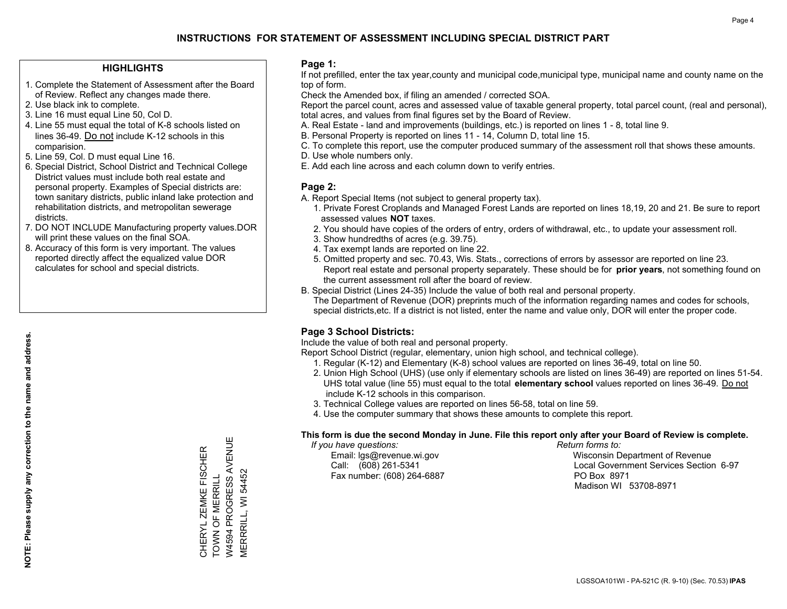#### **HIGHLIGHTS**

- 1. Complete the Statement of Assessment after the Board of Review. Reflect any changes made there.
- 2. Use black ink to complete.
- 3. Line 16 must equal Line 50, Col D.
- 4. Line 55 must equal the total of K-8 schools listed on lines 36-49. Do not include K-12 schools in this comparision.
- 5. Line 59, Col. D must equal Line 16.
- 6. Special District, School District and Technical College District values must include both real estate and personal property. Examples of Special districts are: town sanitary districts, public inland lake protection and rehabilitation districts, and metropolitan sewerage districts.
- 7. DO NOT INCLUDE Manufacturing property values.DOR will print these values on the final SOA.
- 8. Accuracy of this form is very important. The values reported directly affect the equalized value DOR calculates for school and special districts.

#### **Page 1:**

 If not prefilled, enter the tax year,county and municipal code,municipal type, municipal name and county name on the top of form.

Check the Amended box, if filing an amended / corrected SOA.

 Report the parcel count, acres and assessed value of taxable general property, total parcel count, (real and personal), total acres, and values from final figures set by the Board of Review.

- A. Real Estate land and improvements (buildings, etc.) is reported on lines 1 8, total line 9.
- B. Personal Property is reported on lines 11 14, Column D, total line 15.
- C. To complete this report, use the computer produced summary of the assessment roll that shows these amounts.
- D. Use whole numbers only.
- E. Add each line across and each column down to verify entries.

#### **Page 2:**

- A. Report Special Items (not subject to general property tax).
- 1. Private Forest Croplands and Managed Forest Lands are reported on lines 18,19, 20 and 21. Be sure to report assessed values **NOT** taxes.
- 2. You should have copies of the orders of entry, orders of withdrawal, etc., to update your assessment roll.
	- 3. Show hundredths of acres (e.g. 39.75).
- 4. Tax exempt lands are reported on line 22.
- 5. Omitted property and sec. 70.43, Wis. Stats., corrections of errors by assessor are reported on line 23. Report real estate and personal property separately. These should be for **prior years**, not something found on the current assessment roll after the board of review.
- B. Special District (Lines 24-35) Include the value of both real and personal property.
- The Department of Revenue (DOR) preprints much of the information regarding names and codes for schools, special districts,etc. If a district is not listed, enter the name and value only, DOR will enter the proper code.

### **Page 3 School Districts:**

Include the value of both real and personal property.

Report School District (regular, elementary, union high school, and technical college).

- 1. Regular (K-12) and Elementary (K-8) school values are reported on lines 36-49, total on line 50.
- 2. Union High School (UHS) (use only if elementary schools are listed on lines 36-49) are reported on lines 51-54. UHS total value (line 55) must equal to the total **elementary school** values reported on lines 36-49. Do notinclude K-12 schools in this comparison.
- 3. Technical College values are reported on lines 56-58, total on line 59.
- 4. Use the computer summary that shows these amounts to complete this report.

#### **This form is due the second Monday in June. File this report only after your Board of Review is complete.**

 *If you have questions: Return forms to:*

Fax number: (608) 264-6887 PO Box 8971

 Email: lgs@revenue.wi.gov Wisconsin Department of Revenue Call: (608) 261-5341 Local Government Services Section 6-97Madison WI 53708-8971

W4594 PROGRESS AVENUE W4594 PROGRESS AVENUE CHERYL ZEMKE FISCHER<br>TOWN OF MERRILL CHERYL ZEMKE FISCHER TOWN OF MERRILL

MERRRILL, WI 54452

**MERRRILL, WI 54452**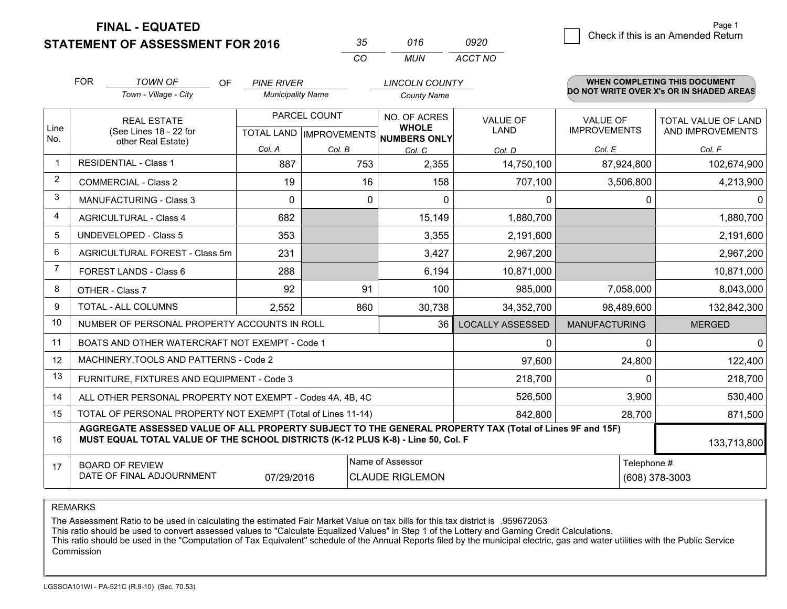**STATEMENT OF ASSESSMENT FOR 2016** 

| マヘ       | 016   | 0920    |
|----------|-------|---------|
| $\cdots$ | MI IN | ACCT NO |

|                | <b>FOR</b>                                                                                                                                                                                   | <b>TOWN OF</b><br><b>OF</b>                                  | <b>PINE RIVER</b>        |                                           | <b>LINCOLN COUNTY</b>                               |                         |                                        | <b>WHEN COMPLETING THIS DOCUMENT</b>     |
|----------------|----------------------------------------------------------------------------------------------------------------------------------------------------------------------------------------------|--------------------------------------------------------------|--------------------------|-------------------------------------------|-----------------------------------------------------|-------------------------|----------------------------------------|------------------------------------------|
|                |                                                                                                                                                                                              | Town - Village - City                                        | <b>Municipality Name</b> |                                           | <b>County Name</b>                                  |                         |                                        | DO NOT WRITE OVER X's OR IN SHADED AREAS |
| Line<br>No.    |                                                                                                                                                                                              | <b>REAL ESTATE</b><br>(See Lines 18 - 22 for                 |                          | PARCEL COUNT<br>TOTAL LAND   IMPROVEMENTS | NO. OF ACRES<br><b>WHOLE</b><br><b>NUMBERS ONLY</b> | VALUE OF<br><b>LAND</b> | <b>VALUE OF</b><br><b>IMPROVEMENTS</b> | TOTAL VALUE OF LAND<br>AND IMPROVEMENTS  |
|                |                                                                                                                                                                                              | other Real Estate)                                           | Col. A                   | Col. B                                    | Col. C                                              | Col. D                  | Col. E                                 | Col. F                                   |
|                |                                                                                                                                                                                              | <b>RESIDENTIAL - Class 1</b>                                 | 887                      | 753                                       | 2,355                                               | 14,750,100              | 87,924,800                             | 102,674,900                              |
| $\overline{2}$ |                                                                                                                                                                                              | <b>COMMERCIAL - Class 2</b>                                  | 19                       | 16                                        | 158                                                 | 707,100                 | 3,506,800                              | 4,213,900                                |
| 3              |                                                                                                                                                                                              | <b>MANUFACTURING - Class 3</b>                               | $\Omega$                 | 0                                         | $\Omega$                                            | 0                       | $\Omega$                               | 0                                        |
| 4              |                                                                                                                                                                                              | <b>AGRICULTURAL - Class 4</b>                                | 682                      |                                           | 15,149                                              | 1,880,700               |                                        | 1,880,700                                |
| 5              |                                                                                                                                                                                              | UNDEVELOPED - Class 5                                        | 353                      |                                           | 3,355                                               | 2,191,600               |                                        | 2,191,600                                |
| 6              |                                                                                                                                                                                              | AGRICULTURAL FOREST - Class 5m                               | 231                      |                                           | 3,427                                               | 2,967,200               |                                        | 2,967,200                                |
|                |                                                                                                                                                                                              | FOREST LANDS - Class 6                                       | 288                      |                                           | 6,194                                               | 10,871,000              |                                        | 10,871,000                               |
| 8              |                                                                                                                                                                                              | OTHER - Class 7                                              | 92                       | 91                                        | 100                                                 | 985,000                 | 7,058,000                              | 8,043,000                                |
| 9              |                                                                                                                                                                                              | TOTAL - ALL COLUMNS                                          | 2,552                    | 860                                       | 30,738                                              | 34,352,700              | 98,489,600                             | 132,842,300                              |
| 10             |                                                                                                                                                                                              | NUMBER OF PERSONAL PROPERTY ACCOUNTS IN ROLL                 |                          |                                           | 36                                                  | <b>LOCALLY ASSESSED</b> | <b>MANUFACTURING</b>                   | <b>MERGED</b>                            |
| 11             |                                                                                                                                                                                              | BOATS AND OTHER WATERCRAFT NOT EXEMPT - Code 1               |                          |                                           |                                                     | 0                       | $\Omega$                               | $\Omega$                                 |
| 12             |                                                                                                                                                                                              | MACHINERY, TOOLS AND PATTERNS - Code 2                       |                          |                                           |                                                     | 97,600                  | 24,800                                 | 122,400                                  |
| 13             |                                                                                                                                                                                              | FURNITURE, FIXTURES AND EQUIPMENT - Code 3                   |                          |                                           |                                                     | 218,700                 | $\Omega$                               | 218,700                                  |
| 14             |                                                                                                                                                                                              | ALL OTHER PERSONAL PROPERTY NOT EXEMPT - Codes 4A, 4B, 4C    |                          |                                           | 526,500                                             | 3,900                   | 530,400                                |                                          |
| 15             |                                                                                                                                                                                              | TOTAL OF PERSONAL PROPERTY NOT EXEMPT (Total of Lines 11-14) |                          |                                           | 842,800                                             | 28,700                  | 871,500                                |                                          |
| 16             | AGGREGATE ASSESSED VALUE OF ALL PROPERTY SUBJECT TO THE GENERAL PROPERTY TAX (Total of Lines 9F and 15F)<br>MUST EQUAL TOTAL VALUE OF THE SCHOOL DISTRICTS (K-12 PLUS K-8) - Line 50, Col. F |                                                              |                          |                                           |                                                     |                         |                                        | 133,713,800                              |
| 17             | Name of Assessor<br><b>BOARD OF REVIEW</b><br>DATE OF FINAL ADJOURNMENT<br>07/29/2016<br><b>CLAUDE RIGLEMON</b>                                                                              |                                                              |                          |                                           |                                                     |                         |                                        | Telephone #<br>(608) 378-3003            |

REMARKS

The Assessment Ratio to be used in calculating the estimated Fair Market Value on tax bills for this tax district is .959672053<br>This ratio should be used to convert assessed values to "Calculate Equalized Values" in Step 1 Commission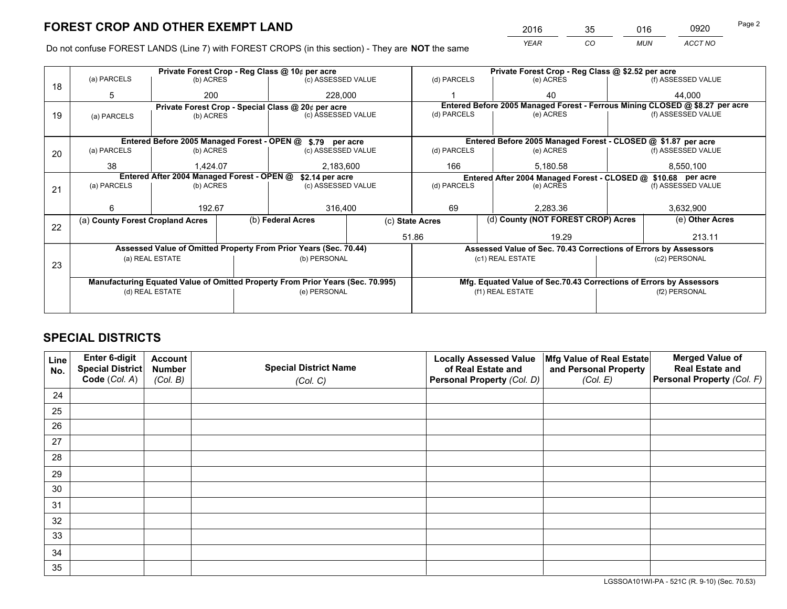*YEAR CO MUN ACCT NO* <sup>2016</sup> <sup>35</sup> <sup>016</sup> <sup>0920</sup>

Do not confuse FOREST LANDS (Line 7) with FOREST CROPS (in this section) - They are **NOT** the same

|    | Private Forest Crop - Reg Class @ 10¢ per acre                                 |                                             |  |                                                                  |  | Private Forest Crop - Reg Class @ \$2.52 per acre                  |                                                                              |               |                    |  |
|----|--------------------------------------------------------------------------------|---------------------------------------------|--|------------------------------------------------------------------|--|--------------------------------------------------------------------|------------------------------------------------------------------------------|---------------|--------------------|--|
| 18 | (a) PARCELS                                                                    | (b) ACRES                                   |  | (c) ASSESSED VALUE                                               |  | (d) PARCELS                                                        | (e) ACRES                                                                    |               | (f) ASSESSED VALUE |  |
|    | 5                                                                              | 200                                         |  | 228,000                                                          |  |                                                                    | 40                                                                           |               | 44,000             |  |
|    |                                                                                |                                             |  | Private Forest Crop - Special Class @ 20¢ per acre               |  |                                                                    | Entered Before 2005 Managed Forest - Ferrous Mining CLOSED @ \$8.27 per acre |               |                    |  |
| 19 | (a) PARCELS                                                                    | (b) ACRES                                   |  | (c) ASSESSED VALUE                                               |  | (d) PARCELS                                                        | (e) ACRES                                                                    |               | (f) ASSESSED VALUE |  |
|    |                                                                                |                                             |  |                                                                  |  |                                                                    |                                                                              |               |                    |  |
|    |                                                                                | Entered Before 2005 Managed Forest - OPEN @ |  | \$.79 per acre                                                   |  |                                                                    | Entered Before 2005 Managed Forest - CLOSED @ \$1.87 per acre                |               |                    |  |
| 20 | (a) PARCELS                                                                    | (b) ACRES                                   |  | (c) ASSESSED VALUE                                               |  | (d) PARCELS                                                        | (e) ACRES                                                                    |               | (f) ASSESSED VALUE |  |
|    | 38                                                                             | 1.424.07                                    |  | 2,183,600                                                        |  | 166                                                                | 5,180.58                                                                     |               | 8,550,100          |  |
|    | Entered After 2004 Managed Forest - OPEN @<br>\$2.14 per acre                  |                                             |  |                                                                  |  | Entered After 2004 Managed Forest - CLOSED @ \$10.68 per acre      |                                                                              |               |                    |  |
| 21 | (a) PARCELS                                                                    | (b) ACRES                                   |  | (c) ASSESSED VALUE                                               |  | (d) PARCELS<br>(e) ACRES                                           |                                                                              |               | (f) ASSESSED VALUE |  |
|    |                                                                                |                                             |  |                                                                  |  |                                                                    |                                                                              |               |                    |  |
|    | 6                                                                              | 192.67                                      |  | 316,400                                                          |  | 69<br>2,283.36                                                     |                                                                              | 3,632,900     |                    |  |
| 22 | (a) County Forest Cropland Acres                                               |                                             |  | (b) Federal Acres                                                |  | (c) State Acres                                                    | (d) County (NOT FOREST CROP) Acres                                           |               | (e) Other Acres    |  |
|    |                                                                                |                                             |  |                                                                  |  | 51.86                                                              | 19.29                                                                        | 213.11        |                    |  |
|    |                                                                                |                                             |  | Assessed Value of Omitted Property From Prior Years (Sec. 70.44) |  | Assessed Value of Sec. 70.43 Corrections of Errors by Assessors    |                                                                              |               |                    |  |
|    |                                                                                | (a) REAL ESTATE                             |  | (b) PERSONAL                                                     |  | (c1) REAL ESTATE                                                   |                                                                              |               | (c2) PERSONAL      |  |
| 23 |                                                                                |                                             |  |                                                                  |  |                                                                    |                                                                              |               |                    |  |
|    | Manufacturing Equated Value of Omitted Property From Prior Years (Sec. 70.995) |                                             |  |                                                                  |  | Mfg. Equated Value of Sec.70.43 Corrections of Errors by Assessors |                                                                              |               |                    |  |
|    | (d) REAL ESTATE                                                                |                                             |  | (e) PERSONAL                                                     |  |                                                                    | (f1) REAL ESTATE                                                             | (f2) PERSONAL |                    |  |
|    |                                                                                |                                             |  |                                                                  |  |                                                                    |                                                                              |               |                    |  |

## **SPECIAL DISTRICTS**

| Line<br>No. | Enter 6-digit<br>Special District | <b>Account</b><br><b>Number</b> | <b>Special District Name</b> | <b>Locally Assessed Value</b><br>of Real Estate and | Mfg Value of Real Estate<br>and Personal Property | <b>Merged Value of</b><br><b>Real Estate and</b> |
|-------------|-----------------------------------|---------------------------------|------------------------------|-----------------------------------------------------|---------------------------------------------------|--------------------------------------------------|
|             | Code (Col. A)                     | (Col. B)                        | (Col. C)                     | Personal Property (Col. D)                          | (Col. E)                                          | Personal Property (Col. F)                       |
| 24          |                                   |                                 |                              |                                                     |                                                   |                                                  |
| 25          |                                   |                                 |                              |                                                     |                                                   |                                                  |
| 26          |                                   |                                 |                              |                                                     |                                                   |                                                  |
| 27          |                                   |                                 |                              |                                                     |                                                   |                                                  |
| 28          |                                   |                                 |                              |                                                     |                                                   |                                                  |
| 29          |                                   |                                 |                              |                                                     |                                                   |                                                  |
| 30          |                                   |                                 |                              |                                                     |                                                   |                                                  |
| 31          |                                   |                                 |                              |                                                     |                                                   |                                                  |
| 32          |                                   |                                 |                              |                                                     |                                                   |                                                  |
| 33          |                                   |                                 |                              |                                                     |                                                   |                                                  |
| 34          |                                   |                                 |                              |                                                     |                                                   |                                                  |
| 35          |                                   |                                 |                              |                                                     |                                                   |                                                  |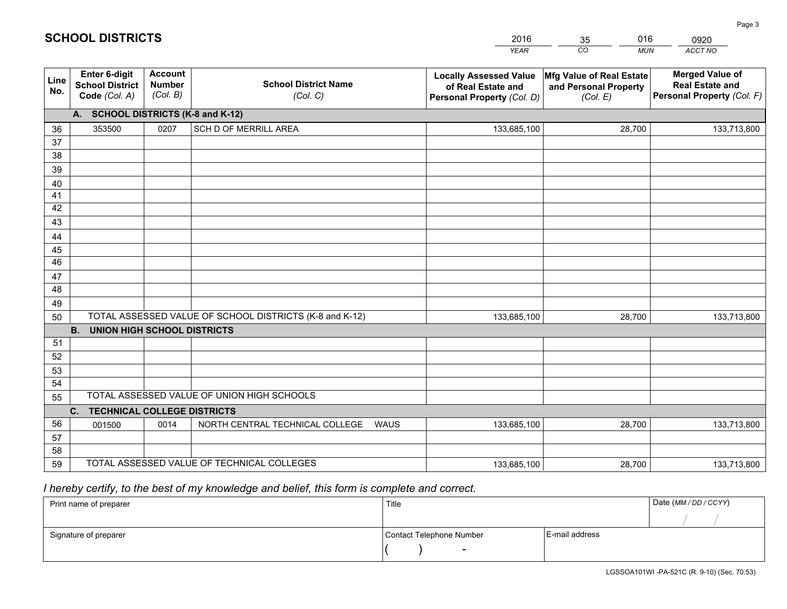|             |                                                                 |                                             |                                                         | <b>YEAR</b>                                                                       | CO<br><b>MUN</b>                                              | ACCT NO                                                                        |
|-------------|-----------------------------------------------------------------|---------------------------------------------|---------------------------------------------------------|-----------------------------------------------------------------------------------|---------------------------------------------------------------|--------------------------------------------------------------------------------|
| Line<br>No. | <b>Enter 6-digit</b><br><b>School District</b><br>Code (Col. A) | <b>Account</b><br><b>Number</b><br>(Col. B) | <b>School District Name</b><br>(Col. C)                 | <b>Locally Assessed Value</b><br>of Real Estate and<br>Personal Property (Col. D) | Mfg Value of Real Estate<br>and Personal Property<br>(Col. E) | <b>Merged Value of</b><br><b>Real Estate and</b><br>Personal Property (Col. F) |
|             | A. SCHOOL DISTRICTS (K-8 and K-12)                              |                                             |                                                         |                                                                                   |                                                               |                                                                                |
| 36          | 353500                                                          | 0207                                        | SCH D OF MERRILL AREA                                   | 133,685,100                                                                       | 28,700                                                        | 133,713,800                                                                    |
| 37          |                                                                 |                                             |                                                         |                                                                                   |                                                               |                                                                                |
| 38          |                                                                 |                                             |                                                         |                                                                                   |                                                               |                                                                                |
| 39          |                                                                 |                                             |                                                         |                                                                                   |                                                               |                                                                                |
| 40          |                                                                 |                                             |                                                         |                                                                                   |                                                               |                                                                                |
| 41          |                                                                 |                                             |                                                         |                                                                                   |                                                               |                                                                                |
| 42          |                                                                 |                                             |                                                         |                                                                                   |                                                               |                                                                                |
| 43          |                                                                 |                                             |                                                         |                                                                                   |                                                               |                                                                                |
| 44          |                                                                 |                                             |                                                         |                                                                                   |                                                               |                                                                                |
| 45<br>46    |                                                                 |                                             |                                                         |                                                                                   |                                                               |                                                                                |
| 47          |                                                                 |                                             |                                                         |                                                                                   |                                                               |                                                                                |
| 48          |                                                                 |                                             |                                                         |                                                                                   |                                                               |                                                                                |
| 49          |                                                                 |                                             |                                                         |                                                                                   |                                                               |                                                                                |
| 50          |                                                                 |                                             | TOTAL ASSESSED VALUE OF SCHOOL DISTRICTS (K-8 and K-12) | 133,685,100                                                                       | 28,700                                                        | 133,713,800                                                                    |
|             | <b>B.</b><br><b>UNION HIGH SCHOOL DISTRICTS</b>                 |                                             |                                                         |                                                                                   |                                                               |                                                                                |
| 51          |                                                                 |                                             |                                                         |                                                                                   |                                                               |                                                                                |
| 52          |                                                                 |                                             |                                                         |                                                                                   |                                                               |                                                                                |
| 53          |                                                                 |                                             |                                                         |                                                                                   |                                                               |                                                                                |
| 54          |                                                                 |                                             |                                                         |                                                                                   |                                                               |                                                                                |
| 55          |                                                                 |                                             | TOTAL ASSESSED VALUE OF UNION HIGH SCHOOLS              |                                                                                   |                                                               |                                                                                |
|             | C.<br><b>TECHNICAL COLLEGE DISTRICTS</b>                        |                                             |                                                         |                                                                                   |                                                               |                                                                                |
| 56          | 001500                                                          | 0014                                        | NORTH CENTRAL TECHNICAL COLLEGE<br><b>WAUS</b>          | 133,685,100                                                                       | 28,700                                                        | 133,713,800                                                                    |
| 57          |                                                                 |                                             |                                                         |                                                                                   |                                                               |                                                                                |
| 58          |                                                                 |                                             |                                                         |                                                                                   |                                                               |                                                                                |
| 59          |                                                                 |                                             | TOTAL ASSESSED VALUE OF TECHNICAL COLLEGES              | 133,685,100                                                                       | 28,700                                                        | 133,713,800                                                                    |

35

016

## *I hereby certify, to the best of my knowledge and belief, this form is complete and correct.*

**SCHOOL DISTRICTS**

| Print name of preparer | Title                    |                | Date (MM / DD / CCYY) |
|------------------------|--------------------------|----------------|-----------------------|
|                        |                          |                |                       |
| Signature of preparer  | Contact Telephone Number | E-mail address |                       |
|                        | $\overline{\phantom{0}}$ |                |                       |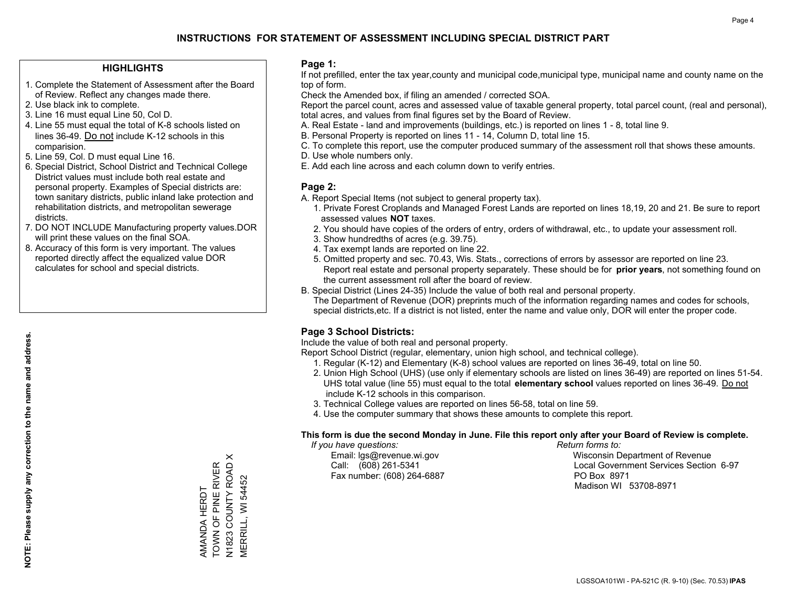#### **HIGHLIGHTS**

- 1. Complete the Statement of Assessment after the Board of Review. Reflect any changes made there.
- 2. Use black ink to complete.
- 3. Line 16 must equal Line 50, Col D.
- 4. Line 55 must equal the total of K-8 schools listed on lines 36-49. Do not include K-12 schools in this comparision.
- 5. Line 59, Col. D must equal Line 16.
- 6. Special District, School District and Technical College District values must include both real estate and personal property. Examples of Special districts are: town sanitary districts, public inland lake protection and rehabilitation districts, and metropolitan sewerage districts.
- 7. DO NOT INCLUDE Manufacturing property values.DOR will print these values on the final SOA.
- 8. Accuracy of this form is very important. The values reported directly affect the equalized value DOR calculates for school and special districts.

#### **Page 1:**

 If not prefilled, enter the tax year,county and municipal code,municipal type, municipal name and county name on the top of form.

Check the Amended box, if filing an amended / corrected SOA.

 Report the parcel count, acres and assessed value of taxable general property, total parcel count, (real and personal), total acres, and values from final figures set by the Board of Review.

- A. Real Estate land and improvements (buildings, etc.) is reported on lines 1 8, total line 9.
- B. Personal Property is reported on lines 11 14, Column D, total line 15.
- C. To complete this report, use the computer produced summary of the assessment roll that shows these amounts.
- D. Use whole numbers only.
- E. Add each line across and each column down to verify entries.

### **Page 2:**

- A. Report Special Items (not subject to general property tax).
- 1. Private Forest Croplands and Managed Forest Lands are reported on lines 18,19, 20 and 21. Be sure to report assessed values **NOT** taxes.
- 2. You should have copies of the orders of entry, orders of withdrawal, etc., to update your assessment roll.
	- 3. Show hundredths of acres (e.g. 39.75).
- 4. Tax exempt lands are reported on line 22.
- 5. Omitted property and sec. 70.43, Wis. Stats., corrections of errors by assessor are reported on line 23. Report real estate and personal property separately. These should be for **prior years**, not something found on the current assessment roll after the board of review.
- B. Special District (Lines 24-35) Include the value of both real and personal property.

 The Department of Revenue (DOR) preprints much of the information regarding names and codes for schools, special districts,etc. If a district is not listed, enter the name and value only, DOR will enter the proper code.

### **Page 3 School Districts:**

Include the value of both real and personal property.

Report School District (regular, elementary, union high school, and technical college).

- 1. Regular (K-12) and Elementary (K-8) school values are reported on lines 36-49, total on line 50.
- 2. Union High School (UHS) (use only if elementary schools are listed on lines 36-49) are reported on lines 51-54. UHS total value (line 55) must equal to the total **elementary school** values reported on lines 36-49. Do notinclude K-12 schools in this comparison.
- 3. Technical College values are reported on lines 56-58, total on line 59.
- 4. Use the computer summary that shows these amounts to complete this report.

#### **This form is due the second Monday in June. File this report only after your Board of Review is complete.**

 *If you have questions: Return forms to:*

Fax number: (608) 264-6887 PO Box 8971

 Email: lgs@revenue.wi.gov Wisconsin Department of Revenue Call: (608) 261-5341 Local Government Services Section 6-97Madison WI 53708-8971

AMANDA HERDT TOWN OF PINE RIVER N1823 COUNTY ROAD X MERRILL, WI 54452

AMANDA HERDT

 $\times$ 

TOWN OF PINE RIVER<br>N1823 COUNTY ROAD X<br>MERRILL, WI 54452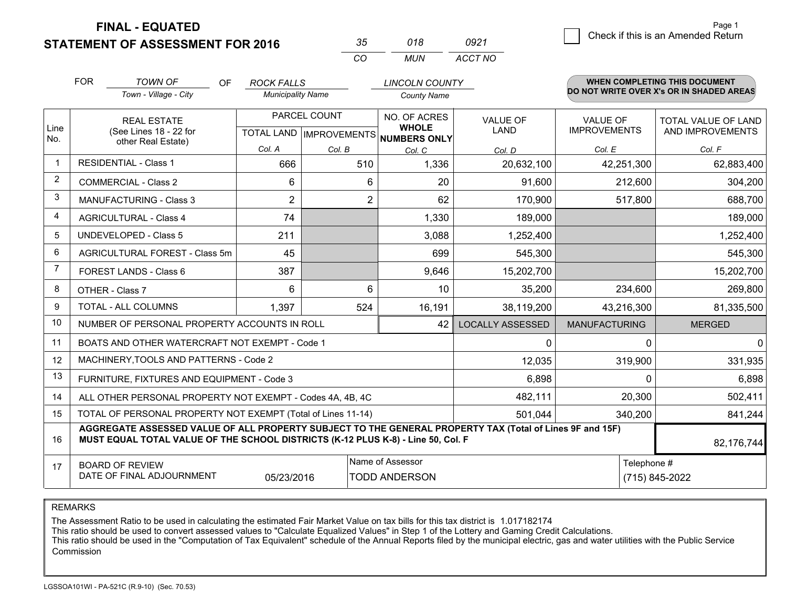**STATEMENT OF ASSESSMENT FOR 2016** 

| $\sim$   | 018 | 0921    |
|----------|-----|---------|
| $\cdots$ | MUN | ACCT NO |

|                | <b>FOR</b>                                                                                                                                                                                                 | <b>TOWN OF</b><br><b>OF</b><br>Town - Village - City         | <b>ROCK FALLS</b><br><b>Municipality Name</b> |                | <b>LINCOLN COUNTY</b><br><b>County Name</b>         |                         |                                        | <b>WHEN COMPLETING THIS DOCUMENT</b><br>DO NOT WRITE OVER X's OR IN SHADED AREAS |
|----------------|------------------------------------------------------------------------------------------------------------------------------------------------------------------------------------------------------------|--------------------------------------------------------------|-----------------------------------------------|----------------|-----------------------------------------------------|-------------------------|----------------------------------------|----------------------------------------------------------------------------------|
| Line<br>No.    | <b>REAL ESTATE</b><br>(See Lines 18 - 22 for                                                                                                                                                               |                                                              | PARCEL COUNT<br>TOTAL LAND   IMPROVEMENTS     |                | NO. OF ACRES<br><b>WHOLE</b><br><b>NUMBERS ONLY</b> | <b>VALUE OF</b><br>LAND | <b>VALUE OF</b><br><b>IMPROVEMENTS</b> | TOTAL VALUE OF LAND<br>AND IMPROVEMENTS                                          |
|                |                                                                                                                                                                                                            | other Real Estate)                                           | Col. A                                        | Col. B         | Col. C                                              | Col. D                  | Col. E                                 | Col. F                                                                           |
| -1             | <b>RESIDENTIAL - Class 1</b>                                                                                                                                                                               |                                                              | 666                                           | 510            | 1,336                                               | 20,632,100              | 42,251,300                             | 62,883,400                                                                       |
| 2              |                                                                                                                                                                                                            | <b>COMMERCIAL - Class 2</b>                                  | 6                                             | 6              | 20                                                  | 91,600                  | 212,600                                | 304,200                                                                          |
| 3              |                                                                                                                                                                                                            | <b>MANUFACTURING - Class 3</b>                               | $\overline{2}$                                | $\overline{2}$ | 62                                                  | 170,900                 | 517,800                                | 688,700                                                                          |
| 4              |                                                                                                                                                                                                            | <b>AGRICULTURAL - Class 4</b>                                | 74                                            |                | 1,330                                               | 189,000                 |                                        | 189,000                                                                          |
| 5              |                                                                                                                                                                                                            | <b>UNDEVELOPED - Class 5</b>                                 | 211                                           |                | 3,088                                               | 1,252,400               |                                        | 1,252,400                                                                        |
| 6              |                                                                                                                                                                                                            | AGRICULTURAL FOREST - Class 5m                               | 45                                            |                | 699                                                 | 545,300                 |                                        | 545,300                                                                          |
| $\overline{7}$ | FOREST LANDS - Class 6<br>OTHER - Class 7                                                                                                                                                                  |                                                              | 387                                           |                | 9,646                                               | 15,202,700              |                                        | 15,202,700                                                                       |
| 8              |                                                                                                                                                                                                            |                                                              | 6                                             | 6              | 10                                                  | 35,200                  | 234,600                                | 269,800                                                                          |
| 9              | TOTAL - ALL COLUMNS                                                                                                                                                                                        |                                                              | 1,397                                         | 524            | 16,191                                              | 38,119,200              | 43,216,300                             | 81,335,500                                                                       |
| 10             |                                                                                                                                                                                                            | NUMBER OF PERSONAL PROPERTY ACCOUNTS IN ROLL                 |                                               |                | 42                                                  | <b>LOCALLY ASSESSED</b> | <b>MANUFACTURING</b>                   | <b>MERGED</b>                                                                    |
| 11             |                                                                                                                                                                                                            | BOATS AND OTHER WATERCRAFT NOT EXEMPT - Code 1               |                                               |                |                                                     | 0                       | $\Omega$                               | $\overline{0}$                                                                   |
| 12             |                                                                                                                                                                                                            | MACHINERY, TOOLS AND PATTERNS - Code 2                       |                                               |                |                                                     | 12,035                  | 319,900                                | 331,935                                                                          |
| 13             |                                                                                                                                                                                                            | FURNITURE, FIXTURES AND EQUIPMENT - Code 3                   |                                               |                |                                                     | 6,898                   | $\Omega$                               | 6,898                                                                            |
| 14             |                                                                                                                                                                                                            | ALL OTHER PERSONAL PROPERTY NOT EXEMPT - Codes 4A, 4B, 4C    |                                               |                | 482,111                                             | 20,300                  | 502,411                                |                                                                                  |
| 15             |                                                                                                                                                                                                            | TOTAL OF PERSONAL PROPERTY NOT EXEMPT (Total of Lines 11-14) |                                               |                | 501,044                                             | 340,200                 | 841,244                                |                                                                                  |
| 16             | AGGREGATE ASSESSED VALUE OF ALL PROPERTY SUBJECT TO THE GENERAL PROPERTY TAX (Total of Lines 9F and 15F)<br>MUST EQUAL TOTAL VALUE OF THE SCHOOL DISTRICTS (K-12 PLUS K-8) - Line 50, Col. F<br>82,176,744 |                                                              |                                               |                |                                                     |                         |                                        |                                                                                  |
| 17             | Name of Assessor<br><b>BOARD OF REVIEW</b><br>DATE OF FINAL ADJOURNMENT<br><b>TODD ANDERSON</b><br>05/23/2016                                                                                              |                                                              |                                               |                |                                                     |                         | Telephone #                            | (715) 845-2022                                                                   |

REMARKS

The Assessment Ratio to be used in calculating the estimated Fair Market Value on tax bills for this tax district is 1.017182174

This ratio should be used to convert assessed values to "Calculate Equalized Values" in Step 1 of the Lottery and Gaming Credit Calculations.<br>This ratio should be used in the "Computation of Tax Equivalent" schedule of the Commission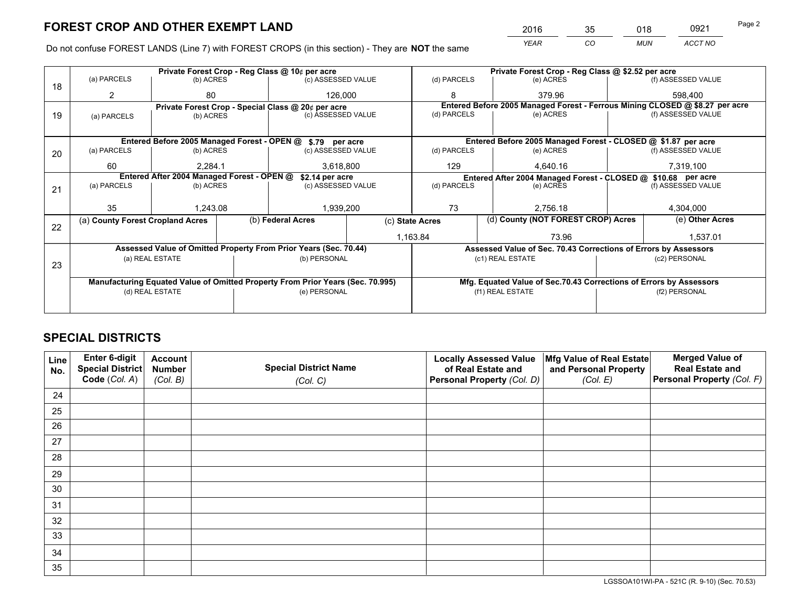*YEAR CO MUN ACCT NO* <sup>2016</sup> <sup>35</sup> <sup>018</sup> <sup>0921</sup> Page 2

Do not confuse FOREST LANDS (Line 7) with FOREST CROPS (in this section) - They are **NOT** the same

|    | Private Forest Crop - Reg Class @ 10¢ per acre                                 |                                                                                       |                   |                    |                                                       |                                                                              | Private Forest Crop - Reg Class @ \$2.52 per acre |           |                 |                                                               |  |
|----|--------------------------------------------------------------------------------|---------------------------------------------------------------------------------------|-------------------|--------------------|-------------------------------------------------------|------------------------------------------------------------------------------|---------------------------------------------------|-----------|-----------------|---------------------------------------------------------------|--|
| 18 | (a) PARCELS                                                                    | (b) ACRES                                                                             |                   | (c) ASSESSED VALUE |                                                       | (d) PARCELS                                                                  |                                                   | (e) ACRES |                 | (f) ASSESSED VALUE                                            |  |
|    |                                                                                | 80                                                                                    |                   | 126,000            |                                                       |                                                                              |                                                   | 379.96    |                 | 598.400                                                       |  |
|    |                                                                                | Private Forest Crop - Special Class @ 20¢ per acre<br>(c) ASSESSED VALUE<br>(b) ACRES |                   |                    |                                                       | Entered Before 2005 Managed Forest - Ferrous Mining CLOSED @ \$8.27 per acre |                                                   |           |                 |                                                               |  |
| 19 | (a) PARCELS                                                                    |                                                                                       |                   |                    | (d) PARCELS                                           |                                                                              |                                                   | (e) ACRES |                 | (f) ASSESSED VALUE                                            |  |
|    |                                                                                |                                                                                       |                   |                    |                                                       |                                                                              |                                                   |           |                 |                                                               |  |
|    |                                                                                | Entered Before 2005 Managed Forest - OPEN @                                           |                   | \$.79 per acre     |                                                       |                                                                              |                                                   |           |                 | Entered Before 2005 Managed Forest - CLOSED @ \$1.87 per acre |  |
| 20 | (a) PARCELS<br>(b) ACRES                                                       |                                                                                       |                   | (c) ASSESSED VALUE |                                                       | (d) PARCELS                                                                  |                                                   | (e) ACRES |                 | (f) ASSESSED VALUE                                            |  |
|    | 60                                                                             | 2,284.1                                                                               |                   | 3,618,800          |                                                       | 129                                                                          |                                                   | 4,640.16  |                 | 7,319,100                                                     |  |
|    | Entered After 2004 Managed Forest - OPEN @<br>\$2.14 per acre                  |                                                                                       |                   |                    |                                                       | Entered After 2004 Managed Forest - CLOSED @ \$10.68 per acre                |                                                   |           |                 |                                                               |  |
| 21 | (a) PARCELS                                                                    | (b) ACRES                                                                             |                   | (c) ASSESSED VALUE | (d) PARCELS                                           |                                                                              |                                                   | (e) ACRES |                 | (f) ASSESSED VALUE                                            |  |
|    |                                                                                |                                                                                       |                   |                    |                                                       |                                                                              |                                                   |           |                 |                                                               |  |
|    | 35                                                                             | 1,243.08                                                                              |                   | 1,939,200          |                                                       | 73                                                                           |                                                   | 2,756.18  |                 | 4,304,000                                                     |  |
| 22 | (a) County Forest Cropland Acres                                               |                                                                                       | (b) Federal Acres |                    | (d) County (NOT FOREST CROP) Acres<br>(c) State Acres |                                                                              |                                                   |           | (e) Other Acres |                                                               |  |
|    |                                                                                |                                                                                       |                   |                    | 1,163.84<br>73.96                                     |                                                                              |                                                   | 1,537.01  |                 |                                                               |  |
|    | Assessed Value of Omitted Property From Prior Years (Sec. 70.44)               | Assessed Value of Sec. 70.43 Corrections of Errors by Assessors                       |                   |                    |                                                       |                                                                              |                                                   |           |                 |                                                               |  |
|    | (a) REAL ESTATE                                                                |                                                                                       |                   | (b) PERSONAL       |                                                       | (c1) REAL ESTATE                                                             |                                                   |           | (c2) PERSONAL   |                                                               |  |
| 23 |                                                                                |                                                                                       |                   |                    |                                                       |                                                                              |                                                   |           |                 |                                                               |  |
|    | Manufacturing Equated Value of Omitted Property From Prior Years (Sec. 70.995) |                                                                                       |                   |                    |                                                       | Mfg. Equated Value of Sec.70.43 Corrections of Errors by Assessors           |                                                   |           |                 |                                                               |  |
|    | (d) REAL ESTATE                                                                |                                                                                       |                   | (e) PERSONAL       |                                                       | (f1) REAL ESTATE                                                             |                                                   |           | (f2) PERSONAL   |                                                               |  |
|    |                                                                                |                                                                                       |                   |                    |                                                       |                                                                              |                                                   |           |                 |                                                               |  |

## **SPECIAL DISTRICTS**

| Line<br>No. | Enter 6-digit<br>Special District | <b>Account</b><br><b>Number</b> | <b>Special District Name</b> | <b>Locally Assessed Value</b><br>of Real Estate and | Mfg Value of Real Estate<br>and Personal Property | <b>Merged Value of</b><br><b>Real Estate and</b> |
|-------------|-----------------------------------|---------------------------------|------------------------------|-----------------------------------------------------|---------------------------------------------------|--------------------------------------------------|
|             | Code (Col. A)                     | (Col. B)                        | (Col. C)                     | Personal Property (Col. D)                          | (Col. E)                                          | Personal Property (Col. F)                       |
| 24          |                                   |                                 |                              |                                                     |                                                   |                                                  |
| 25          |                                   |                                 |                              |                                                     |                                                   |                                                  |
| 26          |                                   |                                 |                              |                                                     |                                                   |                                                  |
| 27          |                                   |                                 |                              |                                                     |                                                   |                                                  |
| 28          |                                   |                                 |                              |                                                     |                                                   |                                                  |
| 29          |                                   |                                 |                              |                                                     |                                                   |                                                  |
| 30          |                                   |                                 |                              |                                                     |                                                   |                                                  |
| 31          |                                   |                                 |                              |                                                     |                                                   |                                                  |
| 32          |                                   |                                 |                              |                                                     |                                                   |                                                  |
| 33          |                                   |                                 |                              |                                                     |                                                   |                                                  |
| 34          |                                   |                                 |                              |                                                     |                                                   |                                                  |
| 35          |                                   |                                 |                              |                                                     |                                                   |                                                  |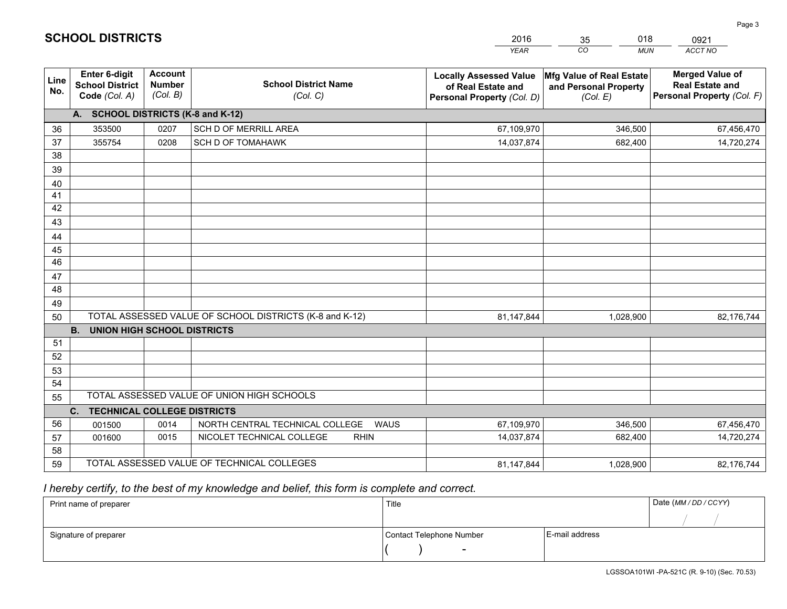|             |                                                                                                        |                                             |                                                | <b>YEAR</b>                                                                       | CO<br><b>MUN</b>                                              | ACCT NO                                                                        |  |  |
|-------------|--------------------------------------------------------------------------------------------------------|---------------------------------------------|------------------------------------------------|-----------------------------------------------------------------------------------|---------------------------------------------------------------|--------------------------------------------------------------------------------|--|--|
| Line<br>No. | Enter 6-digit<br><b>School District</b><br>Code (Col. A)                                               | <b>Account</b><br><b>Number</b><br>(Col. B) | <b>School District Name</b><br>(Col. C)        | <b>Locally Assessed Value</b><br>of Real Estate and<br>Personal Property (Col. D) | Mfg Value of Real Estate<br>and Personal Property<br>(Col. E) | <b>Merged Value of</b><br><b>Real Estate and</b><br>Personal Property (Col. F) |  |  |
|             | A. SCHOOL DISTRICTS (K-8 and K-12)                                                                     |                                             |                                                |                                                                                   |                                                               |                                                                                |  |  |
| 36          | 353500                                                                                                 | 0207                                        | SCH D OF MERRILL AREA                          | 67,109,970                                                                        | 346,500                                                       | 67,456,470                                                                     |  |  |
| 37          | 355754                                                                                                 | 0208                                        | <b>SCH D OF TOMAHAWK</b>                       | 14,037,874                                                                        | 682,400                                                       | 14,720,274                                                                     |  |  |
| 38          |                                                                                                        |                                             |                                                |                                                                                   |                                                               |                                                                                |  |  |
| 39          |                                                                                                        |                                             |                                                |                                                                                   |                                                               |                                                                                |  |  |
| 40          |                                                                                                        |                                             |                                                |                                                                                   |                                                               |                                                                                |  |  |
| 41          |                                                                                                        |                                             |                                                |                                                                                   |                                                               |                                                                                |  |  |
| 42          |                                                                                                        |                                             |                                                |                                                                                   |                                                               |                                                                                |  |  |
| 43          |                                                                                                        |                                             |                                                |                                                                                   |                                                               |                                                                                |  |  |
| 44          |                                                                                                        |                                             |                                                |                                                                                   |                                                               |                                                                                |  |  |
| 45          |                                                                                                        |                                             |                                                |                                                                                   |                                                               |                                                                                |  |  |
| 46          |                                                                                                        |                                             |                                                |                                                                                   |                                                               |                                                                                |  |  |
| 47          |                                                                                                        |                                             |                                                |                                                                                   |                                                               |                                                                                |  |  |
| 48          |                                                                                                        |                                             |                                                |                                                                                   |                                                               |                                                                                |  |  |
| 49          |                                                                                                        |                                             |                                                |                                                                                   |                                                               |                                                                                |  |  |
|             | TOTAL ASSESSED VALUE OF SCHOOL DISTRICTS (K-8 and K-12)<br>50<br>81,147,844<br>1,028,900<br>82,176,744 |                                             |                                                |                                                                                   |                                                               |                                                                                |  |  |
|             | <b>B.</b><br><b>UNION HIGH SCHOOL DISTRICTS</b>                                                        |                                             |                                                |                                                                                   |                                                               |                                                                                |  |  |
| 51          |                                                                                                        |                                             |                                                |                                                                                   |                                                               |                                                                                |  |  |
| 52          |                                                                                                        |                                             |                                                |                                                                                   |                                                               |                                                                                |  |  |
| 53<br>54    |                                                                                                        |                                             |                                                |                                                                                   |                                                               |                                                                                |  |  |
|             |                                                                                                        |                                             | TOTAL ASSESSED VALUE OF UNION HIGH SCHOOLS     |                                                                                   |                                                               |                                                                                |  |  |
|             | 55<br>C.<br><b>TECHNICAL COLLEGE DISTRICTS</b>                                                         |                                             |                                                |                                                                                   |                                                               |                                                                                |  |  |
| 56          |                                                                                                        | 0014                                        | NORTH CENTRAL TECHNICAL COLLEGE<br><b>WAUS</b> | 67,109,970                                                                        | 346,500                                                       | 67,456,470                                                                     |  |  |
| 57          | 001500<br>001600                                                                                       | 0015                                        | NICOLET TECHNICAL COLLEGE<br><b>RHIN</b>       | 14,037,874                                                                        | 682,400                                                       | 14,720,274                                                                     |  |  |
| 58          |                                                                                                        |                                             |                                                |                                                                                   |                                                               |                                                                                |  |  |
| 59          |                                                                                                        |                                             | TOTAL ASSESSED VALUE OF TECHNICAL COLLEGES     | 81,147,844                                                                        | 1,028,900                                                     | 82,176,744                                                                     |  |  |
|             |                                                                                                        |                                             |                                                |                                                                                   |                                                               |                                                                                |  |  |

35

018

 *I hereby certify, to the best of my knowledge and belief, this form is complete and correct.*

**SCHOOL DISTRICTS**

| Print name of preparer | Title                    | Date (MM/DD/CCYY) |  |
|------------------------|--------------------------|-------------------|--|
|                        |                          |                   |  |
| Signature of preparer  | Contact Telephone Number | E-mail address    |  |
|                        | $\overline{\phantom{a}}$ |                   |  |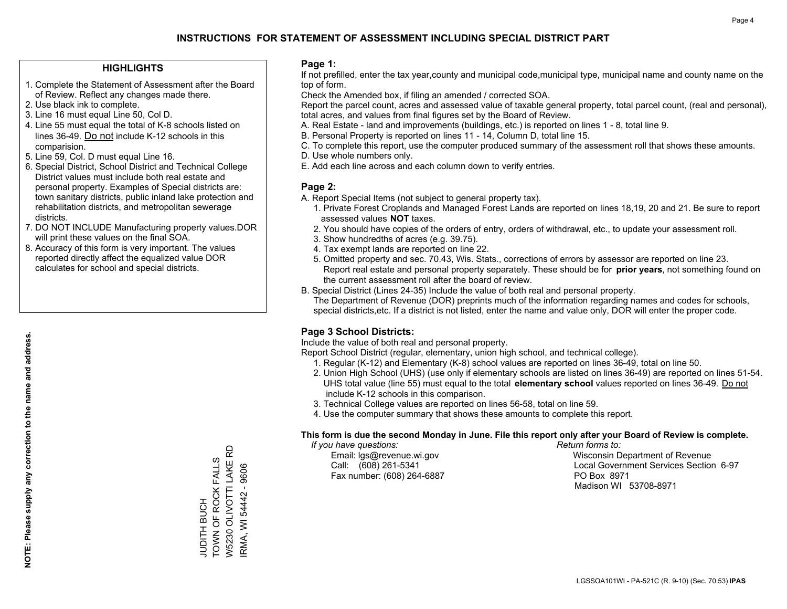#### **HIGHLIGHTS**

- 1. Complete the Statement of Assessment after the Board of Review. Reflect any changes made there.
- 2. Use black ink to complete.
- 3. Line 16 must equal Line 50, Col D.
- 4. Line 55 must equal the total of K-8 schools listed on lines 36-49. Do not include K-12 schools in this comparision.
- 5. Line 59, Col. D must equal Line 16.
- 6. Special District, School District and Technical College District values must include both real estate and personal property. Examples of Special districts are: town sanitary districts, public inland lake protection and rehabilitation districts, and metropolitan sewerage districts.
- 7. DO NOT INCLUDE Manufacturing property values.DOR will print these values on the final SOA.
- 8. Accuracy of this form is very important. The values reported directly affect the equalized value DOR calculates for school and special districts.

#### **Page 1:**

 If not prefilled, enter the tax year,county and municipal code,municipal type, municipal name and county name on the top of form.

Check the Amended box, if filing an amended / corrected SOA.

 Report the parcel count, acres and assessed value of taxable general property, total parcel count, (real and personal), total acres, and values from final figures set by the Board of Review.

- A. Real Estate land and improvements (buildings, etc.) is reported on lines 1 8, total line 9.
- B. Personal Property is reported on lines 11 14, Column D, total line 15.
- C. To complete this report, use the computer produced summary of the assessment roll that shows these amounts.
- D. Use whole numbers only.
- E. Add each line across and each column down to verify entries.

#### **Page 2:**

- A. Report Special Items (not subject to general property tax).
- 1. Private Forest Croplands and Managed Forest Lands are reported on lines 18,19, 20 and 21. Be sure to report assessed values **NOT** taxes.
- 2. You should have copies of the orders of entry, orders of withdrawal, etc., to update your assessment roll.
	- 3. Show hundredths of acres (e.g. 39.75).
- 4. Tax exempt lands are reported on line 22.
- 5. Omitted property and sec. 70.43, Wis. Stats., corrections of errors by assessor are reported on line 23. Report real estate and personal property separately. These should be for **prior years**, not something found on the current assessment roll after the board of review.
- B. Special District (Lines 24-35) Include the value of both real and personal property.
- The Department of Revenue (DOR) preprints much of the information regarding names and codes for schools, special districts,etc. If a district is not listed, enter the name and value only, DOR will enter the proper code.

### **Page 3 School Districts:**

Include the value of both real and personal property.

Report School District (regular, elementary, union high school, and technical college).

- 1. Regular (K-12) and Elementary (K-8) school values are reported on lines 36-49, total on line 50.
- 2. Union High School (UHS) (use only if elementary schools are listed on lines 36-49) are reported on lines 51-54. UHS total value (line 55) must equal to the total **elementary school** values reported on lines 36-49. Do notinclude K-12 schools in this comparison.
- 3. Technical College values are reported on lines 56-58, total on line 59.
- 4. Use the computer summary that shows these amounts to complete this report.

#### **This form is due the second Monday in June. File this report only after your Board of Review is complete.**

 *If you have questions: Return forms to:*

Fax number: (608) 264-6887 PO Box 8971

 Email: lgs@revenue.wi.gov Wisconsin Department of Revenue Call: (608) 261-5341 Local Government Services Section 6-97Madison WI 53708-8971

W5230 OLIVOTTI LAKE RD TOWN OF ROCK FALLS TOWN OF ROCK FALLS W5230 OLIVOTTI LAKE I RMA, WI 54442 - 9606 IRMA, WI 54442 - 9606 **JUDITH BUCH** JUDITH BUCH

윤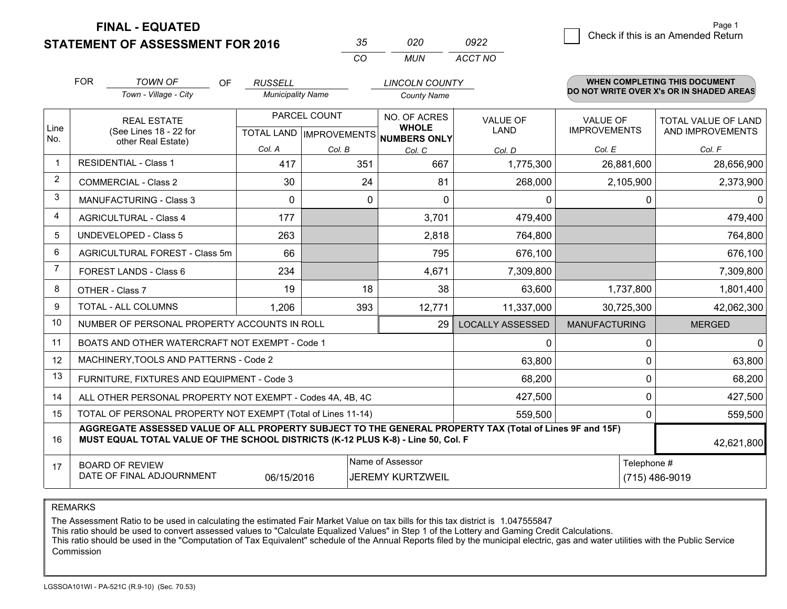**FINAL - EQUATED**

**STATEMENT OF ASSESSMENT FOR 2016** 

| $\sim$   | חלח  | 0922    |
|----------|------|---------|
| $\cdots$ | MUN. | ACCT NO |

|             | <b>FOR</b>                                                                                                                                                                                   | <b>TOWN OF</b><br><b>OF</b><br>Town - Village - City      | <b>RUSSELL</b><br><b>Municipality Name</b> |                                      | <b>LINCOLN COUNTY</b><br><b>County Name</b> |                         |                      | <b>WHEN COMPLETING THIS DOCUMENT</b><br>DO NOT WRITE OVER X's OR IN SHADED AREAS |
|-------------|----------------------------------------------------------------------------------------------------------------------------------------------------------------------------------------------|-----------------------------------------------------------|--------------------------------------------|--------------------------------------|---------------------------------------------|-------------------------|----------------------|----------------------------------------------------------------------------------|
|             |                                                                                                                                                                                              | PARCEL COUNT<br><b>REAL ESTATE</b>                        |                                            |                                      | NO. OF ACRES                                | <b>VALUE OF</b>         | <b>VALUE OF</b>      | <b>TOTAL VALUE OF LAND</b>                                                       |
| Line<br>No. |                                                                                                                                                                                              | (See Lines 18 - 22 for<br>other Real Estate)              |                                            | TOTAL LAND IMPROVEMENTS NUMBERS ONLY | <b>WHOLE</b>                                | LAND                    | <b>IMPROVEMENTS</b>  | AND IMPROVEMENTS                                                                 |
|             |                                                                                                                                                                                              |                                                           | Col. A                                     | Col. B                               | Col. C                                      | Col. D                  | Col. E               | Col. F                                                                           |
| -1          |                                                                                                                                                                                              | <b>RESIDENTIAL - Class 1</b>                              | 417                                        | 351                                  | 667                                         | 1,775,300               | 26,881,600           | 28,656,900                                                                       |
| 2           |                                                                                                                                                                                              | <b>COMMERCIAL - Class 2</b>                               | 30                                         | 24                                   | 81                                          | 268,000                 | 2,105,900            | 2,373,900                                                                        |
| 3           |                                                                                                                                                                                              | <b>MANUFACTURING - Class 3</b>                            | 0                                          | 0                                    | $\Omega$                                    | 0                       | 0                    | 0                                                                                |
| 4           |                                                                                                                                                                                              | <b>AGRICULTURAL - Class 4</b>                             | 177                                        |                                      | 3,701                                       | 479,400                 |                      | 479,400                                                                          |
| 5           | <b>UNDEVELOPED - Class 5</b>                                                                                                                                                                 |                                                           | 263                                        |                                      | 2,818                                       | 764,800                 |                      | 764,800                                                                          |
| 6           | AGRICULTURAL FOREST - Class 5m                                                                                                                                                               |                                                           | 66                                         |                                      | 795                                         | 676,100                 |                      | 676,100                                                                          |
| 7           | FOREST LANDS - Class 6                                                                                                                                                                       |                                                           | 234                                        |                                      | 4,671                                       | 7,309,800               |                      | 7,309,800                                                                        |
| 8           |                                                                                                                                                                                              | OTHER - Class 7                                           | 19                                         | 18                                   | 38                                          | 63,600                  | 1,737,800            | 1,801,400                                                                        |
| 9           |                                                                                                                                                                                              | TOTAL - ALL COLUMNS                                       | 1,206                                      | 393                                  | 12,771                                      | 11,337,000              | 30,725,300           | 42,062,300                                                                       |
| 10          |                                                                                                                                                                                              | NUMBER OF PERSONAL PROPERTY ACCOUNTS IN ROLL              |                                            |                                      | 29                                          | <b>LOCALLY ASSESSED</b> | <b>MANUFACTURING</b> | <b>MERGED</b>                                                                    |
| 11          |                                                                                                                                                                                              | BOATS AND OTHER WATERCRAFT NOT EXEMPT - Code 1            |                                            |                                      |                                             | $\Omega$                | 0                    | 0                                                                                |
| 12          |                                                                                                                                                                                              | MACHINERY, TOOLS AND PATTERNS - Code 2                    |                                            |                                      |                                             | 63,800                  | 0                    | 63,800                                                                           |
| 13          |                                                                                                                                                                                              | FURNITURE, FIXTURES AND EQUIPMENT - Code 3                |                                            |                                      |                                             | 68,200                  | 0                    | 68,200                                                                           |
| 14          |                                                                                                                                                                                              | ALL OTHER PERSONAL PROPERTY NOT EXEMPT - Codes 4A, 4B, 4C |                                            |                                      |                                             | 427,500                 | 0                    | 427,500                                                                          |
| 15          | TOTAL OF PERSONAL PROPERTY NOT EXEMPT (Total of Lines 11-14)<br>559,500                                                                                                                      |                                                           |                                            |                                      |                                             |                         | 0                    | 559,500                                                                          |
| 16          | AGGREGATE ASSESSED VALUE OF ALL PROPERTY SUBJECT TO THE GENERAL PROPERTY TAX (Total of Lines 9F and 15F)<br>MUST EQUAL TOTAL VALUE OF THE SCHOOL DISTRICTS (K-12 PLUS K-8) - Line 50, Col. F |                                                           |                                            |                                      |                                             |                         |                      | 42,621,800                                                                       |
| 17          | Name of Assessor<br>Telephone #<br><b>BOARD OF REVIEW</b><br>DATE OF FINAL ADJOURNMENT<br>06/15/2016<br><b>JEREMY KURTZWEIL</b>                                                              |                                                           |                                            |                                      |                                             | (715) 486-9019          |                      |                                                                                  |

REMARKS

The Assessment Ratio to be used in calculating the estimated Fair Market Value on tax bills for this tax district is 1.047555847

This ratio should be used to convert assessed values to "Calculate Equalized Values" in Step 1 of the Lottery and Gaming Credit Calculations.<br>This ratio should be used in the "Computation of Tax Equivalent" schedule of the Commission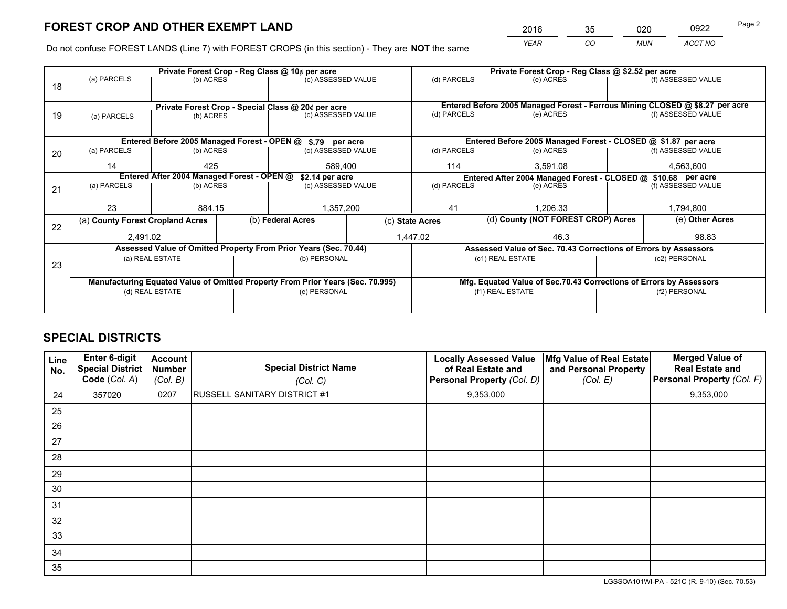*YEAR CO MUN ACCT NO* <sup>2016</sup> <sup>35</sup> <sup>020</sup> <sup>0922</sup> Page 2

Do not confuse FOREST LANDS (Line 7) with FOREST CROPS (in this section) - They are **NOT** the same

|    |                                                                                |                                 |  | Private Forest Crop - Reg Class @ 10¢ per acre                   |                 | Private Forest Crop - Reg Class @ \$2.52 per acre |                                                                              |  |                    |  |
|----|--------------------------------------------------------------------------------|---------------------------------|--|------------------------------------------------------------------|-----------------|---------------------------------------------------|------------------------------------------------------------------------------|--|--------------------|--|
| 18 | (a) PARCELS                                                                    | (b) ACRES                       |  | (c) ASSESSED VALUE                                               |                 | (d) PARCELS                                       | (e) ACRES                                                                    |  | (f) ASSESSED VALUE |  |
|    |                                                                                |                                 |  |                                                                  |                 |                                                   |                                                                              |  |                    |  |
|    |                                                                                |                                 |  | Private Forest Crop - Special Class @ 20¢ per acre               |                 |                                                   | Entered Before 2005 Managed Forest - Ferrous Mining CLOSED @ \$8.27 per acre |  |                    |  |
| 19 | (a) PARCELS                                                                    | (c) ASSESSED VALUE<br>(b) ACRES |  | (d) PARCELS                                                      | (e) ACRES       |                                                   | (f) ASSESSED VALUE                                                           |  |                    |  |
|    |                                                                                |                                 |  |                                                                  |                 |                                                   |                                                                              |  |                    |  |
|    |                                                                                |                                 |  | Entered Before 2005 Managed Forest - OPEN @ \$.79 per acre       |                 |                                                   | Entered Before 2005 Managed Forest - CLOSED @ \$1.87 per acre                |  |                    |  |
| 20 | (a) PARCELS                                                                    | (b) ACRES                       |  | (c) ASSESSED VALUE                                               |                 | (d) PARCELS                                       | (e) ACRES                                                                    |  | (f) ASSESSED VALUE |  |
|    | 14                                                                             | 425                             |  | 589,400                                                          |                 | 114<br>3,591.08                                   |                                                                              |  | 4,563,600          |  |
|    | Entered After 2004 Managed Forest - OPEN @<br>\$2.14 per acre                  |                                 |  |                                                                  |                 |                                                   | Entered After 2004 Managed Forest - CLOSED @ \$10.68 per acre                |  |                    |  |
| 21 | (a) PARCELS                                                                    | (b) ACRES                       |  | (c) ASSESSED VALUE                                               |                 | (d) PARCELS<br>(e) ACRES                          |                                                                              |  | (f) ASSESSED VALUE |  |
|    |                                                                                |                                 |  |                                                                  |                 |                                                   |                                                                              |  |                    |  |
|    | 23                                                                             | 884.15                          |  | 1,357,200                                                        |                 | 41                                                | 1,206.33                                                                     |  | 1,794,800          |  |
| 22 | (a) County Forest Cropland Acres                                               |                                 |  | (b) Federal Acres                                                | (c) State Acres |                                                   | (d) County (NOT FOREST CROP) Acres                                           |  | (e) Other Acres    |  |
|    | 2,491.02                                                                       |                                 |  |                                                                  |                 | 1,447.02<br>46.3                                  |                                                                              |  | 98.83              |  |
|    |                                                                                |                                 |  | Assessed Value of Omitted Property From Prior Years (Sec. 70.44) |                 |                                                   | Assessed Value of Sec. 70.43 Corrections of Errors by Assessors              |  |                    |  |
| 23 |                                                                                | (a) REAL ESTATE                 |  | (b) PERSONAL                                                     |                 |                                                   | (c1) REAL ESTATE                                                             |  | (c2) PERSONAL      |  |
|    |                                                                                |                                 |  |                                                                  |                 |                                                   |                                                                              |  |                    |  |
|    | Manufacturing Equated Value of Omitted Property From Prior Years (Sec. 70.995) |                                 |  |                                                                  |                 |                                                   | Mfg. Equated Value of Sec.70.43 Corrections of Errors by Assessors           |  |                    |  |
|    |                                                                                | (d) REAL ESTATE                 |  | (e) PERSONAL                                                     |                 | (f1) REAL ESTATE                                  |                                                                              |  | (f2) PERSONAL      |  |
|    |                                                                                |                                 |  |                                                                  |                 |                                                   |                                                                              |  |                    |  |

## **SPECIAL DISTRICTS**

| Line<br>No. | Enter 6-digit<br><b>Special District</b><br>Code (Col. A) | <b>Account</b><br><b>Number</b><br>(Col. B) | <b>Special District Name</b><br>(Col. C) | <b>Locally Assessed Value</b><br>of Real Estate and<br>Personal Property (Col. D) | Mfg Value of Real Estate<br>and Personal Property<br>(Col. E) | <b>Merged Value of</b><br><b>Real Estate and</b><br>Personal Property (Col. F) |
|-------------|-----------------------------------------------------------|---------------------------------------------|------------------------------------------|-----------------------------------------------------------------------------------|---------------------------------------------------------------|--------------------------------------------------------------------------------|
| 24          | 357020                                                    | 0207                                        | RUSSELL SANITARY DISTRICT #1             | 9,353,000                                                                         |                                                               | 9,353,000                                                                      |
| 25          |                                                           |                                             |                                          |                                                                                   |                                                               |                                                                                |
| 26          |                                                           |                                             |                                          |                                                                                   |                                                               |                                                                                |
| 27          |                                                           |                                             |                                          |                                                                                   |                                                               |                                                                                |
| 28          |                                                           |                                             |                                          |                                                                                   |                                                               |                                                                                |
| 29          |                                                           |                                             |                                          |                                                                                   |                                                               |                                                                                |
| 30          |                                                           |                                             |                                          |                                                                                   |                                                               |                                                                                |
| 31          |                                                           |                                             |                                          |                                                                                   |                                                               |                                                                                |
| 32          |                                                           |                                             |                                          |                                                                                   |                                                               |                                                                                |
| 33          |                                                           |                                             |                                          |                                                                                   |                                                               |                                                                                |
| 34          |                                                           |                                             |                                          |                                                                                   |                                                               |                                                                                |
| 35          |                                                           |                                             |                                          |                                                                                   |                                                               |                                                                                |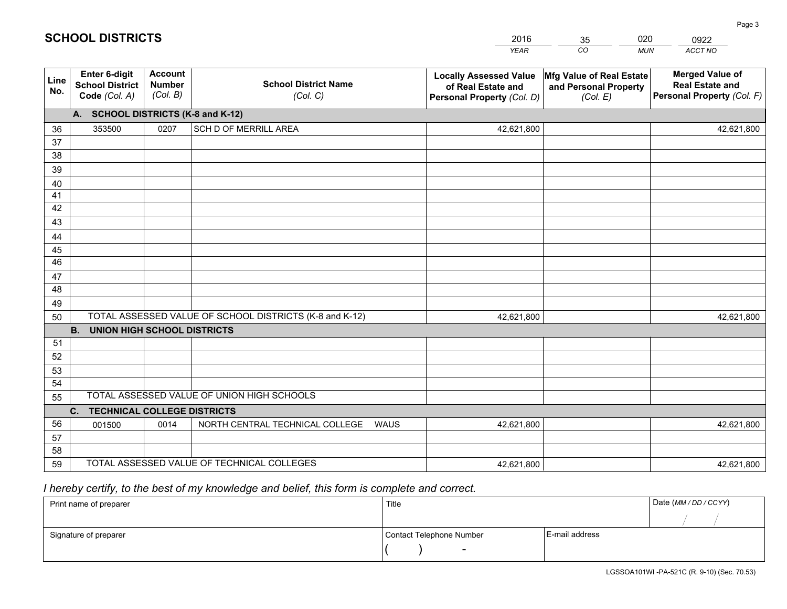|             |                                                                 |                                             |                                                         | <b>YEAR</b>                                                                       | CO<br><b>MUN</b>                                              | ACCT NO                                                                        |
|-------------|-----------------------------------------------------------------|---------------------------------------------|---------------------------------------------------------|-----------------------------------------------------------------------------------|---------------------------------------------------------------|--------------------------------------------------------------------------------|
| Line<br>No. | <b>Enter 6-digit</b><br><b>School District</b><br>Code (Col. A) | <b>Account</b><br><b>Number</b><br>(Col. B) | <b>School District Name</b><br>(Col. C)                 | <b>Locally Assessed Value</b><br>of Real Estate and<br>Personal Property (Col. D) | Mfg Value of Real Estate<br>and Personal Property<br>(Col. E) | <b>Merged Value of</b><br><b>Real Estate and</b><br>Personal Property (Col. F) |
|             | A. SCHOOL DISTRICTS (K-8 and K-12)                              |                                             |                                                         |                                                                                   |                                                               |                                                                                |
| 36          | 353500                                                          | 0207                                        | SCH D OF MERRILL AREA                                   | 42,621,800                                                                        |                                                               | 42,621,800                                                                     |
| 37          |                                                                 |                                             |                                                         |                                                                                   |                                                               |                                                                                |
| 38          |                                                                 |                                             |                                                         |                                                                                   |                                                               |                                                                                |
| 39          |                                                                 |                                             |                                                         |                                                                                   |                                                               |                                                                                |
| 40          |                                                                 |                                             |                                                         |                                                                                   |                                                               |                                                                                |
| 41          |                                                                 |                                             |                                                         |                                                                                   |                                                               |                                                                                |
| 42          |                                                                 |                                             |                                                         |                                                                                   |                                                               |                                                                                |
| 43          |                                                                 |                                             |                                                         |                                                                                   |                                                               |                                                                                |
| 44          |                                                                 |                                             |                                                         |                                                                                   |                                                               |                                                                                |
| 45<br>46    |                                                                 |                                             |                                                         |                                                                                   |                                                               |                                                                                |
|             |                                                                 |                                             |                                                         |                                                                                   |                                                               |                                                                                |
| 47<br>48    |                                                                 |                                             |                                                         |                                                                                   |                                                               |                                                                                |
| 49          |                                                                 |                                             |                                                         |                                                                                   |                                                               |                                                                                |
| 50          |                                                                 |                                             | TOTAL ASSESSED VALUE OF SCHOOL DISTRICTS (K-8 and K-12) | 42,621,800                                                                        |                                                               | 42,621,800                                                                     |
|             | <b>B.</b><br><b>UNION HIGH SCHOOL DISTRICTS</b>                 |                                             |                                                         |                                                                                   |                                                               |                                                                                |
| 51          |                                                                 |                                             |                                                         |                                                                                   |                                                               |                                                                                |
| 52          |                                                                 |                                             |                                                         |                                                                                   |                                                               |                                                                                |
| 53          |                                                                 |                                             |                                                         |                                                                                   |                                                               |                                                                                |
| 54          |                                                                 |                                             |                                                         |                                                                                   |                                                               |                                                                                |
| 55          |                                                                 |                                             | TOTAL ASSESSED VALUE OF UNION HIGH SCHOOLS              |                                                                                   |                                                               |                                                                                |
|             | <b>TECHNICAL COLLEGE DISTRICTS</b><br>C.                        |                                             |                                                         |                                                                                   |                                                               |                                                                                |
| 56          | 001500                                                          | 0014                                        | NORTH CENTRAL TECHNICAL COLLEGE<br><b>WAUS</b>          | 42,621,800                                                                        |                                                               | 42,621,800                                                                     |
| 57          |                                                                 |                                             |                                                         |                                                                                   |                                                               |                                                                                |
| 58          |                                                                 |                                             |                                                         |                                                                                   |                                                               |                                                                                |
| 59          |                                                                 |                                             | TOTAL ASSESSED VALUE OF TECHNICAL COLLEGES              | 42,621,800                                                                        |                                                               | 42,621,800                                                                     |

35

020

 *I hereby certify, to the best of my knowledge and belief, this form is complete and correct.*

**SCHOOL DISTRICTS**

| Print name of preparer | Title                    |                | Date (MM/DD/CCYY) |
|------------------------|--------------------------|----------------|-------------------|
|                        |                          |                |                   |
| Signature of preparer  | Contact Telephone Number | E-mail address |                   |
|                        | $\overline{\phantom{a}}$ |                |                   |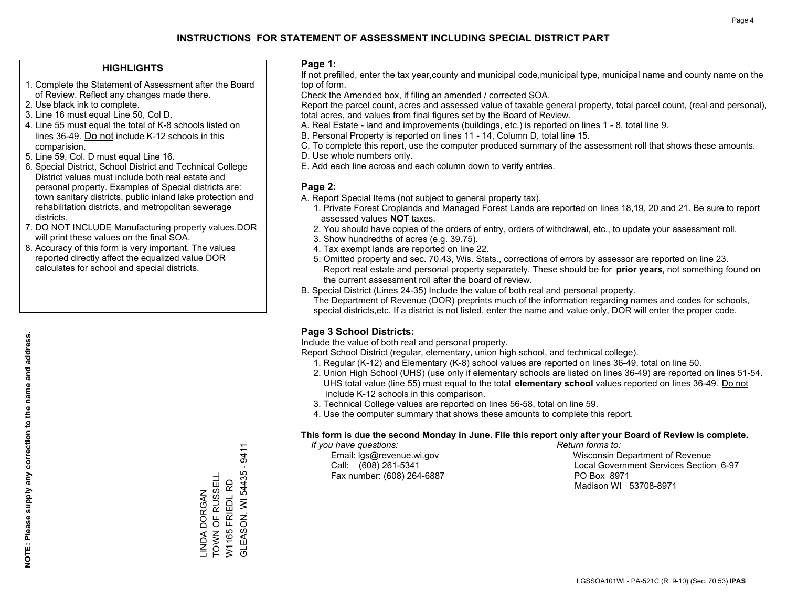### **HIGHLIGHTS**

- 1. Complete the Statement of Assessment after the Board of Review. Reflect any changes made there.
- 2. Use black ink to complete.
- 3. Line 16 must equal Line 50, Col D.
- 4. Line 55 must equal the total of K-8 schools listed on lines 36-49. Do not include K-12 schools in this comparision.
- 5. Line 59, Col. D must equal Line 16.
- 6. Special District, School District and Technical College District values must include both real estate and personal property. Examples of Special districts are: town sanitary districts, public inland lake protection and rehabilitation districts, and metropolitan sewerage districts.
- 7. DO NOT INCLUDE Manufacturing property values.DOR will print these values on the final SOA.

LINDA DORGAN TOWN OF RUSSELL W1165 FRIEDL RD

\_INDA DORGAN<br>TOWN OF RUSSELL W1165 FRIEDL RD GLEASON, WI 54435 - 9411

**GLEASON, WI 54435 - 9411** 

 8. Accuracy of this form is very important. The values reported directly affect the equalized value DOR calculates for school and special districts.

### **Page 1:**

 If not prefilled, enter the tax year,county and municipal code,municipal type, municipal name and county name on the top of form.

Check the Amended box, if filing an amended / corrected SOA.

 Report the parcel count, acres and assessed value of taxable general property, total parcel count, (real and personal), total acres, and values from final figures set by the Board of Review.

- A. Real Estate land and improvements (buildings, etc.) is reported on lines 1 8, total line 9.
- B. Personal Property is reported on lines 11 14, Column D, total line 15.
- C. To complete this report, use the computer produced summary of the assessment roll that shows these amounts.
- D. Use whole numbers only.
- E. Add each line across and each column down to verify entries.

### **Page 2:**

- A. Report Special Items (not subject to general property tax).
- 1. Private Forest Croplands and Managed Forest Lands are reported on lines 18,19, 20 and 21. Be sure to report assessed values **NOT** taxes.
- 2. You should have copies of the orders of entry, orders of withdrawal, etc., to update your assessment roll.
	- 3. Show hundredths of acres (e.g. 39.75).
- 4. Tax exempt lands are reported on line 22.
- 5. Omitted property and sec. 70.43, Wis. Stats., corrections of errors by assessor are reported on line 23. Report real estate and personal property separately. These should be for **prior years**, not something found on the current assessment roll after the board of review.
- B. Special District (Lines 24-35) Include the value of both real and personal property.

 The Department of Revenue (DOR) preprints much of the information regarding names and codes for schools, special districts,etc. If a district is not listed, enter the name and value only, DOR will enter the proper code.

## **Page 3 School Districts:**

Include the value of both real and personal property.

Report School District (regular, elementary, union high school, and technical college).

- 1. Regular (K-12) and Elementary (K-8) school values are reported on lines 36-49, total on line 50.
- 2. Union High School (UHS) (use only if elementary schools are listed on lines 36-49) are reported on lines 51-54. UHS total value (line 55) must equal to the total **elementary school** values reported on lines 36-49. Do notinclude K-12 schools in this comparison.
- 3. Technical College values are reported on lines 56-58, total on line 59.
- 4. Use the computer summary that shows these amounts to complete this report.

#### **This form is due the second Monday in June. File this report only after your Board of Review is complete.**

 *If you have questions: Return forms to:*

Fax number: (608) 264-6887 PO Box 8971

 Email: lgs@revenue.wi.gov Wisconsin Department of Revenue Call: (608) 261-5341 Local Government Services Section 6-97Madison WI 53708-8971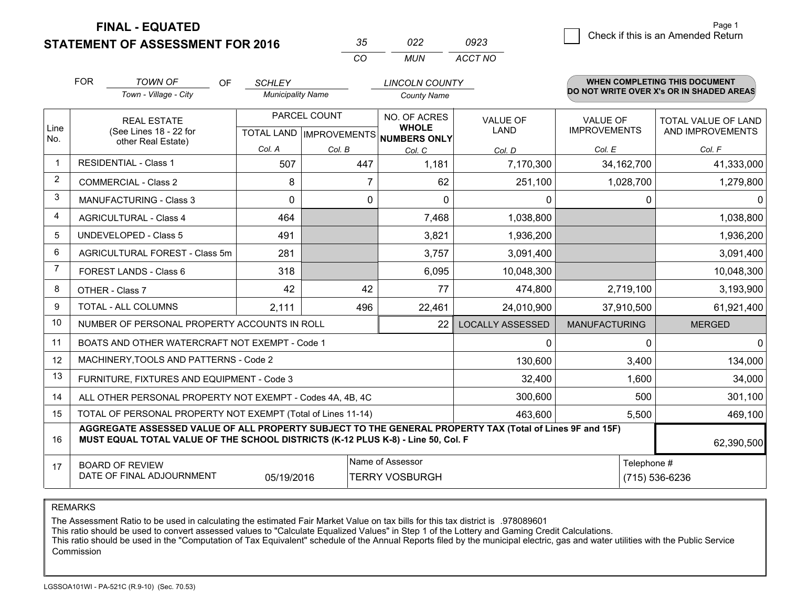**FINAL - EQUATED**

**STATEMENT OF ASSESSMENT FOR 2016** 

| ิงค      | n22.  | 0923    |
|----------|-------|---------|
| $\cdots$ | MI IN | ACCT NO |

|                | <b>FOR</b>                                                                                                                                                                                   | <b>TOWN OF</b><br>OF                                      | <b>SCHLEY</b>            |                           | <b>LINCOLN COUNTY</b>               |                         |                      | <b>WHEN COMPLETING THIS DOCUMENT</b>     |  |
|----------------|----------------------------------------------------------------------------------------------------------------------------------------------------------------------------------------------|-----------------------------------------------------------|--------------------------|---------------------------|-------------------------------------|-------------------------|----------------------|------------------------------------------|--|
|                |                                                                                                                                                                                              | Town - Village - City                                     | <b>Municipality Name</b> |                           | <b>County Name</b>                  |                         |                      | DO NOT WRITE OVER X's OR IN SHADED AREAS |  |
|                |                                                                                                                                                                                              | <b>REAL ESTATE</b>                                        |                          | PARCEL COUNT              |                                     | <b>VALUE OF</b>         | <b>VALUE OF</b>      | TOTAL VALUE OF LAND                      |  |
| Line<br>No.    |                                                                                                                                                                                              | (See Lines 18 - 22 for<br>other Real Estate)              |                          | TOTAL LAND   IMPROVEMENTS | <b>WHOLE</b><br><b>NUMBERS ONLY</b> | LAND                    | <b>IMPROVEMENTS</b>  | AND IMPROVEMENTS                         |  |
|                |                                                                                                                                                                                              |                                                           | Col. A                   | Col. B                    | Col. C                              | Col. D                  | Col. E               | Col. F                                   |  |
| $\mathbf 1$    |                                                                                                                                                                                              | <b>RESIDENTIAL - Class 1</b>                              | 507                      | 447                       | 1,181                               | 7,170,300               | 34, 162, 700         | 41,333,000                               |  |
| $\overline{2}$ |                                                                                                                                                                                              | <b>COMMERCIAL - Class 2</b>                               | 8                        | $\overline{7}$            | 62                                  | 251,100                 | 1,028,700            | 1,279,800                                |  |
| 3              |                                                                                                                                                                                              | <b>MANUFACTURING - Class 3</b>                            | $\Omega$                 | 0                         | $\Omega$                            | $\mathbf{0}$            | 0                    | 01                                       |  |
| 4              |                                                                                                                                                                                              | <b>AGRICULTURAL - Class 4</b>                             | 464                      |                           | 7,468                               | 1,038,800               |                      | 1,038,800                                |  |
| 5              |                                                                                                                                                                                              | <b>UNDEVELOPED - Class 5</b>                              | 491                      |                           | 3,821                               | 1,936,200               |                      | 1,936,200                                |  |
| 6              | AGRICULTURAL FOREST - Class 5m                                                                                                                                                               |                                                           | 281                      |                           | 3,757                               | 3,091,400               |                      | 3,091,400                                |  |
| 7              |                                                                                                                                                                                              | FOREST LANDS - Class 6                                    | 318                      |                           |                                     | 10,048,300              |                      | 10,048,300                               |  |
| 8              |                                                                                                                                                                                              | OTHER - Class 7                                           | 42                       | 42                        | 77                                  | 474,800                 | 2,719,100            | 3,193,900                                |  |
| 9              |                                                                                                                                                                                              | TOTAL - ALL COLUMNS                                       | 2,111                    | 496                       | 22,461                              | 24,010,900              | 37,910,500           | 61,921,400                               |  |
| 10             |                                                                                                                                                                                              | NUMBER OF PERSONAL PROPERTY ACCOUNTS IN ROLL              |                          |                           | 22                                  | <b>LOCALLY ASSESSED</b> | <b>MANUFACTURING</b> | <b>MERGED</b>                            |  |
| 11             |                                                                                                                                                                                              | BOATS AND OTHER WATERCRAFT NOT EXEMPT - Code 1            |                          |                           |                                     | 0                       | 0                    | $\Omega$                                 |  |
| 12             |                                                                                                                                                                                              | MACHINERY, TOOLS AND PATTERNS - Code 2                    |                          |                           |                                     | 130,600                 | 3,400                | 134,000                                  |  |
| 13             |                                                                                                                                                                                              | FURNITURE, FIXTURES AND EQUIPMENT - Code 3                |                          |                           |                                     | 32,400                  | 1,600                | 34,000                                   |  |
| 14             |                                                                                                                                                                                              | ALL OTHER PERSONAL PROPERTY NOT EXEMPT - Codes 4A, 4B, 4C |                          |                           |                                     | 300,600                 | 500                  | 301,100                                  |  |
| 15             | TOTAL OF PERSONAL PROPERTY NOT EXEMPT (Total of Lines 11-14)                                                                                                                                 |                                                           |                          |                           |                                     |                         | 5,500                | 469,100                                  |  |
| 16             | AGGREGATE ASSESSED VALUE OF ALL PROPERTY SUBJECT TO THE GENERAL PROPERTY TAX (Total of Lines 9F and 15F)<br>MUST EQUAL TOTAL VALUE OF THE SCHOOL DISTRICTS (K-12 PLUS K-8) - Line 50, Col. F |                                                           |                          |                           |                                     |                         |                      | 62,390,500                               |  |
| 17             |                                                                                                                                                                                              | <b>BOARD OF REVIEW</b>                                    |                          |                           | Name of Assessor                    |                         | Telephone #          |                                          |  |
|                |                                                                                                                                                                                              | DATE OF FINAL ADJOURNMENT                                 | 05/19/2016               |                           | <b>TERRY VOSBURGH</b>               |                         |                      | (715) 536-6236                           |  |

REMARKS

The Assessment Ratio to be used in calculating the estimated Fair Market Value on tax bills for this tax district is .978089601

This ratio should be used to convert assessed values to "Calculate Equalized Values" in Step 1 of the Lottery and Gaming Credit Calculations.<br>This ratio should be used in the "Computation of Tax Equivalent" schedule of the Commission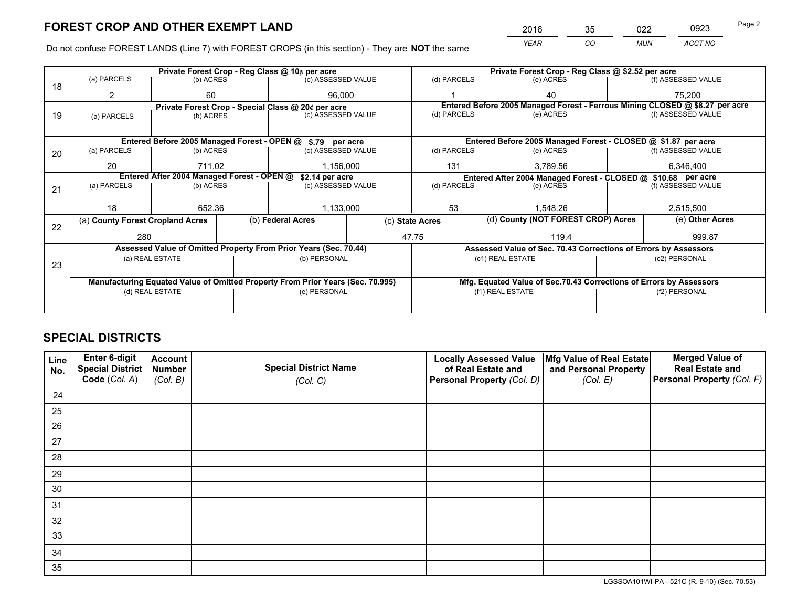*YEAR CO MUN ACCT NO* <sup>2016</sup> <sup>35</sup> <sup>022</sup> <sup>0923</sup>

Do not confuse FOREST LANDS (Line 7) with FOREST CROPS (in this section) - They are **NOT** the same

|    |                                                                                |                                 |  | Private Forest Crop - Reg Class @ 10¢ per acre                   |                 | Private Forest Crop - Reg Class @ \$2.52 per acre                            |                  |                                    |                    |                                                                    |  |
|----|--------------------------------------------------------------------------------|---------------------------------|--|------------------------------------------------------------------|-----------------|------------------------------------------------------------------------------|------------------|------------------------------------|--------------------|--------------------------------------------------------------------|--|
| 18 | (a) PARCELS                                                                    | (b) ACRES                       |  | (c) ASSESSED VALUE                                               |                 | (d) PARCELS                                                                  |                  | (e) ACRES                          |                    | (f) ASSESSED VALUE                                                 |  |
|    | 2                                                                              | 60                              |  | 96.000                                                           |                 |                                                                              |                  | 40                                 |                    | 75.200                                                             |  |
|    |                                                                                |                                 |  | Private Forest Crop - Special Class @ 20¢ per acre               |                 | Entered Before 2005 Managed Forest - Ferrous Mining CLOSED @ \$8.27 per acre |                  |                                    |                    |                                                                    |  |
| 19 | (a) PARCELS                                                                    | (c) ASSESSED VALUE<br>(b) ACRES |  | (d) PARCELS                                                      |                 | (e) ACRES                                                                    |                  | (f) ASSESSED VALUE                 |                    |                                                                    |  |
|    |                                                                                |                                 |  |                                                                  |                 |                                                                              |                  |                                    |                    |                                                                    |  |
|    |                                                                                |                                 |  | Entered Before 2005 Managed Forest - OPEN @ \$.79 per acre       |                 |                                                                              |                  |                                    |                    | Entered Before 2005 Managed Forest - CLOSED @ \$1.87 per acre      |  |
| 20 | (a) PARCELS                                                                    | (b) ACRES                       |  | (c) ASSESSED VALUE                                               |                 | (d) PARCELS                                                                  |                  | (e) ACRES                          |                    | (f) ASSESSED VALUE                                                 |  |
|    | 20                                                                             | 711.02                          |  | 1,156,000                                                        |                 | 131                                                                          |                  | 3,789.56                           |                    | 6,346,400                                                          |  |
|    | Entered After 2004 Managed Forest - OPEN @<br>\$2.14 per acre                  |                                 |  |                                                                  |                 |                                                                              |                  |                                    |                    | Entered After 2004 Managed Forest - CLOSED @ \$10.68 per acre      |  |
| 21 | (a) PARCELS                                                                    | (b) ACRES                       |  | (c) ASSESSED VALUE                                               |                 | (d) PARCELS<br>(e) ACRES                                                     |                  |                                    | (f) ASSESSED VALUE |                                                                    |  |
|    |                                                                                |                                 |  |                                                                  |                 |                                                                              |                  |                                    |                    |                                                                    |  |
|    | 18                                                                             | 652.36                          |  | 1,133,000                                                        |                 | 53<br>1.548.26                                                               |                  |                                    | 2,515,500          |                                                                    |  |
| 22 | (a) County Forest Cropland Acres                                               |                                 |  | (b) Federal Acres                                                | (c) State Acres |                                                                              |                  | (d) County (NOT FOREST CROP) Acres |                    | (e) Other Acres                                                    |  |
|    | 280                                                                            |                                 |  | 47.75                                                            |                 |                                                                              |                  | 119.4                              |                    | 999.87                                                             |  |
|    |                                                                                |                                 |  | Assessed Value of Omitted Property From Prior Years (Sec. 70.44) |                 |                                                                              |                  |                                    |                    | Assessed Value of Sec. 70.43 Corrections of Errors by Assessors    |  |
|    |                                                                                | (a) REAL ESTATE                 |  | (b) PERSONAL                                                     |                 |                                                                              | (c1) REAL ESTATE |                                    |                    | (c2) PERSONAL                                                      |  |
| 23 |                                                                                |                                 |  |                                                                  |                 |                                                                              |                  |                                    |                    |                                                                    |  |
|    | Manufacturing Equated Value of Omitted Property From Prior Years (Sec. 70.995) |                                 |  |                                                                  |                 |                                                                              |                  |                                    |                    | Mfg. Equated Value of Sec.70.43 Corrections of Errors by Assessors |  |
|    | (d) REAL ESTATE                                                                |                                 |  | (e) PERSONAL                                                     |                 | (f1) REAL ESTATE                                                             |                  |                                    | (f2) PERSONAL      |                                                                    |  |
|    |                                                                                |                                 |  |                                                                  |                 |                                                                              |                  |                                    |                    |                                                                    |  |

## **SPECIAL DISTRICTS**

| Line<br>No. | Enter 6-digit<br>Special District<br>Code (Col. A) | <b>Account</b><br><b>Number</b><br>(Col. B) | <b>Special District Name</b><br>(Col. C) | <b>Locally Assessed Value</b><br>of Real Estate and<br>Personal Property (Col. D) | Mfg Value of Real Estate<br>and Personal Property<br>(Col. E) | <b>Merged Value of</b><br><b>Real Estate and</b><br>Personal Property (Col. F) |
|-------------|----------------------------------------------------|---------------------------------------------|------------------------------------------|-----------------------------------------------------------------------------------|---------------------------------------------------------------|--------------------------------------------------------------------------------|
| 24          |                                                    |                                             |                                          |                                                                                   |                                                               |                                                                                |
| 25          |                                                    |                                             |                                          |                                                                                   |                                                               |                                                                                |
| 26          |                                                    |                                             |                                          |                                                                                   |                                                               |                                                                                |
| 27          |                                                    |                                             |                                          |                                                                                   |                                                               |                                                                                |
| 28          |                                                    |                                             |                                          |                                                                                   |                                                               |                                                                                |
| 29          |                                                    |                                             |                                          |                                                                                   |                                                               |                                                                                |
| 30          |                                                    |                                             |                                          |                                                                                   |                                                               |                                                                                |
| 31          |                                                    |                                             |                                          |                                                                                   |                                                               |                                                                                |
| 32          |                                                    |                                             |                                          |                                                                                   |                                                               |                                                                                |
| 33          |                                                    |                                             |                                          |                                                                                   |                                                               |                                                                                |
| 34          |                                                    |                                             |                                          |                                                                                   |                                                               |                                                                                |
| 35          |                                                    |                                             |                                          |                                                                                   |                                                               |                                                                                |

LGSSOA101WI-PA - 521C (R. 9-10) (Sec. 70.53)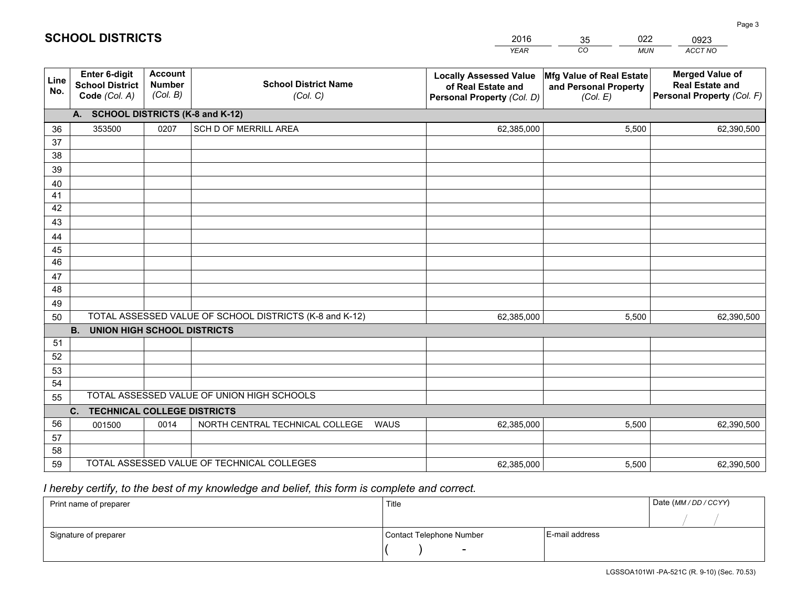|             |                                                                 |                                             |                                                         | <b>YEAR</b>                                                                       | CO<br><b>MUN</b>                                              | ACCT NO                                                                        |
|-------------|-----------------------------------------------------------------|---------------------------------------------|---------------------------------------------------------|-----------------------------------------------------------------------------------|---------------------------------------------------------------|--------------------------------------------------------------------------------|
| Line<br>No. | <b>Enter 6-digit</b><br><b>School District</b><br>Code (Col. A) | <b>Account</b><br><b>Number</b><br>(Col. B) | <b>School District Name</b><br>(Col. C)                 | <b>Locally Assessed Value</b><br>of Real Estate and<br>Personal Property (Col. D) | Mfg Value of Real Estate<br>and Personal Property<br>(Col. E) | <b>Merged Value of</b><br><b>Real Estate and</b><br>Personal Property (Col. F) |
|             | A. SCHOOL DISTRICTS (K-8 and K-12)                              |                                             |                                                         |                                                                                   |                                                               |                                                                                |
| 36          | 353500                                                          | 0207                                        | SCH D OF MERRILL AREA                                   | 62,385,000                                                                        | 5,500                                                         | 62,390,500                                                                     |
| 37          |                                                                 |                                             |                                                         |                                                                                   |                                                               |                                                                                |
| 38          |                                                                 |                                             |                                                         |                                                                                   |                                                               |                                                                                |
| 39          |                                                                 |                                             |                                                         |                                                                                   |                                                               |                                                                                |
| 40          |                                                                 |                                             |                                                         |                                                                                   |                                                               |                                                                                |
| 41          |                                                                 |                                             |                                                         |                                                                                   |                                                               |                                                                                |
| 42          |                                                                 |                                             |                                                         |                                                                                   |                                                               |                                                                                |
| 43          |                                                                 |                                             |                                                         |                                                                                   |                                                               |                                                                                |
| 44          |                                                                 |                                             |                                                         |                                                                                   |                                                               |                                                                                |
| 45<br>46    |                                                                 |                                             |                                                         |                                                                                   |                                                               |                                                                                |
| 47          |                                                                 |                                             |                                                         |                                                                                   |                                                               |                                                                                |
| 48          |                                                                 |                                             |                                                         |                                                                                   |                                                               |                                                                                |
| 49          |                                                                 |                                             |                                                         |                                                                                   |                                                               |                                                                                |
| 50          |                                                                 |                                             | TOTAL ASSESSED VALUE OF SCHOOL DISTRICTS (K-8 and K-12) | 62,385,000                                                                        | 5,500                                                         | 62,390,500                                                                     |
|             | <b>B.</b><br><b>UNION HIGH SCHOOL DISTRICTS</b>                 |                                             |                                                         |                                                                                   |                                                               |                                                                                |
| 51          |                                                                 |                                             |                                                         |                                                                                   |                                                               |                                                                                |
| 52          |                                                                 |                                             |                                                         |                                                                                   |                                                               |                                                                                |
| 53          |                                                                 |                                             |                                                         |                                                                                   |                                                               |                                                                                |
| 54          |                                                                 |                                             |                                                         |                                                                                   |                                                               |                                                                                |
| 55          |                                                                 |                                             | TOTAL ASSESSED VALUE OF UNION HIGH SCHOOLS              |                                                                                   |                                                               |                                                                                |
|             | C.<br><b>TECHNICAL COLLEGE DISTRICTS</b>                        |                                             |                                                         |                                                                                   |                                                               |                                                                                |
| 56          | 001500                                                          | 0014                                        | NORTH CENTRAL TECHNICAL COLLEGE<br><b>WAUS</b>          | 62,385,000                                                                        | 5,500                                                         | 62,390,500                                                                     |
| 57          |                                                                 |                                             |                                                         |                                                                                   |                                                               |                                                                                |
| 58          |                                                                 |                                             |                                                         |                                                                                   |                                                               |                                                                                |
| 59          |                                                                 |                                             | TOTAL ASSESSED VALUE OF TECHNICAL COLLEGES              | 62,385,000                                                                        | 5,500                                                         | 62,390,500                                                                     |

35

022

## *I hereby certify, to the best of my knowledge and belief, this form is complete and correct.*

**SCHOOL DISTRICTS**

| Print name of preparer | Title                    |                | Date (MM / DD / CCYY) |
|------------------------|--------------------------|----------------|-----------------------|
|                        |                          |                |                       |
| Signature of preparer  | Contact Telephone Number | E-mail address |                       |
|                        | $\overline{\phantom{0}}$ |                |                       |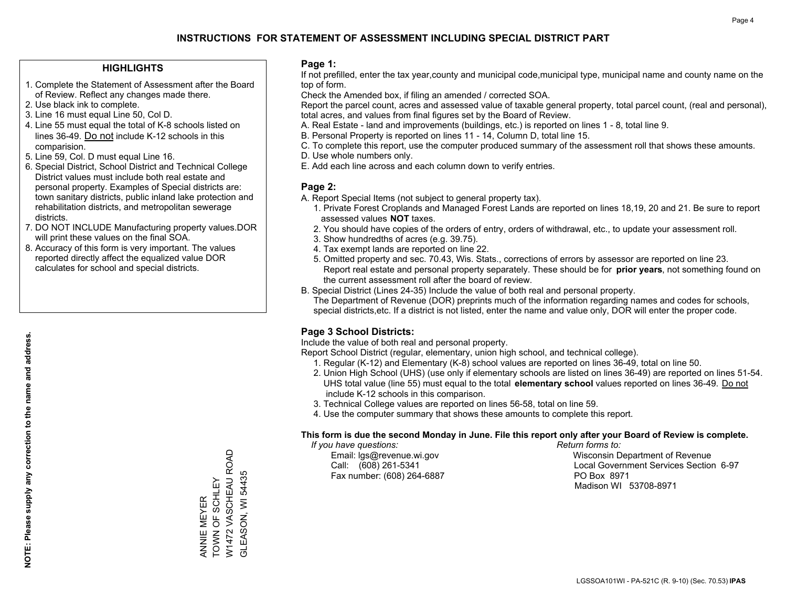### **HIGHLIGHTS**

- 1. Complete the Statement of Assessment after the Board of Review. Reflect any changes made there.
- 2. Use black ink to complete.

**NOTE: Please supply any correction to the name and address.**

NOTE: Please supply any correction to the name and address.

- 3. Line 16 must equal Line 50, Col D.
- 4. Line 55 must equal the total of K-8 schools listed on lines 36-49. Do not include K-12 schools in this comparision.
- 5. Line 59, Col. D must equal Line 16.
- 6. Special District, School District and Technical College District values must include both real estate and personal property. Examples of Special districts are: town sanitary districts, public inland lake protection and rehabilitation districts, and metropolitan sewerage districts.
- 7. DO NOT INCLUDE Manufacturing property values.DOR will print these values on the final SOA.
- 8. Accuracy of this form is very important. The values reported directly affect the equalized value DOR calculates for school and special districts.

### **Page 1:**

 If not prefilled, enter the tax year,county and municipal code,municipal type, municipal name and county name on the top of form.

Check the Amended box, if filing an amended / corrected SOA.

 Report the parcel count, acres and assessed value of taxable general property, total parcel count, (real and personal), total acres, and values from final figures set by the Board of Review.

- A. Real Estate land and improvements (buildings, etc.) is reported on lines 1 8, total line 9.
- B. Personal Property is reported on lines 11 14, Column D, total line 15.
- C. To complete this report, use the computer produced summary of the assessment roll that shows these amounts.
- D. Use whole numbers only.
- E. Add each line across and each column down to verify entries.

### **Page 2:**

- A. Report Special Items (not subject to general property tax).
- 1. Private Forest Croplands and Managed Forest Lands are reported on lines 18,19, 20 and 21. Be sure to report assessed values **NOT** taxes.
- 2. You should have copies of the orders of entry, orders of withdrawal, etc., to update your assessment roll.
	- 3. Show hundredths of acres (e.g. 39.75).
- 4. Tax exempt lands are reported on line 22.
- 5. Omitted property and sec. 70.43, Wis. Stats., corrections of errors by assessor are reported on line 23. Report real estate and personal property separately. These should be for **prior years**, not something found on the current assessment roll after the board of review.
- B. Special District (Lines 24-35) Include the value of both real and personal property.
- The Department of Revenue (DOR) preprints much of the information regarding names and codes for schools, special districts,etc. If a district is not listed, enter the name and value only, DOR will enter the proper code.

## **Page 3 School Districts:**

Include the value of both real and personal property.

Report School District (regular, elementary, union high school, and technical college).

- 1. Regular (K-12) and Elementary (K-8) school values are reported on lines 36-49, total on line 50.
- 2. Union High School (UHS) (use only if elementary schools are listed on lines 36-49) are reported on lines 51-54. UHS total value (line 55) must equal to the total **elementary school** values reported on lines 36-49. Do notinclude K-12 schools in this comparison.
- 3. Technical College values are reported on lines 56-58, total on line 59.
- 4. Use the computer summary that shows these amounts to complete this report.

#### **This form is due the second Monday in June. File this report only after your Board of Review is complete.**

 *If you have questions: Return forms to:*

Fax number: (608) 264-6887 PO Box 8971

 Email: lgs@revenue.wi.gov Wisconsin Department of Revenue Call: (608) 261-5341 Local Government Services Section 6-97Madison WI 53708-8971

W1472 VASCHEAU ROAD<br>GLEASON, WI 54435 W1472 VASCHEAU ROAD TOWN OF SCHLEY ANNIE MEYER<br>TOWN OF SCHLEY ANNIE MEYER

GLEASON, WI 54435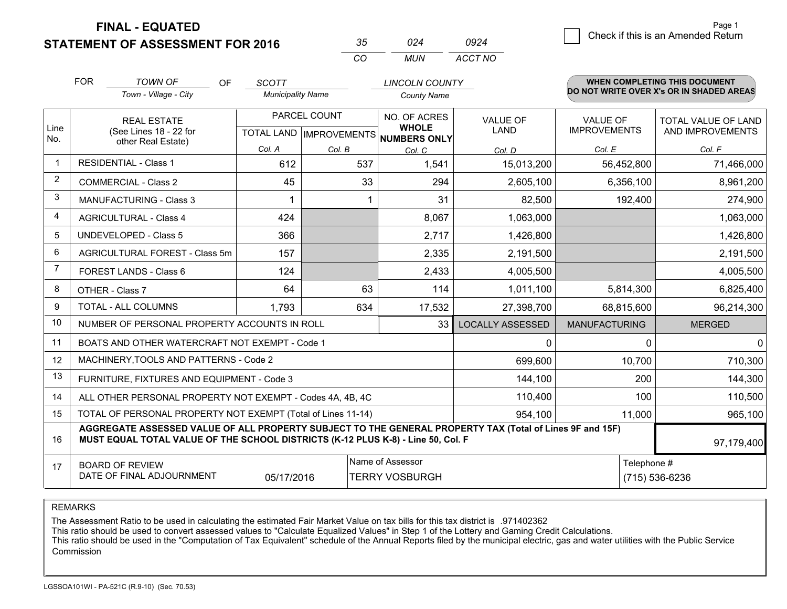**FINAL - EQUATED**

**STATEMENT OF ASSESSMENT FOR 2016** 

| マヘ       |       | N924    |
|----------|-------|---------|
| $\cdots$ | MI IN | ACCT NO |

|                | <b>FOR</b>                                                                                                                                                                                                 | <b>TOWN OF</b><br>OF.                                        | <b>SCOTT</b>             |        | <b>LINCOLN COUNTY</b>                                |                         |                                          | <b>WHEN COMPLETING THIS DOCUMENT</b> |  |
|----------------|------------------------------------------------------------------------------------------------------------------------------------------------------------------------------------------------------------|--------------------------------------------------------------|--------------------------|--------|------------------------------------------------------|-------------------------|------------------------------------------|--------------------------------------|--|
|                |                                                                                                                                                                                                            | Town - Village - City                                        | <b>Municipality Name</b> |        | <b>County Name</b>                                   |                         | DO NOT WRITE OVER X's OR IN SHADED AREAS |                                      |  |
|                |                                                                                                                                                                                                            | <b>REAL ESTATE</b>                                           | PARCEL COUNT             |        | NO. OF ACRES                                         | <b>VALUE OF</b>         | <b>VALUE OF</b>                          | <b>TOTAL VALUE OF LAND</b>           |  |
| Line<br>No.    |                                                                                                                                                                                                            | (See Lines 18 - 22 for<br>other Real Estate)                 |                          |        | <b>WHOLE</b><br>TOTAL LAND IMPROVEMENTS NUMBERS ONLY | <b>LAND</b>             | <b>IMPROVEMENTS</b>                      | AND IMPROVEMENTS                     |  |
|                |                                                                                                                                                                                                            |                                                              | Col. A                   | Col. B | Col. C                                               | Col. D                  | Col. E                                   | Col. F                               |  |
| $\mathbf{1}$   |                                                                                                                                                                                                            | <b>RESIDENTIAL - Class 1</b>                                 | 612                      | 537    | 1,541                                                | 15,013,200              | 56,452,800                               | 71,466,000                           |  |
| 2              |                                                                                                                                                                                                            | <b>COMMERCIAL - Class 2</b>                                  | 45                       | 33     | 294                                                  | 2,605,100               | 6,356,100                                | 8,961,200                            |  |
| 3              |                                                                                                                                                                                                            | <b>MANUFACTURING - Class 3</b>                               |                          |        | 31                                                   | 82,500                  | 192,400                                  | 274,900                              |  |
| 4              |                                                                                                                                                                                                            | <b>AGRICULTURAL - Class 4</b>                                | 424                      |        | 8,067                                                | 1,063,000               |                                          | 1,063,000                            |  |
| 5              |                                                                                                                                                                                                            | <b>UNDEVELOPED - Class 5</b>                                 | 366                      |        | 2,717                                                | 1,426,800               |                                          | 1,426,800                            |  |
| 6              | AGRICULTURAL FOREST - Class 5m                                                                                                                                                                             |                                                              | 157                      |        | 2,335                                                | 2,191,500               |                                          | 2,191,500                            |  |
| $\overline{7}$ |                                                                                                                                                                                                            | FOREST LANDS - Class 6                                       | 124                      |        | 2,433                                                | 4,005,500               |                                          | 4,005,500                            |  |
| 8              |                                                                                                                                                                                                            | OTHER - Class 7                                              | 64                       | 63     | 114                                                  | 1,011,100               | 5,814,300                                | 6,825,400                            |  |
| 9              |                                                                                                                                                                                                            | TOTAL - ALL COLUMNS                                          | 1,793                    | 634    | 17,532                                               | 27,398,700              | 68,815,600                               | 96,214,300                           |  |
| 10             |                                                                                                                                                                                                            | NUMBER OF PERSONAL PROPERTY ACCOUNTS IN ROLL                 |                          |        | 33                                                   | <b>LOCALLY ASSESSED</b> | <b>MANUFACTURING</b>                     | <b>MERGED</b>                        |  |
| 11             |                                                                                                                                                                                                            | BOATS AND OTHER WATERCRAFT NOT EXEMPT - Code 1               |                          |        |                                                      | $\Omega$                | 0                                        | 0                                    |  |
| 12             |                                                                                                                                                                                                            | MACHINERY, TOOLS AND PATTERNS - Code 2                       |                          |        |                                                      | 699,600                 | 10,700                                   | 710,300                              |  |
| 13             |                                                                                                                                                                                                            | FURNITURE, FIXTURES AND EQUIPMENT - Code 3                   |                          |        |                                                      | 144,100                 | 200                                      | 144,300                              |  |
| 14             |                                                                                                                                                                                                            | ALL OTHER PERSONAL PROPERTY NOT EXEMPT - Codes 4A, 4B, 4C    |                          |        |                                                      | 110,400                 | 100                                      | 110,500                              |  |
| 15             |                                                                                                                                                                                                            | TOTAL OF PERSONAL PROPERTY NOT EXEMPT (Total of Lines 11-14) |                          |        |                                                      | 954,100                 | 11,000                                   | 965,100                              |  |
| 16             | AGGREGATE ASSESSED VALUE OF ALL PROPERTY SUBJECT TO THE GENERAL PROPERTY TAX (Total of Lines 9F and 15F)<br>MUST EQUAL TOTAL VALUE OF THE SCHOOL DISTRICTS (K-12 PLUS K-8) - Line 50, Col. F<br>97,179,400 |                                                              |                          |        |                                                      |                         |                                          |                                      |  |
| 17             | <b>BOARD OF REVIEW</b>                                                                                                                                                                                     |                                                              |                          |        | Name of Assessor                                     |                         |                                          | Telephone #                          |  |
|                |                                                                                                                                                                                                            | DATE OF FINAL ADJOURNMENT                                    | 05/17/2016               |        | <b>TERRY VOSBURGH</b>                                |                         |                                          | (715) 536-6236                       |  |

REMARKS

The Assessment Ratio to be used in calculating the estimated Fair Market Value on tax bills for this tax district is .971402362

This ratio should be used to convert assessed values to "Calculate Equalized Values" in Step 1 of the Lottery and Gaming Credit Calculations.<br>This ratio should be used in the "Computation of Tax Equivalent" schedule of the Commission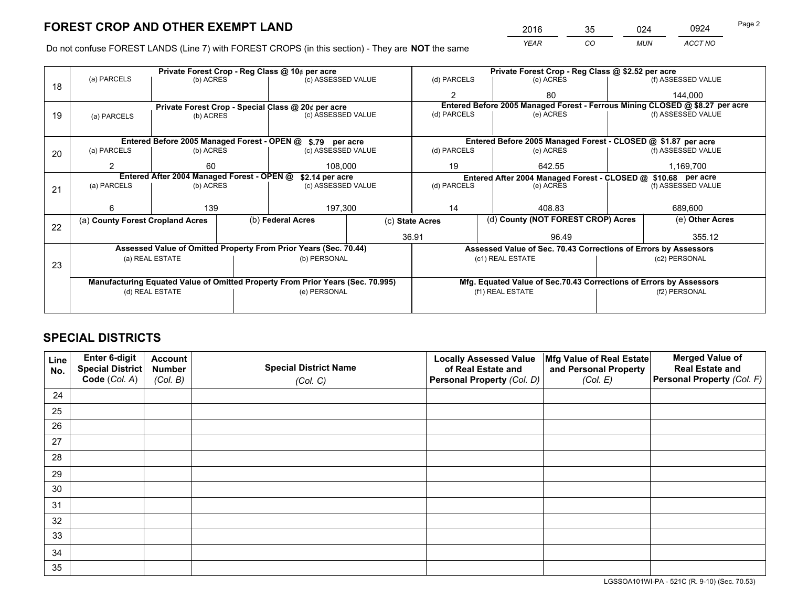*YEAR CO MUN ACCT NO* <sup>2016</sup> <sup>35</sup> <sup>024</sup> <sup>0924</sup>

Do not confuse FOREST LANDS (Line 7) with FOREST CROPS (in this section) - They are **NOT** the same

|    |                                                               |                 |  | Private Forest Crop - Reg Class @ 10¢ per acre                                 |                 | Private Forest Crop - Reg Class @ \$2.52 per acre |                                                               |                                                                              |               |                    |
|----|---------------------------------------------------------------|-----------------|--|--------------------------------------------------------------------------------|-----------------|---------------------------------------------------|---------------------------------------------------------------|------------------------------------------------------------------------------|---------------|--------------------|
| 18 | (a) PARCELS                                                   | (b) ACRES       |  | (c) ASSESSED VALUE                                                             |                 | (d) PARCELS                                       |                                                               | (e) ACRES                                                                    |               | (f) ASSESSED VALUE |
|    |                                                               |                 |  |                                                                                |                 | $\mathfrak{p}$                                    |                                                               | 80                                                                           |               | 144,000            |
|    | Private Forest Crop - Special Class @ 20¢ per acre            |                 |  |                                                                                |                 |                                                   |                                                               | Entered Before 2005 Managed Forest - Ferrous Mining CLOSED @ \$8.27 per acre |               |                    |
| 19 | (a) PARCELS                                                   | (b) ACRES       |  | (c) ASSESSED VALUE                                                             |                 | (d) PARCELS                                       |                                                               | (e) ACRES                                                                    |               | (f) ASSESSED VALUE |
|    |                                                               |                 |  |                                                                                |                 |                                                   |                                                               |                                                                              |               |                    |
|    |                                                               |                 |  | Entered Before 2005 Managed Forest - OPEN @ \$.79 per acre                     |                 |                                                   |                                                               | Entered Before 2005 Managed Forest - CLOSED @ \$1.87 per acre                |               |                    |
| 20 | (a) PARCELS                                                   | (b) ACRES       |  | (c) ASSESSED VALUE                                                             |                 | (d) PARCELS                                       |                                                               | (e) ACRES                                                                    |               | (f) ASSESSED VALUE |
|    | 2                                                             | 60              |  | 108.000                                                                        |                 | 19                                                |                                                               | 642.55                                                                       |               | 1,169,700          |
|    | Entered After 2004 Managed Forest - OPEN @<br>\$2.14 per acre |                 |  |                                                                                |                 |                                                   | Entered After 2004 Managed Forest - CLOSED @ \$10.68 per acre |                                                                              |               |                    |
| 21 | (a) PARCELS                                                   | (b) ACRES       |  | (c) ASSESSED VALUE                                                             |                 | (d) PARCELS                                       | (e) ACRES                                                     |                                                                              |               | (f) ASSESSED VALUE |
|    |                                                               |                 |  |                                                                                |                 |                                                   |                                                               |                                                                              |               |                    |
|    | 6                                                             | 139             |  | 197,300                                                                        |                 | 14                                                | 408.83                                                        |                                                                              | 689,600       |                    |
| 22 | (a) County Forest Cropland Acres                              |                 |  | (b) Federal Acres                                                              | (c) State Acres |                                                   |                                                               | (d) County (NOT FOREST CROP) Acres                                           |               | (e) Other Acres    |
|    |                                                               |                 |  |                                                                                |                 | 36.91<br>96.49                                    |                                                               |                                                                              |               | 355.12             |
|    |                                                               |                 |  | Assessed Value of Omitted Property From Prior Years (Sec. 70.44)               |                 |                                                   |                                                               | Assessed Value of Sec. 70.43 Corrections of Errors by Assessors              |               |                    |
|    |                                                               | (a) REAL ESTATE |  | (b) PERSONAL                                                                   |                 |                                                   | (c1) REAL ESTATE                                              |                                                                              |               | (c2) PERSONAL      |
| 23 |                                                               |                 |  |                                                                                |                 |                                                   |                                                               |                                                                              |               |                    |
|    |                                                               |                 |  | Manufacturing Equated Value of Omitted Property From Prior Years (Sec. 70.995) |                 |                                                   |                                                               | Mfg. Equated Value of Sec.70.43 Corrections of Errors by Assessors           |               |                    |
|    |                                                               | (d) REAL ESTATE |  | (e) PERSONAL                                                                   |                 |                                                   | (f1) REAL ESTATE                                              |                                                                              | (f2) PERSONAL |                    |
|    |                                                               |                 |  |                                                                                |                 |                                                   |                                                               |                                                                              |               |                    |

## **SPECIAL DISTRICTS**

| Line<br>No. | Enter 6-digit<br>Special District<br>Code (Col. A) | <b>Account</b><br><b>Number</b> | <b>Special District Name</b> | <b>Locally Assessed Value</b><br>of Real Estate and | Mfg Value of Real Estate<br>and Personal Property | <b>Merged Value of</b><br><b>Real Estate and</b><br>Personal Property (Col. F) |
|-------------|----------------------------------------------------|---------------------------------|------------------------------|-----------------------------------------------------|---------------------------------------------------|--------------------------------------------------------------------------------|
|             |                                                    | (Col. B)                        | (Col. C)                     | Personal Property (Col. D)                          | (Col. E)                                          |                                                                                |
| 24          |                                                    |                                 |                              |                                                     |                                                   |                                                                                |
| 25          |                                                    |                                 |                              |                                                     |                                                   |                                                                                |
| 26          |                                                    |                                 |                              |                                                     |                                                   |                                                                                |
| 27          |                                                    |                                 |                              |                                                     |                                                   |                                                                                |
| 28          |                                                    |                                 |                              |                                                     |                                                   |                                                                                |
| 29          |                                                    |                                 |                              |                                                     |                                                   |                                                                                |
| 30          |                                                    |                                 |                              |                                                     |                                                   |                                                                                |
| 31          |                                                    |                                 |                              |                                                     |                                                   |                                                                                |
| 32          |                                                    |                                 |                              |                                                     |                                                   |                                                                                |
| 33          |                                                    |                                 |                              |                                                     |                                                   |                                                                                |
| 34          |                                                    |                                 |                              |                                                     |                                                   |                                                                                |
| 35          |                                                    |                                 |                              |                                                     |                                                   |                                                                                |

LGSSOA101WI-PA - 521C (R. 9-10) (Sec. 70.53)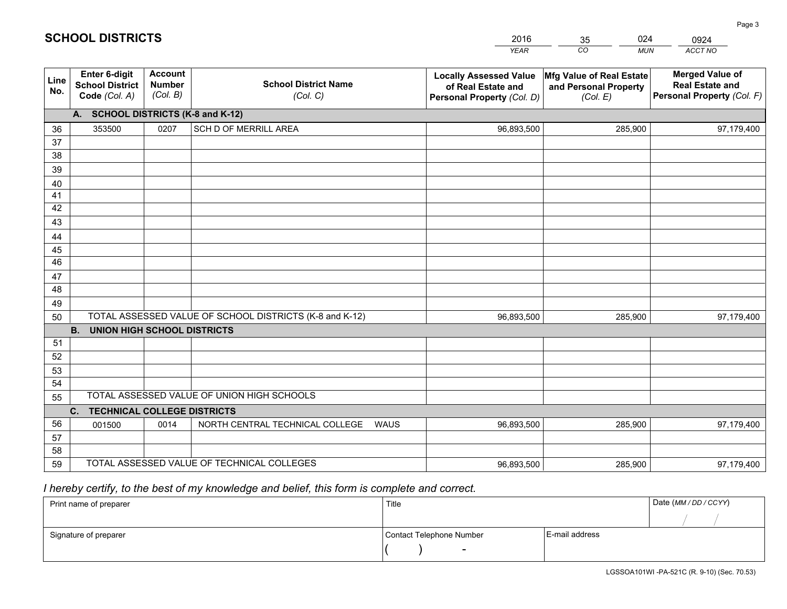|             |                                                                 |                                             |                                                         | <b>YEAR</b>                                                                       | CO<br><b>MUN</b>                                              | ACCT NO                                                                        |
|-------------|-----------------------------------------------------------------|---------------------------------------------|---------------------------------------------------------|-----------------------------------------------------------------------------------|---------------------------------------------------------------|--------------------------------------------------------------------------------|
| Line<br>No. | <b>Enter 6-digit</b><br><b>School District</b><br>Code (Col. A) | <b>Account</b><br><b>Number</b><br>(Col. B) | <b>School District Name</b><br>(Col. C)                 | <b>Locally Assessed Value</b><br>of Real Estate and<br>Personal Property (Col. D) | Mfg Value of Real Estate<br>and Personal Property<br>(Col. E) | <b>Merged Value of</b><br><b>Real Estate and</b><br>Personal Property (Col. F) |
|             | A. SCHOOL DISTRICTS (K-8 and K-12)                              |                                             |                                                         |                                                                                   |                                                               |                                                                                |
| 36          | 353500                                                          | 0207                                        | SCH D OF MERRILL AREA                                   | 96,893,500                                                                        | 285,900                                                       | 97,179,400                                                                     |
| 37          |                                                                 |                                             |                                                         |                                                                                   |                                                               |                                                                                |
| 38          |                                                                 |                                             |                                                         |                                                                                   |                                                               |                                                                                |
| 39          |                                                                 |                                             |                                                         |                                                                                   |                                                               |                                                                                |
| 40          |                                                                 |                                             |                                                         |                                                                                   |                                                               |                                                                                |
| 41          |                                                                 |                                             |                                                         |                                                                                   |                                                               |                                                                                |
| 42          |                                                                 |                                             |                                                         |                                                                                   |                                                               |                                                                                |
| 43          |                                                                 |                                             |                                                         |                                                                                   |                                                               |                                                                                |
| 44          |                                                                 |                                             |                                                         |                                                                                   |                                                               |                                                                                |
| 45<br>46    |                                                                 |                                             |                                                         |                                                                                   |                                                               |                                                                                |
| 47          |                                                                 |                                             |                                                         |                                                                                   |                                                               |                                                                                |
| 48          |                                                                 |                                             |                                                         |                                                                                   |                                                               |                                                                                |
| 49          |                                                                 |                                             |                                                         |                                                                                   |                                                               |                                                                                |
| 50          |                                                                 |                                             | TOTAL ASSESSED VALUE OF SCHOOL DISTRICTS (K-8 and K-12) | 96,893,500                                                                        | 285,900                                                       | 97,179,400                                                                     |
|             | <b>B.</b><br><b>UNION HIGH SCHOOL DISTRICTS</b>                 |                                             |                                                         |                                                                                   |                                                               |                                                                                |
| 51          |                                                                 |                                             |                                                         |                                                                                   |                                                               |                                                                                |
| 52          |                                                                 |                                             |                                                         |                                                                                   |                                                               |                                                                                |
| 53          |                                                                 |                                             |                                                         |                                                                                   |                                                               |                                                                                |
| 54          |                                                                 |                                             |                                                         |                                                                                   |                                                               |                                                                                |
| 55          |                                                                 |                                             | TOTAL ASSESSED VALUE OF UNION HIGH SCHOOLS              |                                                                                   |                                                               |                                                                                |
|             | C.<br><b>TECHNICAL COLLEGE DISTRICTS</b>                        |                                             |                                                         |                                                                                   |                                                               |                                                                                |
| 56          | 001500                                                          | 0014                                        | NORTH CENTRAL TECHNICAL COLLEGE<br><b>WAUS</b>          | 96,893,500                                                                        | 285,900                                                       | 97,179,400                                                                     |
| 57          |                                                                 |                                             |                                                         |                                                                                   |                                                               |                                                                                |
| 58          |                                                                 |                                             |                                                         |                                                                                   |                                                               |                                                                                |
| 59          |                                                                 |                                             | TOTAL ASSESSED VALUE OF TECHNICAL COLLEGES              | 96,893,500                                                                        | 285,900                                                       | 97,179,400                                                                     |

35

024

## *I hereby certify, to the best of my knowledge and belief, this form is complete and correct.*

**SCHOOL DISTRICTS**

| Print name of preparer | Title                    |                | Date (MM / DD / CCYY) |
|------------------------|--------------------------|----------------|-----------------------|
|                        |                          |                |                       |
| Signature of preparer  | Contact Telephone Number | E-mail address |                       |
|                        | $\overline{\phantom{0}}$ |                |                       |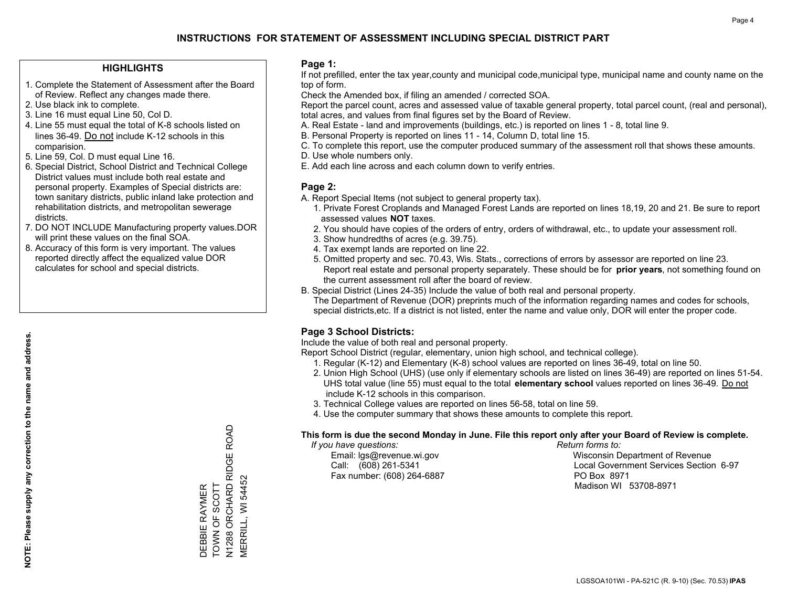### **HIGHLIGHTS**

- 1. Complete the Statement of Assessment after the Board of Review. Reflect any changes made there.
- 2. Use black ink to complete.
- 3. Line 16 must equal Line 50, Col D.
- 4. Line 55 must equal the total of K-8 schools listed on lines 36-49. Do not include K-12 schools in this comparision.
- 5. Line 59, Col. D must equal Line 16.
- 6. Special District, School District and Technical College District values must include both real estate and personal property. Examples of Special districts are: town sanitary districts, public inland lake protection and rehabilitation districts, and metropolitan sewerage districts.
- 7. DO NOT INCLUDE Manufacturing property values.DOR will print these values on the final SOA.

DEBBIE RAYMER TOWN OF SCOTT

TOWN OF SCOTT DEBBIE RAYMER

N1288 ORCHARD RIDGE ROAD

N1288 ORCHARD RIDGE ROAD<br>MERRILL, WI 54452

MERRILL, WI 54452

 8. Accuracy of this form is very important. The values reported directly affect the equalized value DOR calculates for school and special districts.

### **Page 1:**

 If not prefilled, enter the tax year,county and municipal code,municipal type, municipal name and county name on the top of form.

Check the Amended box, if filing an amended / corrected SOA.

 Report the parcel count, acres and assessed value of taxable general property, total parcel count, (real and personal), total acres, and values from final figures set by the Board of Review.

- A. Real Estate land and improvements (buildings, etc.) is reported on lines 1 8, total line 9.
- B. Personal Property is reported on lines 11 14, Column D, total line 15.
- C. To complete this report, use the computer produced summary of the assessment roll that shows these amounts.
- D. Use whole numbers only.
- E. Add each line across and each column down to verify entries.

## **Page 2:**

- A. Report Special Items (not subject to general property tax).
- 1. Private Forest Croplands and Managed Forest Lands are reported on lines 18,19, 20 and 21. Be sure to report assessed values **NOT** taxes.
- 2. You should have copies of the orders of entry, orders of withdrawal, etc., to update your assessment roll.
	- 3. Show hundredths of acres (e.g. 39.75).
- 4. Tax exempt lands are reported on line 22.
- 5. Omitted property and sec. 70.43, Wis. Stats., corrections of errors by assessor are reported on line 23. Report real estate and personal property separately. These should be for **prior years**, not something found on the current assessment roll after the board of review.
- B. Special District (Lines 24-35) Include the value of both real and personal property.
- The Department of Revenue (DOR) preprints much of the information regarding names and codes for schools, special districts,etc. If a district is not listed, enter the name and value only, DOR will enter the proper code.

## **Page 3 School Districts:**

Include the value of both real and personal property.

Report School District (regular, elementary, union high school, and technical college).

- 1. Regular (K-12) and Elementary (K-8) school values are reported on lines 36-49, total on line 50.
- 2. Union High School (UHS) (use only if elementary schools are listed on lines 36-49) are reported on lines 51-54. UHS total value (line 55) must equal to the total **elementary school** values reported on lines 36-49. Do notinclude K-12 schools in this comparison.
- 3. Technical College values are reported on lines 56-58, total on line 59.
- 4. Use the computer summary that shows these amounts to complete this report.

#### **This form is due the second Monday in June. File this report only after your Board of Review is complete.**

 *If you have questions: Return forms to:*

Fax number: (608) 264-6887 PO Box 8971

 Email: lgs@revenue.wi.gov Wisconsin Department of Revenue Call: (608) 261-5341 Local Government Services Section 6-97Madison WI 53708-8971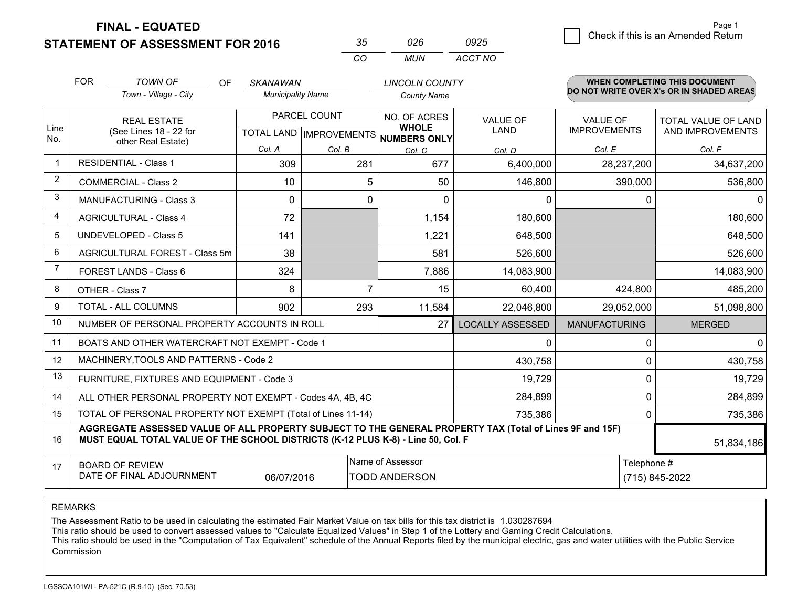**STATEMENT OF ASSESSMENT FOR 2016 FINAL - EQUATED**

 $\overline{5}$  Check if this is an Amended Return Page 1

Telephone #

(715) 845-2022

51,834,186

<sup>0</sup> 284,899 <sup>0</sup> 735,386

|                |                                                    |                                                                    |           |                                             | CO                                  | <b>MUN</b>                                          | ACCT NO                        |                                        |                                                                                  |
|----------------|----------------------------------------------------|--------------------------------------------------------------------|-----------|---------------------------------------------|-------------------------------------|-----------------------------------------------------|--------------------------------|----------------------------------------|----------------------------------------------------------------------------------|
|                | <b>FOR</b>                                         | <b>TOWN OF</b><br>Town - Village - City                            | <b>OF</b> | <b>SKANAWAN</b><br><b>Municipality Name</b> |                                     | <b>LINCOLN COUNTY</b><br><b>County Name</b>         |                                |                                        | <b>WHEN COMPLETING THIS DOCUMENT</b><br>DO NOT WRITE OVER X's OR IN SHADED AREAS |
| Line<br>No.    |                                                    | <b>REAL ESTATE</b><br>(See Lines 18 - 22 for<br>other Real Estate) |           | <b>TOTAL LAND</b><br>Col. A                 | PARCEL COUNT<br><b>IMPROVEMENTS</b> | NO. OF ACRES<br><b>WHOLE</b><br><b>NUMBERS ONLY</b> | <b>VALUE OF</b><br><b>LAND</b> | <b>VALUE OF</b><br><b>IMPROVEMENTS</b> | <b>TOTAL VALUE OF LAND</b><br>AND IMPROVEMENTS                                   |
| -1             |                                                    | <b>RESIDENTIAL - Class 1</b>                                       |           | 309                                         | Col. B<br>281                       | Col. C<br>677                                       | Col. D<br>6,400,000            | Col. E<br>28,237,200                   | Col. F<br>34,637,200                                                             |
| $\overline{2}$ |                                                    | <b>COMMERCIAL - Class 2</b>                                        |           | 10                                          | 5                                   | 50                                                  | 146,800                        | 390,000                                | 536,800                                                                          |
| 3              |                                                    | <b>MANUFACTURING - Class 3</b>                                     |           | 0                                           | 0                                   | $\mathbf{0}$                                        | <sup>0</sup>                   |                                        | $\Omega$                                                                         |
| $\overline{4}$ |                                                    | <b>AGRICULTURAL - Class 4</b>                                      |           | 72                                          |                                     | 1,154                                               | 180,600                        |                                        | 180,600                                                                          |
| 5              |                                                    | <b>UNDEVELOPED - Class 5</b>                                       |           | 141                                         |                                     | 1,221                                               | 648,500                        |                                        | 648,500                                                                          |
| 6              |                                                    | AGRICULTURAL FOREST - Class 5m                                     |           | 38                                          |                                     | 581                                                 | 526,600                        |                                        | 526,600                                                                          |
| $\overline{7}$ |                                                    | FOREST LANDS - Class 6                                             |           | 324                                         |                                     | 7,886                                               | 14,083,900                     |                                        | 14,083,900                                                                       |
| 8              | OTHER - Class 7                                    |                                                                    |           | 8                                           | 7                                   | 15                                                  | 60,400                         | 424,800                                | 485,200                                                                          |
| 9              |                                                    | TOTAL - ALL COLUMNS                                                |           | 902                                         | 293                                 | 11,584                                              | 22,046,800                     | 29,052,000                             | 51,098,800                                                                       |
| 10             | NUMBER OF PERSONAL PROPERTY ACCOUNTS IN ROLL<br>27 |                                                                    |           |                                             |                                     |                                                     | LOCALLY ASSESSED               | <b>MANUFACTURING</b>                   | <b>MERGED</b>                                                                    |
| 11             | BOATS AND OTHER WATERCRAFT NOT EXEMPT - Code 1     |                                                                    |           |                                             |                                     |                                                     | ∩                              | 0                                      | 0                                                                                |
| 12             |                                                    | MACHINERY, TOOLS AND PATTERNS - Code 2                             |           |                                             |                                     |                                                     | 430,758                        | 0                                      | 430,758                                                                          |
| 13             |                                                    | FURNITURE, FIXTURES AND EQUIPMENT - Code 3                         |           |                                             |                                     |                                                     | 19,729                         | 0                                      | 19,729                                                                           |

*<sup>35</sup> <sup>026</sup>*

*0925*

 284,899735,386

REMARKS

1415

16

17

The Assessment Ratio to be used in calculating the estimated Fair Market Value on tax bills for this tax district is 1.030287694

06/07/2016

**MUST EQUAL TOTAL VALUE OF THE SCHOOL DISTRICTS (K-12 PLUS K-8) - Line 50, Col. F**

TOTAL OF PERSONAL PROPERTY NOT EXEMPT (Total of Lines 11-14)

ALL OTHER PERSONAL PROPERTY NOT EXEMPT - Codes 4A, 4B, 4C

This ratio should be used to convert assessed values to "Calculate Equalized Values" in Step 1 of the Lottery and Gaming Credit Calculations.

**AGGREGATE ASSESSED VALUE OF ALL PROPERTY SUBJECT TO THE GENERAL PROPERTY TAX (Total of Lines 9F and 15F)**

 This ratio should be used in the "Computation of Tax Equivalent" schedule of the Annual Reports filed by the municipal electric, gas and water utilities with the Public Service Commission

Name of Assessor

TODD ANDERSON

BOARD OF REVIEW

DATE OF FINAL ADJOURNMENT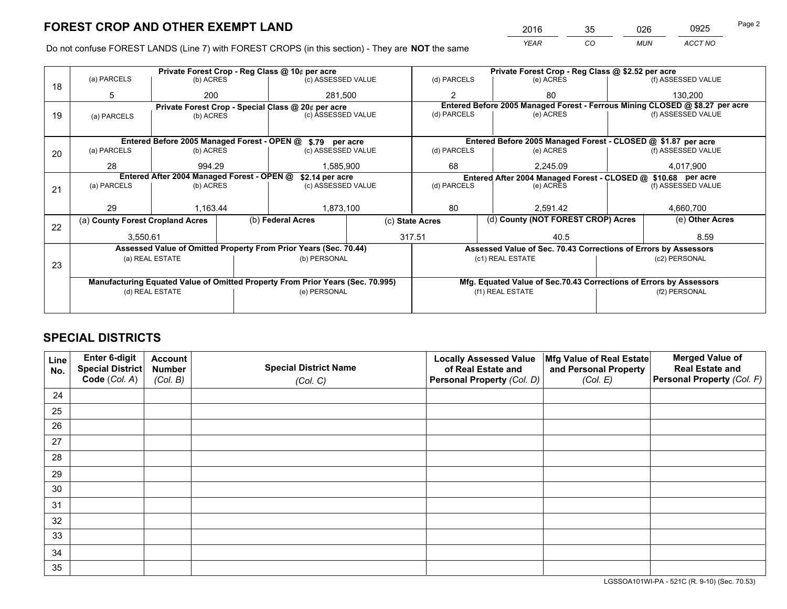*YEAR CO MUN ACCT NO* <sup>2016</sup> <sup>35</sup> <sup>026</sup> <sup>0925</sup>

Do not confuse FOREST LANDS (Line 7) with FOREST CROPS (in this section) - They are **NOT** the same

|    |                                                               |                 |  | Private Forest Crop - Reg Class @ 10¢ per acre                                 |                 | Private Forest Crop - Reg Class @ \$2.52 per acre |           |                                                                              |                    |                    |
|----|---------------------------------------------------------------|-----------------|--|--------------------------------------------------------------------------------|-----------------|---------------------------------------------------|-----------|------------------------------------------------------------------------------|--------------------|--------------------|
| 18 | (a) PARCELS                                                   | (b) ACRES       |  | (c) ASSESSED VALUE                                                             |                 | (d) PARCELS                                       |           | (e) ACRES                                                                    |                    | (f) ASSESSED VALUE |
|    | 5                                                             | 200             |  | 281.500                                                                        |                 | $\mathfrak{p}$                                    |           | 80                                                                           |                    | 130.200            |
|    |                                                               |                 |  | Private Forest Crop - Special Class @ 20¢ per acre                             |                 |                                                   |           | Entered Before 2005 Managed Forest - Ferrous Mining CLOSED @ \$8.27 per acre |                    |                    |
| 19 | (a) PARCELS                                                   | (b) ACRES       |  | (c) ASSESSED VALUE                                                             |                 | (d) PARCELS                                       |           | (e) ACRES                                                                    |                    | (f) ASSESSED VALUE |
|    |                                                               |                 |  |                                                                                |                 |                                                   |           |                                                                              |                    |                    |
|    | Entered Before 2005 Managed Forest - OPEN @ \$.79 per acre    |                 |  |                                                                                |                 |                                                   |           | Entered Before 2005 Managed Forest - CLOSED @ \$1.87 per acre                |                    |                    |
| 20 | (a) PARCELS                                                   | (b) ACRES       |  | (c) ASSESSED VALUE                                                             |                 | (d) PARCELS                                       |           | (e) ACRES                                                                    |                    | (f) ASSESSED VALUE |
|    | 28                                                            | 994.29          |  | 1,585,900                                                                      |                 | 68                                                |           | 2.245.09                                                                     | 4,017,900          |                    |
|    | Entered After 2004 Managed Forest - OPEN @<br>\$2.14 per acre |                 |  |                                                                                |                 |                                                   |           | Entered After 2004 Managed Forest - CLOSED @ \$10.68 per acre                |                    |                    |
| 21 | (a) PARCELS                                                   | (b) ACRES       |  | (c) ASSESSED VALUE                                                             |                 | (d) PARCELS                                       | (e) ACRES |                                                                              | (f) ASSESSED VALUE |                    |
|    |                                                               |                 |  |                                                                                |                 |                                                   |           |                                                                              |                    |                    |
|    | 29                                                            | 1.163.44        |  | 1,873,100                                                                      |                 | 80                                                | 2.591.42  |                                                                              | 4.660.700          |                    |
| 22 | (a) County Forest Cropland Acres                              |                 |  | (b) Federal Acres                                                              | (c) State Acres |                                                   |           | (d) County (NOT FOREST CROP) Acres                                           |                    | (e) Other Acres    |
|    | 3,550.61                                                      |                 |  | 317.51                                                                         |                 |                                                   | 40.5      |                                                                              |                    | 8.59               |
|    |                                                               |                 |  | Assessed Value of Omitted Property From Prior Years (Sec. 70.44)               |                 |                                                   |           | Assessed Value of Sec. 70.43 Corrections of Errors by Assessors              |                    |                    |
|    |                                                               | (a) REAL ESTATE |  | (b) PERSONAL                                                                   |                 |                                                   |           | (c1) REAL ESTATE                                                             |                    | (c2) PERSONAL      |
| 23 |                                                               |                 |  |                                                                                |                 |                                                   |           |                                                                              |                    |                    |
|    |                                                               |                 |  | Manufacturing Equated Value of Omitted Property From Prior Years (Sec. 70.995) |                 |                                                   |           | Mfg. Equated Value of Sec.70.43 Corrections of Errors by Assessors           |                    |                    |
|    |                                                               | (d) REAL ESTATE |  | (e) PERSONAL                                                                   |                 | (f1) REAL ESTATE                                  |           |                                                                              | (f2) PERSONAL      |                    |
|    |                                                               |                 |  |                                                                                |                 |                                                   |           |                                                                              |                    |                    |

## **SPECIAL DISTRICTS**

| Line<br>No. | Enter 6-digit<br>Special District<br>Code (Col. A) | <b>Account</b><br><b>Number</b> | <b>Special District Name</b> | <b>Locally Assessed Value</b><br>of Real Estate and | Mfg Value of Real Estate<br>and Personal Property | <b>Merged Value of</b><br><b>Real Estate and</b><br>Personal Property (Col. F) |
|-------------|----------------------------------------------------|---------------------------------|------------------------------|-----------------------------------------------------|---------------------------------------------------|--------------------------------------------------------------------------------|
|             |                                                    | (Col. B)                        | (Col. C)                     | Personal Property (Col. D)                          | (Col. E)                                          |                                                                                |
| 24          |                                                    |                                 |                              |                                                     |                                                   |                                                                                |
| 25          |                                                    |                                 |                              |                                                     |                                                   |                                                                                |
| 26          |                                                    |                                 |                              |                                                     |                                                   |                                                                                |
| 27          |                                                    |                                 |                              |                                                     |                                                   |                                                                                |
| 28          |                                                    |                                 |                              |                                                     |                                                   |                                                                                |
| 29          |                                                    |                                 |                              |                                                     |                                                   |                                                                                |
| 30          |                                                    |                                 |                              |                                                     |                                                   |                                                                                |
| 31          |                                                    |                                 |                              |                                                     |                                                   |                                                                                |
| 32          |                                                    |                                 |                              |                                                     |                                                   |                                                                                |
| 33          |                                                    |                                 |                              |                                                     |                                                   |                                                                                |
| 34          |                                                    |                                 |                              |                                                     |                                                   |                                                                                |
| 35          |                                                    |                                 |                              |                                                     |                                                   |                                                                                |

LGSSOA101WI-PA - 521C (R. 9-10) (Sec. 70.53)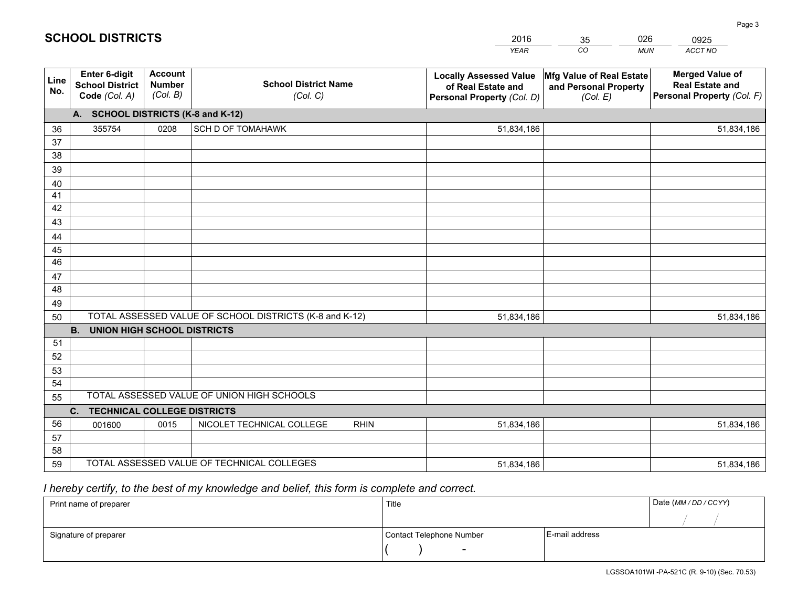|             |                                                                 |                                             |                                                         | <b>YEAR</b>                                                                       | CO<br><b>MUN</b>                                              | ACCT NO                                                                        |
|-------------|-----------------------------------------------------------------|---------------------------------------------|---------------------------------------------------------|-----------------------------------------------------------------------------------|---------------------------------------------------------------|--------------------------------------------------------------------------------|
| Line<br>No. | <b>Enter 6-digit</b><br><b>School District</b><br>Code (Col. A) | <b>Account</b><br><b>Number</b><br>(Col. B) | <b>School District Name</b><br>(Col. C)                 | <b>Locally Assessed Value</b><br>of Real Estate and<br>Personal Property (Col. D) | Mfg Value of Real Estate<br>and Personal Property<br>(Col. E) | <b>Merged Value of</b><br><b>Real Estate and</b><br>Personal Property (Col. F) |
|             | A. SCHOOL DISTRICTS (K-8 and K-12)                              |                                             |                                                         |                                                                                   |                                                               |                                                                                |
| 36          | 355754                                                          | 0208                                        | <b>SCH D OF TOMAHAWK</b>                                | 51,834,186                                                                        |                                                               | 51,834,186                                                                     |
| 37          |                                                                 |                                             |                                                         |                                                                                   |                                                               |                                                                                |
| 38          |                                                                 |                                             |                                                         |                                                                                   |                                                               |                                                                                |
| 39          |                                                                 |                                             |                                                         |                                                                                   |                                                               |                                                                                |
| 40          |                                                                 |                                             |                                                         |                                                                                   |                                                               |                                                                                |
| 41          |                                                                 |                                             |                                                         |                                                                                   |                                                               |                                                                                |
| 42          |                                                                 |                                             |                                                         |                                                                                   |                                                               |                                                                                |
| 43          |                                                                 |                                             |                                                         |                                                                                   |                                                               |                                                                                |
| 44          |                                                                 |                                             |                                                         |                                                                                   |                                                               |                                                                                |
| 45          |                                                                 |                                             |                                                         |                                                                                   |                                                               |                                                                                |
| 46          |                                                                 |                                             |                                                         |                                                                                   |                                                               |                                                                                |
| 47<br>48    |                                                                 |                                             |                                                         |                                                                                   |                                                               |                                                                                |
| 49          |                                                                 |                                             |                                                         |                                                                                   |                                                               |                                                                                |
| 50          |                                                                 |                                             | TOTAL ASSESSED VALUE OF SCHOOL DISTRICTS (K-8 and K-12) | 51,834,186                                                                        |                                                               | 51,834,186                                                                     |
|             | <b>UNION HIGH SCHOOL DISTRICTS</b><br><b>B.</b>                 |                                             |                                                         |                                                                                   |                                                               |                                                                                |
| 51          |                                                                 |                                             |                                                         |                                                                                   |                                                               |                                                                                |
| 52          |                                                                 |                                             |                                                         |                                                                                   |                                                               |                                                                                |
| 53          |                                                                 |                                             |                                                         |                                                                                   |                                                               |                                                                                |
| 54          |                                                                 |                                             |                                                         |                                                                                   |                                                               |                                                                                |
| 55          |                                                                 |                                             | TOTAL ASSESSED VALUE OF UNION HIGH SCHOOLS              |                                                                                   |                                                               |                                                                                |
|             | C <sub>1</sub><br><b>TECHNICAL COLLEGE DISTRICTS</b>            |                                             |                                                         |                                                                                   |                                                               |                                                                                |
| 56          | 001600                                                          | 0015                                        | NICOLET TECHNICAL COLLEGE<br><b>RHIN</b>                | 51,834,186                                                                        |                                                               | 51,834,186                                                                     |
| 57          |                                                                 |                                             |                                                         |                                                                                   |                                                               |                                                                                |
| 58          |                                                                 |                                             |                                                         |                                                                                   |                                                               |                                                                                |
| 59          |                                                                 |                                             | TOTAL ASSESSED VALUE OF TECHNICAL COLLEGES              | 51,834,186                                                                        |                                                               | 51,834,186                                                                     |

35

026

## *I hereby certify, to the best of my knowledge and belief, this form is complete and correct.*

**SCHOOL DISTRICTS**

| Print name of preparer | Title                    |                | Date (MM / DD / CCYY) |
|------------------------|--------------------------|----------------|-----------------------|
|                        |                          |                |                       |
| Signature of preparer  | Contact Telephone Number | E-mail address |                       |
|                        | $\sim$                   |                |                       |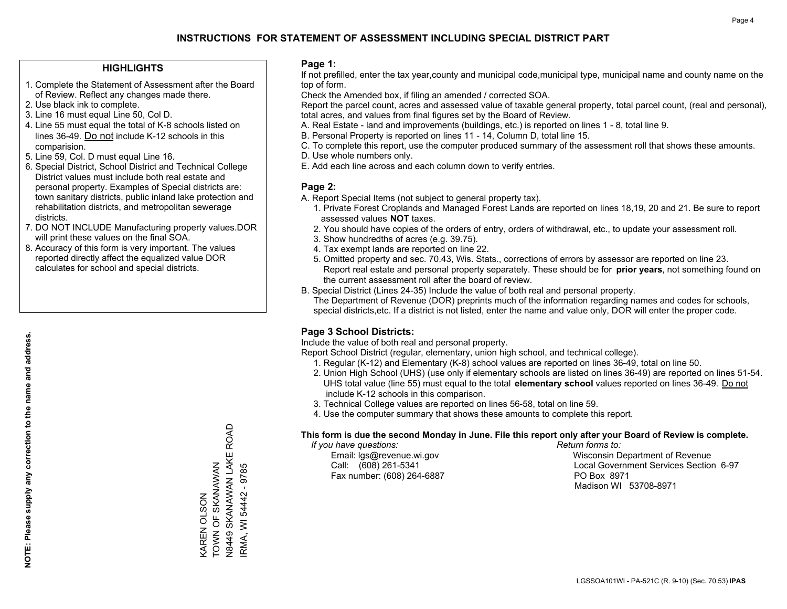### **HIGHLIGHTS**

- 1. Complete the Statement of Assessment after the Board of Review. Reflect any changes made there.
- 2. Use black ink to complete.
- 3. Line 16 must equal Line 50, Col D.
- 4. Line 55 must equal the total of K-8 schools listed on lines 36-49. Do not include K-12 schools in this comparision.
- 5. Line 59, Col. D must equal Line 16.
- 6. Special District, School District and Technical College District values must include both real estate and personal property. Examples of Special districts are: town sanitary districts, public inland lake protection and rehabilitation districts, and metropolitan sewerage districts.
- 7. DO NOT INCLUDE Manufacturing property values.DOR will print these values on the final SOA.

KAREN OLSON

**AREN OLSON** 

TOWN OF SKANAWAN

TOWN OF SKANAWAN

N8449 SKANAWAN LAKE ROAD

**18449 SKANAWAN LAKE ROAD** 

IRMA, WI 54442 - 9785

RMA, WI 54442 - 9785

 8. Accuracy of this form is very important. The values reported directly affect the equalized value DOR calculates for school and special districts.

#### **Page 1:**

 If not prefilled, enter the tax year,county and municipal code,municipal type, municipal name and county name on the top of form.

Check the Amended box, if filing an amended / corrected SOA.

 Report the parcel count, acres and assessed value of taxable general property, total parcel count, (real and personal), total acres, and values from final figures set by the Board of Review.

- A. Real Estate land and improvements (buildings, etc.) is reported on lines 1 8, total line 9.
- B. Personal Property is reported on lines 11 14, Column D, total line 15.
- C. To complete this report, use the computer produced summary of the assessment roll that shows these amounts.
- D. Use whole numbers only.
- E. Add each line across and each column down to verify entries.

### **Page 2:**

- A. Report Special Items (not subject to general property tax).
- 1. Private Forest Croplands and Managed Forest Lands are reported on lines 18,19, 20 and 21. Be sure to report assessed values **NOT** taxes.
- 2. You should have copies of the orders of entry, orders of withdrawal, etc., to update your assessment roll.
	- 3. Show hundredths of acres (e.g. 39.75).
- 4. Tax exempt lands are reported on line 22.
- 5. Omitted property and sec. 70.43, Wis. Stats., corrections of errors by assessor are reported on line 23. Report real estate and personal property separately. These should be for **prior years**, not something found on the current assessment roll after the board of review.
- B. Special District (Lines 24-35) Include the value of both real and personal property.
- The Department of Revenue (DOR) preprints much of the information regarding names and codes for schools, special districts,etc. If a district is not listed, enter the name and value only, DOR will enter the proper code.

## **Page 3 School Districts:**

Include the value of both real and personal property.

Report School District (regular, elementary, union high school, and technical college).

- 1. Regular (K-12) and Elementary (K-8) school values are reported on lines 36-49, total on line 50.
- 2. Union High School (UHS) (use only if elementary schools are listed on lines 36-49) are reported on lines 51-54. UHS total value (line 55) must equal to the total **elementary school** values reported on lines 36-49. Do notinclude K-12 schools in this comparison.
- 3. Technical College values are reported on lines 56-58, total on line 59.
- 4. Use the computer summary that shows these amounts to complete this report.

#### **This form is due the second Monday in June. File this report only after your Board of Review is complete.**

 *If you have questions: Return forms to:*

Fax number: (608) 264-6887 PO Box 8971

 Email: lgs@revenue.wi.gov Wisconsin Department of Revenue Call: (608) 261-5341 Local Government Services Section 6-97Madison WI 53708-8971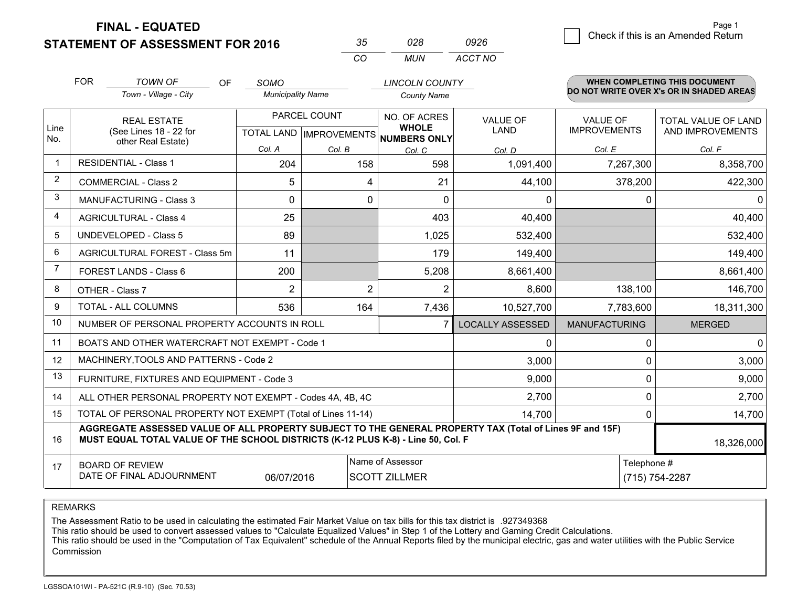**FINAL - EQUATED**

**STATEMENT OF ASSESSMENT FOR 2016** 

| $\sim$   | กวล | 0926    |
|----------|-----|---------|
| $\cdots$ | MUN | ACCT NO |

|             | <b>FOR</b>                                                                                                                                                                                                 | <b>TOWN OF</b><br><b>OF</b>                                  | <b>SOMO</b>              |                                      | <b>LINCOLN COUNTY</b> |                         |                                          | <b>WHEN COMPLETING THIS DOCUMENT</b> |  |
|-------------|------------------------------------------------------------------------------------------------------------------------------------------------------------------------------------------------------------|--------------------------------------------------------------|--------------------------|--------------------------------------|-----------------------|-------------------------|------------------------------------------|--------------------------------------|--|
|             |                                                                                                                                                                                                            | Town - Village - City                                        | <b>Municipality Name</b> |                                      | <b>County Name</b>    |                         | DO NOT WRITE OVER X's OR IN SHADED AREAS |                                      |  |
|             |                                                                                                                                                                                                            | <b>REAL ESTATE</b>                                           |                          | PARCEL COUNT                         | NO. OF ACRES          | <b>VALUE OF</b>         | VALUE OF                                 | TOTAL VALUE OF LAND                  |  |
| Line<br>No. |                                                                                                                                                                                                            | (See Lines 18 - 22 for<br>other Real Estate)                 |                          | TOTAL LAND IMPROVEMENTS NUMBERS ONLY | <b>WHOLE</b>          | LAND                    | <b>IMPROVEMENTS</b>                      | AND IMPROVEMENTS                     |  |
|             |                                                                                                                                                                                                            |                                                              | Col. A                   | Col. B                               | Col. C                | Col. D                  | Col. E                                   | Col. F                               |  |
| $\mathbf 1$ |                                                                                                                                                                                                            | <b>RESIDENTIAL - Class 1</b>                                 | 204                      | 158                                  | 598                   | 1,091,400               | 7,267,300                                | 8,358,700                            |  |
| 2           |                                                                                                                                                                                                            | <b>COMMERCIAL - Class 2</b>                                  | 5                        | 4                                    | 21                    | 44,100                  | 378,200                                  | 422,300                              |  |
| 3           | <b>MANUFACTURING - Class 3</b>                                                                                                                                                                             |                                                              | $\Omega$                 | 0                                    | $\Omega$              | 0                       | 0                                        | 0                                    |  |
| 4           |                                                                                                                                                                                                            | <b>AGRICULTURAL - Class 4</b>                                | 25                       |                                      | 403                   | 40,400                  |                                          | 40,400                               |  |
| 5           |                                                                                                                                                                                                            | <b>UNDEVELOPED - Class 5</b>                                 | 89                       |                                      | 1,025                 | 532,400                 |                                          | 532,400                              |  |
| 6           | AGRICULTURAL FOREST - Class 5m<br>FOREST LANDS - Class 6                                                                                                                                                   |                                                              | 11                       |                                      | 179                   | 149,400                 |                                          | 149,400                              |  |
| 7           |                                                                                                                                                                                                            |                                                              | 200                      |                                      | 5,208                 | 8,661,400               |                                          | 8,661,400                            |  |
| 8           |                                                                                                                                                                                                            | OTHER - Class 7                                              | $\overline{2}$           | 2                                    | $\overline{2}$        | 8,600                   | 138,100                                  | 146,700                              |  |
| 9           |                                                                                                                                                                                                            | TOTAL - ALL COLUMNS                                          | 536                      | 164                                  | 7,436                 | 10,527,700              | 7,783,600                                | 18,311,300                           |  |
| 10          |                                                                                                                                                                                                            | NUMBER OF PERSONAL PROPERTY ACCOUNTS IN ROLL                 |                          |                                      | 7                     | <b>LOCALLY ASSESSED</b> | <b>MANUFACTURING</b>                     | <b>MERGED</b>                        |  |
| 11          |                                                                                                                                                                                                            | BOATS AND OTHER WATERCRAFT NOT EXEMPT - Code 1               |                          |                                      |                       | 0                       | 0                                        | 0                                    |  |
| 12          |                                                                                                                                                                                                            | MACHINERY, TOOLS AND PATTERNS - Code 2                       |                          |                                      |                       | 3,000                   | 0                                        | 3,000                                |  |
| 13          |                                                                                                                                                                                                            | FURNITURE, FIXTURES AND EQUIPMENT - Code 3                   |                          |                                      |                       | 9,000                   | 0                                        | 9,000                                |  |
| 14          |                                                                                                                                                                                                            | ALL OTHER PERSONAL PROPERTY NOT EXEMPT - Codes 4A, 4B, 4C    |                          |                                      |                       | 2,700                   | 0                                        | 2,700                                |  |
| 15          |                                                                                                                                                                                                            | TOTAL OF PERSONAL PROPERTY NOT EXEMPT (Total of Lines 11-14) |                          |                                      |                       | 14,700                  | 0                                        | 14,700                               |  |
| 16          | AGGREGATE ASSESSED VALUE OF ALL PROPERTY SUBJECT TO THE GENERAL PROPERTY TAX (Total of Lines 9F and 15F)<br>MUST EQUAL TOTAL VALUE OF THE SCHOOL DISTRICTS (K-12 PLUS K-8) - Line 50, Col. F<br>18,326,000 |                                                              |                          |                                      |                       |                         |                                          |                                      |  |
| 17          | Name of Assessor<br><b>BOARD OF REVIEW</b>                                                                                                                                                                 |                                                              |                          |                                      |                       |                         | Telephone #                              |                                      |  |
|             |                                                                                                                                                                                                            | DATE OF FINAL ADJOURNMENT                                    | 06/07/2016               |                                      | <b>SCOTT ZILLMER</b>  |                         |                                          | (715) 754-2287                       |  |

REMARKS

The Assessment Ratio to be used in calculating the estimated Fair Market Value on tax bills for this tax district is .927349368

This ratio should be used to convert assessed values to "Calculate Equalized Values" in Step 1 of the Lottery and Gaming Credit Calculations.<br>This ratio should be used in the "Computation of Tax Equivalent" schedule of the Commission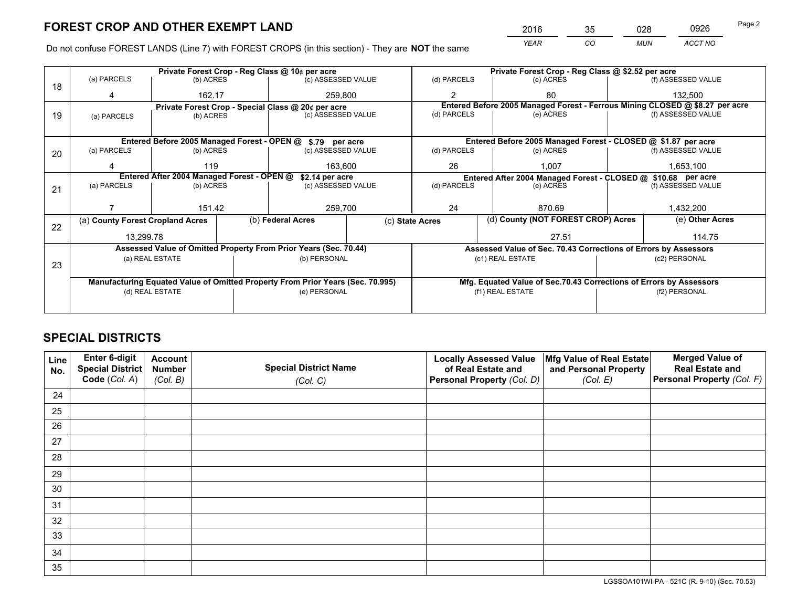*YEAR CO MUN ACCT NO* <sup>2016</sup> <sup>35</sup> <sup>028</sup> <sup>0926</sup>

Do not confuse FOREST LANDS (Line 7) with FOREST CROPS (in this section) - They are **NOT** the same

|    |                                                               |                                             |  | Private Forest Crop - Reg Class @ 10¢ per acre                                 |                 |                                                                              | Private Forest Crop - Reg Class @ \$2.52 per acre                  |  |                    |  |
|----|---------------------------------------------------------------|---------------------------------------------|--|--------------------------------------------------------------------------------|-----------------|------------------------------------------------------------------------------|--------------------------------------------------------------------|--|--------------------|--|
| 18 | (a) PARCELS                                                   | (b) ACRES                                   |  | (c) ASSESSED VALUE                                                             |                 | (d) PARCELS                                                                  | (e) ACRES                                                          |  | (f) ASSESSED VALUE |  |
|    | 162.17<br>4                                                   |                                             |  | 259,800                                                                        |                 | $\mathfrak{p}$                                                               | 80                                                                 |  | 132,500            |  |
|    |                                                               |                                             |  | Private Forest Crop - Special Class @ 20¢ per acre                             |                 | Entered Before 2005 Managed Forest - Ferrous Mining CLOSED @ \$8.27 per acre |                                                                    |  |                    |  |
| 19 | (a) PARCELS                                                   | (b) ACRES                                   |  | (c) ASSESSED VALUE                                                             |                 | (d) PARCELS                                                                  | (e) ACRES                                                          |  | (f) ASSESSED VALUE |  |
|    |                                                               |                                             |  |                                                                                |                 |                                                                              |                                                                    |  |                    |  |
|    |                                                               | Entered Before 2005 Managed Forest - OPEN @ |  | \$.79 per acre                                                                 |                 |                                                                              | Entered Before 2005 Managed Forest - CLOSED @ \$1.87 per acre      |  |                    |  |
| 20 | (a) PARCELS                                                   | (b) ACRES                                   |  | (c) ASSESSED VALUE                                                             |                 | (d) PARCELS                                                                  | (e) ACRES                                                          |  | (f) ASSESSED VALUE |  |
|    |                                                               | 119                                         |  | 163.600                                                                        |                 | 26<br>1.007                                                                  |                                                                    |  | 1,653,100          |  |
|    | Entered After 2004 Managed Forest - OPEN @<br>\$2.14 per acre |                                             |  |                                                                                |                 |                                                                              | Entered After 2004 Managed Forest - CLOSED @ \$10.68 per acre      |  |                    |  |
| 21 | (a) PARCELS                                                   | (b) ACRES                                   |  | (c) ASSESSED VALUE                                                             | (d) PARCELS     |                                                                              | (e) ACRES                                                          |  | (f) ASSESSED VALUE |  |
|    |                                                               |                                             |  |                                                                                |                 |                                                                              |                                                                    |  |                    |  |
|    |                                                               | 151.42                                      |  | 259,700                                                                        |                 | 24<br>870.69                                                                 |                                                                    |  | 1,432,200          |  |
| 22 | (a) County Forest Cropland Acres                              |                                             |  | (b) Federal Acres                                                              | (c) State Acres |                                                                              | (d) County (NOT FOREST CROP) Acres                                 |  | (e) Other Acres    |  |
|    | 13,299.78                                                     |                                             |  |                                                                                |                 |                                                                              | 27.51                                                              |  | 114.75             |  |
|    |                                                               |                                             |  | Assessed Value of Omitted Property From Prior Years (Sec. 70.44)               |                 | Assessed Value of Sec. 70.43 Corrections of Errors by Assessors              |                                                                    |  |                    |  |
|    |                                                               | (a) REAL ESTATE                             |  | (b) PERSONAL                                                                   |                 |                                                                              | (c1) REAL ESTATE                                                   |  | (c2) PERSONAL      |  |
| 23 |                                                               |                                             |  |                                                                                |                 |                                                                              |                                                                    |  |                    |  |
|    |                                                               |                                             |  | Manufacturing Equated Value of Omitted Property From Prior Years (Sec. 70.995) |                 |                                                                              | Mfg. Equated Value of Sec.70.43 Corrections of Errors by Assessors |  |                    |  |
|    |                                                               | (d) REAL ESTATE                             |  | (e) PERSONAL                                                                   |                 |                                                                              | (f1) REAL ESTATE                                                   |  | (f2) PERSONAL      |  |
|    |                                                               |                                             |  |                                                                                |                 |                                                                              |                                                                    |  |                    |  |

## **SPECIAL DISTRICTS**

| Line<br>No. | Enter 6-digit<br>Special District<br>Code (Col. A) | <b>Account</b><br><b>Number</b><br>(Col. B) | <b>Special District Name</b><br>(Col. C) | <b>Locally Assessed Value</b><br>of Real Estate and<br>Personal Property (Col. D) | Mfg Value of Real Estate<br>and Personal Property<br>(Col. E) | <b>Merged Value of</b><br><b>Real Estate and</b><br>Personal Property (Col. F) |
|-------------|----------------------------------------------------|---------------------------------------------|------------------------------------------|-----------------------------------------------------------------------------------|---------------------------------------------------------------|--------------------------------------------------------------------------------|
| 24          |                                                    |                                             |                                          |                                                                                   |                                                               |                                                                                |
| 25          |                                                    |                                             |                                          |                                                                                   |                                                               |                                                                                |
| 26          |                                                    |                                             |                                          |                                                                                   |                                                               |                                                                                |
| 27          |                                                    |                                             |                                          |                                                                                   |                                                               |                                                                                |
| 28          |                                                    |                                             |                                          |                                                                                   |                                                               |                                                                                |
| 29          |                                                    |                                             |                                          |                                                                                   |                                                               |                                                                                |
| 30          |                                                    |                                             |                                          |                                                                                   |                                                               |                                                                                |
| 31          |                                                    |                                             |                                          |                                                                                   |                                                               |                                                                                |
| 32          |                                                    |                                             |                                          |                                                                                   |                                                               |                                                                                |
| 33          |                                                    |                                             |                                          |                                                                                   |                                                               |                                                                                |
| 34          |                                                    |                                             |                                          |                                                                                   |                                                               |                                                                                |
| 35          |                                                    |                                             |                                          |                                                                                   |                                                               |                                                                                |

LGSSOA101WI-PA - 521C (R. 9-10) (Sec. 70.53)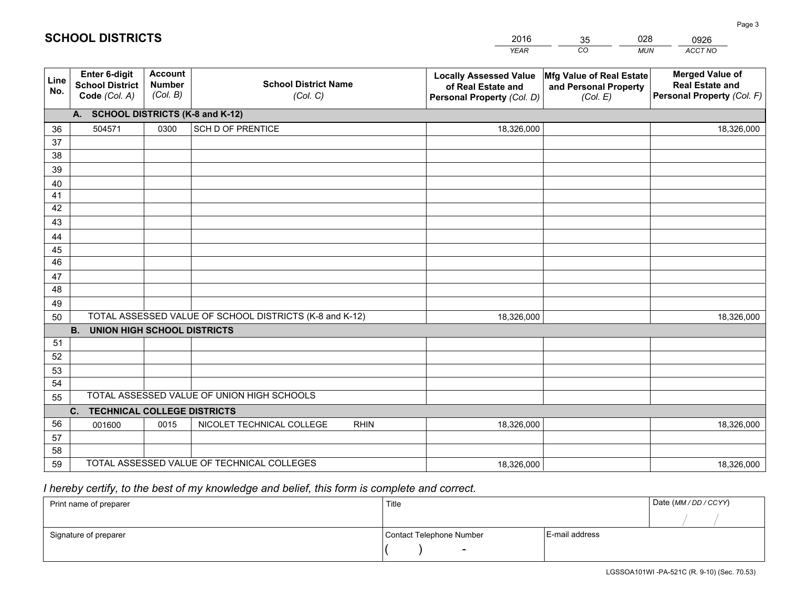|             |                                                                 |                                             |                                                         | <b>YEAR</b>                                                                       | CO<br><b>MUN</b>                                              | ACCT NO                                                                        |
|-------------|-----------------------------------------------------------------|---------------------------------------------|---------------------------------------------------------|-----------------------------------------------------------------------------------|---------------------------------------------------------------|--------------------------------------------------------------------------------|
| Line<br>No. | <b>Enter 6-digit</b><br><b>School District</b><br>Code (Col. A) | <b>Account</b><br><b>Number</b><br>(Col. B) | <b>School District Name</b><br>(Col. C)                 | <b>Locally Assessed Value</b><br>of Real Estate and<br>Personal Property (Col. D) | Mfg Value of Real Estate<br>and Personal Property<br>(Col. E) | <b>Merged Value of</b><br><b>Real Estate and</b><br>Personal Property (Col. F) |
|             | A. SCHOOL DISTRICTS (K-8 and K-12)                              |                                             |                                                         |                                                                                   |                                                               |                                                                                |
| 36          | 504571                                                          | 0300                                        | SCH D OF PRENTICE                                       | 18,326,000                                                                        |                                                               | 18,326,000                                                                     |
| 37          |                                                                 |                                             |                                                         |                                                                                   |                                                               |                                                                                |
| 38          |                                                                 |                                             |                                                         |                                                                                   |                                                               |                                                                                |
| 39          |                                                                 |                                             |                                                         |                                                                                   |                                                               |                                                                                |
| 40          |                                                                 |                                             |                                                         |                                                                                   |                                                               |                                                                                |
| 41          |                                                                 |                                             |                                                         |                                                                                   |                                                               |                                                                                |
| 42          |                                                                 |                                             |                                                         |                                                                                   |                                                               |                                                                                |
| 43          |                                                                 |                                             |                                                         |                                                                                   |                                                               |                                                                                |
| 44          |                                                                 |                                             |                                                         |                                                                                   |                                                               |                                                                                |
| 45<br>46    |                                                                 |                                             |                                                         |                                                                                   |                                                               |                                                                                |
|             |                                                                 |                                             |                                                         |                                                                                   |                                                               |                                                                                |
| 47<br>48    |                                                                 |                                             |                                                         |                                                                                   |                                                               |                                                                                |
| 49          |                                                                 |                                             |                                                         |                                                                                   |                                                               |                                                                                |
| 50          |                                                                 |                                             | TOTAL ASSESSED VALUE OF SCHOOL DISTRICTS (K-8 and K-12) | 18,326,000                                                                        |                                                               | 18,326,000                                                                     |
|             | <b>UNION HIGH SCHOOL DISTRICTS</b><br><b>B.</b>                 |                                             |                                                         |                                                                                   |                                                               |                                                                                |
| 51          |                                                                 |                                             |                                                         |                                                                                   |                                                               |                                                                                |
| 52          |                                                                 |                                             |                                                         |                                                                                   |                                                               |                                                                                |
| 53          |                                                                 |                                             |                                                         |                                                                                   |                                                               |                                                                                |
| 54          |                                                                 |                                             |                                                         |                                                                                   |                                                               |                                                                                |
| 55          |                                                                 |                                             | TOTAL ASSESSED VALUE OF UNION HIGH SCHOOLS              |                                                                                   |                                                               |                                                                                |
|             | C <sub>1</sub><br><b>TECHNICAL COLLEGE DISTRICTS</b>            |                                             |                                                         |                                                                                   |                                                               |                                                                                |
| 56          | 001600                                                          | 0015                                        | NICOLET TECHNICAL COLLEGE<br><b>RHIN</b>                | 18,326,000                                                                        |                                                               | 18,326,000                                                                     |
| 57          |                                                                 |                                             |                                                         |                                                                                   |                                                               |                                                                                |
| 58          |                                                                 |                                             |                                                         |                                                                                   |                                                               |                                                                                |
| 59          |                                                                 |                                             | TOTAL ASSESSED VALUE OF TECHNICAL COLLEGES              | 18,326,000                                                                        |                                                               | 18,326,000                                                                     |

35

028

## *I hereby certify, to the best of my knowledge and belief, this form is complete and correct.*

**SCHOOL DISTRICTS**

| Print name of preparer | Title                    |                | Date (MM / DD / CCYY) |
|------------------------|--------------------------|----------------|-----------------------|
|                        |                          |                |                       |
| Signature of preparer  | Contact Telephone Number | E-mail address |                       |
|                        | $\sim$                   |                |                       |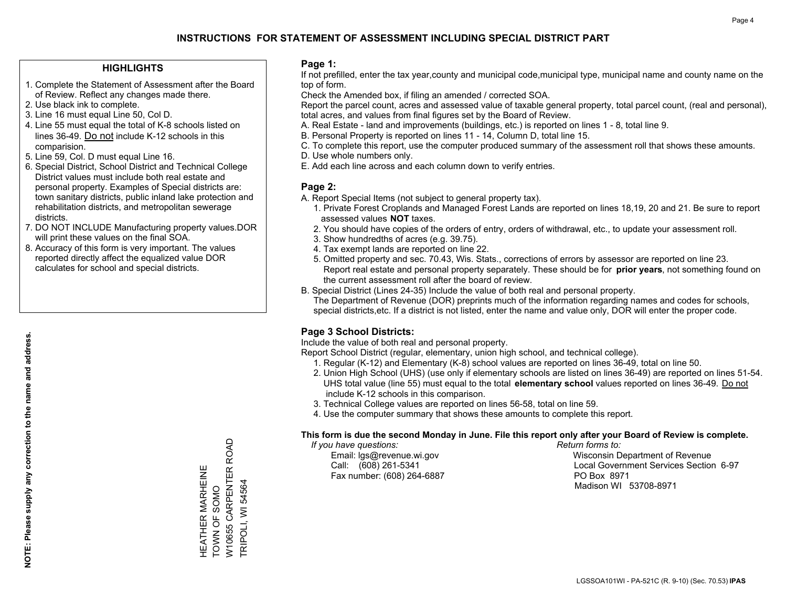### **HIGHLIGHTS**

- 1. Complete the Statement of Assessment after the Board of Review. Reflect any changes made there.
- 2. Use black ink to complete.
- 3. Line 16 must equal Line 50, Col D.
- 4. Line 55 must equal the total of K-8 schools listed on lines 36-49. Do not include K-12 schools in this comparision.
- 5. Line 59, Col. D must equal Line 16.
- 6. Special District, School District and Technical College District values must include both real estate and personal property. Examples of Special districts are: town sanitary districts, public inland lake protection and rehabilitation districts, and metropolitan sewerage districts.
- 7. DO NOT INCLUDE Manufacturing property values.DOR will print these values on the final SOA.

HEATHER MARHEINE TOWN OF SOMO

HEATHER MARHEINE<br>TOWN OF SOMO

W10655 CARPENTER ROAD

W10655 CARPENTER ROAD

TRIPOLI, WI 54564

TRIPOLI, WI 54564

 8. Accuracy of this form is very important. The values reported directly affect the equalized value DOR calculates for school and special districts.

#### **Page 1:**

 If not prefilled, enter the tax year,county and municipal code,municipal type, municipal name and county name on the top of form.

Check the Amended box, if filing an amended / corrected SOA.

 Report the parcel count, acres and assessed value of taxable general property, total parcel count, (real and personal), total acres, and values from final figures set by the Board of Review.

- A. Real Estate land and improvements (buildings, etc.) is reported on lines 1 8, total line 9.
- B. Personal Property is reported on lines 11 14, Column D, total line 15.
- C. To complete this report, use the computer produced summary of the assessment roll that shows these amounts.
- D. Use whole numbers only.
- E. Add each line across and each column down to verify entries.

### **Page 2:**

- A. Report Special Items (not subject to general property tax).
- 1. Private Forest Croplands and Managed Forest Lands are reported on lines 18,19, 20 and 21. Be sure to report assessed values **NOT** taxes.
- 2. You should have copies of the orders of entry, orders of withdrawal, etc., to update your assessment roll.
	- 3. Show hundredths of acres (e.g. 39.75).
- 4. Tax exempt lands are reported on line 22.
- 5. Omitted property and sec. 70.43, Wis. Stats., corrections of errors by assessor are reported on line 23. Report real estate and personal property separately. These should be for **prior years**, not something found on the current assessment roll after the board of review.
- B. Special District (Lines 24-35) Include the value of both real and personal property.
- The Department of Revenue (DOR) preprints much of the information regarding names and codes for schools, special districts,etc. If a district is not listed, enter the name and value only, DOR will enter the proper code.

## **Page 3 School Districts:**

Include the value of both real and personal property.

Report School District (regular, elementary, union high school, and technical college).

- 1. Regular (K-12) and Elementary (K-8) school values are reported on lines 36-49, total on line 50.
- 2. Union High School (UHS) (use only if elementary schools are listed on lines 36-49) are reported on lines 51-54. UHS total value (line 55) must equal to the total **elementary school** values reported on lines 36-49. Do notinclude K-12 schools in this comparison.
- 3. Technical College values are reported on lines 56-58, total on line 59.
- 4. Use the computer summary that shows these amounts to complete this report.

#### **This form is due the second Monday in June. File this report only after your Board of Review is complete.**

 *If you have questions: Return forms to:*

Fax number: (608) 264-6887 PO Box 8971

 Email: lgs@revenue.wi.gov Wisconsin Department of Revenue Call: (608) 261-5341 Local Government Services Section 6-97Madison WI 53708-8971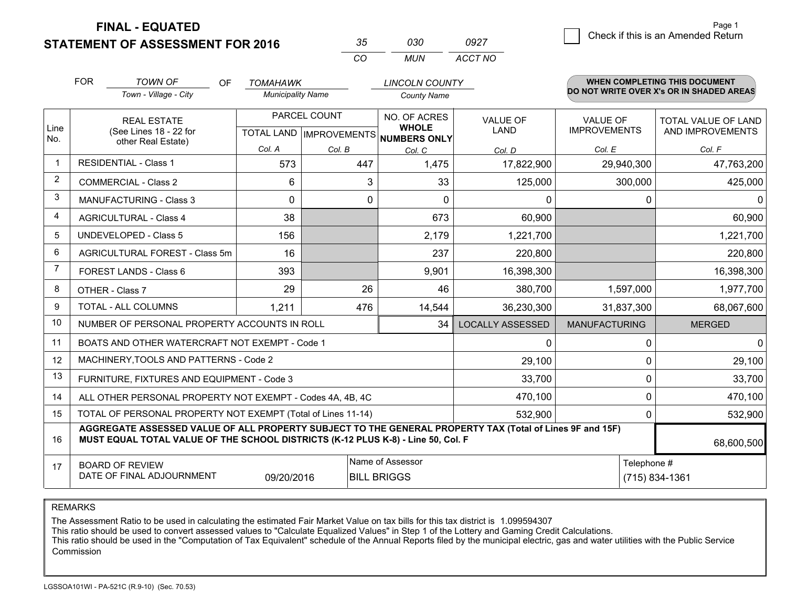**STATEMENT OF ASSESSMENT FOR 2016** 

**FINAL - EQUATED**

7 Check if this is an Amended Return<br>7 Page 1

|                | <b>FOR</b>                                 | <b>TOWN OF</b><br>OF                                                                                                                                                                         | <b>TOMAHAWK</b>          |              | <b>LINCOLN COUNTY</b>                                |                         |                      | <b>WHEN COMPLETING THIS DOCUMENT</b>     |
|----------------|--------------------------------------------|----------------------------------------------------------------------------------------------------------------------------------------------------------------------------------------------|--------------------------|--------------|------------------------------------------------------|-------------------------|----------------------|------------------------------------------|
|                |                                            | Town - Village - City                                                                                                                                                                        | <b>Municipality Name</b> |              | <b>County Name</b>                                   |                         |                      | DO NOT WRITE OVER X's OR IN SHADED AREAS |
|                |                                            | <b>REAL ESTATE</b>                                                                                                                                                                           |                          | PARCEL COUNT | NO. OF ACRES                                         | <b>VALUE OF</b>         | <b>VALUE OF</b>      | <b>TOTAL VALUE OF LAND</b>               |
| Line<br>No.    |                                            | (See Lines 18 - 22 for<br>other Real Estate)                                                                                                                                                 |                          |              | <b>WHOLE</b><br>TOTAL LAND IMPROVEMENTS NUMBERS ONLY | LAND                    | <b>IMPROVEMENTS</b>  | AND IMPROVEMENTS                         |
|                |                                            |                                                                                                                                                                                              | Col. A                   | Col. B       | Col. C                                               | Col. D                  | Col. E               | Col. F                                   |
| $\mathbf 1$    |                                            | <b>RESIDENTIAL - Class 1</b>                                                                                                                                                                 | 573                      | 447          | 1,475                                                | 17,822,900              | 29,940,300           | 47,763,200                               |
| 2              |                                            | <b>COMMERCIAL - Class 2</b>                                                                                                                                                                  | 6                        |              | 3<br>33                                              | 125,000                 | 300,000              | 425,000                                  |
| 3              |                                            | <b>MANUFACTURING - Class 3</b>                                                                                                                                                               | 0                        |              | $\mathbf 0$<br>$\Omega$                              | $\mathbf 0$             | $\Omega$             | $\Omega$                                 |
| 4              |                                            | <b>AGRICULTURAL - Class 4</b>                                                                                                                                                                | 38                       |              | 673                                                  | 60,900                  |                      | 60,900                                   |
| 5              |                                            | <b>UNDEVELOPED - Class 5</b>                                                                                                                                                                 | 156                      |              | 2,179                                                | 1,221,700               |                      | 1,221,700                                |
| 6              |                                            | AGRICULTURAL FOREST - Class 5m                                                                                                                                                               | 16                       |              | 237                                                  | 220,800                 |                      | 220,800                                  |
| $\overline{7}$ |                                            | FOREST LANDS - Class 6                                                                                                                                                                       | 393                      |              | 9,901                                                | 16,398,300              |                      | 16,398,300                               |
| 8              |                                            | OTHER - Class 7                                                                                                                                                                              | 29                       | 26           | 46                                                   | 380,700                 | 1,597,000            | 1,977,700                                |
| 9              |                                            | <b>TOTAL - ALL COLUMNS</b>                                                                                                                                                                   | 1,211                    | 476          | 14,544                                               | 36,230,300              | 31,837,300           | 68,067,600                               |
| 10             |                                            | NUMBER OF PERSONAL PROPERTY ACCOUNTS IN ROLL                                                                                                                                                 |                          |              | 34                                                   | <b>LOCALLY ASSESSED</b> | <b>MANUFACTURING</b> | <b>MERGED</b>                            |
| 11             |                                            | BOATS AND OTHER WATERCRAFT NOT EXEMPT - Code 1                                                                                                                                               |                          |              |                                                      | 0                       | $\mathbf 0$          | $\mathbf{0}$                             |
| 12             |                                            | MACHINERY, TOOLS AND PATTERNS - Code 2                                                                                                                                                       |                          |              |                                                      | 29,100                  | $\Omega$             | 29,100                                   |
| 13             |                                            | FURNITURE, FIXTURES AND EQUIPMENT - Code 3                                                                                                                                                   |                          |              |                                                      | 33,700                  | 0                    | 33,700                                   |
| 14             |                                            | ALL OTHER PERSONAL PROPERTY NOT EXEMPT - Codes 4A, 4B, 4C                                                                                                                                    |                          |              |                                                      | 470,100                 | 0                    | 470,100                                  |
| 15             |                                            | TOTAL OF PERSONAL PROPERTY NOT EXEMPT (Total of Lines 11-14)                                                                                                                                 |                          |              |                                                      | 532,900                 | 0                    | 532,900                                  |
| 16             |                                            | AGGREGATE ASSESSED VALUE OF ALL PROPERTY SUBJECT TO THE GENERAL PROPERTY TAX (Total of Lines 9F and 15F)<br>MUST EQUAL TOTAL VALUE OF THE SCHOOL DISTRICTS (K-12 PLUS K-8) - Line 50, Col. F |                          |              |                                                      |                         |                      | 68,600,500                               |
| 17             | Name of Assessor<br><b>BOARD OF REVIEW</b> |                                                                                                                                                                                              |                          |              |                                                      | Telephone #             |                      |                                          |
|                |                                            | DATE OF FINAL ADJOURNMENT                                                                                                                                                                    | 09/20/2016               |              | <b>BILL BRIGGS</b>                                   |                         |                      | (715) 834-1361                           |

*CO*

*MUN*

*ACCT NO0927*

*<sup>35</sup> <sup>030</sup>*

REMARKS

The Assessment Ratio to be used in calculating the estimated Fair Market Value on tax bills for this tax district is 1.099594307<br>This ratio should be used to convert assessed values to "Calculate Equalized Values" in Step Commission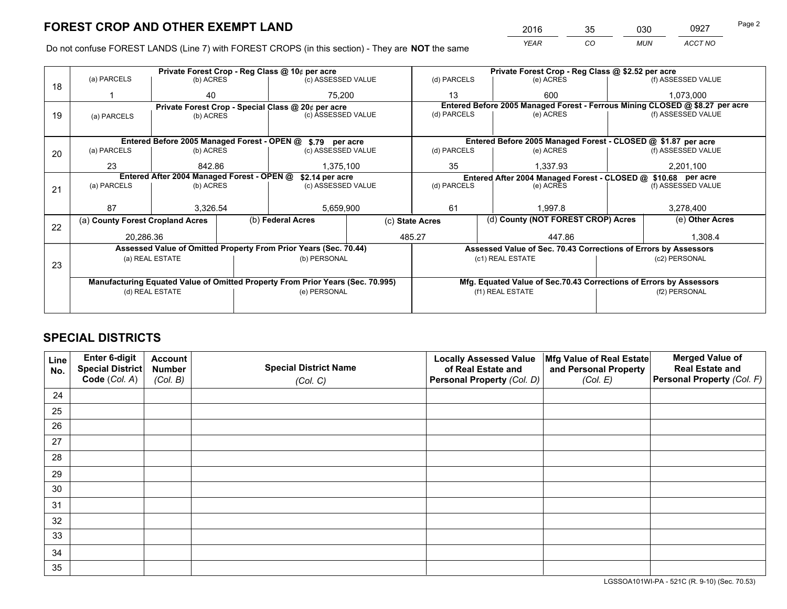*YEAR CO MUN ACCT NO* <sup>2016</sup> <sup>35</sup> <sup>030</sup> <sup>0927</sup>

Do not confuse FOREST LANDS (Line 7) with FOREST CROPS (in this section) - They are **NOT** the same

|    |                                                               |                                             |  | Private Forest Crop - Reg Class @ 10¢ per acre                                 |                 |                                                                              |                  | Private Forest Crop - Reg Class @ \$2.52 per acre               |               |                                                                    |
|----|---------------------------------------------------------------|---------------------------------------------|--|--------------------------------------------------------------------------------|-----------------|------------------------------------------------------------------------------|------------------|-----------------------------------------------------------------|---------------|--------------------------------------------------------------------|
| 18 | (a) PARCELS                                                   | (b) ACRES                                   |  | (c) ASSESSED VALUE                                                             |                 | (d) PARCELS                                                                  |                  | (e) ACRES                                                       |               | (f) ASSESSED VALUE                                                 |
|    |                                                               | 40                                          |  | 75.200                                                                         |                 | 13                                                                           |                  | 600                                                             |               | 1,073,000                                                          |
|    |                                                               |                                             |  | Private Forest Crop - Special Class @ 20¢ per acre                             |                 | Entered Before 2005 Managed Forest - Ferrous Mining CLOSED @ \$8.27 per acre |                  |                                                                 |               |                                                                    |
| 19 | (a) PARCELS                                                   | (b) ACRES                                   |  | (c) ASSESSED VALUE                                                             | (d) PARCELS     |                                                                              |                  | (e) ACRES                                                       |               | (f) ASSESSED VALUE                                                 |
|    |                                                               |                                             |  |                                                                                |                 |                                                                              |                  |                                                                 |               |                                                                    |
|    |                                                               | Entered Before 2005 Managed Forest - OPEN @ |  | \$.79 per acre                                                                 |                 |                                                                              |                  | Entered Before 2005 Managed Forest - CLOSED @ \$1.87 per acre   |               |                                                                    |
| 20 | (a) PARCELS<br>(b) ACRES                                      |                                             |  | (c) ASSESSED VALUE                                                             |                 | (d) PARCELS                                                                  |                  | (e) ACRES                                                       |               | (f) ASSESSED VALUE                                                 |
|    | 23                                                            | 842.86                                      |  | 1,375,100                                                                      |                 | 35<br>1,337.93                                                               |                  | 2,201,100                                                       |               |                                                                    |
|    | Entered After 2004 Managed Forest - OPEN @<br>\$2.14 per acre |                                             |  |                                                                                |                 |                                                                              |                  | Entered After 2004 Managed Forest - CLOSED @ \$10.68 per acre   |               |                                                                    |
| 21 | (a) PARCELS                                                   | (b) ACRES                                   |  | (c) ASSESSED VALUE                                                             | (d) PARCELS     |                                                                              |                  | (e) ACRES                                                       |               | (f) ASSESSED VALUE                                                 |
|    |                                                               |                                             |  |                                                                                |                 |                                                                              |                  |                                                                 |               |                                                                    |
|    | 87                                                            | 3,326.54                                    |  |                                                                                | 5,659,900       |                                                                              |                  | 1.997.8                                                         |               | 3,278,400                                                          |
| 22 | (a) County Forest Cropland Acres                              |                                             |  | (b) Federal Acres                                                              | (c) State Acres |                                                                              |                  | (d) County (NOT FOREST CROP) Acres                              |               | (e) Other Acres                                                    |
|    | 20,286.36                                                     |                                             |  | 485.27                                                                         |                 |                                                                              |                  | 447.86                                                          |               | 1,308.4                                                            |
|    |                                                               |                                             |  | Assessed Value of Omitted Property From Prior Years (Sec. 70.44)               |                 |                                                                              |                  | Assessed Value of Sec. 70.43 Corrections of Errors by Assessors |               |                                                                    |
|    |                                                               | (a) REAL ESTATE                             |  | (b) PERSONAL                                                                   |                 |                                                                              | (c1) REAL ESTATE |                                                                 |               | (c2) PERSONAL                                                      |
| 23 |                                                               |                                             |  |                                                                                |                 |                                                                              |                  |                                                                 |               |                                                                    |
|    |                                                               |                                             |  | Manufacturing Equated Value of Omitted Property From Prior Years (Sec. 70.995) |                 |                                                                              |                  |                                                                 |               | Mfg. Equated Value of Sec.70.43 Corrections of Errors by Assessors |
|    |                                                               | (d) REAL ESTATE                             |  | (e) PERSONAL                                                                   |                 | (f1) REAL ESTATE                                                             |                  |                                                                 | (f2) PERSONAL |                                                                    |
|    |                                                               |                                             |  |                                                                                |                 |                                                                              |                  |                                                                 |               |                                                                    |

## **SPECIAL DISTRICTS**

| Line<br>No. | Enter 6-digit<br>Special District<br>Code (Col. A) | <b>Account</b><br><b>Number</b><br>(Col. B) | <b>Special District Name</b><br>(Col. C) | <b>Locally Assessed Value</b><br>of Real Estate and<br>Personal Property (Col. D) | Mfg Value of Real Estate<br>and Personal Property<br>(Col. E) | <b>Merged Value of</b><br><b>Real Estate and</b><br>Personal Property (Col. F) |
|-------------|----------------------------------------------------|---------------------------------------------|------------------------------------------|-----------------------------------------------------------------------------------|---------------------------------------------------------------|--------------------------------------------------------------------------------|
| 24          |                                                    |                                             |                                          |                                                                                   |                                                               |                                                                                |
| 25          |                                                    |                                             |                                          |                                                                                   |                                                               |                                                                                |
| 26          |                                                    |                                             |                                          |                                                                                   |                                                               |                                                                                |
| 27          |                                                    |                                             |                                          |                                                                                   |                                                               |                                                                                |
| 28          |                                                    |                                             |                                          |                                                                                   |                                                               |                                                                                |
| 29          |                                                    |                                             |                                          |                                                                                   |                                                               |                                                                                |
| 30          |                                                    |                                             |                                          |                                                                                   |                                                               |                                                                                |
| 31          |                                                    |                                             |                                          |                                                                                   |                                                               |                                                                                |
| 32          |                                                    |                                             |                                          |                                                                                   |                                                               |                                                                                |
| 33          |                                                    |                                             |                                          |                                                                                   |                                                               |                                                                                |
| 34          |                                                    |                                             |                                          |                                                                                   |                                                               |                                                                                |
| 35          |                                                    |                                             |                                          |                                                                                   |                                                               |                                                                                |

LGSSOA101WI-PA - 521C (R. 9-10) (Sec. 70.53)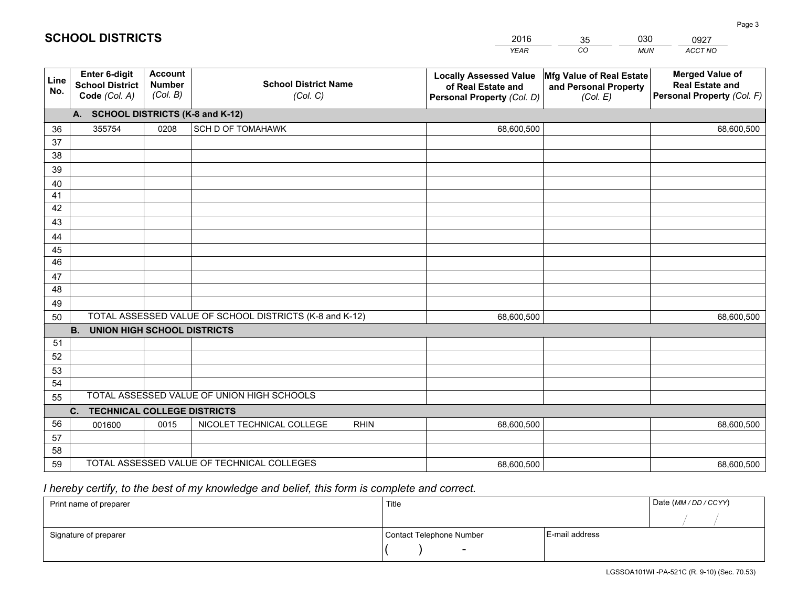|             |                                                                 |                                             |                                                         | <b>YEAR</b>                                                                       | CO<br><b>MUN</b>                                              | ACCT NO                                                                        |
|-------------|-----------------------------------------------------------------|---------------------------------------------|---------------------------------------------------------|-----------------------------------------------------------------------------------|---------------------------------------------------------------|--------------------------------------------------------------------------------|
| Line<br>No. | <b>Enter 6-digit</b><br><b>School District</b><br>Code (Col. A) | <b>Account</b><br><b>Number</b><br>(Col. B) | <b>School District Name</b><br>(Col. C)                 | <b>Locally Assessed Value</b><br>of Real Estate and<br>Personal Property (Col. D) | Mfg Value of Real Estate<br>and Personal Property<br>(Col. E) | <b>Merged Value of</b><br><b>Real Estate and</b><br>Personal Property (Col. F) |
|             | A. SCHOOL DISTRICTS (K-8 and K-12)                              |                                             |                                                         |                                                                                   |                                                               |                                                                                |
| 36          | 355754                                                          | 0208                                        | <b>SCH D OF TOMAHAWK</b>                                | 68,600,500                                                                        |                                                               | 68,600,500                                                                     |
| 37          |                                                                 |                                             |                                                         |                                                                                   |                                                               |                                                                                |
| 38          |                                                                 |                                             |                                                         |                                                                                   |                                                               |                                                                                |
| 39          |                                                                 |                                             |                                                         |                                                                                   |                                                               |                                                                                |
| 40          |                                                                 |                                             |                                                         |                                                                                   |                                                               |                                                                                |
| 41          |                                                                 |                                             |                                                         |                                                                                   |                                                               |                                                                                |
| 42          |                                                                 |                                             |                                                         |                                                                                   |                                                               |                                                                                |
| 43          |                                                                 |                                             |                                                         |                                                                                   |                                                               |                                                                                |
| 44          |                                                                 |                                             |                                                         |                                                                                   |                                                               |                                                                                |
| 45<br>46    |                                                                 |                                             |                                                         |                                                                                   |                                                               |                                                                                |
|             |                                                                 |                                             |                                                         |                                                                                   |                                                               |                                                                                |
| 47<br>48    |                                                                 |                                             |                                                         |                                                                                   |                                                               |                                                                                |
| 49          |                                                                 |                                             |                                                         |                                                                                   |                                                               |                                                                                |
| 50          |                                                                 |                                             | TOTAL ASSESSED VALUE OF SCHOOL DISTRICTS (K-8 and K-12) | 68,600,500                                                                        |                                                               | 68,600,500                                                                     |
|             | <b>UNION HIGH SCHOOL DISTRICTS</b><br><b>B.</b>                 |                                             |                                                         |                                                                                   |                                                               |                                                                                |
| 51          |                                                                 |                                             |                                                         |                                                                                   |                                                               |                                                                                |
| 52          |                                                                 |                                             |                                                         |                                                                                   |                                                               |                                                                                |
| 53          |                                                                 |                                             |                                                         |                                                                                   |                                                               |                                                                                |
| 54          |                                                                 |                                             |                                                         |                                                                                   |                                                               |                                                                                |
| 55          |                                                                 |                                             | TOTAL ASSESSED VALUE OF UNION HIGH SCHOOLS              |                                                                                   |                                                               |                                                                                |
|             | C.<br><b>TECHNICAL COLLEGE DISTRICTS</b>                        |                                             |                                                         |                                                                                   |                                                               |                                                                                |
| 56          | 001600                                                          | 0015                                        | NICOLET TECHNICAL COLLEGE<br><b>RHIN</b>                | 68,600,500                                                                        |                                                               | 68,600,500                                                                     |
| 57          |                                                                 |                                             |                                                         |                                                                                   |                                                               |                                                                                |
| 58          |                                                                 |                                             |                                                         |                                                                                   |                                                               |                                                                                |
| 59          |                                                                 |                                             | TOTAL ASSESSED VALUE OF TECHNICAL COLLEGES              | 68,600,500                                                                        |                                                               | 68,600,500                                                                     |

35

030

 *I hereby certify, to the best of my knowledge and belief, this form is complete and correct.*

**SCHOOL DISTRICTS**

| Print name of preparer | Title                    |                | Date (MM / DD / CCYY) |
|------------------------|--------------------------|----------------|-----------------------|
|                        |                          |                |                       |
| Signature of preparer  | Contact Telephone Number | E-mail address |                       |
|                        | $\sim$                   |                |                       |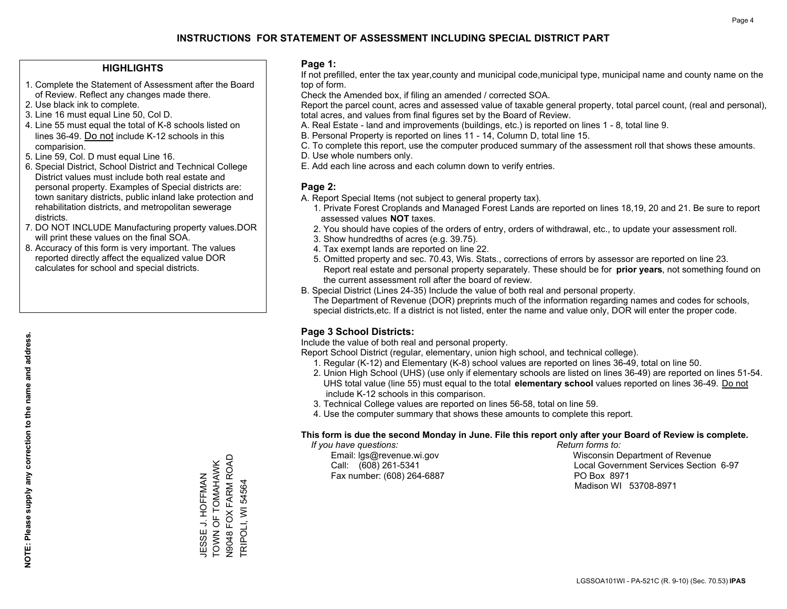### **HIGHLIGHTS**

- 1. Complete the Statement of Assessment after the Board of Review. Reflect any changes made there.
- 2. Use black ink to complete.
- 3. Line 16 must equal Line 50, Col D.
- 4. Line 55 must equal the total of K-8 schools listed on lines 36-49. Do not include K-12 schools in this comparision.
- 5. Line 59, Col. D must equal Line 16.
- 6. Special District, School District and Technical College District values must include both real estate and personal property. Examples of Special districts are: town sanitary districts, public inland lake protection and rehabilitation districts, and metropolitan sewerage districts.
- 7. DO NOT INCLUDE Manufacturing property values.DOR will print these values on the final SOA.
- 8. Accuracy of this form is very important. The values reported directly affect the equalized value DOR calculates for school and special districts.

### **Page 1:**

 If not prefilled, enter the tax year,county and municipal code,municipal type, municipal name and county name on the top of form.

Check the Amended box, if filing an amended / corrected SOA.

 Report the parcel count, acres and assessed value of taxable general property, total parcel count, (real and personal), total acres, and values from final figures set by the Board of Review.

- A. Real Estate land and improvements (buildings, etc.) is reported on lines 1 8, total line 9.
- B. Personal Property is reported on lines 11 14, Column D, total line 15.
- C. To complete this report, use the computer produced summary of the assessment roll that shows these amounts.
- D. Use whole numbers only.
- E. Add each line across and each column down to verify entries.

## **Page 2:**

- A. Report Special Items (not subject to general property tax).
- 1. Private Forest Croplands and Managed Forest Lands are reported on lines 18,19, 20 and 21. Be sure to report assessed values **NOT** taxes.
- 2. You should have copies of the orders of entry, orders of withdrawal, etc., to update your assessment roll.
	- 3. Show hundredths of acres (e.g. 39.75).
- 4. Tax exempt lands are reported on line 22.
- 5. Omitted property and sec. 70.43, Wis. Stats., corrections of errors by assessor are reported on line 23. Report real estate and personal property separately. These should be for **prior years**, not something found on the current assessment roll after the board of review.
- B. Special District (Lines 24-35) Include the value of both real and personal property.

 The Department of Revenue (DOR) preprints much of the information regarding names and codes for schools, special districts,etc. If a district is not listed, enter the name and value only, DOR will enter the proper code.

## **Page 3 School Districts:**

Include the value of both real and personal property.

Report School District (regular, elementary, union high school, and technical college).

- 1. Regular (K-12) and Elementary (K-8) school values are reported on lines 36-49, total on line 50.
- 2. Union High School (UHS) (use only if elementary schools are listed on lines 36-49) are reported on lines 51-54. UHS total value (line 55) must equal to the total **elementary school** values reported on lines 36-49. Do notinclude K-12 schools in this comparison.
- 3. Technical College values are reported on lines 56-58, total on line 59.
- 4. Use the computer summary that shows these amounts to complete this report.

#### **This form is due the second Monday in June. File this report only after your Board of Review is complete.**

 *If you have questions: Return forms to:*

Fax number: (608) 264-6887 PO Box 8971

 Email: lgs@revenue.wi.gov Wisconsin Department of Revenue Call: (608) 261-5341 Local Government Services Section 6-97Madison WI 53708-8971

JESSE J. HOFFMAN<br>TOWN OF TOMAHAWK<br>N9048 FOX FARM ROAD N9048 FOX FARM ROAD TOWN OF TOMAHAWK JESSE J. HOFFMAN FRIPOLI, WI 54564 TRIPOLI, WI 54564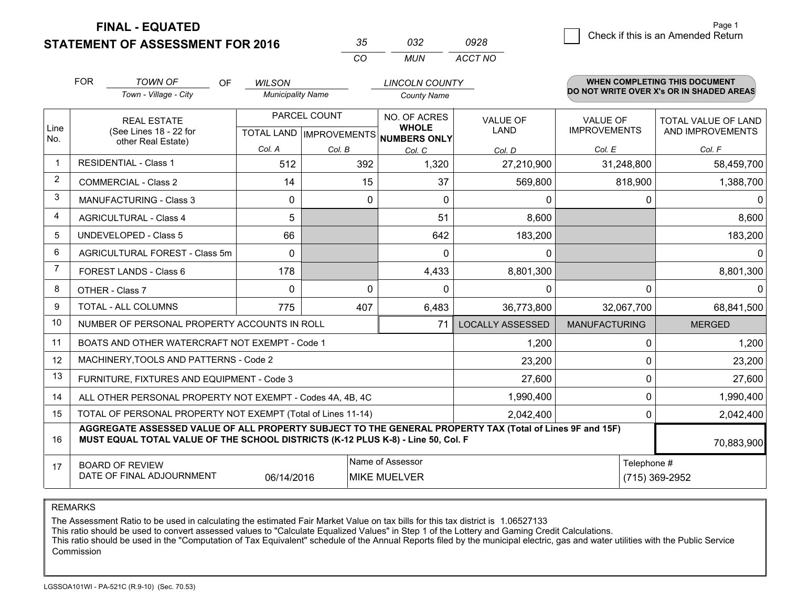**FINAL - EQUATED**

**STATEMENT OF ASSESSMENT FOR 2016** 

| − 2 m    | กจว   | 0928    |
|----------|-------|---------|
| $\cdots$ | MI IN | ACCT NO |

|             | <b>FOR</b>                                                                                                                                                                                                 | <b>TOWN OF</b><br><b>OF</b>                                  | <b>WILSON</b>            |                              | <b>LINCOLN COUNTY</b>                                |                         |                                          | <b>WHEN COMPLETING THIS DOCUMENT</b> |  |
|-------------|------------------------------------------------------------------------------------------------------------------------------------------------------------------------------------------------------------|--------------------------------------------------------------|--------------------------|------------------------------|------------------------------------------------------|-------------------------|------------------------------------------|--------------------------------------|--|
|             |                                                                                                                                                                                                            | Town - Village - City                                        | <b>Municipality Name</b> |                              | <b>County Name</b>                                   |                         | DO NOT WRITE OVER X's OR IN SHADED AREAS |                                      |  |
|             |                                                                                                                                                                                                            | <b>REAL ESTATE</b>                                           |                          | PARCEL COUNT<br>NO. OF ACRES |                                                      | <b>VALUE OF</b>         | <b>VALUE OF</b>                          | TOTAL VALUE OF LAND                  |  |
| Line<br>No. |                                                                                                                                                                                                            | (See Lines 18 - 22 for<br>other Real Estate)                 |                          |                              | <b>WHOLE</b><br>TOTAL LAND IMPROVEMENTS NUMBERS ONLY | LAND                    | <b>IMPROVEMENTS</b>                      | AND IMPROVEMENTS                     |  |
|             |                                                                                                                                                                                                            |                                                              | Col. A                   | Col. B                       | Col. C                                               | Col. D                  | Col. E                                   | Col. F                               |  |
| -1          |                                                                                                                                                                                                            | <b>RESIDENTIAL - Class 1</b>                                 | 512                      | 392                          | 1,320                                                | 27,210,900              | 31,248,800                               | 58,459,700                           |  |
| 2           |                                                                                                                                                                                                            | <b>COMMERCIAL - Class 2</b>                                  | 14                       | 15                           | 37                                                   | 569,800                 | 818,900                                  | 1,388,700                            |  |
| 3           |                                                                                                                                                                                                            | <b>MANUFACTURING - Class 3</b>                               | 0                        | $\Omega$                     | $\Omega$                                             | 0                       | 0                                        | 0                                    |  |
| 4           |                                                                                                                                                                                                            | <b>AGRICULTURAL - Class 4</b>                                | 5                        |                              | 51                                                   | 8,600                   |                                          | 8,600                                |  |
| 5           |                                                                                                                                                                                                            | <b>UNDEVELOPED - Class 5</b>                                 | 66                       |                              | 642                                                  | 183,200                 |                                          | 183,200                              |  |
| 6           | AGRICULTURAL FOREST - Class 5m<br>FOREST LANDS - Class 6                                                                                                                                                   |                                                              | $\Omega$                 |                              | $\Omega$                                             | 0                       |                                          | $\Omega$                             |  |
| 7           |                                                                                                                                                                                                            |                                                              | 178                      |                              | 4,433                                                | 8,801,300               |                                          | 8,801,300                            |  |
| 8           |                                                                                                                                                                                                            | OTHER - Class 7                                              | $\Omega$                 | $\Omega$                     | $\Omega$                                             | 0                       | 0                                        | $\Omega$                             |  |
| 9           |                                                                                                                                                                                                            | TOTAL - ALL COLUMNS                                          | 775                      | 407                          | 6,483                                                | 36,773,800              | 32,067,700                               | 68,841,500                           |  |
| 10          |                                                                                                                                                                                                            | NUMBER OF PERSONAL PROPERTY ACCOUNTS IN ROLL                 |                          |                              | 71                                                   | <b>LOCALLY ASSESSED</b> | <b>MANUFACTURING</b>                     | <b>MERGED</b>                        |  |
| 11          |                                                                                                                                                                                                            | BOATS AND OTHER WATERCRAFT NOT EXEMPT - Code 1               |                          |                              |                                                      | 1,200                   | 0                                        | 1,200                                |  |
| 12          |                                                                                                                                                                                                            | MACHINERY, TOOLS AND PATTERNS - Code 2                       |                          |                              |                                                      | 23,200                  | 0                                        | 23,200                               |  |
| 13          |                                                                                                                                                                                                            | FURNITURE, FIXTURES AND EQUIPMENT - Code 3                   |                          |                              |                                                      | 27,600                  | 0                                        | 27,600                               |  |
| 14          |                                                                                                                                                                                                            | ALL OTHER PERSONAL PROPERTY NOT EXEMPT - Codes 4A, 4B, 4C    |                          |                              |                                                      | 1,990,400               | 0                                        | 1,990,400                            |  |
| 15          |                                                                                                                                                                                                            | TOTAL OF PERSONAL PROPERTY NOT EXEMPT (Total of Lines 11-14) |                          |                              |                                                      | 2,042,400               | 0                                        | 2,042,400                            |  |
| 16          | AGGREGATE ASSESSED VALUE OF ALL PROPERTY SUBJECT TO THE GENERAL PROPERTY TAX (Total of Lines 9F and 15F)<br>MUST EQUAL TOTAL VALUE OF THE SCHOOL DISTRICTS (K-12 PLUS K-8) - Line 50, Col. F<br>70,883,900 |                                                              |                          |                              |                                                      |                         |                                          |                                      |  |
| 17          | Name of Assessor<br><b>BOARD OF REVIEW</b>                                                                                                                                                                 |                                                              |                          |                              |                                                      |                         | Telephone #                              |                                      |  |
|             |                                                                                                                                                                                                            | DATE OF FINAL ADJOURNMENT                                    | 06/14/2016               |                              | <b>MIKE MUELVER</b>                                  |                         |                                          | (715) 369-2952                       |  |

REMARKS

The Assessment Ratio to be used in calculating the estimated Fair Market Value on tax bills for this tax district is 1.06527133

This ratio should be used to convert assessed values to "Calculate Equalized Values" in Step 1 of the Lottery and Gaming Credit Calculations.<br>This ratio should be used in the "Computation of Tax Equivalent" schedule of the Commission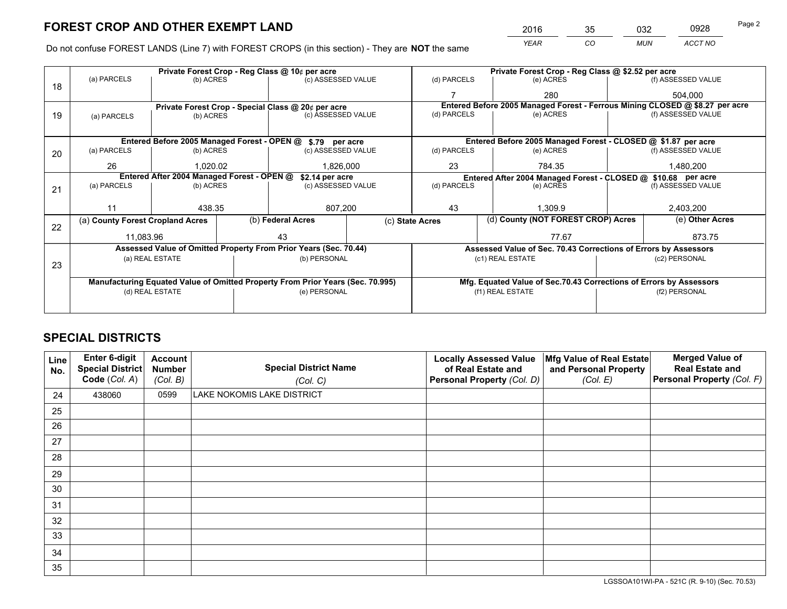*YEAR CO MUN ACCT NO* <sup>2016</sup> <sup>35</sup> <sup>032</sup> <sup>0928</sup>

Do not confuse FOREST LANDS (Line 7) with FOREST CROPS (in this section) - They are **NOT** the same

|    |                                                               |                 | Private Forest Crop - Reg Class @ 10¢ per acre                                 |             |                                                                                     |                                                                              | Private Forest Crop - Reg Class @ \$2.52 per acre |                    |  |  |
|----|---------------------------------------------------------------|-----------------|--------------------------------------------------------------------------------|-------------|-------------------------------------------------------------------------------------|------------------------------------------------------------------------------|---------------------------------------------------|--------------------|--|--|
| 18 | (a) PARCELS                                                   | (b) ACRES       | (c) ASSESSED VALUE                                                             |             | (d) PARCELS                                                                         | (f) ASSESSED VALUE<br>(e) ACRES                                              |                                                   |                    |  |  |
|    |                                                               |                 |                                                                                |             |                                                                                     | 280                                                                          |                                                   | 504,000            |  |  |
|    |                                                               |                 | Private Forest Crop - Special Class @ 20¢ per acre                             |             |                                                                                     | Entered Before 2005 Managed Forest - Ferrous Mining CLOSED @ \$8.27 per acre |                                                   |                    |  |  |
| 19 | (a) PARCELS                                                   | (b) ACRES       | (c) ASSESSED VALUE                                                             |             | (d) PARCELS                                                                         | (e) ACRES                                                                    |                                                   | (f) ASSESSED VALUE |  |  |
|    |                                                               |                 |                                                                                |             |                                                                                     |                                                                              |                                                   |                    |  |  |
|    |                                                               |                 | Entered Before 2005 Managed Forest - OPEN @ \$.79 per acre                     |             |                                                                                     | Entered Before 2005 Managed Forest - CLOSED @ \$1.87 per acre                |                                                   |                    |  |  |
| 20 | (a) PARCELS                                                   | (b) ACRES       | (c) ASSESSED VALUE                                                             |             | (d) PARCELS                                                                         | (e) ACRES                                                                    |                                                   | (f) ASSESSED VALUE |  |  |
|    | 26                                                            | 1.020.02        | 1,826,000                                                                      |             | 23                                                                                  | 784.35                                                                       |                                                   | 1,480,200          |  |  |
|    | Entered After 2004 Managed Forest - OPEN @<br>\$2.14 per acre |                 |                                                                                |             | Entered After 2004 Managed Forest - CLOSED @ \$10.68 per acre<br>(f) ASSESSED VALUE |                                                                              |                                                   |                    |  |  |
| 21 | (a) PARCELS                                                   | (b) ACRES       | (c) ASSESSED VALUE                                                             | (d) PARCELS |                                                                                     | (e) ACRES                                                                    |                                                   |                    |  |  |
|    |                                                               |                 |                                                                                |             |                                                                                     |                                                                              |                                                   |                    |  |  |
|    | 11                                                            | 438.35          | 807,200                                                                        |             | 43<br>1,309.9                                                                       |                                                                              | 2,403,200                                         |                    |  |  |
| 22 | (a) County Forest Cropland Acres                              |                 | (b) Federal Acres                                                              |             | (c) State Acres                                                                     | (d) County (NOT FOREST CROP) Acres                                           |                                                   | (e) Other Acres    |  |  |
|    | 11,083.96                                                     |                 | 43                                                                             |             |                                                                                     | 77.67                                                                        |                                                   | 873.75             |  |  |
|    |                                                               |                 | Assessed Value of Omitted Property From Prior Years (Sec. 70.44)               |             |                                                                                     | Assessed Value of Sec. 70.43 Corrections of Errors by Assessors              |                                                   |                    |  |  |
|    |                                                               | (a) REAL ESTATE | (b) PERSONAL                                                                   |             |                                                                                     | (c1) REAL ESTATE                                                             |                                                   | (c2) PERSONAL      |  |  |
| 23 |                                                               |                 |                                                                                |             |                                                                                     |                                                                              |                                                   |                    |  |  |
|    |                                                               |                 | Manufacturing Equated Value of Omitted Property From Prior Years (Sec. 70.995) |             |                                                                                     | Mfg. Equated Value of Sec.70.43 Corrections of Errors by Assessors           |                                                   |                    |  |  |
|    |                                                               | (d) REAL ESTATE | (e) PERSONAL                                                                   |             |                                                                                     | (f1) REAL ESTATE                                                             |                                                   | (f2) PERSONAL      |  |  |
|    |                                                               |                 |                                                                                |             |                                                                                     |                                                                              |                                                   |                    |  |  |

## **SPECIAL DISTRICTS**

| Line<br>No. | Enter 6-digit<br><b>Special District</b><br>Code (Col. A) | <b>Account</b><br><b>Number</b><br>(Col. B) | <b>Special District Name</b><br>(Col. C) | <b>Locally Assessed Value</b><br>of Real Estate and<br>Personal Property (Col. D) | Mfg Value of Real Estate<br>and Personal Property<br>(Col. E) | <b>Merged Value of</b><br><b>Real Estate and</b><br>Personal Property (Col. F) |
|-------------|-----------------------------------------------------------|---------------------------------------------|------------------------------------------|-----------------------------------------------------------------------------------|---------------------------------------------------------------|--------------------------------------------------------------------------------|
| 24          | 438060                                                    | 0599                                        | LAKE NOKOMIS LAKE DISTRICT               |                                                                                   |                                                               |                                                                                |
| 25          |                                                           |                                             |                                          |                                                                                   |                                                               |                                                                                |
| 26          |                                                           |                                             |                                          |                                                                                   |                                                               |                                                                                |
| 27          |                                                           |                                             |                                          |                                                                                   |                                                               |                                                                                |
| 28          |                                                           |                                             |                                          |                                                                                   |                                                               |                                                                                |
| 29          |                                                           |                                             |                                          |                                                                                   |                                                               |                                                                                |
| 30          |                                                           |                                             |                                          |                                                                                   |                                                               |                                                                                |
| 31          |                                                           |                                             |                                          |                                                                                   |                                                               |                                                                                |
| 32          |                                                           |                                             |                                          |                                                                                   |                                                               |                                                                                |
| 33          |                                                           |                                             |                                          |                                                                                   |                                                               |                                                                                |
| 34          |                                                           |                                             |                                          |                                                                                   |                                                               |                                                                                |
| 35          |                                                           |                                             |                                          |                                                                                   |                                                               |                                                                                |

LGSSOA101WI-PA - 521C (R. 9-10) (Sec. 70.53)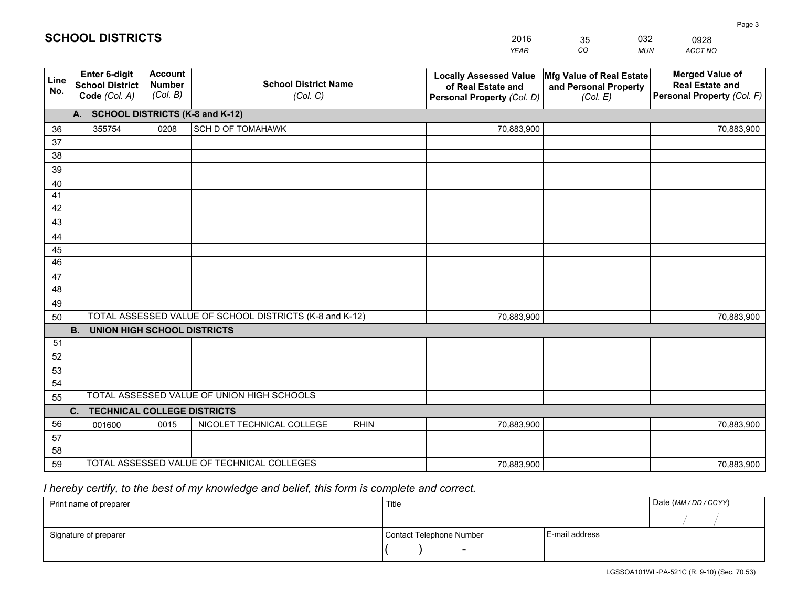|             |                                                                 |                                             |                                                         | <b>YEAR</b>                                                                       | CO<br><b>MUN</b>                                              | ACCT NO                                                                        |
|-------------|-----------------------------------------------------------------|---------------------------------------------|---------------------------------------------------------|-----------------------------------------------------------------------------------|---------------------------------------------------------------|--------------------------------------------------------------------------------|
| Line<br>No. | <b>Enter 6-digit</b><br><b>School District</b><br>Code (Col. A) | <b>Account</b><br><b>Number</b><br>(Col. B) | <b>School District Name</b><br>(Col. C)                 | <b>Locally Assessed Value</b><br>of Real Estate and<br>Personal Property (Col. D) | Mfg Value of Real Estate<br>and Personal Property<br>(Col. E) | <b>Merged Value of</b><br><b>Real Estate and</b><br>Personal Property (Col. F) |
|             | A. SCHOOL DISTRICTS (K-8 and K-12)                              |                                             |                                                         |                                                                                   |                                                               |                                                                                |
| 36          | 355754                                                          | 0208                                        | <b>SCH D OF TOMAHAWK</b>                                | 70,883,900                                                                        |                                                               | 70,883,900                                                                     |
| 37          |                                                                 |                                             |                                                         |                                                                                   |                                                               |                                                                                |
| 38          |                                                                 |                                             |                                                         |                                                                                   |                                                               |                                                                                |
| 39          |                                                                 |                                             |                                                         |                                                                                   |                                                               |                                                                                |
| 40          |                                                                 |                                             |                                                         |                                                                                   |                                                               |                                                                                |
| 41          |                                                                 |                                             |                                                         |                                                                                   |                                                               |                                                                                |
| 42          |                                                                 |                                             |                                                         |                                                                                   |                                                               |                                                                                |
| 43          |                                                                 |                                             |                                                         |                                                                                   |                                                               |                                                                                |
| 44<br>45    |                                                                 |                                             |                                                         |                                                                                   |                                                               |                                                                                |
| 46          |                                                                 |                                             |                                                         |                                                                                   |                                                               |                                                                                |
| 47          |                                                                 |                                             |                                                         |                                                                                   |                                                               |                                                                                |
| 48          |                                                                 |                                             |                                                         |                                                                                   |                                                               |                                                                                |
| 49          |                                                                 |                                             |                                                         |                                                                                   |                                                               |                                                                                |
| 50          |                                                                 |                                             | TOTAL ASSESSED VALUE OF SCHOOL DISTRICTS (K-8 and K-12) | 70,883,900                                                                        |                                                               | 70,883,900                                                                     |
|             | <b>B.</b><br><b>UNION HIGH SCHOOL DISTRICTS</b>                 |                                             |                                                         |                                                                                   |                                                               |                                                                                |
| 51          |                                                                 |                                             |                                                         |                                                                                   |                                                               |                                                                                |
| 52          |                                                                 |                                             |                                                         |                                                                                   |                                                               |                                                                                |
| 53          |                                                                 |                                             |                                                         |                                                                                   |                                                               |                                                                                |
| 54          |                                                                 |                                             |                                                         |                                                                                   |                                                               |                                                                                |
| 55          |                                                                 |                                             | TOTAL ASSESSED VALUE OF UNION HIGH SCHOOLS              |                                                                                   |                                                               |                                                                                |
|             | <b>TECHNICAL COLLEGE DISTRICTS</b><br>C.                        |                                             |                                                         |                                                                                   |                                                               |                                                                                |
| 56          | 001600                                                          | 0015                                        | NICOLET TECHNICAL COLLEGE<br><b>RHIN</b>                | 70,883,900                                                                        |                                                               | 70,883,900                                                                     |
| 57<br>58    |                                                                 |                                             |                                                         |                                                                                   |                                                               |                                                                                |
| 59          |                                                                 |                                             | TOTAL ASSESSED VALUE OF TECHNICAL COLLEGES              | 70,883,900                                                                        |                                                               | 70,883,900                                                                     |
|             |                                                                 |                                             |                                                         |                                                                                   |                                                               |                                                                                |

35

032

## *I hereby certify, to the best of my knowledge and belief, this form is complete and correct.*

**SCHOOL DISTRICTS**

| Print name of preparer | Title                    |                | Date (MM / DD / CCYY) |
|------------------------|--------------------------|----------------|-----------------------|
|                        |                          |                |                       |
| Signature of preparer  | Contact Telephone Number | E-mail address |                       |
|                        | $\sim$                   |                |                       |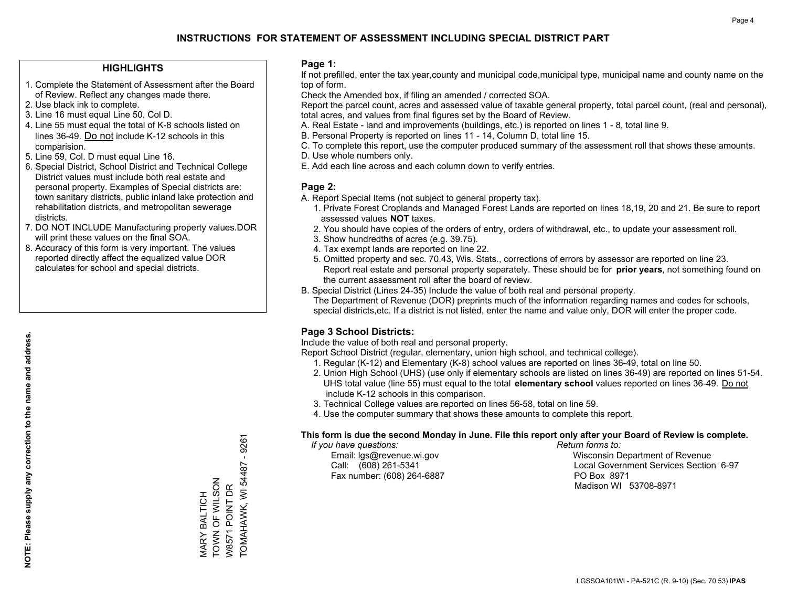### **HIGHLIGHTS**

- 1. Complete the Statement of Assessment after the Board of Review. Reflect any changes made there.
- 2. Use black ink to complete.
- 3. Line 16 must equal Line 50, Col D.
- 4. Line 55 must equal the total of K-8 schools listed on lines 36-49. Do not include K-12 schools in this comparision.
- 5. Line 59, Col. D must equal Line 16.
- 6. Special District, School District and Technical College District values must include both real estate and personal property. Examples of Special districts are: town sanitary districts, public inland lake protection and rehabilitation districts, and metropolitan sewerage districts.
- 7. DO NOT INCLUDE Manufacturing property values.DOR will print these values on the final SOA.
- 8. Accuracy of this form is very important. The values reported directly affect the equalized value DOR calculates for school and special districts.

### **Page 1:**

 If not prefilled, enter the tax year,county and municipal code,municipal type, municipal name and county name on the top of form.

Check the Amended box, if filing an amended / corrected SOA.

 Report the parcel count, acres and assessed value of taxable general property, total parcel count, (real and personal), total acres, and values from final figures set by the Board of Review.

- A. Real Estate land and improvements (buildings, etc.) is reported on lines 1 8, total line 9.
- B. Personal Property is reported on lines 11 14, Column D, total line 15.
- C. To complete this report, use the computer produced summary of the assessment roll that shows these amounts.
- D. Use whole numbers only.
- E. Add each line across and each column down to verify entries.

### **Page 2:**

- A. Report Special Items (not subject to general property tax).
- 1. Private Forest Croplands and Managed Forest Lands are reported on lines 18,19, 20 and 21. Be sure to report assessed values **NOT** taxes.
- 2. You should have copies of the orders of entry, orders of withdrawal, etc., to update your assessment roll.
	- 3. Show hundredths of acres (e.g. 39.75).
- 4. Tax exempt lands are reported on line 22.
- 5. Omitted property and sec. 70.43, Wis. Stats., corrections of errors by assessor are reported on line 23. Report real estate and personal property separately. These should be for **prior years**, not something found on the current assessment roll after the board of review.
- B. Special District (Lines 24-35) Include the value of both real and personal property.

 The Department of Revenue (DOR) preprints much of the information regarding names and codes for schools, special districts,etc. If a district is not listed, enter the name and value only, DOR will enter the proper code.

## **Page 3 School Districts:**

Include the value of both real and personal property.

Report School District (regular, elementary, union high school, and technical college).

- 1. Regular (K-12) and Elementary (K-8) school values are reported on lines 36-49, total on line 50.
- 2. Union High School (UHS) (use only if elementary schools are listed on lines 36-49) are reported on lines 51-54. UHS total value (line 55) must equal to the total **elementary school** values reported on lines 36-49. Do notinclude K-12 schools in this comparison.
- 3. Technical College values are reported on lines 56-58, total on line 59.
- 4. Use the computer summary that shows these amounts to complete this report.

#### **This form is due the second Monday in June. File this report only after your Board of Review is complete.**

 *If you have questions: Return forms to:*

Fax number: (608) 264-6887 PO Box 8971

 Email: lgs@revenue.wi.gov Wisconsin Department of Revenue Call: (608) 261-5341 Local Government Services Section 6-97Madison WI 53708-8971

 $-926$ <sup>-</sup> TOMAHAWK, WI 54487 - 9261 TOMAHAWK, WI 54487 TOWN OF WILSON VIARY BALTICH<br>TOWN OF WILSON W8571 POINT DR W8571 POINT DR MARY BALTICH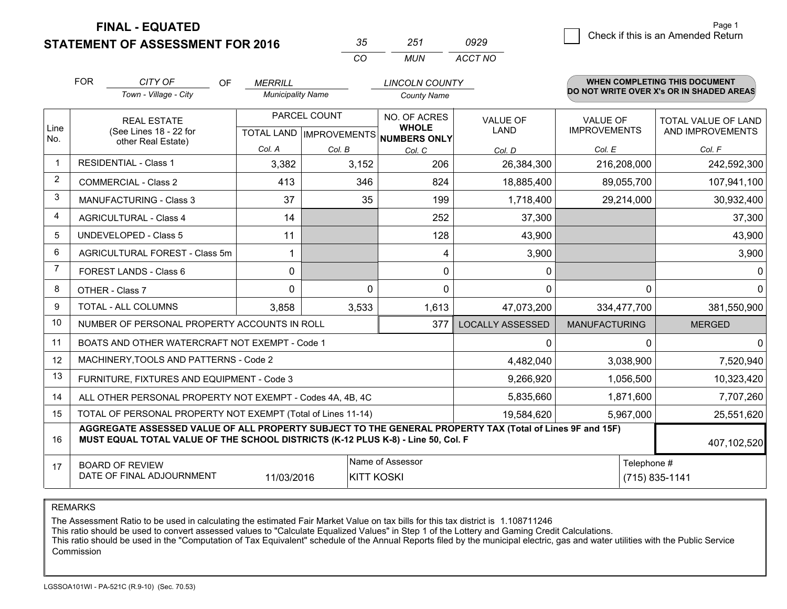**FINAL - EQUATED**

**STATEMENT OF ASSESSMENT FOR 2016** 

| 35  | 251   | 0929    |
|-----|-------|---------|
| CO. | MI IN | ACCT NO |

|                         | <b>FOR</b><br>CITY OF<br><b>OF</b>                                                                                                                                                           | <b>MERRILL</b>           |                           | <b>LINCOLN COUNTY</b>        |                         |                      | <b>WHEN COMPLETING THIS DOCUMENT</b>     |
|-------------------------|----------------------------------------------------------------------------------------------------------------------------------------------------------------------------------------------|--------------------------|---------------------------|------------------------------|-------------------------|----------------------|------------------------------------------|
|                         | Town - Village - City                                                                                                                                                                        | <b>Municipality Name</b> |                           | <b>County Name</b>           |                         |                      | DO NOT WRITE OVER X's OR IN SHADED AREAS |
|                         | <b>REAL ESTATE</b>                                                                                                                                                                           |                          | PARCEL COUNT              | NO. OF ACRES                 | <b>VALUE OF</b>         | <b>VALUE OF</b>      | TOTAL VALUE OF LAND                      |
| Line<br>No.             | (See Lines 18 - 22 for<br>other Real Estate)                                                                                                                                                 |                          | TOTAL LAND   IMPROVEMENTS | <b>WHOLE</b><br>NUMBERS ONLY | <b>LAND</b>             | <b>IMPROVEMENTS</b>  | AND IMPROVEMENTS                         |
|                         |                                                                                                                                                                                              | Col. A                   | Col. B                    | Col. C                       | Col. D                  | Col. E               | Col. F                                   |
| $\overline{\mathbf{1}}$ | <b>RESIDENTIAL - Class 1</b>                                                                                                                                                                 | 3,382                    | 3,152                     | 206                          | 26,384,300              | 216,208,000          | 242,592,300                              |
| 2                       | <b>COMMERCIAL - Class 2</b>                                                                                                                                                                  | 413                      | 346                       | 824                          | 18,885,400              | 89,055,700           | 107,941,100                              |
| 3                       | MANUFACTURING - Class 3                                                                                                                                                                      | 37                       | 35                        | 199                          | 1,718,400               | 29,214,000           | 30,932,400                               |
| 4                       | <b>AGRICULTURAL - Class 4</b>                                                                                                                                                                | 14                       |                           | 252                          | 37,300                  |                      | 37,300                                   |
| 5                       | <b>UNDEVELOPED - Class 5</b>                                                                                                                                                                 | 11                       |                           | 128                          | 43,900                  |                      | 43,900                                   |
| 6                       | AGRICULTURAL FOREST - Class 5m                                                                                                                                                               | 1                        |                           | 4                            | 3,900                   |                      | 3,900                                    |
| $\overline{7}$          | FOREST LANDS - Class 6                                                                                                                                                                       | 0                        |                           | 0                            | 0                       |                      | $\mathbf{0}$                             |
| 8                       | OTHER - Class 7                                                                                                                                                                              | $\Omega$                 | $\Omega$                  | $\Omega$                     | $\Omega$                | $\Omega$             | $\mathbf{0}$                             |
| 9                       | TOTAL - ALL COLUMNS                                                                                                                                                                          | 3,858                    | 3,533                     | 1,613                        | 47,073,200              | 334,477,700          | 381,550,900                              |
| 10                      | NUMBER OF PERSONAL PROPERTY ACCOUNTS IN ROLL                                                                                                                                                 |                          |                           | 377                          | <b>LOCALLY ASSESSED</b> | <b>MANUFACTURING</b> | <b>MERGED</b>                            |
| 11                      | BOATS AND OTHER WATERCRAFT NOT EXEMPT - Code 1                                                                                                                                               |                          |                           |                              | 0                       | $\Omega$             | $\mathbf{0}$                             |
| 12                      | MACHINERY, TOOLS AND PATTERNS - Code 2                                                                                                                                                       |                          |                           |                              | 4,482,040               | 3,038,900            | 7,520,940                                |
| 13                      | FURNITURE, FIXTURES AND EQUIPMENT - Code 3                                                                                                                                                   |                          |                           |                              | 9,266,920               | 1,056,500            | 10,323,420                               |
| 14                      | ALL OTHER PERSONAL PROPERTY NOT EXEMPT - Codes 4A, 4B, 4C                                                                                                                                    |                          |                           |                              | 5,835,660               | 1,871,600            | 7,707,260                                |
| 15                      | TOTAL OF PERSONAL PROPERTY NOT EXEMPT (Total of Lines 11-14)                                                                                                                                 |                          |                           |                              | 19,584,620              | 5,967,000            | 25,551,620                               |
| 16                      | AGGREGATE ASSESSED VALUE OF ALL PROPERTY SUBJECT TO THE GENERAL PROPERTY TAX (Total of Lines 9F and 15F)<br>MUST EQUAL TOTAL VALUE OF THE SCHOOL DISTRICTS (K-12 PLUS K-8) - Line 50, Col. F |                          |                           |                              |                         |                      | 407,102,520                              |
| 17                      | <b>BOARD OF REVIEW</b>                                                                                                                                                                       |                          |                           | Name of Assessor             |                         | Telephone #          |                                          |
|                         | DATE OF FINAL ADJOURNMENT                                                                                                                                                                    | 11/03/2016               |                           | <b>KITT KOSKI</b>            |                         |                      | (715) 835-1141                           |

REMARKS

The Assessment Ratio to be used in calculating the estimated Fair Market Value on tax bills for this tax district is 1.108711246<br>This ratio should be used to convert assessed values to "Calculate Equalized Values" in Step Commission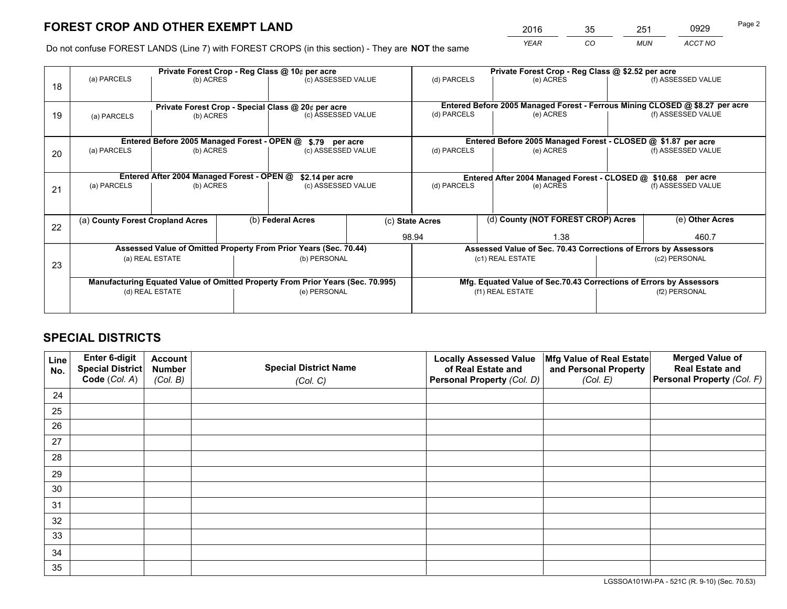|   | 2016 | 35 | 251        | 0929    | Page 2 |
|---|------|----|------------|---------|--------|
| е | YEAR | CO | <b>MUN</b> | ACCT NO |        |

Do not confuse FOREST LANDS (Line 7) with FOREST CROPS (in this section) - They are **NOT** the same

|    |                                  | Private Forest Crop - Reg Class @ 10¢ per acre             |  |                                                                                | Private Forest Crop - Reg Class @ \$2.52 per acre |                                                               |                                                                    |                                                                              |  |                    |
|----|----------------------------------|------------------------------------------------------------|--|--------------------------------------------------------------------------------|---------------------------------------------------|---------------------------------------------------------------|--------------------------------------------------------------------|------------------------------------------------------------------------------|--|--------------------|
| 18 | (a) PARCELS                      | (b) ACRES                                                  |  | (c) ASSESSED VALUE                                                             |                                                   | (d) PARCELS                                                   | (e) ACRES                                                          |                                                                              |  | (f) ASSESSED VALUE |
|    |                                  |                                                            |  |                                                                                |                                                   |                                                               |                                                                    |                                                                              |  |                    |
|    |                                  |                                                            |  | Private Forest Crop - Special Class @ 20¢ per acre                             |                                                   |                                                               |                                                                    | Entered Before 2005 Managed Forest - Ferrous Mining CLOSED @ \$8.27 per acre |  |                    |
| 19 | (a) PARCELS                      | (b) ACRES                                                  |  | (c) ASSESSED VALUE                                                             |                                                   | (d) PARCELS                                                   | (e) ACRES                                                          |                                                                              |  | (f) ASSESSED VALUE |
|    |                                  |                                                            |  |                                                                                |                                                   |                                                               |                                                                    |                                                                              |  |                    |
|    |                                  | Entered Before 2005 Managed Forest - OPEN @ \$.79 per acre |  | Entered Before 2005 Managed Forest - CLOSED @ \$1.87 per acre                  |                                                   |                                                               |                                                                    |                                                                              |  |                    |
| 20 | (a) PARCELS<br>(b) ACRES         |                                                            |  | (c) ASSESSED VALUE                                                             |                                                   | (d) PARCELS                                                   | (e) ACRES                                                          |                                                                              |  | (f) ASSESSED VALUE |
|    |                                  |                                                            |  |                                                                                |                                                   |                                                               |                                                                    |                                                                              |  |                    |
|    |                                  | Entered After 2004 Managed Forest - OPEN @                 |  | \$2.14 per acre                                                                |                                                   | Entered After 2004 Managed Forest - CLOSED @ \$10.68 per acre |                                                                    |                                                                              |  |                    |
|    | (a) PARCELS                      | (b) ACRES                                                  |  | (c) ASSESSED VALUE                                                             | (d) PARCELS<br>(e) ACRES                          |                                                               |                                                                    | (f) ASSESSED VALUE                                                           |  |                    |
| 21 |                                  |                                                            |  |                                                                                |                                                   |                                                               |                                                                    |                                                                              |  |                    |
|    |                                  |                                                            |  |                                                                                |                                                   |                                                               |                                                                    |                                                                              |  |                    |
|    | (a) County Forest Cropland Acres |                                                            |  | (b) Federal Acres                                                              |                                                   | (c) State Acres                                               | (d) County (NOT FOREST CROP) Acres                                 |                                                                              |  | (e) Other Acres    |
| 22 |                                  |                                                            |  |                                                                                |                                                   | 98.94                                                         |                                                                    | 1.38                                                                         |  | 460.7              |
|    |                                  |                                                            |  |                                                                                |                                                   |                                                               |                                                                    |                                                                              |  |                    |
|    |                                  |                                                            |  | Assessed Value of Omitted Property From Prior Years (Sec. 70.44)               |                                                   |                                                               | Assessed Value of Sec. 70.43 Corrections of Errors by Assessors    |                                                                              |  |                    |
| 23 |                                  | (a) REAL ESTATE                                            |  | (b) PERSONAL                                                                   |                                                   |                                                               | (c1) REAL ESTATE                                                   |                                                                              |  | (c2) PERSONAL      |
|    |                                  |                                                            |  |                                                                                |                                                   |                                                               |                                                                    |                                                                              |  |                    |
|    |                                  |                                                            |  | Manufacturing Equated Value of Omitted Property From Prior Years (Sec. 70.995) |                                                   |                                                               | Mfg. Equated Value of Sec.70.43 Corrections of Errors by Assessors |                                                                              |  |                    |
|    |                                  | (d) REAL ESTATE                                            |  | (e) PERSONAL                                                                   |                                                   |                                                               | (f1) REAL ESTATE                                                   |                                                                              |  | (f2) PERSONAL      |
|    |                                  |                                                            |  |                                                                                |                                                   |                                                               |                                                                    |                                                                              |  |                    |
|    |                                  |                                                            |  |                                                                                |                                                   |                                                               |                                                                    |                                                                              |  |                    |

## **SPECIAL DISTRICTS**

| Line<br>No. | Enter 6-digit<br>Special District<br>Code (Col. A) | <b>Account</b><br><b>Number</b><br>(Col. B) | <b>Special District Name</b><br>(Col. C) | <b>Locally Assessed Value</b><br>of Real Estate and<br>Personal Property (Col. D) | Mfg Value of Real Estate<br>and Personal Property<br>(Col. E) | <b>Merged Value of</b><br><b>Real Estate and</b><br>Personal Property (Col. F) |
|-------------|----------------------------------------------------|---------------------------------------------|------------------------------------------|-----------------------------------------------------------------------------------|---------------------------------------------------------------|--------------------------------------------------------------------------------|
| 24          |                                                    |                                             |                                          |                                                                                   |                                                               |                                                                                |
| 25          |                                                    |                                             |                                          |                                                                                   |                                                               |                                                                                |
| 26          |                                                    |                                             |                                          |                                                                                   |                                                               |                                                                                |
| 27          |                                                    |                                             |                                          |                                                                                   |                                                               |                                                                                |
| 28          |                                                    |                                             |                                          |                                                                                   |                                                               |                                                                                |
| 29          |                                                    |                                             |                                          |                                                                                   |                                                               |                                                                                |
| 30          |                                                    |                                             |                                          |                                                                                   |                                                               |                                                                                |
| 31          |                                                    |                                             |                                          |                                                                                   |                                                               |                                                                                |
| 32          |                                                    |                                             |                                          |                                                                                   |                                                               |                                                                                |
| 33          |                                                    |                                             |                                          |                                                                                   |                                                               |                                                                                |
| 34          |                                                    |                                             |                                          |                                                                                   |                                                               |                                                                                |
| 35          |                                                    |                                             |                                          |                                                                                   |                                                               |                                                                                |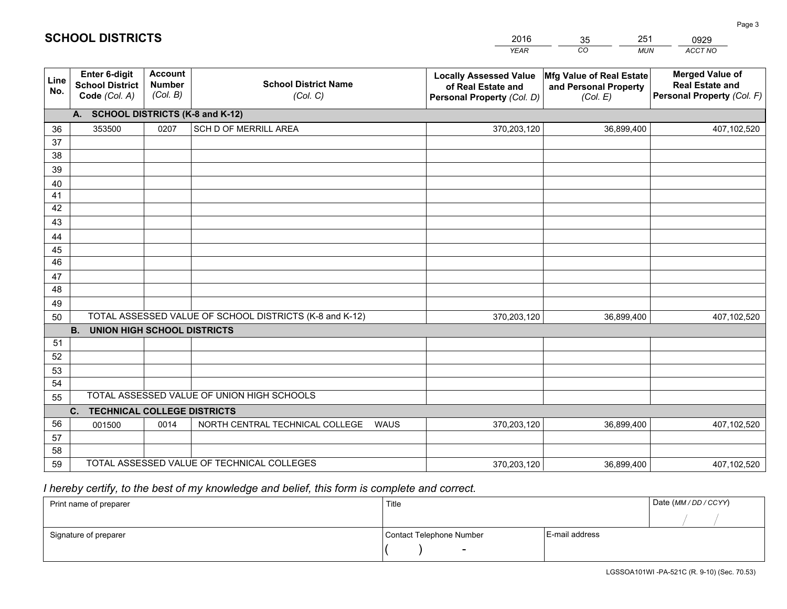|             |                                                                 |                                             |                                                         | <b>YEAR</b>                                                                       | CO<br><b>MUN</b>                                              | ACCT NO                                                                        |
|-------------|-----------------------------------------------------------------|---------------------------------------------|---------------------------------------------------------|-----------------------------------------------------------------------------------|---------------------------------------------------------------|--------------------------------------------------------------------------------|
| Line<br>No. | <b>Enter 6-digit</b><br><b>School District</b><br>Code (Col. A) | <b>Account</b><br><b>Number</b><br>(Col. B) | <b>School District Name</b><br>(Col. C)                 | <b>Locally Assessed Value</b><br>of Real Estate and<br>Personal Property (Col. D) | Mfg Value of Real Estate<br>and Personal Property<br>(Col. E) | <b>Merged Value of</b><br><b>Real Estate and</b><br>Personal Property (Col. F) |
|             | A. SCHOOL DISTRICTS (K-8 and K-12)                              |                                             |                                                         |                                                                                   |                                                               |                                                                                |
| 36          | 353500                                                          | 0207                                        | SCH D OF MERRILL AREA                                   | 370,203,120                                                                       | 36,899,400                                                    | 407,102,520                                                                    |
| 37          |                                                                 |                                             |                                                         |                                                                                   |                                                               |                                                                                |
| 38          |                                                                 |                                             |                                                         |                                                                                   |                                                               |                                                                                |
| 39          |                                                                 |                                             |                                                         |                                                                                   |                                                               |                                                                                |
| 40          |                                                                 |                                             |                                                         |                                                                                   |                                                               |                                                                                |
| 41          |                                                                 |                                             |                                                         |                                                                                   |                                                               |                                                                                |
| 42          |                                                                 |                                             |                                                         |                                                                                   |                                                               |                                                                                |
| 43          |                                                                 |                                             |                                                         |                                                                                   |                                                               |                                                                                |
| 44          |                                                                 |                                             |                                                         |                                                                                   |                                                               |                                                                                |
| 45<br>46    |                                                                 |                                             |                                                         |                                                                                   |                                                               |                                                                                |
| 47          |                                                                 |                                             |                                                         |                                                                                   |                                                               |                                                                                |
| 48          |                                                                 |                                             |                                                         |                                                                                   |                                                               |                                                                                |
| 49          |                                                                 |                                             |                                                         |                                                                                   |                                                               |                                                                                |
| 50          |                                                                 |                                             | TOTAL ASSESSED VALUE OF SCHOOL DISTRICTS (K-8 and K-12) | 370,203,120                                                                       | 36,899,400                                                    | 407,102,520                                                                    |
|             | <b>B.</b><br><b>UNION HIGH SCHOOL DISTRICTS</b>                 |                                             |                                                         |                                                                                   |                                                               |                                                                                |
| 51          |                                                                 |                                             |                                                         |                                                                                   |                                                               |                                                                                |
| 52          |                                                                 |                                             |                                                         |                                                                                   |                                                               |                                                                                |
| 53          |                                                                 |                                             |                                                         |                                                                                   |                                                               |                                                                                |
| 54          |                                                                 |                                             |                                                         |                                                                                   |                                                               |                                                                                |
| 55          |                                                                 |                                             | TOTAL ASSESSED VALUE OF UNION HIGH SCHOOLS              |                                                                                   |                                                               |                                                                                |
|             | C.<br><b>TECHNICAL COLLEGE DISTRICTS</b>                        |                                             |                                                         |                                                                                   |                                                               |                                                                                |
| 56          | 001500                                                          | 0014                                        | NORTH CENTRAL TECHNICAL COLLEGE<br><b>WAUS</b>          | 370,203,120                                                                       | 36,899,400                                                    | 407,102,520                                                                    |
| 57          |                                                                 |                                             |                                                         |                                                                                   |                                                               |                                                                                |
| 58          |                                                                 |                                             |                                                         |                                                                                   |                                                               |                                                                                |
| 59          |                                                                 |                                             | TOTAL ASSESSED VALUE OF TECHNICAL COLLEGES              | 370,203,120                                                                       | 36,899,400                                                    | 407,102,520                                                                    |

35

251

 *I hereby certify, to the best of my knowledge and belief, this form is complete and correct.*

**SCHOOL DISTRICTS**

| Print name of preparer | Title                    |                | Date (MM / DD / CCYY) |
|------------------------|--------------------------|----------------|-----------------------|
|                        |                          |                |                       |
| Signature of preparer  | Contact Telephone Number | E-mail address |                       |
|                        | $\sim$                   |                |                       |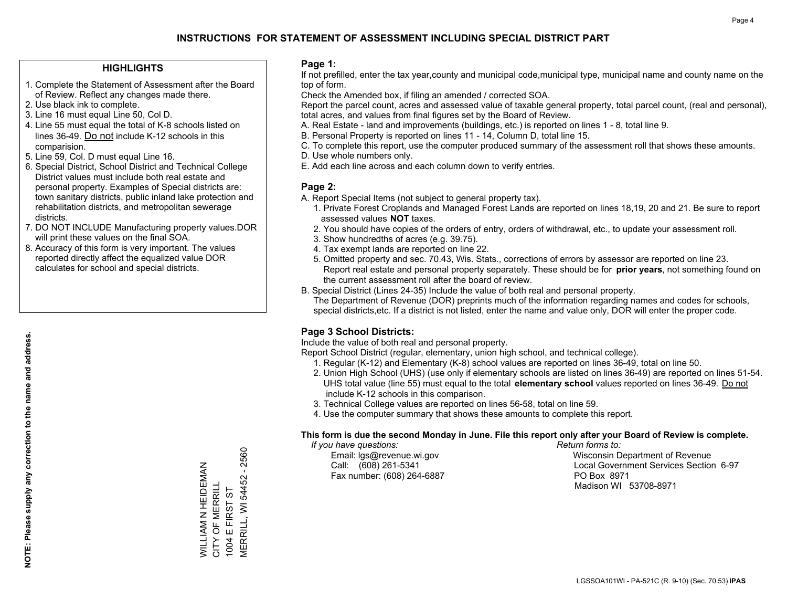### **HIGHLIGHTS**

- 1. Complete the Statement of Assessment after the Board of Review. Reflect any changes made there.
- 2. Use black ink to complete.
- 3. Line 16 must equal Line 50, Col D.
- 4. Line 55 must equal the total of K-8 schools listed on lines 36-49. Do not include K-12 schools in this comparision.
- 5. Line 59, Col. D must equal Line 16.
- 6. Special District, School District and Technical College District values must include both real estate and personal property. Examples of Special districts are: town sanitary districts, public inland lake protection and rehabilitation districts, and metropolitan sewerage districts.
- 7. DO NOT INCLUDE Manufacturing property values.DOR will print these values on the final SOA.
- 8. Accuracy of this form is very important. The values reported directly affect the equalized value DOR calculates for school and special districts.

#### **Page 1:**

 If not prefilled, enter the tax year,county and municipal code,municipal type, municipal name and county name on the top of form.

Check the Amended box, if filing an amended / corrected SOA.

 Report the parcel count, acres and assessed value of taxable general property, total parcel count, (real and personal), total acres, and values from final figures set by the Board of Review.

- A. Real Estate land and improvements (buildings, etc.) is reported on lines 1 8, total line 9.
- B. Personal Property is reported on lines 11 14, Column D, total line 15.
- C. To complete this report, use the computer produced summary of the assessment roll that shows these amounts.
- D. Use whole numbers only.
- E. Add each line across and each column down to verify entries.

### **Page 2:**

- A. Report Special Items (not subject to general property tax).
- 1. Private Forest Croplands and Managed Forest Lands are reported on lines 18,19, 20 and 21. Be sure to report assessed values **NOT** taxes.
- 2. You should have copies of the orders of entry, orders of withdrawal, etc., to update your assessment roll.
	- 3. Show hundredths of acres (e.g. 39.75).
- 4. Tax exempt lands are reported on line 22.
- 5. Omitted property and sec. 70.43, Wis. Stats., corrections of errors by assessor are reported on line 23. Report real estate and personal property separately. These should be for **prior years**, not something found on the current assessment roll after the board of review.
- B. Special District (Lines 24-35) Include the value of both real and personal property.
- The Department of Revenue (DOR) preprints much of the information regarding names and codes for schools, special districts,etc. If a district is not listed, enter the name and value only, DOR will enter the proper code.

## **Page 3 School Districts:**

Include the value of both real and personal property.

Report School District (regular, elementary, union high school, and technical college).

- 1. Regular (K-12) and Elementary (K-8) school values are reported on lines 36-49, total on line 50.
- 2. Union High School (UHS) (use only if elementary schools are listed on lines 36-49) are reported on lines 51-54. UHS total value (line 55) must equal to the total **elementary school** values reported on lines 36-49. Do notinclude K-12 schools in this comparison.
- 3. Technical College values are reported on lines 56-58, total on line 59.
- 4. Use the computer summary that shows these amounts to complete this report.

#### **This form is due the second Monday in June. File this report only after your Board of Review is complete.**

 *If you have questions: Return forms to:*

Fax number: (608) 264-6887 PO Box 8971

 Email: lgs@revenue.wi.gov Wisconsin Department of Revenue Call: (608) 261-5341 Local Government Services Section 6-97Madison WI 53708-8971

**MERRILL, WI 54452 - 2560** MERRILL, WI 54452 - 2560 WILLIAM N HEIDEMAN<br>CITY OF MERRILL WILLIAM N HEIDEMAN CITY OF MERRILL E FIRST ST 1004 E FIRST ST 1004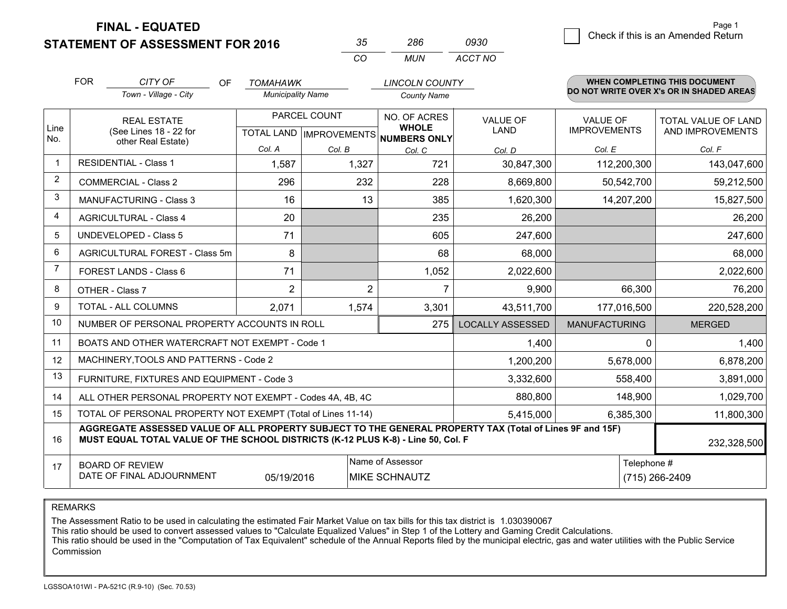**STATEMENT OF ASSESSMENT FOR 2016 FINAL - EQUATED**

0 **Check if this is an Amended Return** Page 1

|                | <b>FOR</b>                                                                                                    | CITY OF<br><b>OF</b>                                                                                                                                                                         | <b>TOMAHAWK</b>          |                                                      | <b>LINCOLN COUNTY</b> |                                |                                        | WHEN COMPLETING THIS DOCUMENT            |
|----------------|---------------------------------------------------------------------------------------------------------------|----------------------------------------------------------------------------------------------------------------------------------------------------------------------------------------------|--------------------------|------------------------------------------------------|-----------------------|--------------------------------|----------------------------------------|------------------------------------------|
|                |                                                                                                               | Town - Village - City                                                                                                                                                                        | <b>Municipality Name</b> |                                                      | <b>County Name</b>    |                                |                                        | DO NOT WRITE OVER X's OR IN SHADED AREAS |
| Line<br>No.    | <b>REAL ESTATE</b><br>(See Lines 18 - 22 for                                                                  |                                                                                                                                                                                              |                          | PARCEL COUNT<br>TOTAL LAND IMPROVEMENTS NUMBERS ONLY |                       | <b>VALUE OF</b><br><b>LAND</b> | <b>VALUE OF</b><br><b>IMPROVEMENTS</b> | TOTAL VALUE OF LAND<br>AND IMPROVEMENTS  |
|                |                                                                                                               | other Real Estate)                                                                                                                                                                           | Col. A                   | Col. B                                               | Col. C                | Col. D                         | Col. E                                 | Col. F                                   |
|                |                                                                                                               | <b>RESIDENTIAL - Class 1</b>                                                                                                                                                                 | 1,587                    | 1,327                                                | 721                   | 30,847,300                     | 112,200,300                            | 143,047,600                              |
| $\overline{2}$ |                                                                                                               | <b>COMMERCIAL - Class 2</b>                                                                                                                                                                  | 296                      | 232                                                  | 228                   | 8,669,800                      | 50,542,700                             | 59,212,500                               |
| 3              |                                                                                                               | <b>MANUFACTURING - Class 3</b>                                                                                                                                                               | 16                       | 13                                                   | 385                   | 1,620,300                      | 14,207,200                             | 15,827,500                               |
| 4              |                                                                                                               | <b>AGRICULTURAL - Class 4</b>                                                                                                                                                                | 20                       |                                                      | 235                   | 26,200                         |                                        | 26,200                                   |
| 5              |                                                                                                               | <b>UNDEVELOPED - Class 5</b>                                                                                                                                                                 | 71                       |                                                      | 605                   | 247,600                        |                                        | 247,600                                  |
| 6              | AGRICULTURAL FOREST - Class 5m                                                                                |                                                                                                                                                                                              | 8                        |                                                      | 68                    | 68,000                         |                                        | 68,000                                   |
| 7              |                                                                                                               | FOREST LANDS - Class 6                                                                                                                                                                       | 71                       |                                                      | 1,052                 | 2,022,600                      |                                        | 2,022,600                                |
| 8              |                                                                                                               | OTHER - Class 7                                                                                                                                                                              | $\overline{2}$           | $\overline{2}$                                       | $\overline{7}$        | 9,900                          | 66,300                                 | 76,200                                   |
| 9              |                                                                                                               | TOTAL - ALL COLUMNS                                                                                                                                                                          | 2,071                    | 1,574                                                | 3,301                 | 43,511,700                     | 177,016,500                            | 220,528,200                              |
| 10             |                                                                                                               | NUMBER OF PERSONAL PROPERTY ACCOUNTS IN ROLL                                                                                                                                                 |                          |                                                      | 275                   | <b>LOCALLY ASSESSED</b>        | <b>MANUFACTURING</b>                   | <b>MERGED</b>                            |
| 11             |                                                                                                               | BOATS AND OTHER WATERCRAFT NOT EXEMPT - Code 1                                                                                                                                               |                          |                                                      |                       | 1,400                          |                                        | 1,400<br>0                               |
| 12             |                                                                                                               | MACHINERY, TOOLS AND PATTERNS - Code 2                                                                                                                                                       |                          |                                                      |                       | 1,200,200                      | 5,678,000                              | 6,878,200                                |
| 13             |                                                                                                               | FURNITURE, FIXTURES AND EQUIPMENT - Code 3                                                                                                                                                   |                          |                                                      |                       | 3,332,600                      | 558,400                                | 3,891,000                                |
| 14             |                                                                                                               | ALL OTHER PERSONAL PROPERTY NOT EXEMPT - Codes 4A, 4B, 4C                                                                                                                                    |                          |                                                      |                       | 880,800                        | 148,900                                | 1,029,700                                |
| 15             |                                                                                                               | TOTAL OF PERSONAL PROPERTY NOT EXEMPT (Total of Lines 11-14)                                                                                                                                 |                          |                                                      |                       | 5,415,000                      | 6,385,300                              | 11,800,300                               |
| 16             |                                                                                                               | AGGREGATE ASSESSED VALUE OF ALL PROPERTY SUBJECT TO THE GENERAL PROPERTY TAX (Total of Lines 9F and 15F)<br>MUST EQUAL TOTAL VALUE OF THE SCHOOL DISTRICTS (K-12 PLUS K-8) - Line 50, Col. F |                          |                                                      |                       |                                |                                        | 232,328,500                              |
| 17             | Name of Assessor<br><b>BOARD OF REVIEW</b><br>DATE OF FINAL ADJOURNMENT<br>05/19/2016<br><b>MIKE SCHNAUTZ</b> |                                                                                                                                                                                              |                          |                                                      |                       |                                | Telephone #                            | (715) 266-2409                           |

*CO*

*MUN*

*ACCT NO0930*

*<sup>35</sup> <sup>286</sup>*

REMARKS

The Assessment Ratio to be used in calculating the estimated Fair Market Value on tax bills for this tax district is 1.030390067<br>This ratio should be used to convert assessed values to "Calculate Equalized Values" in Step Commission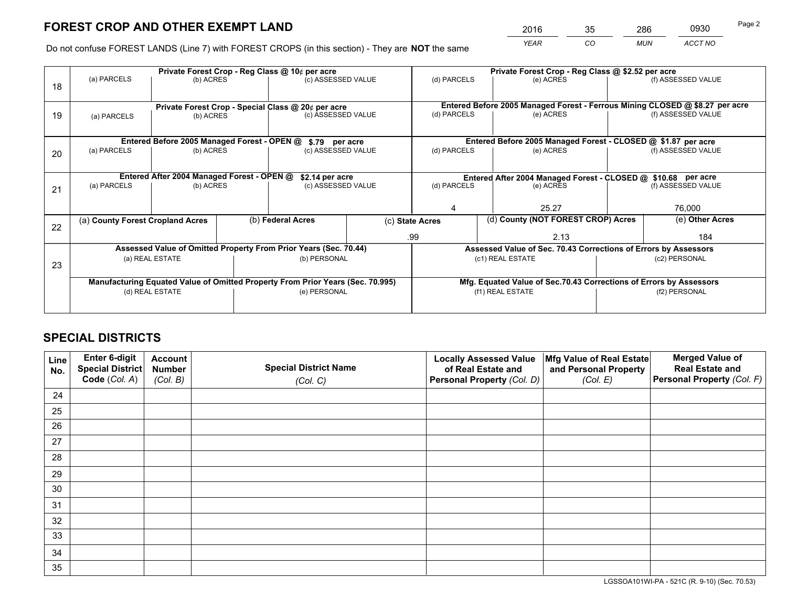*YEAR CO MUN ACCT NO* <sup>2016</sup> <sup>35</sup> <sup>286</sup> <sup>0930</sup>

Do not confuse FOREST LANDS (Line 7) with FOREST CROPS (in this section) - They are **NOT** the same

|    | Private Forest Crop - Reg Class @ 10¢ per acre                                 |                                                               |  |                    |                                                                 | Private Forest Crop - Reg Class @ \$2.52 per acre                            |                                                               |               |                    |  |
|----|--------------------------------------------------------------------------------|---------------------------------------------------------------|--|--------------------|-----------------------------------------------------------------|------------------------------------------------------------------------------|---------------------------------------------------------------|---------------|--------------------|--|
| 18 | (a) PARCELS                                                                    | (b) ACRES                                                     |  | (c) ASSESSED VALUE |                                                                 | (d) PARCELS                                                                  | (e) ACRES                                                     |               | (f) ASSESSED VALUE |  |
|    |                                                                                | Private Forest Crop - Special Class @ 20¢ per acre            |  |                    |                                                                 | Entered Before 2005 Managed Forest - Ferrous Mining CLOSED @ \$8.27 per acre |                                                               |               |                    |  |
| 19 | (a) PARCELS                                                                    | (b) ACRES                                                     |  | (c) ASSESSED VALUE |                                                                 | (d) PARCELS                                                                  | (e) ACRES                                                     |               | (f) ASSESSED VALUE |  |
|    |                                                                                |                                                               |  |                    |                                                                 |                                                                              |                                                               |               |                    |  |
|    |                                                                                | Entered Before 2005 Managed Forest - OPEN @<br>\$.79 per acre |  |                    |                                                                 |                                                                              | Entered Before 2005 Managed Forest - CLOSED @ \$1.87 per acre |               |                    |  |
| 20 | (a) PARCELS<br>(b) ACRES                                                       |                                                               |  | (c) ASSESSED VALUE |                                                                 | (d) PARCELS                                                                  | (e) ACRES                                                     |               |                    |  |
|    | Entered After 2004 Managed Forest - OPEN @<br>\$2.14 per acre                  |                                                               |  |                    | Entered After 2004 Managed Forest - CLOSED @ \$10.68 per acre   |                                                                              |                                                               |               |                    |  |
| 21 | (a) PARCELS                                                                    | (b) ACRES                                                     |  | (c) ASSESSED VALUE |                                                                 | (d) PARCELS                                                                  | (e) ACRES                                                     |               |                    |  |
|    |                                                                                |                                                               |  |                    |                                                                 |                                                                              |                                                               |               |                    |  |
|    |                                                                                |                                                               |  |                    |                                                                 |                                                                              | 25.27                                                         |               |                    |  |
| 22 | (a) County Forest Cropland Acres                                               |                                                               |  | (b) Federal Acres  |                                                                 | (d) County (NOT FOREST CROP) Acres<br>(c) State Acres                        |                                                               |               | (e) Other Acres    |  |
|    |                                                                                |                                                               |  |                    | .99                                                             |                                                                              | 2.13                                                          |               | 184                |  |
|    | Assessed Value of Omitted Property From Prior Years (Sec. 70.44)               |                                                               |  |                    | Assessed Value of Sec. 70.43 Corrections of Errors by Assessors |                                                                              |                                                               |               |                    |  |
| 23 | (a) REAL ESTATE<br>(b) PERSONAL                                                |                                                               |  | (c1) REAL ESTATE   |                                                                 |                                                                              | (c2) PERSONAL                                                 |               |                    |  |
|    |                                                                                |                                                               |  |                    |                                                                 |                                                                              |                                                               |               |                    |  |
|    | Manufacturing Equated Value of Omitted Property From Prior Years (Sec. 70.995) |                                                               |  |                    |                                                                 | Mfg. Equated Value of Sec.70.43 Corrections of Errors by Assessors           |                                                               |               |                    |  |
|    | (d) REAL ESTATE                                                                |                                                               |  | (e) PERSONAL       |                                                                 | (f1) REAL ESTATE                                                             |                                                               | (f2) PERSONAL |                    |  |
|    |                                                                                |                                                               |  |                    |                                                                 |                                                                              |                                                               |               |                    |  |

## **SPECIAL DISTRICTS**

| Line<br>No. | Enter 6-digit<br>Special District<br>Code (Col. A) | <b>Account</b><br><b>Number</b><br>(Col. B) | <b>Special District Name</b><br>(Col. C) | <b>Locally Assessed Value</b><br>of Real Estate and<br>Personal Property (Col. D) | Mfg Value of Real Estate<br>and Personal Property<br>(Col. E) | <b>Merged Value of</b><br><b>Real Estate and</b><br>Personal Property (Col. F) |
|-------------|----------------------------------------------------|---------------------------------------------|------------------------------------------|-----------------------------------------------------------------------------------|---------------------------------------------------------------|--------------------------------------------------------------------------------|
| 24          |                                                    |                                             |                                          |                                                                                   |                                                               |                                                                                |
| 25          |                                                    |                                             |                                          |                                                                                   |                                                               |                                                                                |
| 26          |                                                    |                                             |                                          |                                                                                   |                                                               |                                                                                |
| 27          |                                                    |                                             |                                          |                                                                                   |                                                               |                                                                                |
| 28          |                                                    |                                             |                                          |                                                                                   |                                                               |                                                                                |
| 29          |                                                    |                                             |                                          |                                                                                   |                                                               |                                                                                |
| 30          |                                                    |                                             |                                          |                                                                                   |                                                               |                                                                                |
| 31          |                                                    |                                             |                                          |                                                                                   |                                                               |                                                                                |
| 32          |                                                    |                                             |                                          |                                                                                   |                                                               |                                                                                |
| 33          |                                                    |                                             |                                          |                                                                                   |                                                               |                                                                                |
| 34          |                                                    |                                             |                                          |                                                                                   |                                                               |                                                                                |
| 35          |                                                    |                                             |                                          |                                                                                   |                                                               |                                                                                |

LGSSOA101WI-PA - 521C (R. 9-10) (Sec. 70.53)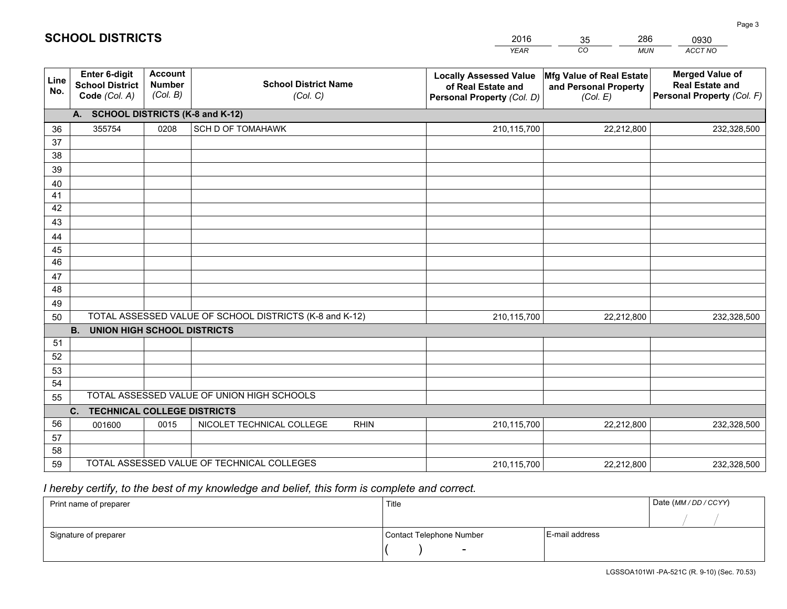|             |                                                                                                     |                                             |                                            | <b>YEAR</b>                                                                       | CO<br><b>MUN</b>                                              | ACCT NO                                                                        |  |  |
|-------------|-----------------------------------------------------------------------------------------------------|---------------------------------------------|--------------------------------------------|-----------------------------------------------------------------------------------|---------------------------------------------------------------|--------------------------------------------------------------------------------|--|--|
| Line<br>No. | <b>Enter 6-digit</b><br><b>School District</b><br>Code (Col. A)                                     | <b>Account</b><br><b>Number</b><br>(Col. B) | <b>School District Name</b><br>(Col. C)    | <b>Locally Assessed Value</b><br>of Real Estate and<br>Personal Property (Col. D) | Mfg Value of Real Estate<br>and Personal Property<br>(Col. E) | <b>Merged Value of</b><br><b>Real Estate and</b><br>Personal Property (Col. F) |  |  |
|             | A. SCHOOL DISTRICTS (K-8 and K-12)                                                                  |                                             |                                            |                                                                                   |                                                               |                                                                                |  |  |
| 36          | 355754                                                                                              | 0208                                        | SCH D OF TOMAHAWK                          | 210,115,700                                                                       | 22,212,800                                                    | 232,328,500                                                                    |  |  |
| 37          |                                                                                                     |                                             |                                            |                                                                                   |                                                               |                                                                                |  |  |
| 38          |                                                                                                     |                                             |                                            |                                                                                   |                                                               |                                                                                |  |  |
| 39          |                                                                                                     |                                             |                                            |                                                                                   |                                                               |                                                                                |  |  |
| 40          |                                                                                                     |                                             |                                            |                                                                                   |                                                               |                                                                                |  |  |
| 41          |                                                                                                     |                                             |                                            |                                                                                   |                                                               |                                                                                |  |  |
| 42<br>43    |                                                                                                     |                                             |                                            |                                                                                   |                                                               |                                                                                |  |  |
|             |                                                                                                     |                                             |                                            |                                                                                   |                                                               |                                                                                |  |  |
| 44<br>45    |                                                                                                     |                                             |                                            |                                                                                   |                                                               |                                                                                |  |  |
| 46          |                                                                                                     |                                             |                                            |                                                                                   |                                                               |                                                                                |  |  |
| 47          |                                                                                                     |                                             |                                            |                                                                                   |                                                               |                                                                                |  |  |
| 48          |                                                                                                     |                                             |                                            |                                                                                   |                                                               |                                                                                |  |  |
| 49          |                                                                                                     |                                             |                                            |                                                                                   |                                                               |                                                                                |  |  |
| 50          | TOTAL ASSESSED VALUE OF SCHOOL DISTRICTS (K-8 and K-12)<br>210,115,700<br>22,212,800<br>232,328,500 |                                             |                                            |                                                                                   |                                                               |                                                                                |  |  |
|             | <b>B.</b><br><b>UNION HIGH SCHOOL DISTRICTS</b>                                                     |                                             |                                            |                                                                                   |                                                               |                                                                                |  |  |
| 51          |                                                                                                     |                                             |                                            |                                                                                   |                                                               |                                                                                |  |  |
| 52          |                                                                                                     |                                             |                                            |                                                                                   |                                                               |                                                                                |  |  |
| 53          |                                                                                                     |                                             |                                            |                                                                                   |                                                               |                                                                                |  |  |
| 54          |                                                                                                     |                                             |                                            |                                                                                   |                                                               |                                                                                |  |  |
| 55          | TOTAL ASSESSED VALUE OF UNION HIGH SCHOOLS                                                          |                                             |                                            |                                                                                   |                                                               |                                                                                |  |  |
|             | C.<br><b>TECHNICAL COLLEGE DISTRICTS</b>                                                            |                                             |                                            |                                                                                   |                                                               |                                                                                |  |  |
| 56          | 001600                                                                                              | 0015                                        | NICOLET TECHNICAL COLLEGE<br><b>RHIN</b>   | 210,115,700                                                                       | 22,212,800                                                    | 232,328,500                                                                    |  |  |
| 57<br>58    |                                                                                                     |                                             |                                            |                                                                                   |                                                               |                                                                                |  |  |
| 59          |                                                                                                     |                                             | TOTAL ASSESSED VALUE OF TECHNICAL COLLEGES | 210,115,700                                                                       | 22,212,800                                                    | 232,328,500                                                                    |  |  |
|             |                                                                                                     |                                             |                                            |                                                                                   |                                                               |                                                                                |  |  |

35

286

 *I hereby certify, to the best of my knowledge and belief, this form is complete and correct.*

**SCHOOL DISTRICTS**

| Print name of preparer | Title                    | Date (MM / DD / CCYY) |  |
|------------------------|--------------------------|-----------------------|--|
|                        |                          |                       |  |
| Signature of preparer  | Contact Telephone Number | E-mail address        |  |
|                        | $\sim$                   |                       |  |